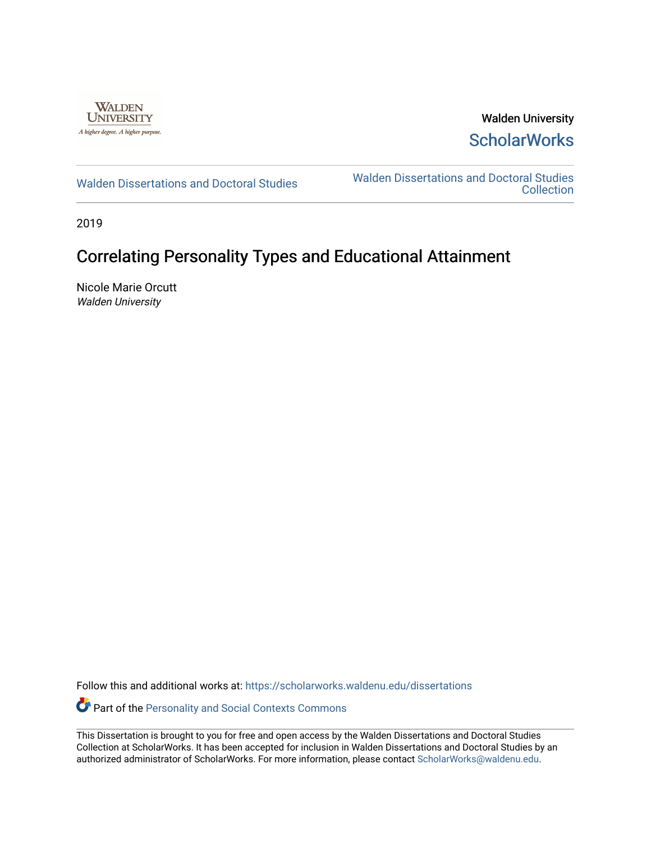

Walden University **ScholarWorks** 

[Walden Dissertations and Doctoral Studies](https://scholarworks.waldenu.edu/dissertations) Walden Dissertations and Doctoral Studies **Collection** 

2019

# Correlating Personality Types and Educational Attainment

Nicole Marie Orcutt Walden University

Follow this and additional works at: [https://scholarworks.waldenu.edu/dissertations](https://scholarworks.waldenu.edu/dissertations?utm_source=scholarworks.waldenu.edu%2Fdissertations%2F7948&utm_medium=PDF&utm_campaign=PDFCoverPages)

Part of the [Personality and Social Contexts Commons](http://network.bepress.com/hgg/discipline/413?utm_source=scholarworks.waldenu.edu%2Fdissertations%2F7948&utm_medium=PDF&utm_campaign=PDFCoverPages)

This Dissertation is brought to you for free and open access by the Walden Dissertations and Doctoral Studies Collection at ScholarWorks. It has been accepted for inclusion in Walden Dissertations and Doctoral Studies by an authorized administrator of ScholarWorks. For more information, please contact [ScholarWorks@waldenu.edu](mailto:ScholarWorks@waldenu.edu).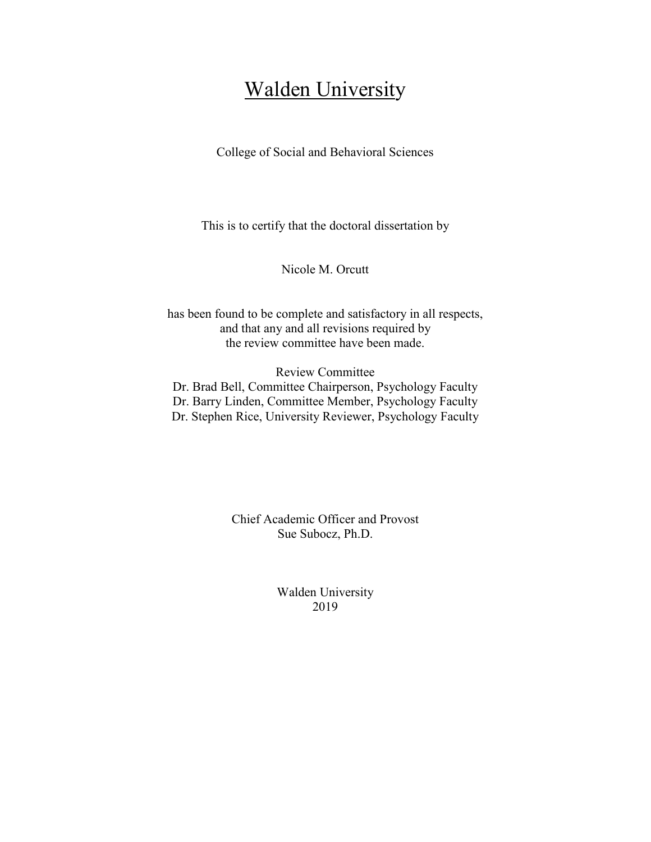# **Walden University**

College of Social and Behavioral Sciences

This is to certify that the doctoral dissertation by

Nicole M. Orcutt

has been found to be complete and satisfactory in all respects, and that any and all revisions required by the review committee have been made.

Review Committee

Dr. Brad Bell, Committee Chairperson, Psychology Faculty Dr. Barry Linden, Committee Member, Psychology Faculty Dr. Stephen Rice, University Reviewer, Psychology Faculty

> Chief Academic Officer and Provost Sue Subocz, Ph.D.

> > Walden University 2019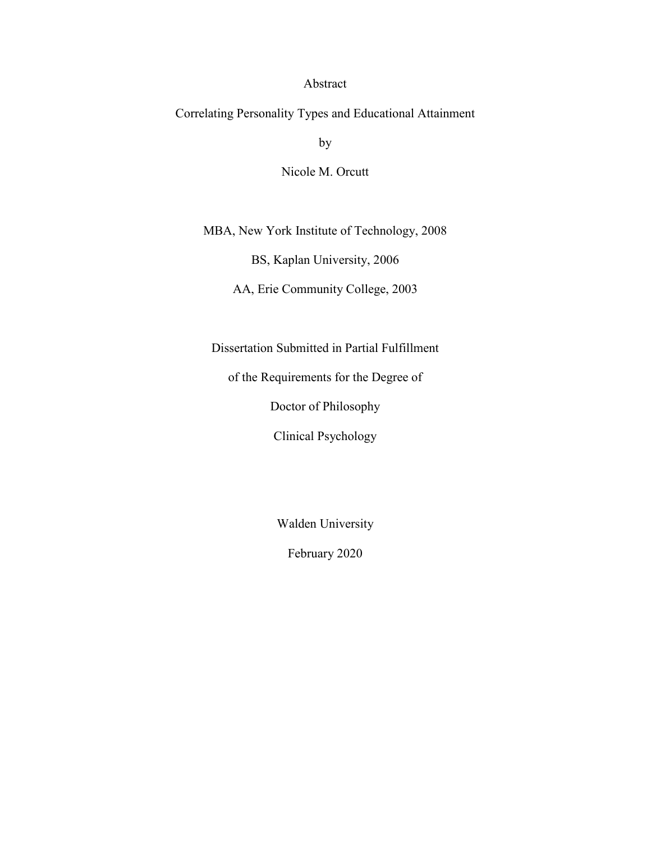# Abstract

Correlating Personality Types and Educational Attainment

by

Nicole M. Orcutt

MBA, New York Institute of Technology, 2008

BS, Kaplan University, 2006

AA, Erie Community College, 2003

Dissertation Submitted in Partial Fulfillment

of the Requirements for the Degree of

Doctor of Philosophy

Clinical Psychology

Walden University

February 2020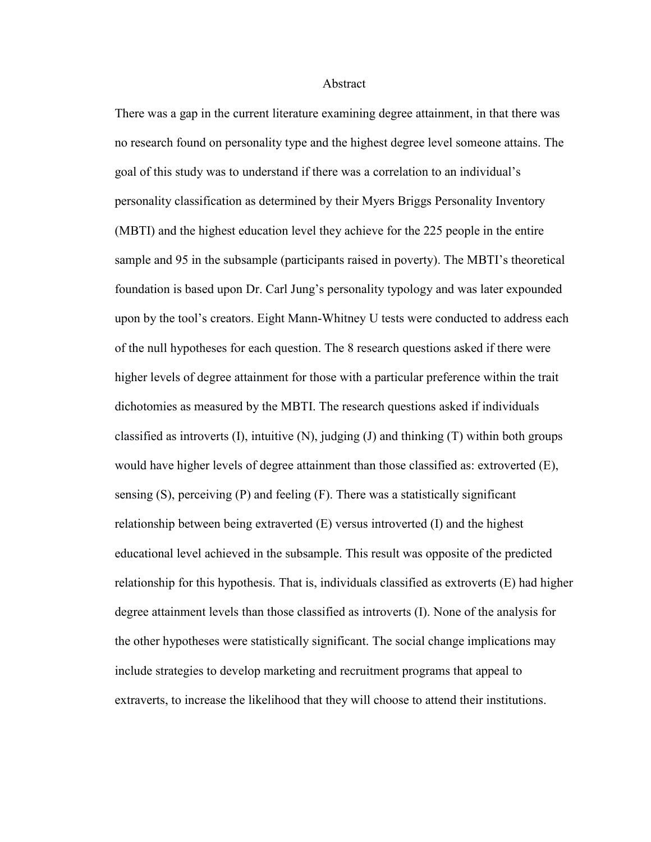#### Abstract

There was a gap in the current literature examining degree attainment, in that there was no research found on personality type and the highest degree level someone attains. The goal of this study was to understand if there was a correlation to an individual's personality classification as determined by their Myers Briggs Personality Inventory (MBTI) and the highest education level they achieve for the 225 people in the entire sample and 95 in the subsample (participants raised in poverty). The MBTI's theoretical foundation is based upon Dr. Carl Jung's personality typology and was later expounded upon by the tool's creators. Eight Mann-Whitney U tests were conducted to address each of the null hypotheses for each question. The 8 research questions asked if there were higher levels of degree attainment for those with a particular preference within the trait dichotomies as measured by the MBTI. The research questions asked if individuals classified as introverts  $(I)$ , intuitive  $(N)$ , judging  $(I)$  and thinking  $(T)$  within both groups would have higher levels of degree attainment than those classified as: extroverted (E), sensing  $(S)$ , perceiving  $(P)$  and feeling  $(F)$ . There was a statistically significant relationship between being extraverted (E) versus introverted (I) and the highest educational level achieved in the subsample. This result was opposite of the predicted relationship for this hypothesis. That is, individuals classified as extroverts (E) had higher degree attainment levels than those classified as introverts (I). None of the analysis for the other hypotheses were statistically significant. The social change implications may include strategies to develop marketing and recruitment programs that appeal to extraverts, to increase the likelihood that they will choose to attend their institutions.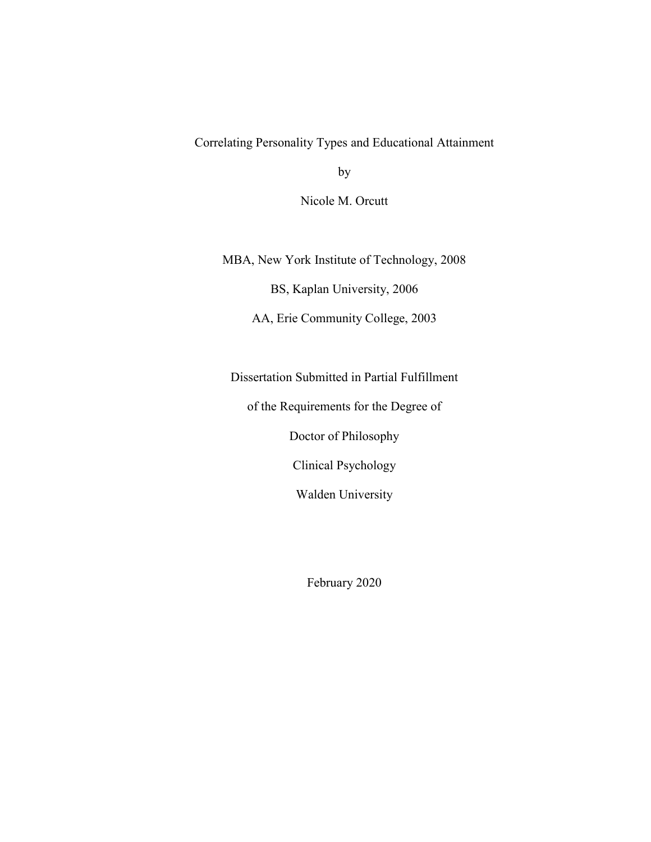Correlating Personality Types and Educational Attainment

by

Nicole M. Orcutt

MBA, New York Institute of Technology, 2008

BS, Kaplan University, 2006

AA, Erie Community College, 2003

Dissertation Submitted in Partial Fulfillment

of the Requirements for the Degree of

Doctor of Philosophy

Clinical Psychology

Walden University

February 2020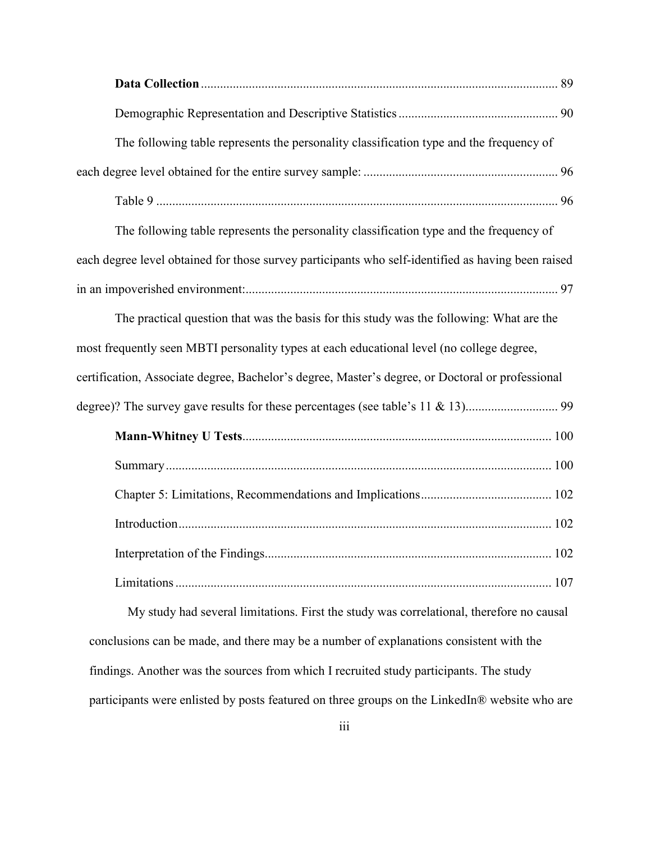| The following table represents the personality classification type and the frequency of            |
|----------------------------------------------------------------------------------------------------|
|                                                                                                    |
|                                                                                                    |
| The following table represents the personality classification type and the frequency of            |
| each degree level obtained for those survey participants who self-identified as having been raised |
|                                                                                                    |
| The practical question that was the basis for this study was the following: What are the           |
| most frequently seen MBTI personality types at each educational level (no college degree,          |
| certification, Associate degree, Bachelor's degree, Master's degree, or Doctoral or professional   |
|                                                                                                    |
|                                                                                                    |
|                                                                                                    |
|                                                                                                    |
|                                                                                                    |
|                                                                                                    |
|                                                                                                    |
| My study had several limitations. First the study was correlational, therefore no causal           |
| conclusions can be made, and there may be a number of explanations consistent with the             |
| findings. Another was the sources from which I recruited study participants. The study             |

participants were enlisted by posts featured on three groups on the LinkedIn® website who are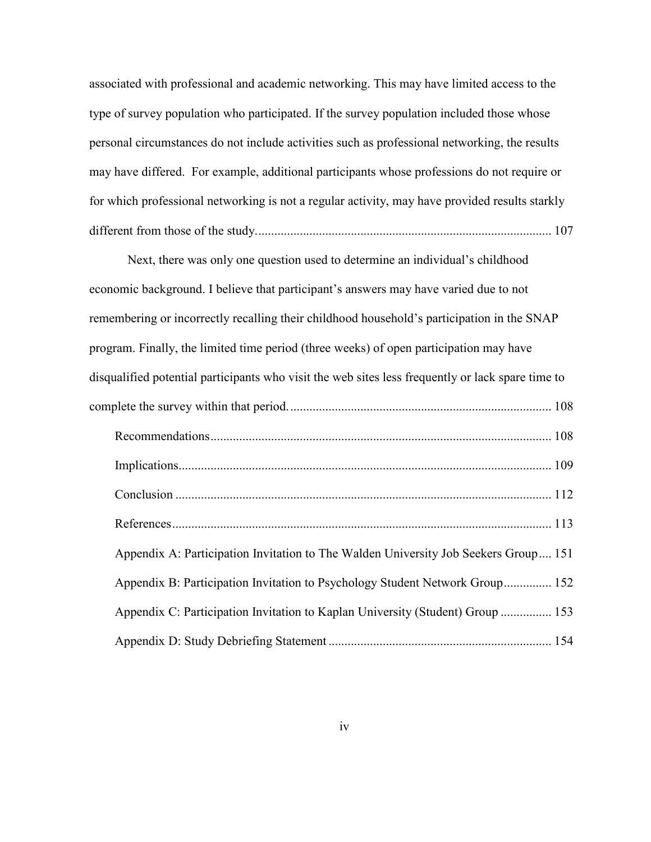associated with professional and academic networking. This may have limited access to the type of survey population who participated. If the survey population included those whose personal circumstances do not include activities such as professional networking, the results may have differed. For example, additional participants whose professions do not require or for which professional networking is not a regular activity, may have provided results starkly different from those of the study. ............................................................................................ 107

Next, there was only one question used to determine an individual's childhood economic background. I believe that participant's answers may have varied due to not remembering or incorrectly recalling their childhood household's participation in the SNAP program. Finally, the limited time period (three weeks) of open participation may have disqualified potential participants who visit the web sites less frequently or lack spare time to complete the survey within that period. .................................................................................. 108 Recommendations ........................................................................................................... 108 Implications..................................................................................................................... 109 Conclusion ...................................................................................................................... 112 References ....................................................................................................................... 113 Appendix A: Participation Invitation to The Walden University Job Seekers Group .... 151 Appendix B: Participation Invitation to Psychology Student Network Group ............... 152 Appendix C: Participation Invitation to Kaplan University (Student) Group ................ 153 Appendix D: Study Debriefing Statement ...................................................................... 154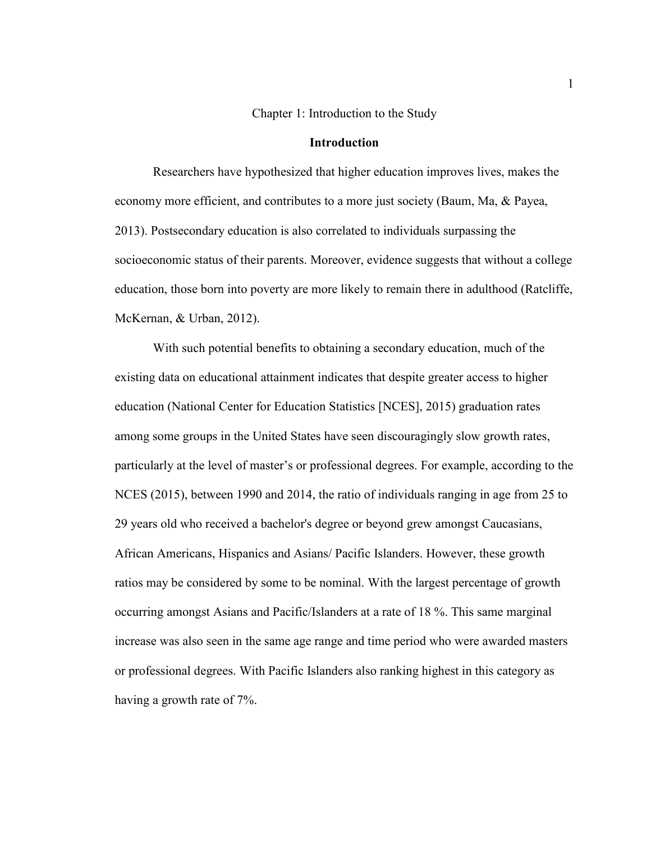# Chapter 1: Introduction to the Study

# **Introduction**

Researchers have hypothesized that higher education improves lives, makes the economy more efficient, and contributes to a more just society (Baum, Ma, & Payea, 2013). Postsecondary education is also correlated to individuals surpassing the socioeconomic status of their parents. Moreover, evidence suggests that without a college education, those born into poverty are more likely to remain there in adulthood (Ratcliffe, McKernan, & Urban, 2012).

With such potential benefits to obtaining a secondary education, much of the existing data on educational attainment indicates that despite greater access to higher education (National Center for Education Statistics [NCES], 2015) graduation rates among some groups in the United States have seen discouragingly slow growth rates, particularly at the level of master's or professional degrees. For example, according to the NCES (2015), between 1990 and 2014, the ratio of individuals ranging in age from 25 to 29 years old who received a bachelor's degree or beyond grew amongst Caucasians, African Americans, Hispanics and Asians/ Pacific Islanders. However, these growth ratios may be considered by some to be nominal. With the largest percentage of growth occurring amongst Asians and Pacific/Islanders at a rate of 18 %. This same marginal increase was also seen in the same age range and time period who were awarded masters or professional degrees. With Pacific Islanders also ranking highest in this category as having a growth rate of 7%.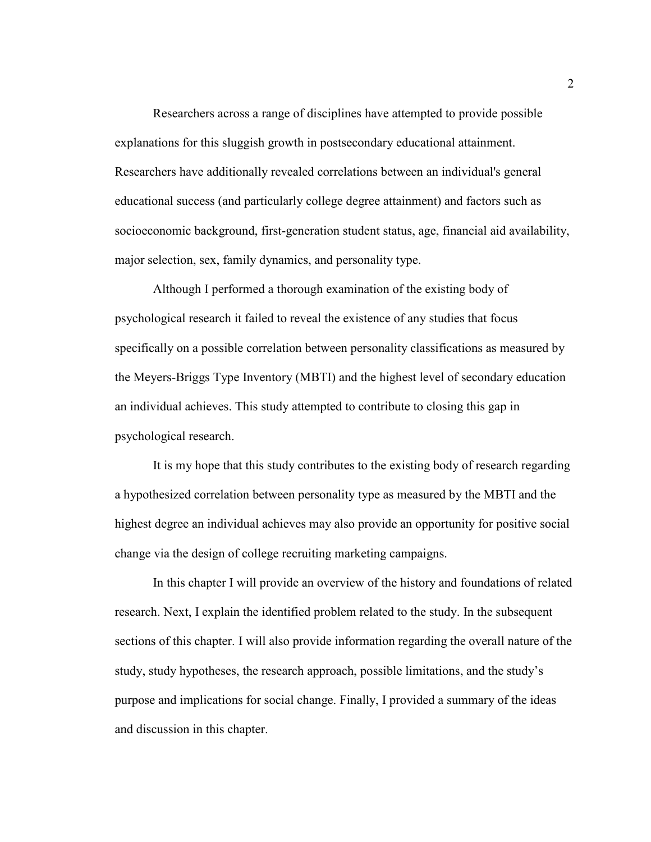Researchers across a range of disciplines have attempted to provide possible explanations for this sluggish growth in postsecondary educational attainment. Researchers have additionally revealed correlations between an individual's general educational success (and particularly college degree attainment) and factors such as socioeconomic background, first-generation student status, age, financial aid availability, major selection, sex, family dynamics, and personality type.

Although I performed a thorough examination of the existing body of psychological research it failed to reveal the existence of any studies that focus specifically on a possible correlation between personality classifications as measured by the Meyers-Briggs Type Inventory (MBTI) and the highest level of secondary education an individual achieves. This study attempted to contribute to closing this gap in psychological research.

It is my hope that this study contributes to the existing body of research regarding a hypothesized correlation between personality type as measured by the MBTI and the highest degree an individual achieves may also provide an opportunity for positive social change via the design of college recruiting marketing campaigns.

In this chapter I will provide an overview of the history and foundations of related research. Next, I explain the identified problem related to the study. In the subsequent sections of this chapter. I will also provide information regarding the overall nature of the study, study hypotheses, the research approach, possible limitations, and the study's purpose and implications for social change. Finally, I provided a summary of the ideas and discussion in this chapter.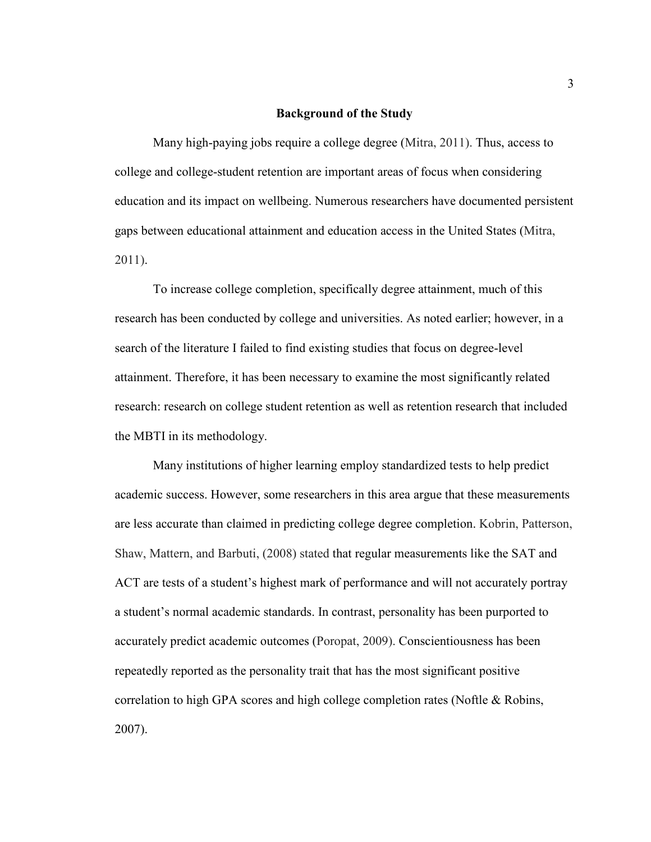# **Background of the Study**

Many high-paying jobs require a college degree (Mitra, 2011). Thus, access to college and college-student retention are important areas of focus when considering education and its impact on wellbeing. Numerous researchers have documented persistent gaps between educational attainment and education access in the United States (Mitra, 2011).

To increase college completion, specifically degree attainment, much of this research has been conducted by college and universities. As noted earlier; however, in a search of the literature I failed to find existing studies that focus on degree-level attainment. Therefore, it has been necessary to examine the most significantly related research: research on college student retention as well as retention research that included the MBTI in its methodology.

Many institutions of higher learning employ standardized tests to help predict academic success. However, some researchers in this area argue that these measurements are less accurate than claimed in predicting college degree completion. Kobrin, Patterson, Shaw, Mattern, and Barbuti, (2008) stated that regular measurements like the SAT and ACT are tests of a student's highest mark of performance and will not accurately portray a student's normal academic standards. In contrast, personality has been purported to accurately predict academic outcomes (Poropat, 2009). Conscientiousness has been repeatedly reported as the personality trait that has the most significant positive correlation to high GPA scores and high college completion rates (Noftle & Robins, 2007).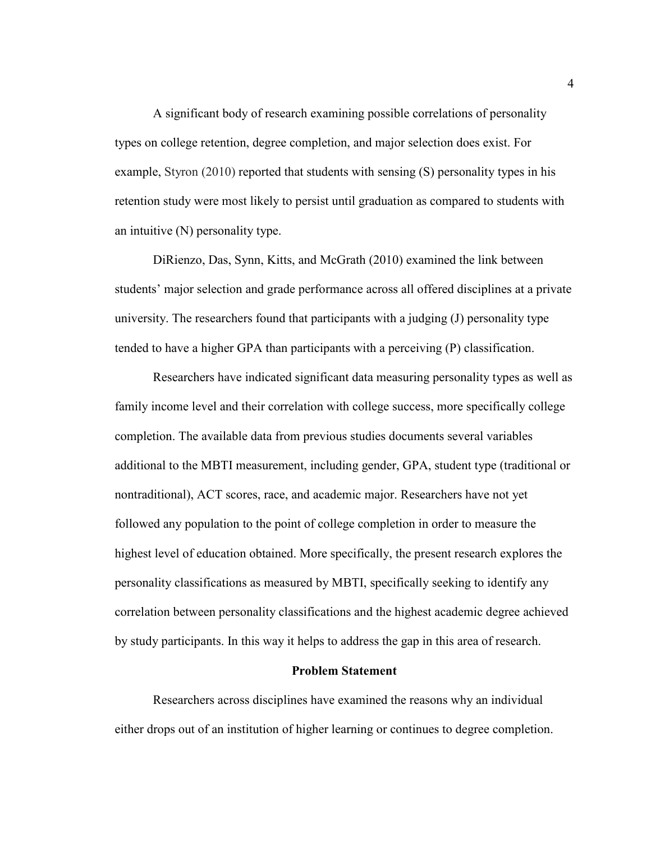A significant body of research examining possible correlations of personality types on college retention, degree completion, and major selection does exist. For example, Styron (2010) reported that students with sensing (S) personality types in his retention study were most likely to persist until graduation as compared to students with an intuitive (N) personality type.

DiRienzo, Das, Synn, Kitts, and McGrath (2010) examined the link between students' major selection and grade performance across all offered disciplines at a private university. The researchers found that participants with a judging (J) personality type tended to have a higher GPA than participants with a perceiving (P) classification.

Researchers have indicated significant data measuring personality types as well as family income level and their correlation with college success, more specifically college completion. The available data from previous studies documents several variables additional to the MBTI measurement, including gender, GPA, student type (traditional or nontraditional), ACT scores, race, and academic major. Researchers have not yet followed any population to the point of college completion in order to measure the highest level of education obtained. More specifically, the present research explores the personality classifications as measured by MBTI, specifically seeking to identify any correlation between personality classifications and the highest academic degree achieved by study participants. In this way it helps to address the gap in this area of research.

# **Problem Statement**

Researchers across disciplines have examined the reasons why an individual either drops out of an institution of higher learning or continues to degree completion.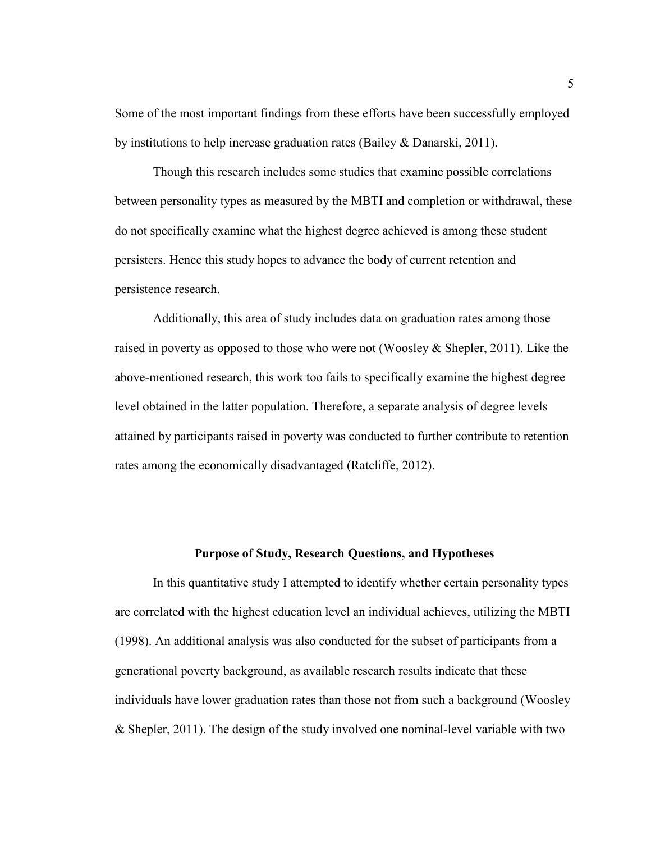Some of the most important findings from these efforts have been successfully employed by institutions to help increase graduation rates (Bailey & Danarski, 2011).

Though this research includes some studies that examine possible correlations between personality types as measured by the MBTI and completion or withdrawal, these do not specifically examine what the highest degree achieved is among these student persisters. Hence this study hopes to advance the body of current retention and persistence research.

Additionally, this area of study includes data on graduation rates among those raised in poverty as opposed to those who were not (Woosley & Shepler, 2011). Like the above-mentioned research, this work too fails to specifically examine the highest degree level obtained in the latter population. Therefore, a separate analysis of degree levels attained by participants raised in poverty was conducted to further contribute to retention rates among the economically disadvantaged (Ratcliffe, 2012).

# **Purpose of Study, Research Questions, and Hypotheses**

In this quantitative study I attempted to identify whether certain personality types are correlated with the highest education level an individual achieves, utilizing the MBTI (1998). An additional analysis was also conducted for the subset of participants from a generational poverty background, as available research results indicate that these individuals have lower graduation rates than those not from such a background (Woosley & Shepler, 2011). The design of the study involved one nominal-level variable with two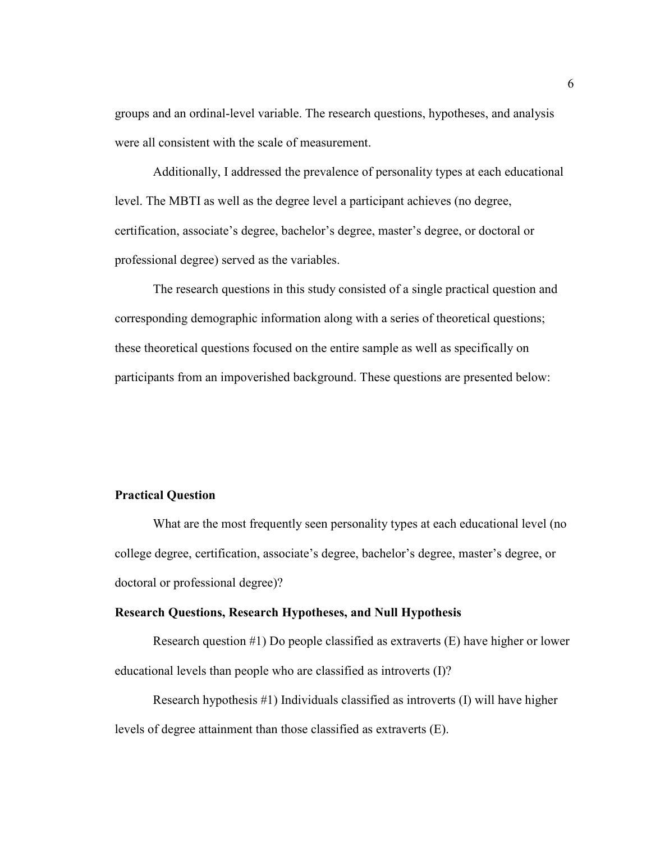groups and an ordinal-level variable. The research questions, hypotheses, and analysis were all consistent with the scale of measurement.

Additionally, I addressed the prevalence of personality types at each educational level. The MBTI as well as the degree level a participant achieves (no degree, certification, associate's degree, bachelor's degree, master's degree, or doctoral or professional degree) served as the variables.

The research questions in this study consisted of a single practical question and corresponding demographic information along with a series of theoretical questions; these theoretical questions focused on the entire sample as well as specifically on participants from an impoverished background. These questions are presented below:

# **Practical Question**

What are the most frequently seen personality types at each educational level (no college degree, certification, associate's degree, bachelor's degree, master's degree, or doctoral or professional degree)?

# **Research Questions, Research Hypotheses, and Null Hypothesis**

Research question #1) Do people classified as extraverts (E) have higher or lower educational levels than people who are classified as introverts (I)?

Research hypothesis #1) Individuals classified as introverts (I) will have higher levels of degree attainment than those classified as extraverts (E).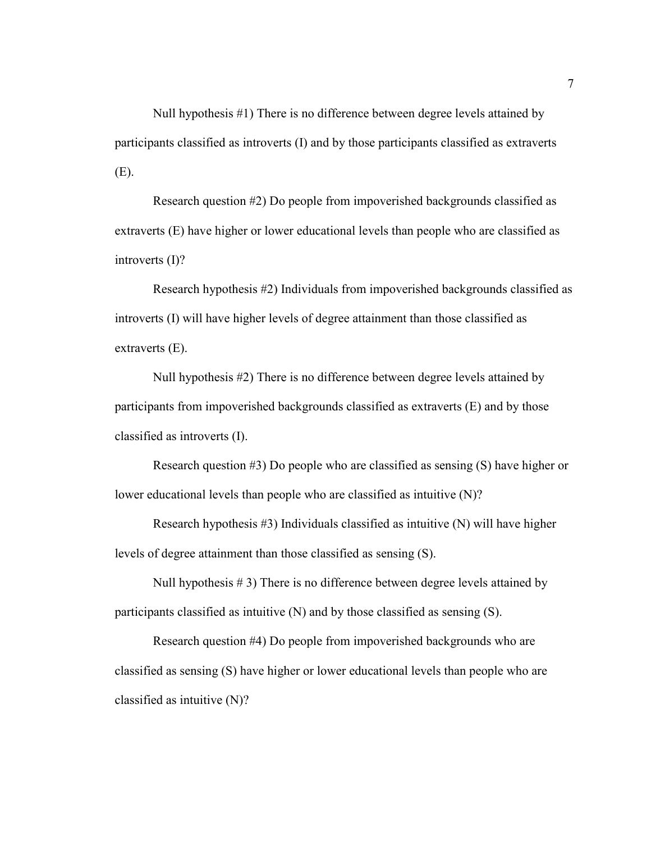Null hypothesis #1) There is no difference between degree levels attained by participants classified as introverts (I) and by those participants classified as extraverts (E).

Research question #2) Do people from impoverished backgrounds classified as extraverts (E) have higher or lower educational levels than people who are classified as introverts (I)?

Research hypothesis #2) Individuals from impoverished backgrounds classified as introverts (I) will have higher levels of degree attainment than those classified as extraverts (E).

Null hypothesis #2) There is no difference between degree levels attained by participants from impoverished backgrounds classified as extraverts (E) and by those classified as introverts (I).

Research question #3) Do people who are classified as sensing (S) have higher or lower educational levels than people who are classified as intuitive (N)?

Research hypothesis  $#3$ ) Individuals classified as intuitive  $(N)$  will have higher levels of degree attainment than those classified as sensing (S).

Null hypothesis # 3) There is no difference between degree levels attained by participants classified as intuitive (N) and by those classified as sensing (S).

Research question #4) Do people from impoverished backgrounds who are classified as sensing (S) have higher or lower educational levels than people who are classified as intuitive (N)?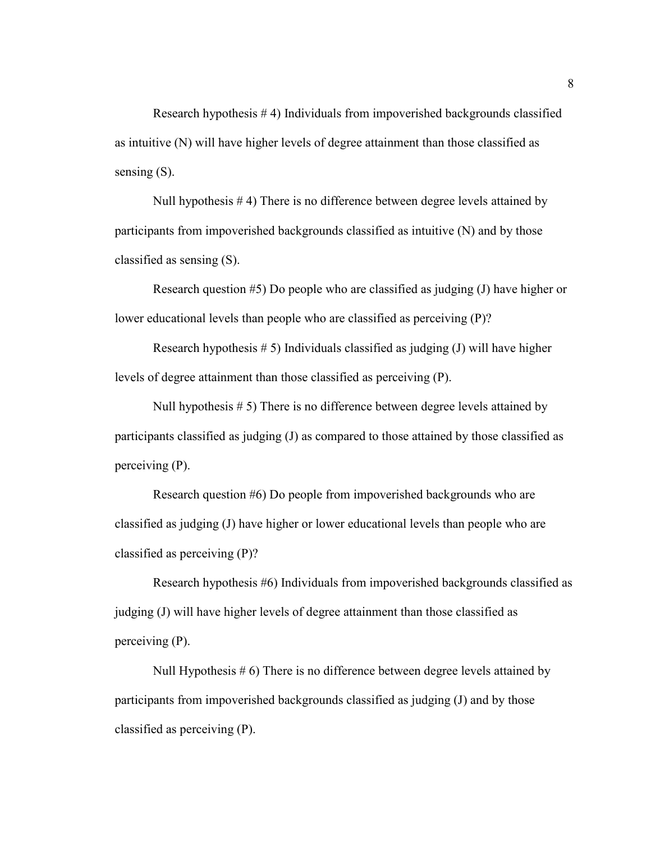Research hypothesis # 4) Individuals from impoverished backgrounds classified as intuitive (N) will have higher levels of degree attainment than those classified as sensing  $(S)$ .

Null hypothesis # 4) There is no difference between degree levels attained by participants from impoverished backgrounds classified as intuitive (N) and by those classified as sensing (S).

Research question #5) Do people who are classified as judging (J) have higher or lower educational levels than people who are classified as perceiving (P)?

Research hypothesis  $# 5$ ) Individuals classified as judging (J) will have higher levels of degree attainment than those classified as perceiving (P).

Null hypothesis # 5) There is no difference between degree levels attained by participants classified as judging (J) as compared to those attained by those classified as perceiving (P).

Research question #6) Do people from impoverished backgrounds who are classified as judging (J) have higher or lower educational levels than people who are classified as perceiving (P)?

Research hypothesis #6) Individuals from impoverished backgrounds classified as judging (J) will have higher levels of degree attainment than those classified as perceiving (P).

Null Hypothesis # 6) There is no difference between degree levels attained by participants from impoverished backgrounds classified as judging (J) and by those classified as perceiving (P).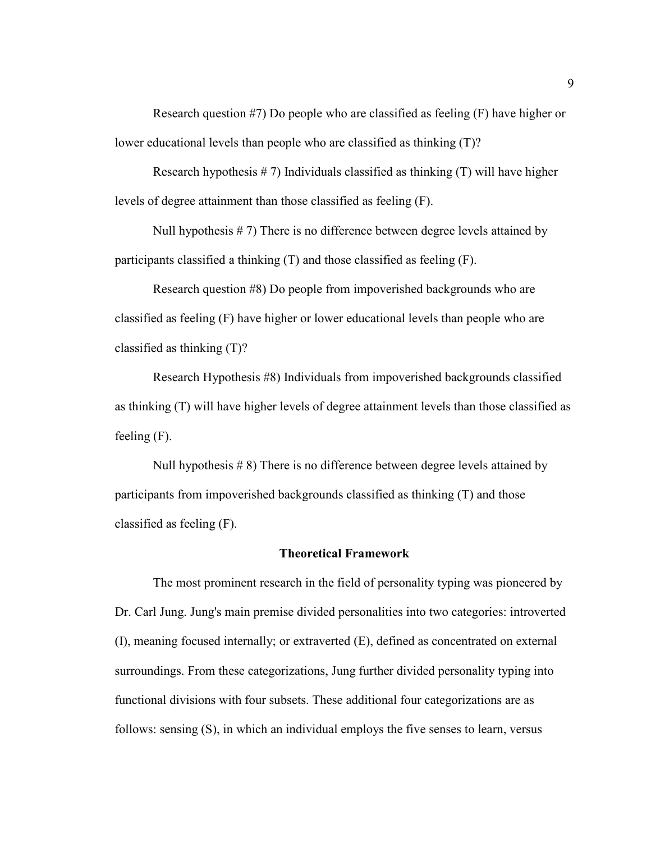Research question #7) Do people who are classified as feeling (F) have higher or lower educational levels than people who are classified as thinking (T)?

Research hypothesis  $# 7$ ) Individuals classified as thinking  $(T)$  will have higher levels of degree attainment than those classified as feeling (F).

Null hypothesis  $# 7$ ) There is no difference between degree levels attained by participants classified a thinking (T) and those classified as feeling (F).

Research question #8) Do people from impoverished backgrounds who are classified as feeling (F) have higher or lower educational levels than people who are classified as thinking (T)?

Research Hypothesis #8) Individuals from impoverished backgrounds classified as thinking (T) will have higher levels of degree attainment levels than those classified as feeling (F).

Null hypothesis # 8) There is no difference between degree levels attained by participants from impoverished backgrounds classified as thinking (T) and those classified as feeling (F).

# **Theoretical Framework**

The most prominent research in the field of personality typing was pioneered by Dr. Carl Jung. Jung's main premise divided personalities into two categories: introverted (I), meaning focused internally; or extraverted (E), defined as concentrated on external surroundings. From these categorizations, Jung further divided personality typing into functional divisions with four subsets. These additional four categorizations are as follows: sensing (S), in which an individual employs the five senses to learn, versus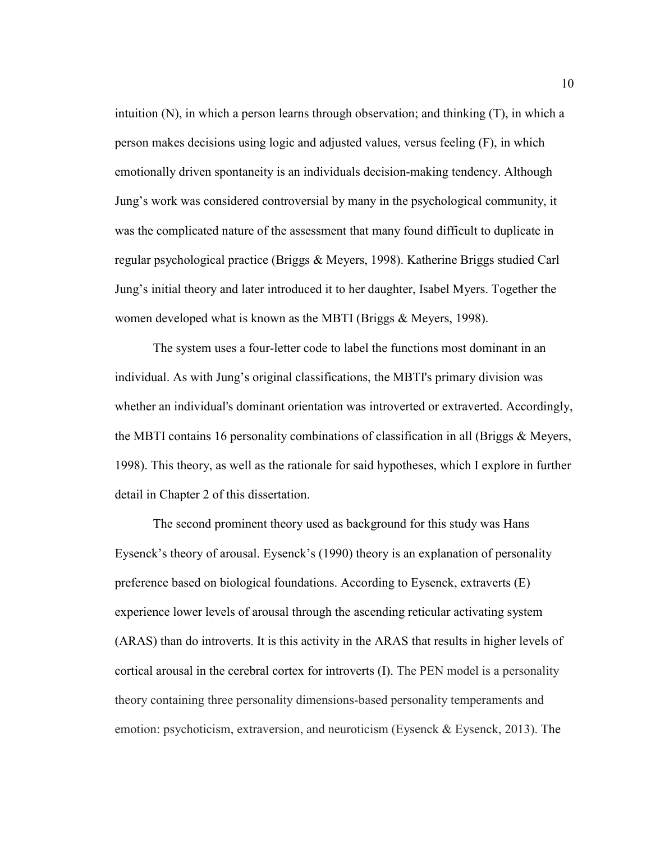intuition (N), in which a person learns through observation; and thinking (T), in which a person makes decisions using logic and adjusted values, versus feeling (F), in which emotionally driven spontaneity is an individuals decision-making tendency. Although Jung's work was considered controversial by many in the psychological community, it was the complicated nature of the assessment that many found difficult to duplicate in regular psychological practice (Briggs & Meyers, 1998). Katherine Briggs studied Carl Jung's initial theory and later introduced it to her daughter, Isabel Myers. Together the women developed what is known as the MBTI (Briggs & Meyers, 1998).

The system uses a four-letter code to label the functions most dominant in an individual. As with Jung's original classifications, the MBTI's primary division was whether an individual's dominant orientation was introverted or extraverted. Accordingly, the MBTI contains 16 personality combinations of classification in all (Briggs & Meyers, 1998). This theory, as well as the rationale for said hypotheses, which I explore in further detail in Chapter 2 of this dissertation.

The second prominent theory used as background for this study was Hans Eysenck's theory of arousal. Eysenck's (1990) theory is an explanation of personality preference based on biological foundations. According to Eysenck, extraverts (E) experience lower levels of arousal through the ascending reticular activating system (ARAS) than do introverts. It is this activity in the ARAS that results in higher levels of cortical arousal in the cerebral cortex for introverts (I). The PEN model is a personality theory containing three personality dimensions-based personality temperaments and emotion: psychoticism, extraversion, and neuroticism (Eysenck & Eysenck, 2013). The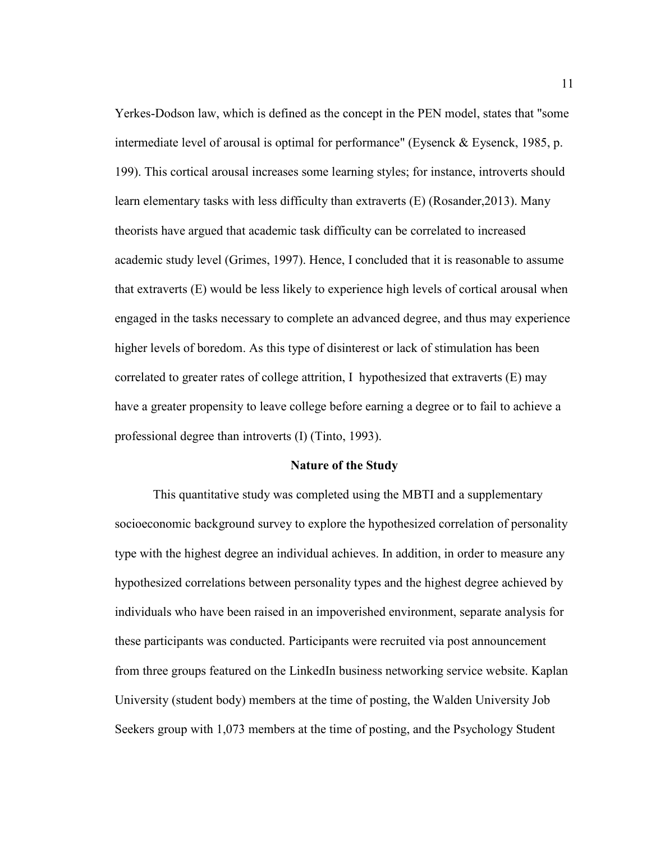Yerkes-Dodson law, which is defined as the concept in the PEN model, states that "some intermediate level of arousal is optimal for performance" (Eysenck  $\&$  Eysenck, 1985, p. 199). This cortical arousal increases some learning styles; for instance, introverts should learn elementary tasks with less difficulty than extraverts (E) (Rosander,2013). Many theorists have argued that academic task difficulty can be correlated to increased academic study level (Grimes, 1997). Hence, I concluded that it is reasonable to assume that extraverts (E) would be less likely to experience high levels of cortical arousal when engaged in the tasks necessary to complete an advanced degree, and thus may experience higher levels of boredom. As this type of disinterest or lack of stimulation has been correlated to greater rates of college attrition, I hypothesized that extraverts (E) may have a greater propensity to leave college before earning a degree or to fail to achieve a professional degree than introverts (I) (Tinto, 1993).

#### **Nature of the Study**

This quantitative study was completed using the MBTI and a supplementary socioeconomic background survey to explore the hypothesized correlation of personality type with the highest degree an individual achieves. In addition, in order to measure any hypothesized correlations between personality types and the highest degree achieved by individuals who have been raised in an impoverished environment, separate analysis for these participants was conducted. Participants were recruited via post announcement from three groups featured on the LinkedIn business networking service website. Kaplan University (student body) members at the time of posting, the Walden University Job Seekers group with 1,073 members at the time of posting, and the Psychology Student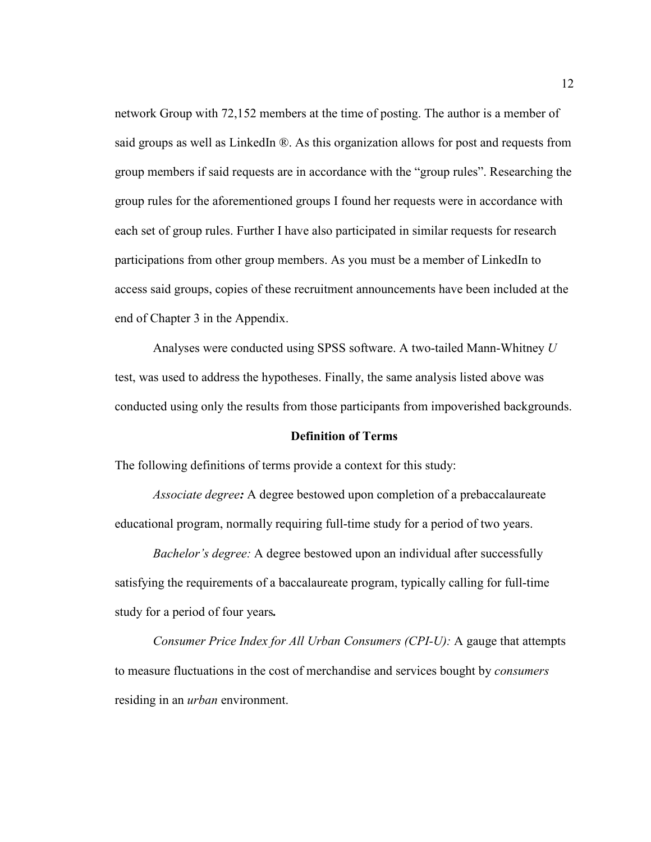network Group with 72,152 members at the time of posting. The author is a member of said groups as well as LinkedIn ®. As this organization allows for post and requests from group members if said requests are in accordance with the "group rules". Researching the group rules for the aforementioned groups I found her requests were in accordance with each set of group rules. Further I have also participated in similar requests for research participations from other group members. As you must be a member of LinkedIn to access said groups, copies of these recruitment announcements have been included at the end of Chapter 3 in the Appendix.

Analyses were conducted using SPSS software. A two-tailed Mann-Whitney *U* test, was used to address the hypotheses. Finally, the same analysis listed above was conducted using only the results from those participants from impoverished backgrounds.

#### **Definition of Terms**

The following definitions of terms provide a context for this study:

*Associate degree:* A degree bestowed upon completion of a prebaccalaureate educational program, normally requiring full-time study for a period of two years.

*Bachelor's degree:* A degree bestowed upon an individual after successfully satisfying the requirements of a baccalaureate program, typically calling for full-time study for a period of four years*.*

*Consumer Price Index for All Urban Consumers (CPI-U):* A gauge that attempts to measure fluctuations in the cost of merchandise and services bought by *consumers*  residing in an *urban* environment.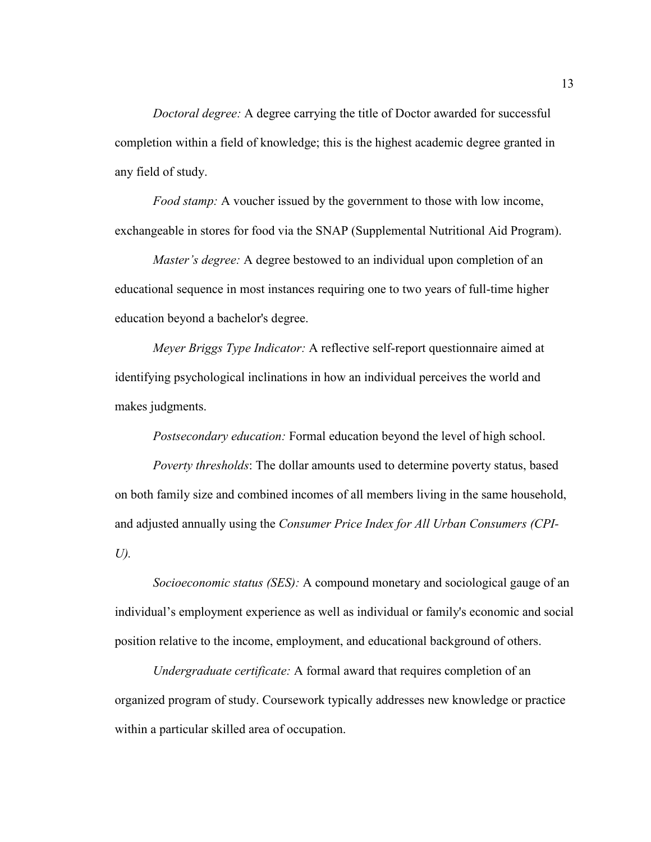*Doctoral degree:* A degree carrying the title of Doctor awarded for successful completion within a field of knowledge; this is the highest academic degree granted in any field of study.

*Food stamp:* A voucher issued by the government to those with low income, exchangeable in stores for food via the SNAP (Supplemental Nutritional Aid Program).

*Master's degree:* A degree bestowed to an individual upon completion of an educational sequence in most instances requiring one to two years of full-time higher education beyond a bachelor's degree.

*Meyer Briggs Type Indicator:* A reflective self-report questionnaire aimed at identifying psychological inclinations in how an individual perceives the world and makes judgments.

*Postsecondary education:* Formal education beyond the level of high school.

*Poverty thresholds*: The dollar amounts used to determine poverty status, based on both family size and combined incomes of all members living in the same household, and adjusted annually using the *Consumer Price Index for All Urban Consumers (CPI-U).*

*Socioeconomic status (SES):* A compound monetary and sociological gauge of an individual's employment experience as well as individual or family's economic and social position relative to the income, employment, and educational background of others.

*Undergraduate certificate:* A formal award that requires completion of an organized program of study. Coursework typically addresses new knowledge or practice within a particular skilled area of occupation.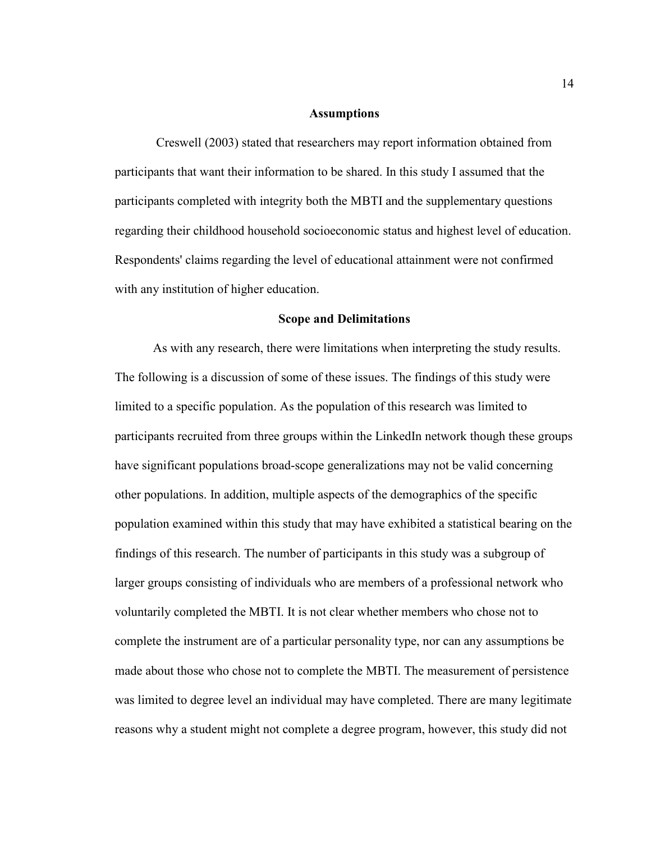# **Assumptions**

 Creswell (2003) stated that researchers may report information obtained from participants that want their information to be shared. In this study I assumed that the participants completed with integrity both the MBTI and the supplementary questions regarding their childhood household socioeconomic status and highest level of education. Respondents' claims regarding the level of educational attainment were not confirmed with any institution of higher education.

# **Scope and Delimitations**

As with any research, there were limitations when interpreting the study results. The following is a discussion of some of these issues. The findings of this study were limited to a specific population. As the population of this research was limited to participants recruited from three groups within the LinkedIn network though these groups have significant populations broad-scope generalizations may not be valid concerning other populations. In addition, multiple aspects of the demographics of the specific population examined within this study that may have exhibited a statistical bearing on the findings of this research. The number of participants in this study was a subgroup of larger groups consisting of individuals who are members of a professional network who voluntarily completed the MBTI. It is not clear whether members who chose not to complete the instrument are of a particular personality type, nor can any assumptions be made about those who chose not to complete the MBTI. The measurement of persistence was limited to degree level an individual may have completed. There are many legitimate reasons why a student might not complete a degree program, however, this study did not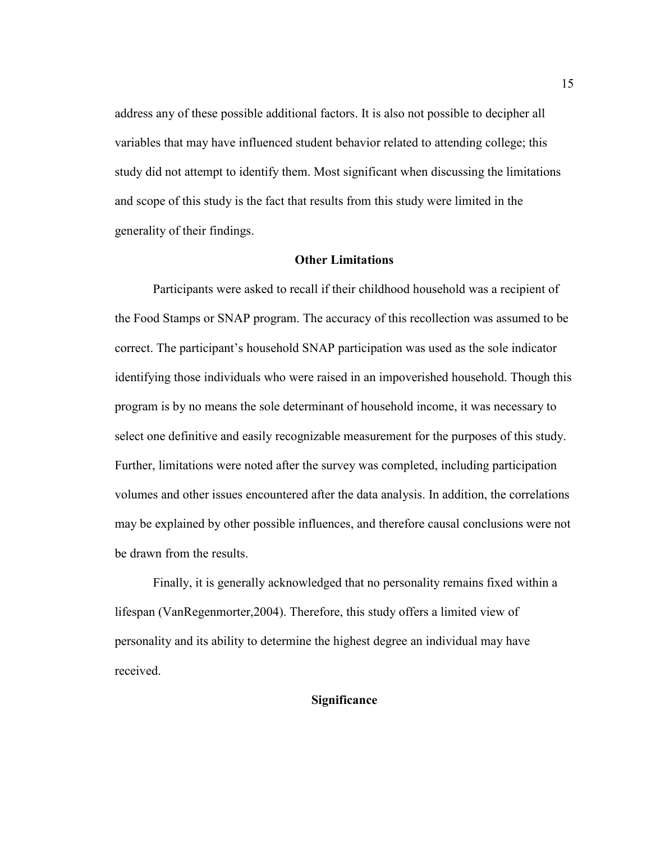address any of these possible additional factors. It is also not possible to decipher all variables that may have influenced student behavior related to attending college; this study did not attempt to identify them. Most significant when discussing the limitations and scope of this study is the fact that results from this study were limited in the generality of their findings.

# **Other Limitations**

 Participants were asked to recall if their childhood household was a recipient of the Food Stamps or SNAP program. The accuracy of this recollection was assumed to be correct. The participant's household SNAP participation was used as the sole indicator identifying those individuals who were raised in an impoverished household. Though this program is by no means the sole determinant of household income, it was necessary to select one definitive and easily recognizable measurement for the purposes of this study. Further, limitations were noted after the survey was completed, including participation volumes and other issues encountered after the data analysis. In addition, the correlations may be explained by other possible influences, and therefore causal conclusions were not be drawn from the results.

Finally, it is generally acknowledged that no personality remains fixed within a lifespan (VanRegenmorter,2004). Therefore, this study offers a limited view of personality and its ability to determine the highest degree an individual may have received.

# **Significance**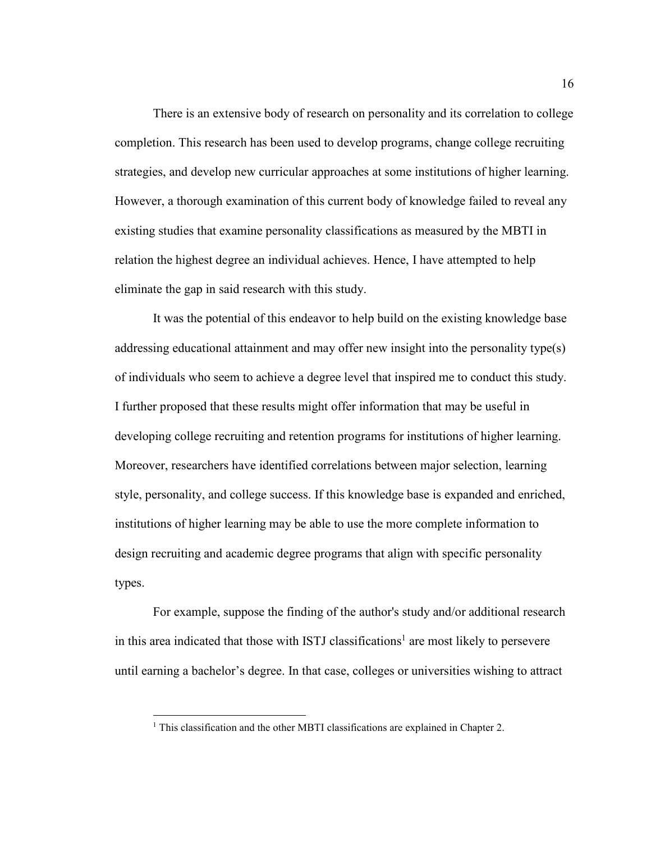There is an extensive body of research on personality and its correlation to college completion. This research has been used to develop programs, change college recruiting strategies, and develop new curricular approaches at some institutions of higher learning. However, a thorough examination of this current body of knowledge failed to reveal any existing studies that examine personality classifications as measured by the MBTI in relation the highest degree an individual achieves. Hence, I have attempted to help eliminate the gap in said research with this study.

It was the potential of this endeavor to help build on the existing knowledge base addressing educational attainment and may offer new insight into the personality type(s) of individuals who seem to achieve a degree level that inspired me to conduct this study. I further proposed that these results might offer information that may be useful in developing college recruiting and retention programs for institutions of higher learning. Moreover, researchers have identified correlations between major selection, learning style, personality, and college success. If this knowledge base is expanded and enriched, institutions of higher learning may be able to use the more complete information to design recruiting and academic degree programs that align with specific personality types.

For example, suppose the finding of the author's study and/or additional research in this area indicated that those with ISTJ classifications<sup>1</sup> are most likely to persevere until earning a bachelor's degree. In that case, colleges or universities wishing to attract

 $\overline{a}$ 

<sup>&</sup>lt;sup>1</sup> This classification and the other MBTI classifications are explained in Chapter 2.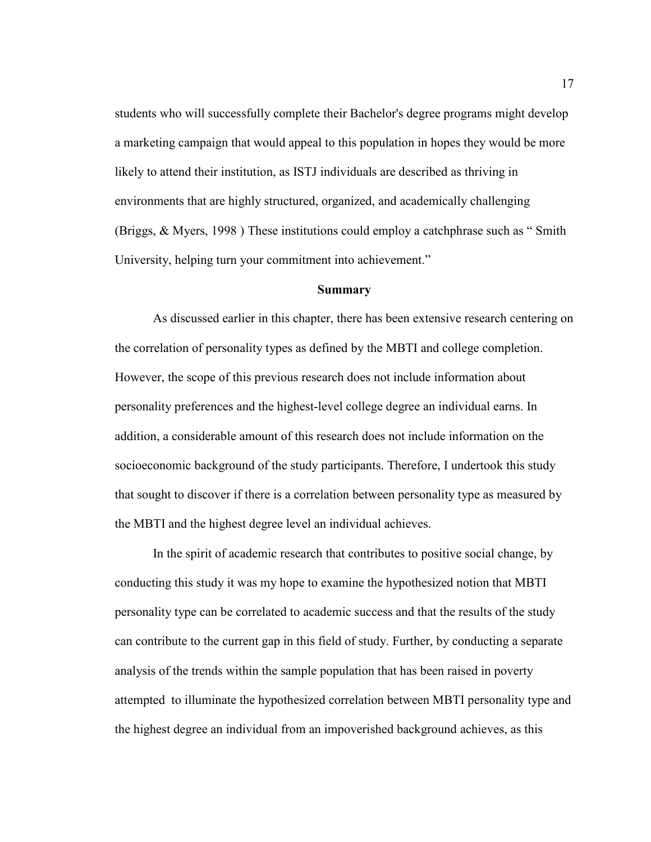students who will successfully complete their Bachelor's degree programs might develop a marketing campaign that would appeal to this population in hopes they would be more likely to attend their institution, as ISTJ individuals are described as thriving in environments that are highly structured, organized, and academically challenging (Briggs, & Myers, 1998 ) These institutions could employ a catchphrase such as " Smith University, helping turn your commitment into achievement."

# **Summary**

As discussed earlier in this chapter, there has been extensive research centering on the correlation of personality types as defined by the MBTI and college completion. However, the scope of this previous research does not include information about personality preferences and the highest-level college degree an individual earns. In addition, a considerable amount of this research does not include information on the socioeconomic background of the study participants. Therefore, I undertook this study that sought to discover if there is a correlation between personality type as measured by the MBTI and the highest degree level an individual achieves.

In the spirit of academic research that contributes to positive social change, by conducting this study it was my hope to examine the hypothesized notion that MBTI personality type can be correlated to academic success and that the results of the study can contribute to the current gap in this field of study. Further, by conducting a separate analysis of the trends within the sample population that has been raised in poverty attempted to illuminate the hypothesized correlation between MBTI personality type and the highest degree an individual from an impoverished background achieves, as this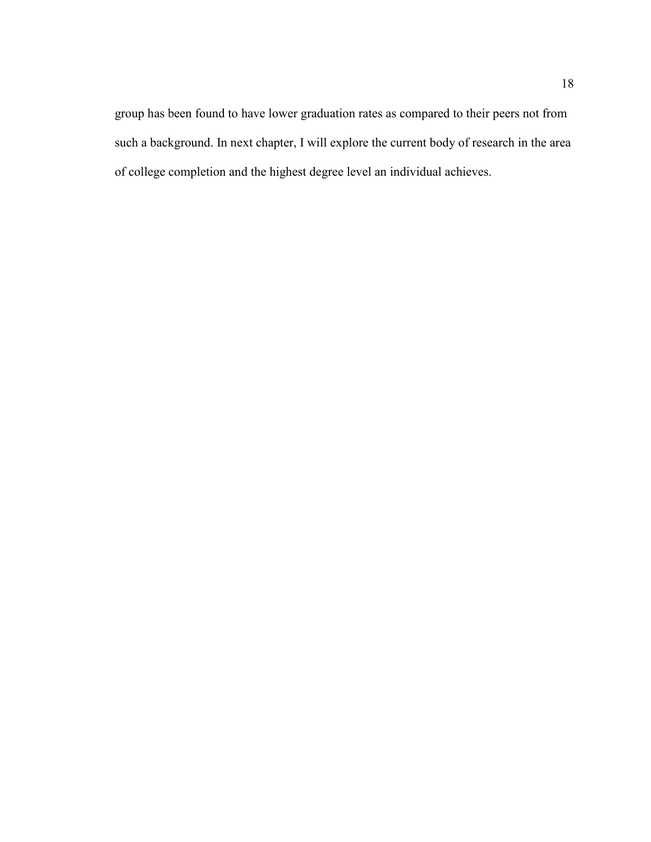group has been found to have lower graduation rates as compared to their peers not from such a background. In next chapter, I will explore the current body of research in the area of college completion and the highest degree level an individual achieves.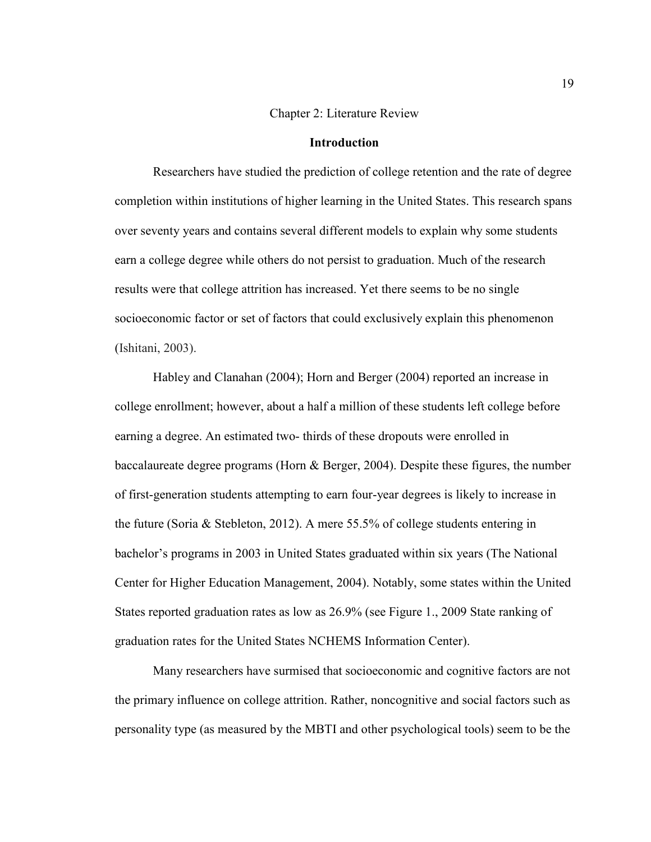# Chapter 2: Literature Review

# **Introduction**

Researchers have studied the prediction of college retention and the rate of degree completion within institutions of higher learning in the United States. This research spans over seventy years and contains several different models to explain why some students earn a college degree while others do not persist to graduation. Much of the research results were that college attrition has increased. Yet there seems to be no single socioeconomic factor or set of factors that could exclusively explain this phenomenon (Ishitani, 2003).

Habley and Clanahan (2004); Horn and Berger (2004) reported an increase in college enrollment; however, about a half a million of these students left college before earning a degree. An estimated two- thirds of these dropouts were enrolled in baccalaureate degree programs (Horn & Berger, 2004). Despite these figures, the number of first-generation students attempting to earn four-year degrees is likely to increase in the future (Soria & Stebleton, 2012). A mere 55.5% of college students entering in bachelor's programs in 2003 in United States graduated within six years (The National Center for Higher Education Management, 2004). Notably, some states within the United States reported graduation rates as low as 26.9% (see Figure 1., 2009 State ranking of graduation rates for the United States NCHEMS Information Center).

Many researchers have surmised that socioeconomic and cognitive factors are not the primary influence on college attrition. Rather, noncognitive and social factors such as personality type (as measured by the MBTI and other psychological tools) seem to be the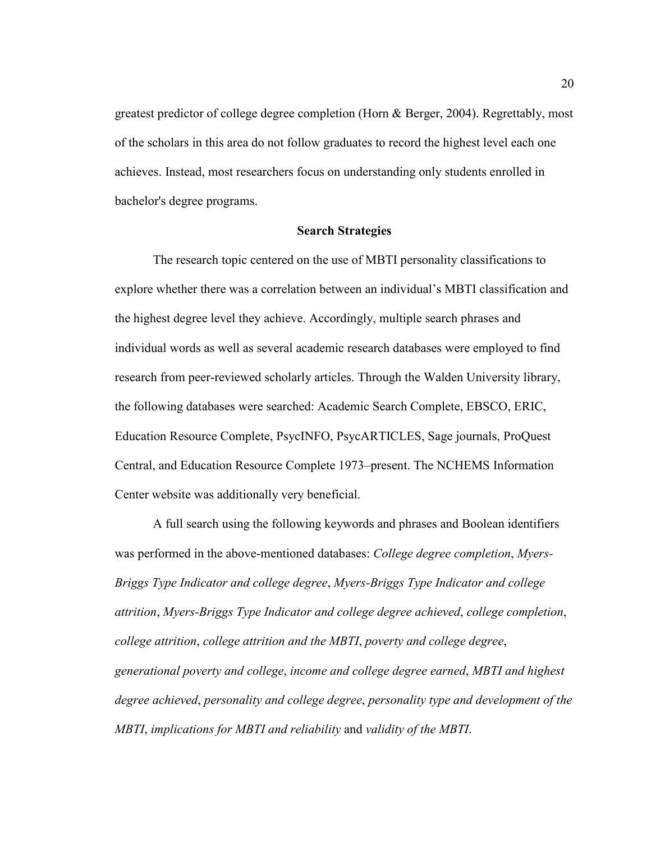greatest predictor of college degree completion (Horn & Berger, 2004). Regrettably, most of the scholars in this area do not follow graduates to record the highest level each one achieves. Instead, most researchers focus on understanding only students enrolled in bachelor's degree programs.

# **Search Strategies**

The research topic centered on the use of MBTI personality classifications to explore whether there was a correlation between an individual's MBTI classification and the highest degree level they achieve. Accordingly, multiple search phrases and individual words as well as several academic research databases were employed to find research from peer-reviewed scholarly articles. Through the Walden University library, the following databases were searched: Academic Search Complete, EBSCO, ERIC, Education Resource Complete, PsycINFO, PsycARTICLES, Sage journals, ProQuest Central, and Education Resource Complete 1973–present. The NCHEMS Information Center website was additionally very beneficial.

A full search using the following keywords and phrases and Boolean identifiers was performed in the above-mentioned databases: *College degree completion*, *Myers-Briggs Type Indicator and college degree*, *Myers-Briggs Type Indicator and college attrition*, *Myers-Briggs Type Indicator and college degree achieved*, *college completion*, *college attrition*, *college attrition and the MBTI*, *poverty and college degree*, *generational poverty and college*, *income and college degree earned*, *MBTI and highest degree achieved*, *personality and college degree*, *personality type and development of the MBTI*, *implications for MBTI and reliability* and *validity of the MBTI*.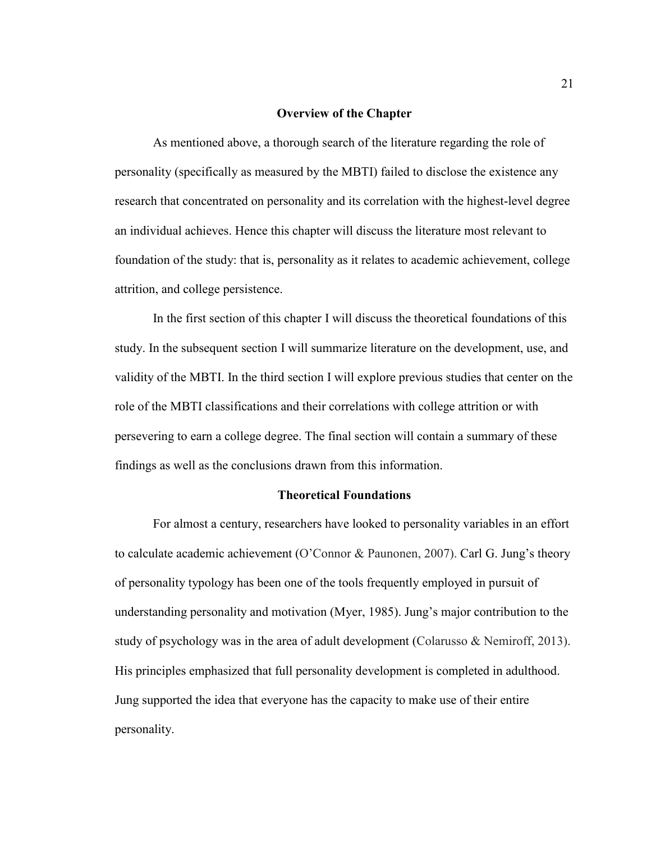# **Overview of the Chapter**

As mentioned above, a thorough search of the literature regarding the role of personality (specifically as measured by the MBTI) failed to disclose the existence any research that concentrated on personality and its correlation with the highest-level degree an individual achieves. Hence this chapter will discuss the literature most relevant to foundation of the study: that is, personality as it relates to academic achievement, college attrition, and college persistence.

In the first section of this chapter I will discuss the theoretical foundations of this study. In the subsequent section I will summarize literature on the development, use, and validity of the MBTI. In the third section I will explore previous studies that center on the role of the MBTI classifications and their correlations with college attrition or with persevering to earn a college degree. The final section will contain a summary of these findings as well as the conclusions drawn from this information.

# **Theoretical Foundations**

For almost a century, researchers have looked to personality variables in an effort to calculate academic achievement (O'Connor & Paunonen, 2007). Carl G. Jung's theory of personality typology has been one of the tools frequently employed in pursuit of understanding personality and motivation (Myer, 1985). Jung's major contribution to the study of psychology was in the area of adult development (Colarusso & Nemiroff, 2013). His principles emphasized that full personality development is completed in adulthood. Jung supported the idea that everyone has the capacity to make use of their entire personality.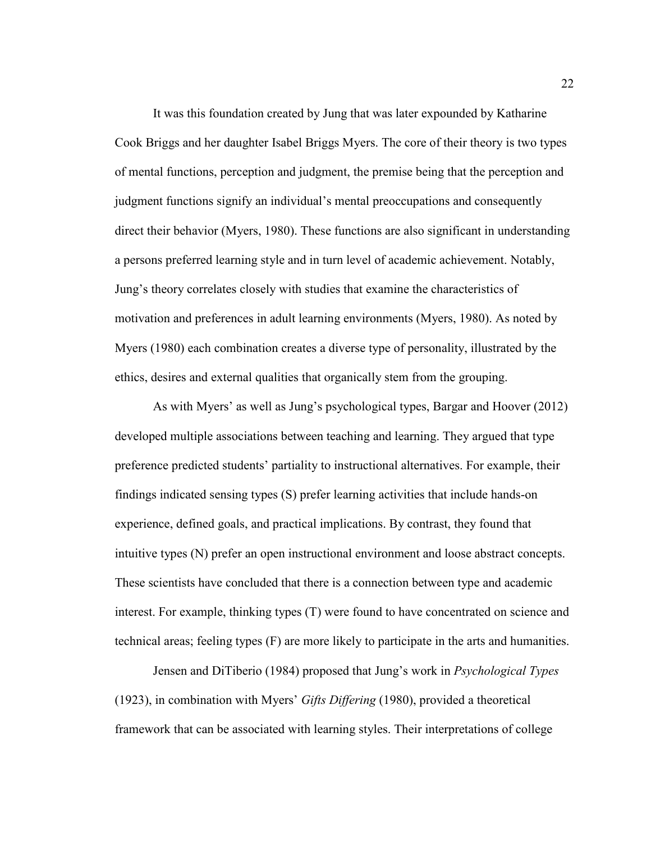It was this foundation created by Jung that was later expounded by Katharine Cook Briggs and her daughter Isabel Briggs Myers. The core of their theory is two types of mental functions, perception and judgment, the premise being that the perception and judgment functions signify an individual's mental preoccupations and consequently direct their behavior (Myers, 1980). These functions are also significant in understanding a persons preferred learning style and in turn level of academic achievement. Notably, Jung's theory correlates closely with studies that examine the characteristics of motivation and preferences in adult learning environments (Myers, 1980). As noted by Myers (1980) each combination creates a diverse type of personality, illustrated by the ethics, desires and external qualities that organically stem from the grouping.

As with Myers' as well as Jung's psychological types, Bargar and Hoover (2012) developed multiple associations between teaching and learning. They argued that type preference predicted students' partiality to instructional alternatives. For example, their findings indicated sensing types (S) prefer learning activities that include hands-on experience, defined goals, and practical implications. By contrast, they found that intuitive types (N) prefer an open instructional environment and loose abstract concepts. These scientists have concluded that there is a connection between type and academic interest. For example, thinking types (T) were found to have concentrated on science and technical areas; feeling types (F) are more likely to participate in the arts and humanities.

Jensen and DiTiberio (1984) proposed that Jung's work in *Psychological Types* (1923), in combination with Myers' *Gifts Differing* (1980), provided a theoretical framework that can be associated with learning styles. Their interpretations of college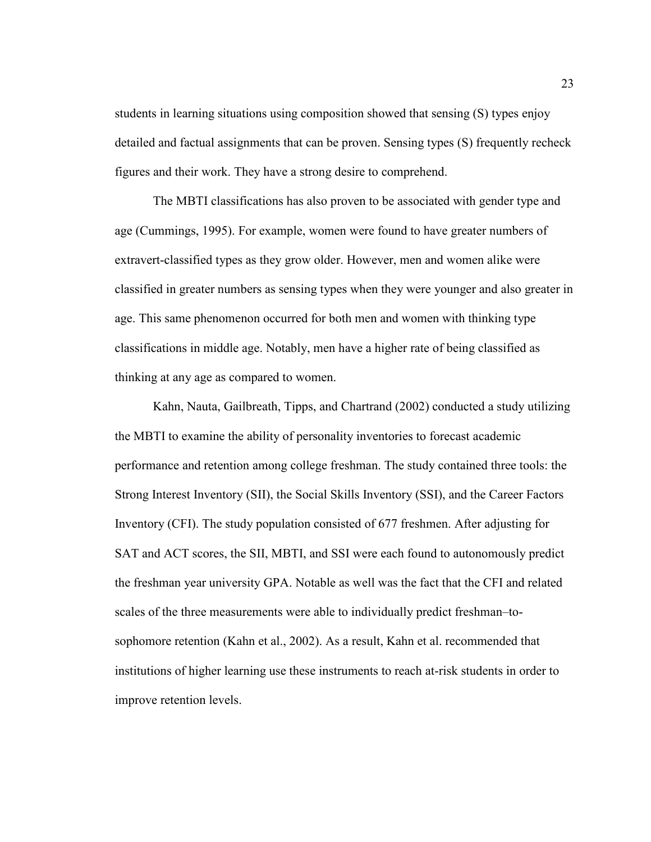students in learning situations using composition showed that sensing (S) types enjoy detailed and factual assignments that can be proven. Sensing types (S) frequently recheck figures and their work. They have a strong desire to comprehend.

The MBTI classifications has also proven to be associated with gender type and age (Cummings, 1995). For example, women were found to have greater numbers of extravert-classified types as they grow older. However, men and women alike were classified in greater numbers as sensing types when they were younger and also greater in age. This same phenomenon occurred for both men and women with thinking type classifications in middle age. Notably, men have a higher rate of being classified as thinking at any age as compared to women.

Kahn, Nauta, Gailbreath, Tipps, and Chartrand (2002) conducted a study utilizing the MBTI to examine the ability of personality inventories to forecast academic performance and retention among college freshman. The study contained three tools: the Strong Interest Inventory (SII), the Social Skills Inventory (SSI), and the Career Factors Inventory (CFI). The study population consisted of 677 freshmen. After adjusting for SAT and ACT scores, the SII, MBTI, and SSI were each found to autonomously predict the freshman year university GPA. Notable as well was the fact that the CFI and related scales of the three measurements were able to individually predict freshman–tosophomore retention (Kahn et al., 2002). As a result, Kahn et al. recommended that institutions of higher learning use these instruments to reach at-risk students in order to improve retention levels.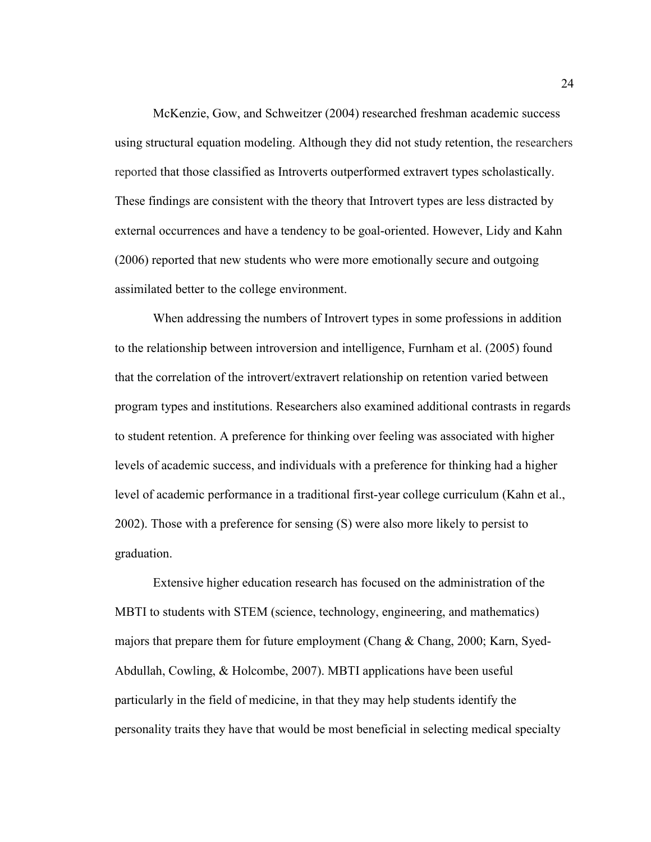McKenzie, Gow, and Schweitzer (2004) researched freshman academic success using structural equation modeling. Although they did not study retention, the researchers reported that those classified as Introverts outperformed extravert types scholastically. These findings are consistent with the theory that Introvert types are less distracted by external occurrences and have a tendency to be goal-oriented. However, Lidy and Kahn (2006) reported that new students who were more emotionally secure and outgoing assimilated better to the college environment.

When addressing the numbers of Introvert types in some professions in addition to the relationship between introversion and intelligence, Furnham et al. (2005) found that the correlation of the introvert/extravert relationship on retention varied between program types and institutions. Researchers also examined additional contrasts in regards to student retention. A preference for thinking over feeling was associated with higher levels of academic success, and individuals with a preference for thinking had a higher level of academic performance in a traditional first-year college curriculum (Kahn et al., 2002). Those with a preference for sensing (S) were also more likely to persist to graduation.

Extensive higher education research has focused on the administration of the MBTI to students with STEM (science, technology, engineering, and mathematics) majors that prepare them for future employment (Chang & Chang, 2000; Karn, Syed-Abdullah, Cowling, & Holcombe, 2007). MBTI applications have been useful particularly in the field of medicine, in that they may help students identify the personality traits they have that would be most beneficial in selecting medical specialty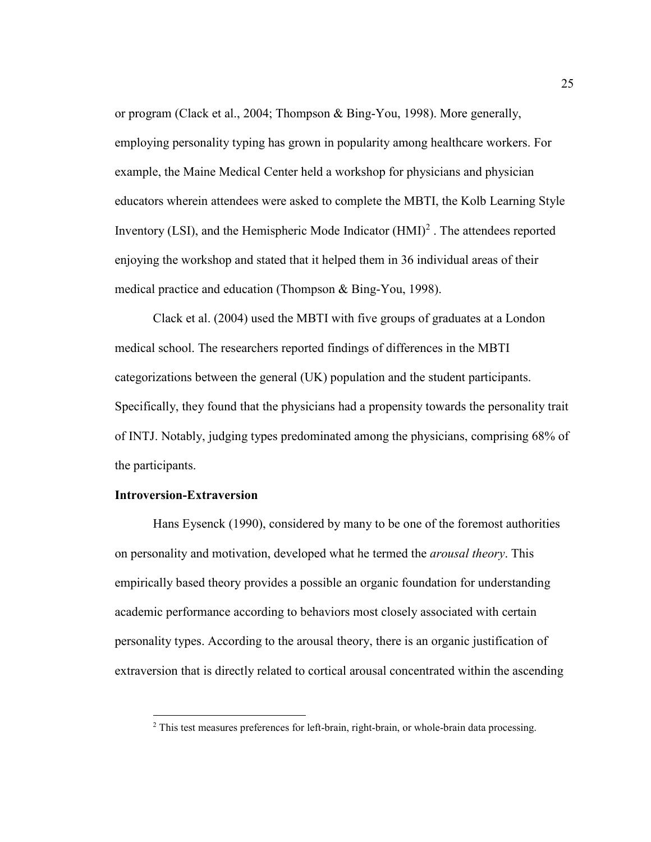or program (Clack et al., 2004; Thompson & Bing-You, 1998). More generally, employing personality typing has grown in popularity among healthcare workers. For example, the Maine Medical Center held a workshop for physicians and physician educators wherein attendees were asked to complete the MBTI, the Kolb Learning Style Inventory (LSI), and the Hemispheric Mode Indicator  $(HMI)^2$ . The attendees reported enjoying the workshop and stated that it helped them in 36 individual areas of their medical practice and education (Thompson & Bing-You, 1998).

Clack et al. (2004) used the MBTI with five groups of graduates at a London medical school. The researchers reported findings of differences in the MBTI categorizations between the general (UK) population and the student participants. Specifically, they found that the physicians had a propensity towards the personality trait of INTJ. Notably, judging types predominated among the physicians, comprising 68% of the participants.

# **Introversion-Extraversion**

 $\overline{a}$ 

Hans Eysenck (1990), considered by many to be one of the foremost authorities on personality and motivation, developed what he termed the *arousal theory*. This empirically based theory provides a possible an organic foundation for understanding academic performance according to behaviors most closely associated with certain personality types. According to the arousal theory, there is an organic justification of extraversion that is directly related to cortical arousal concentrated within the ascending

<sup>&</sup>lt;sup>2</sup> This test measures preferences for left-brain, right-brain, or whole-brain data processing.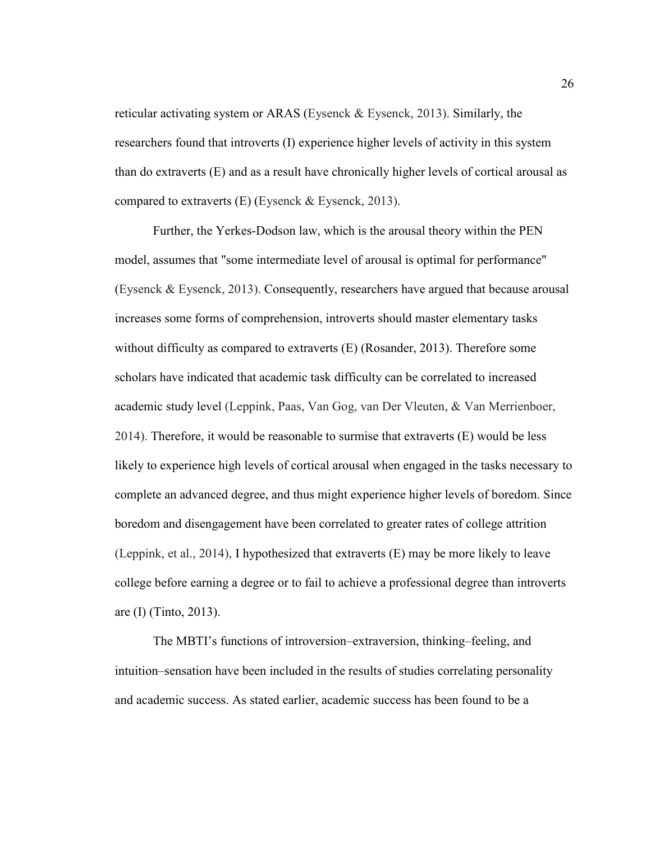reticular activating system or ARAS (Eysenck & Eysenck, 2013). Similarly, the researchers found that introverts (I) experience higher levels of activity in this system than do extraverts (E) and as a result have chronically higher levels of cortical arousal as compared to extraverts  $(E)$  (Eysenck & Eysenck, 2013).

Further, the Yerkes-Dodson law, which is the arousal theory within the PEN model, assumes that "some intermediate level of arousal is optimal for performance" (Eysenck & Eysenck, 2013). Consequently, researchers have argued that because arousal increases some forms of comprehension, introverts should master elementary tasks without difficulty as compared to extraverts (E) (Rosander, 2013). Therefore some scholars have indicated that academic task difficulty can be correlated to increased academic study level (Leppink, Paas, Van Gog, van Der Vleuten, & Van Merrienboer, 2014). Therefore, it would be reasonable to surmise that extraverts (E) would be less likely to experience high levels of cortical arousal when engaged in the tasks necessary to complete an advanced degree, and thus might experience higher levels of boredom. Since boredom and disengagement have been correlated to greater rates of college attrition (Leppink, et al., 2014), I hypothesized that extraverts (E) may be more likely to leave college before earning a degree or to fail to achieve a professional degree than introverts are (I) (Tinto, 2013).

The MBTI's functions of introversion–extraversion, thinking–feeling, and intuition–sensation have been included in the results of studies correlating personality and academic success. As stated earlier, academic success has been found to be a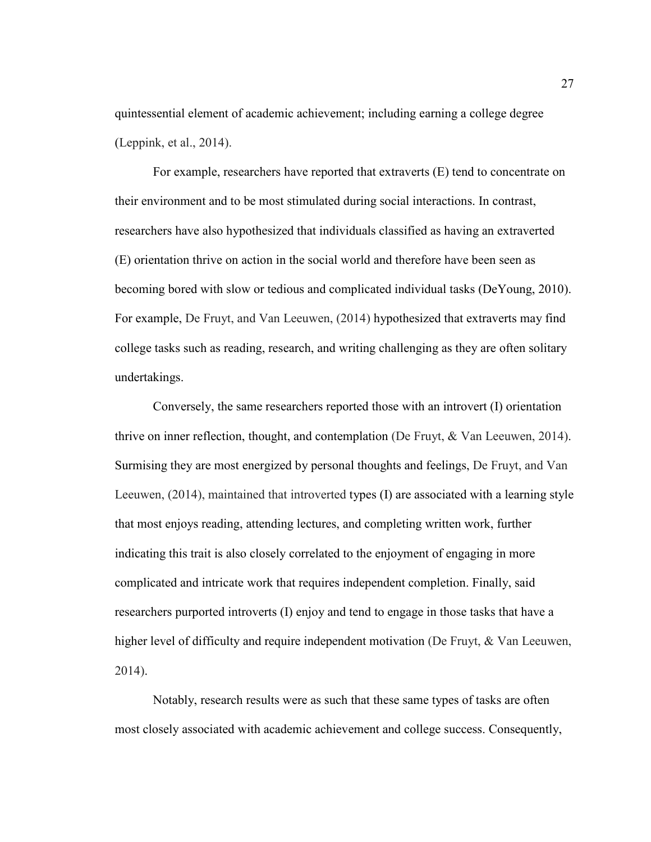quintessential element of academic achievement; including earning a college degree (Leppink, et al., 2014).

For example, researchers have reported that extraverts (E) tend to concentrate on their environment and to be most stimulated during social interactions. In contrast, researchers have also hypothesized that individuals classified as having an extraverted (E) orientation thrive on action in the social world and therefore have been seen as becoming bored with slow or tedious and complicated individual tasks (DeYoung, 2010). For example, De Fruyt, and Van Leeuwen, (2014) hypothesized that extraverts may find college tasks such as reading, research, and writing challenging as they are often solitary undertakings.

Conversely, the same researchers reported those with an introvert (I) orientation thrive on inner reflection, thought, and contemplation (De Fruyt, & Van Leeuwen, 2014). Surmising they are most energized by personal thoughts and feelings, De Fruyt, and Van Leeuwen, (2014), maintained that introverted types (I) are associated with a learning style that most enjoys reading, attending lectures, and completing written work, further indicating this trait is also closely correlated to the enjoyment of engaging in more complicated and intricate work that requires independent completion. Finally, said researchers purported introverts (I) enjoy and tend to engage in those tasks that have a higher level of difficulty and require independent motivation (De Fruyt, & Van Leeuwen, 2014).

Notably, research results were as such that these same types of tasks are often most closely associated with academic achievement and college success. Consequently,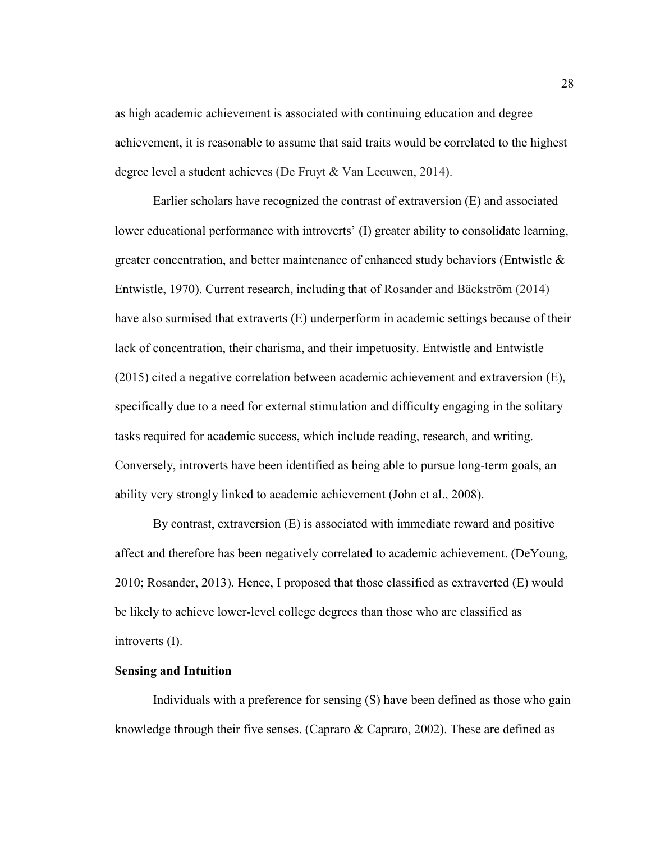as high academic achievement is associated with continuing education and degree achievement, it is reasonable to assume that said traits would be correlated to the highest degree level a student achieves (De Fruyt & Van Leeuwen, 2014).

Earlier scholars have recognized the contrast of extraversion (E) and associated lower educational performance with introverts' (I) greater ability to consolidate learning, greater concentration, and better maintenance of enhanced study behaviors (Entwistle & Entwistle, 1970). Current research, including that of Rosander and Bäckström (2014) have also surmised that extraverts (E) underperform in academic settings because of their lack of concentration, their charisma, and their impetuosity. Entwistle and Entwistle (2015) cited a negative correlation between academic achievement and extraversion (E), specifically due to a need for external stimulation and difficulty engaging in the solitary tasks required for academic success, which include reading, research, and writing. Conversely, introverts have been identified as being able to pursue long-term goals, an ability very strongly linked to academic achievement (John et al., 2008).

By contrast, extraversion (E) is associated with immediate reward and positive affect and therefore has been negatively correlated to academic achievement. (DeYoung, 2010; Rosander, 2013). Hence, I proposed that those classified as extraverted (E) would be likely to achieve lower-level college degrees than those who are classified as introverts (I).

# **Sensing and Intuition**

Individuals with a preference for sensing (S) have been defined as those who gain knowledge through their five senses. (Capraro & Capraro, 2002). These are defined as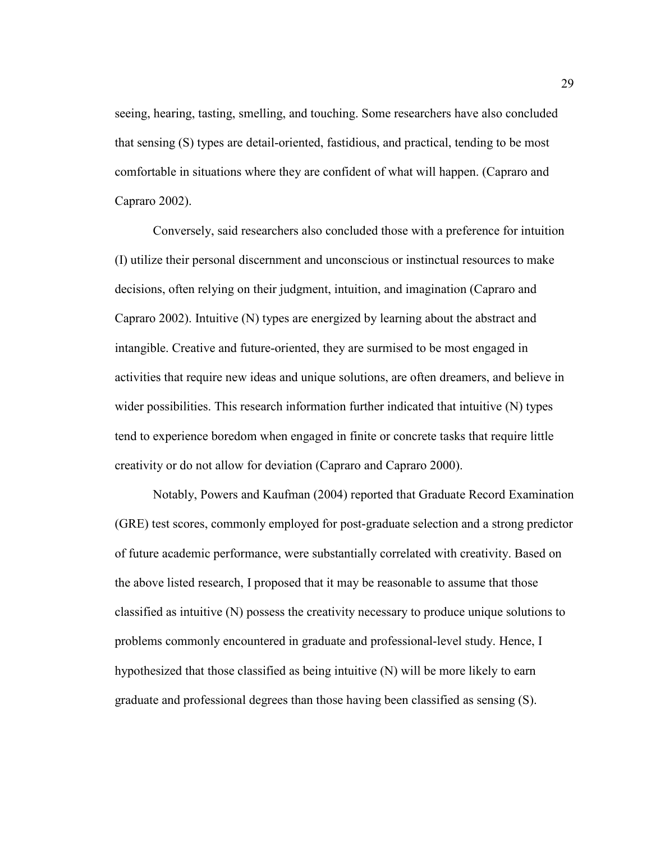seeing, hearing, tasting, smelling, and touching. Some researchers have also concluded that sensing (S) types are detail-oriented, fastidious, and practical, tending to be most comfortable in situations where they are confident of what will happen. (Capraro and Capraro 2002).

Conversely, said researchers also concluded those with a preference for intuition (I) utilize their personal discernment and unconscious or instinctual resources to make decisions, often relying on their judgment, intuition, and imagination (Capraro and Capraro 2002). Intuitive (N) types are energized by learning about the abstract and intangible. Creative and future-oriented, they are surmised to be most engaged in activities that require new ideas and unique solutions, are often dreamers, and believe in wider possibilities. This research information further indicated that intuitive (N) types tend to experience boredom when engaged in finite or concrete tasks that require little creativity or do not allow for deviation (Capraro and Capraro 2000).

Notably, Powers and Kaufman (2004) reported that Graduate Record Examination (GRE) test scores, commonly employed for post-graduate selection and a strong predictor of future academic performance, were substantially correlated with creativity. Based on the above listed research, I proposed that it may be reasonable to assume that those classified as intuitive (N) possess the creativity necessary to produce unique solutions to problems commonly encountered in graduate and professional-level study. Hence, I hypothesized that those classified as being intuitive (N) will be more likely to earn graduate and professional degrees than those having been classified as sensing (S).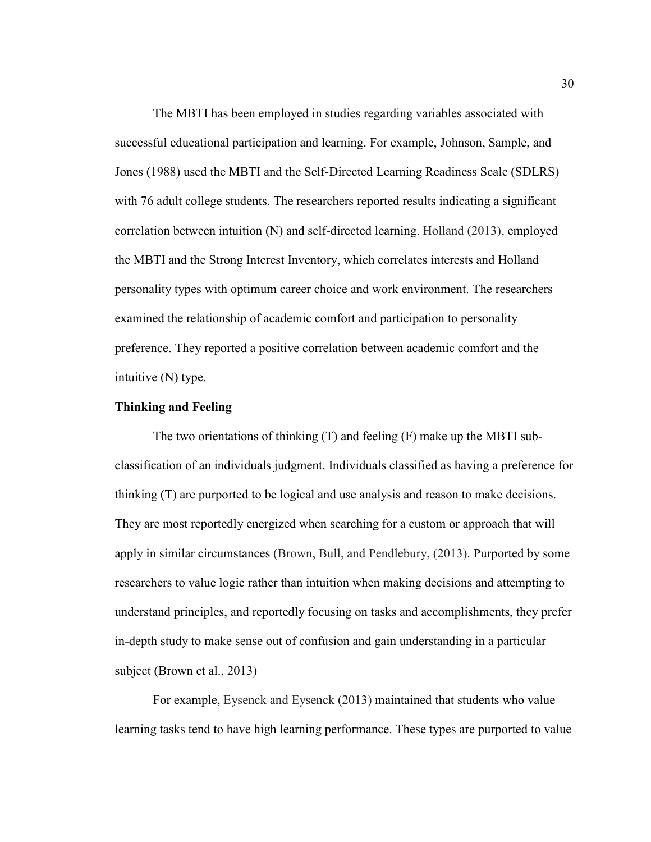The MBTI has been employed in studies regarding variables associated with successful educational participation and learning. For example, Johnson, Sample, and Jones (1988) used the MBTI and the Self-Directed Learning Readiness Scale (SDLRS) with 76 adult college students. The researchers reported results indicating a significant correlation between intuition (N) and self-directed learning. Holland (2013), employed the MBTI and the Strong Interest Inventory, which correlates interests and Holland personality types with optimum career choice and work environment. The researchers examined the relationship of academic comfort and participation to personality preference. They reported a positive correlation between academic comfort and the intuitive (N) type.

# **Thinking and Feeling**

The two orientations of thinking (T) and feeling (F) make up the MBTI subclassification of an individuals judgment. Individuals classified as having a preference for thinking (T) are purported to be logical and use analysis and reason to make decisions. They are most reportedly energized when searching for a custom or approach that will apply in similar circumstances (Brown, Bull, and Pendlebury, (2013). Purported by some researchers to value logic rather than intuition when making decisions and attempting to understand principles, and reportedly focusing on tasks and accomplishments, they prefer in-depth study to make sense out of confusion and gain understanding in a particular subject (Brown et al., 2013)

For example, Eysenck and Eysenck (2013) maintained that students who value learning tasks tend to have high learning performance. These types are purported to value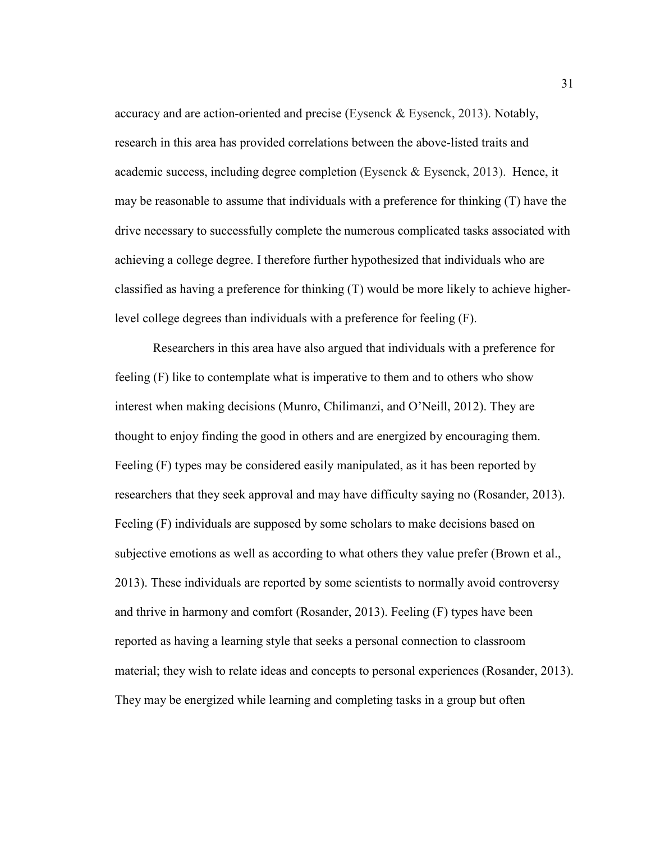accuracy and are action-oriented and precise (Eysenck & Eysenck, 2013). Notably, research in this area has provided correlations between the above-listed traits and academic success, including degree completion (Eysenck & Eysenck, 2013). Hence, it may be reasonable to assume that individuals with a preference for thinking (T) have the drive necessary to successfully complete the numerous complicated tasks associated with achieving a college degree. I therefore further hypothesized that individuals who are classified as having a preference for thinking (T) would be more likely to achieve higherlevel college degrees than individuals with a preference for feeling (F).

Researchers in this area have also argued that individuals with a preference for feeling (F) like to contemplate what is imperative to them and to others who show interest when making decisions (Munro, Chilimanzi, and O'Neill, 2012). They are thought to enjoy finding the good in others and are energized by encouraging them. Feeling (F) types may be considered easily manipulated, as it has been reported by researchers that they seek approval and may have difficulty saying no (Rosander, 2013). Feeling (F) individuals are supposed by some scholars to make decisions based on subjective emotions as well as according to what others they value prefer (Brown et al., 2013). These individuals are reported by some scientists to normally avoid controversy and thrive in harmony and comfort (Rosander, 2013). Feeling (F) types have been reported as having a learning style that seeks a personal connection to classroom material; they wish to relate ideas and concepts to personal experiences (Rosander, 2013). They may be energized while learning and completing tasks in a group but often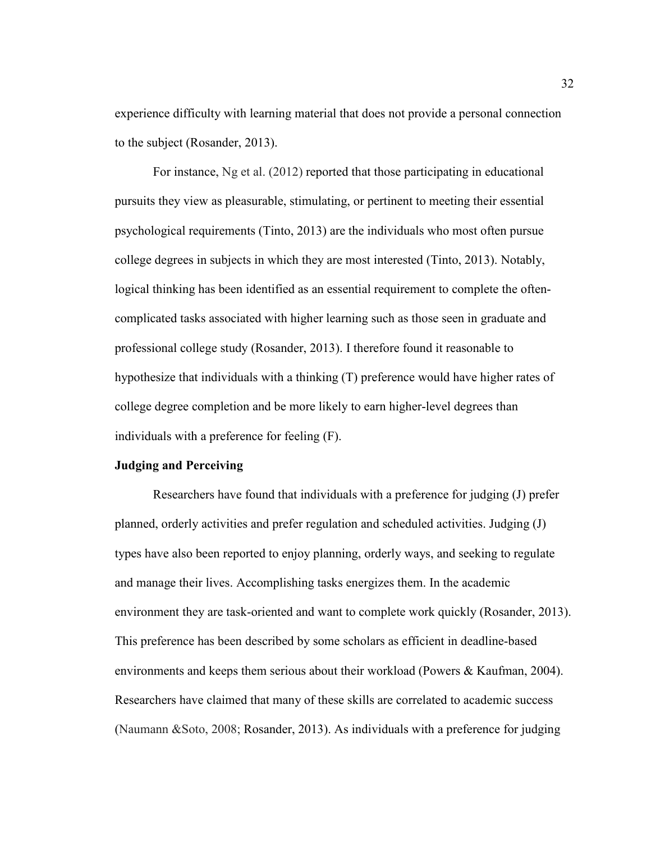experience difficulty with learning material that does not provide a personal connection to the subject (Rosander, 2013).

For instance, Ng et al. (2012) reported that those participating in educational pursuits they view as pleasurable, stimulating, or pertinent to meeting their essential psychological requirements (Tinto, 2013) are the individuals who most often pursue college degrees in subjects in which they are most interested (Tinto, 2013). Notably, logical thinking has been identified as an essential requirement to complete the oftencomplicated tasks associated with higher learning such as those seen in graduate and professional college study (Rosander, 2013). I therefore found it reasonable to hypothesize that individuals with a thinking (T) preference would have higher rates of college degree completion and be more likely to earn higher-level degrees than individuals with a preference for feeling (F).

## **Judging and Perceiving**

Researchers have found that individuals with a preference for judging (J) prefer planned, orderly activities and prefer regulation and scheduled activities. Judging (J) types have also been reported to enjoy planning, orderly ways, and seeking to regulate and manage their lives. Accomplishing tasks energizes them. In the academic environment they are task-oriented and want to complete work quickly (Rosander, 2013). This preference has been described by some scholars as efficient in deadline-based environments and keeps them serious about their workload (Powers & Kaufman, 2004). Researchers have claimed that many of these skills are correlated to academic success (Naumann &Soto, 2008; Rosander, 2013). As individuals with a preference for judging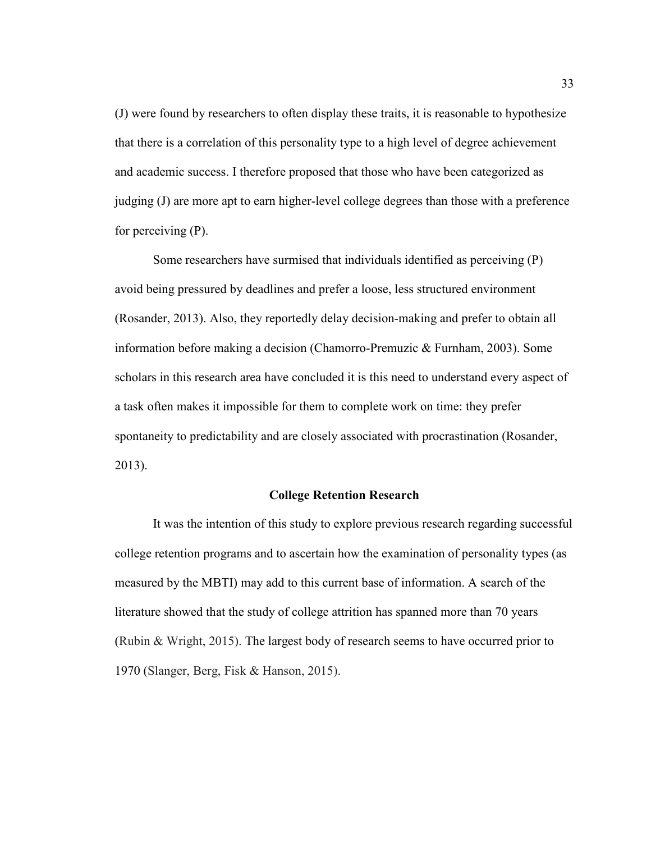(J) were found by researchers to often display these traits, it is reasonable to hypothesize that there is a correlation of this personality type to a high level of degree achievement and academic success. I therefore proposed that those who have been categorized as judging (J) are more apt to earn higher-level college degrees than those with a preference for perceiving (P).

Some researchers have surmised that individuals identified as perceiving (P) avoid being pressured by deadlines and prefer a loose, less structured environment (Rosander, 2013). Also, they reportedly delay decision-making and prefer to obtain all information before making a decision (Chamorro-Premuzic & Furnham, 2003). Some scholars in this research area have concluded it is this need to understand every aspect of a task often makes it impossible for them to complete work on time: they prefer spontaneity to predictability and are closely associated with procrastination (Rosander, 2013).

### **College Retention Research**

It was the intention of this study to explore previous research regarding successful college retention programs and to ascertain how the examination of personality types (as measured by the MBTI) may add to this current base of information. A search of the literature showed that the study of college attrition has spanned more than 70 years (Rubin & Wright, 2015). The largest body of research seems to have occurred prior to 1970 (Slanger, Berg, Fisk & Hanson, 2015).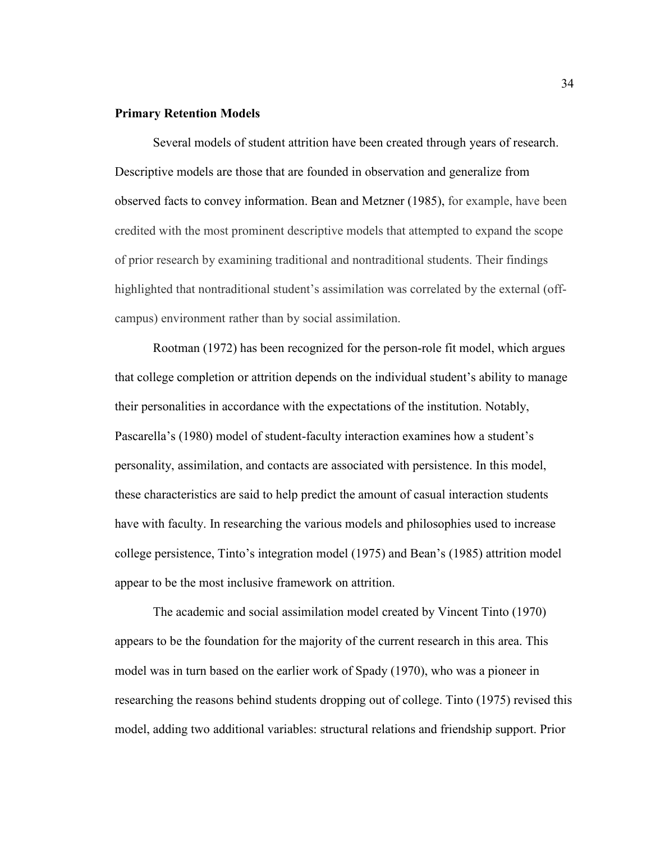### **Primary Retention Models**

Several models of student attrition have been created through years of research. Descriptive models are those that are founded in observation and generalize from observed facts to convey information. Bean and Metzner (1985), for example, have been credited with the most prominent descriptive models that attempted to expand the scope of prior research by examining traditional and nontraditional students. Their findings highlighted that nontraditional student's assimilation was correlated by the external (offcampus) environment rather than by social assimilation.

Rootman (1972) has been recognized for the person-role fit model, which argues that college completion or attrition depends on the individual student's ability to manage their personalities in accordance with the expectations of the institution. Notably, Pascarella's (1980) model of student-faculty interaction examines how a student's personality, assimilation, and contacts are associated with persistence. In this model, these characteristics are said to help predict the amount of casual interaction students have with faculty. In researching the various models and philosophies used to increase college persistence, Tinto's integration model (1975) and Bean's (1985) attrition model appear to be the most inclusive framework on attrition.

The academic and social assimilation model created by Vincent Tinto (1970) appears to be the foundation for the majority of the current research in this area. This model was in turn based on the earlier work of Spady (1970), who was a pioneer in researching the reasons behind students dropping out of college. Tinto (1975) revised this model, adding two additional variables: structural relations and friendship support. Prior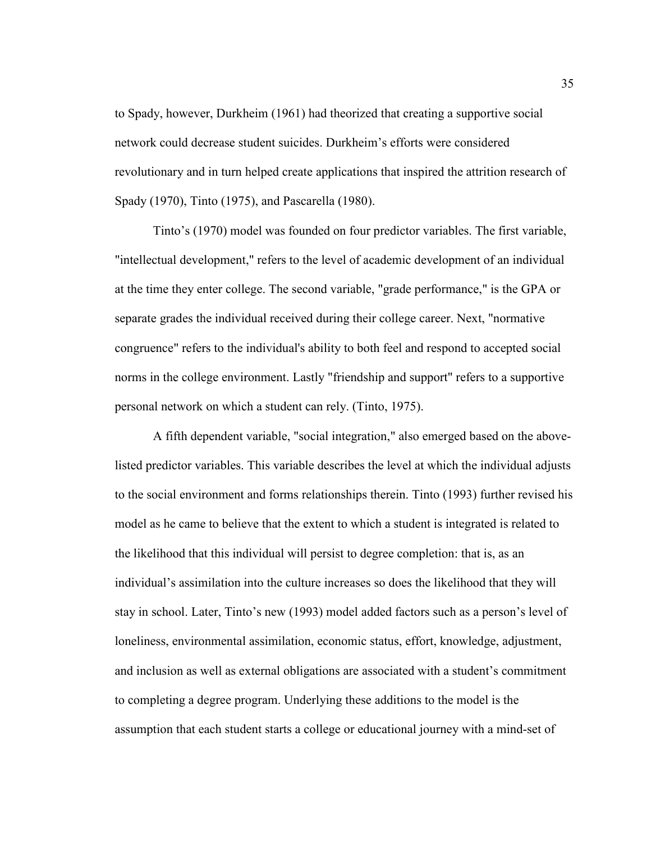to Spady, however, Durkheim (1961) had theorized that creating a supportive social network could decrease student suicides. Durkheim's efforts were considered revolutionary and in turn helped create applications that inspired the attrition research of Spady (1970), Tinto (1975), and Pascarella (1980).

Tinto's (1970) model was founded on four predictor variables. The first variable, "intellectual development," refers to the level of academic development of an individual at the time they enter college. The second variable, "grade performance," is the GPA or separate grades the individual received during their college career. Next, "normative congruence" refers to the individual's ability to both feel and respond to accepted social norms in the college environment. Lastly "friendship and support" refers to a supportive personal network on which a student can rely. (Tinto, 1975).

A fifth dependent variable, "social integration," also emerged based on the abovelisted predictor variables. This variable describes the level at which the individual adjusts to the social environment and forms relationships therein. Tinto (1993) further revised his model as he came to believe that the extent to which a student is integrated is related to the likelihood that this individual will persist to degree completion: that is, as an individual's assimilation into the culture increases so does the likelihood that they will stay in school. Later, Tinto's new (1993) model added factors such as a person's level of loneliness, environmental assimilation, economic status, effort, knowledge, adjustment, and inclusion as well as external obligations are associated with a student's commitment to completing a degree program. Underlying these additions to the model is the assumption that each student starts a college or educational journey with a mind-set of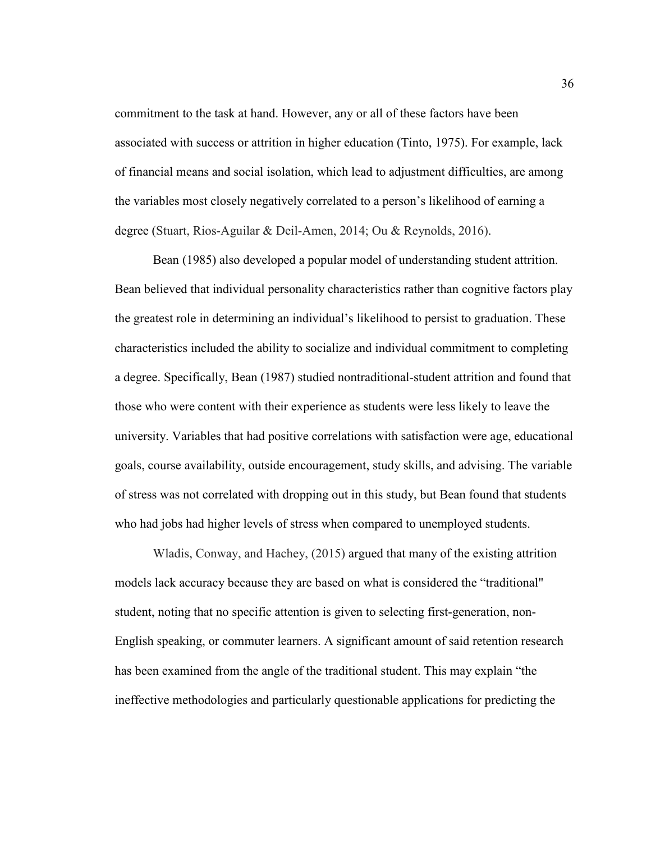commitment to the task at hand. However, any or all of these factors have been associated with success or attrition in higher education (Tinto, 1975). For example, lack of financial means and social isolation, which lead to adjustment difficulties, are among the variables most closely negatively correlated to a person's likelihood of earning a degree (Stuart, Rios-Aguilar & Deil-Amen, 2014; Ou & Reynolds, 2016).

Bean (1985) also developed a popular model of understanding student attrition. Bean believed that individual personality characteristics rather than cognitive factors play the greatest role in determining an individual's likelihood to persist to graduation. These characteristics included the ability to socialize and individual commitment to completing a degree. Specifically, Bean (1987) studied nontraditional-student attrition and found that those who were content with their experience as students were less likely to leave the university. Variables that had positive correlations with satisfaction were age, educational goals, course availability, outside encouragement, study skills, and advising. The variable of stress was not correlated with dropping out in this study, but Bean found that students who had jobs had higher levels of stress when compared to unemployed students.

Wladis, Conway, and Hachey, (2015) argued that many of the existing attrition models lack accuracy because they are based on what is considered the "traditional" student, noting that no specific attention is given to selecting first-generation, non-English speaking, or commuter learners. A significant amount of said retention research has been examined from the angle of the traditional student. This may explain "the ineffective methodologies and particularly questionable applications for predicting the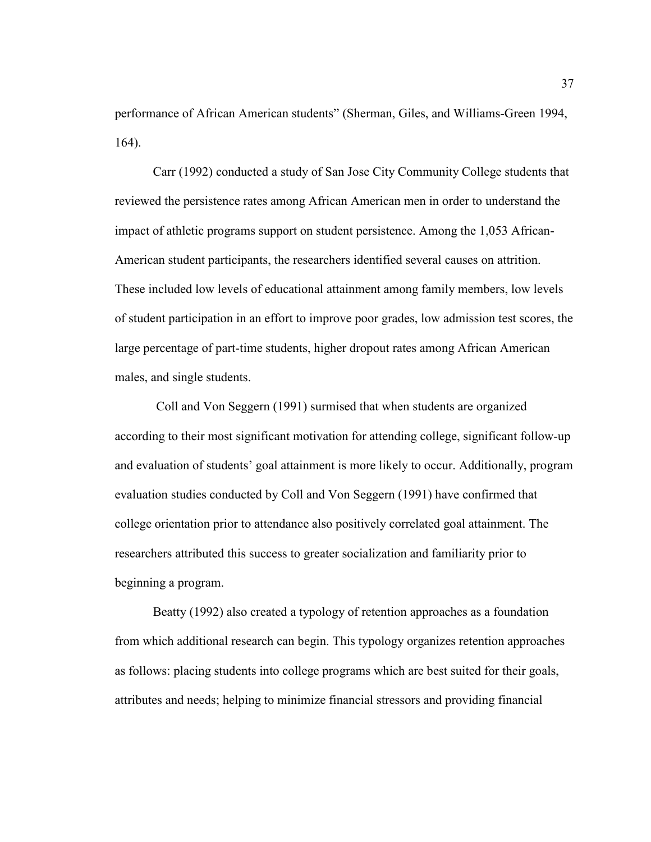performance of African American students" (Sherman, Giles, and Williams-Green 1994, 164).

Carr (1992) conducted a study of San Jose City Community College students that reviewed the persistence rates among African American men in order to understand the impact of athletic programs support on student persistence. Among the 1,053 African-American student participants, the researchers identified several causes on attrition. These included low levels of educational attainment among family members, low levels of student participation in an effort to improve poor grades, low admission test scores, the large percentage of part-time students, higher dropout rates among African American males, and single students.

 Coll and Von Seggern (1991) surmised that when students are organized according to their most significant motivation for attending college, significant follow-up and evaluation of students' goal attainment is more likely to occur. Additionally, program evaluation studies conducted by Coll and Von Seggern (1991) have confirmed that college orientation prior to attendance also positively correlated goal attainment. The researchers attributed this success to greater socialization and familiarity prior to beginning a program.

Beatty (1992) also created a typology of retention approaches as a foundation from which additional research can begin. This typology organizes retention approaches as follows: placing students into college programs which are best suited for their goals, attributes and needs; helping to minimize financial stressors and providing financial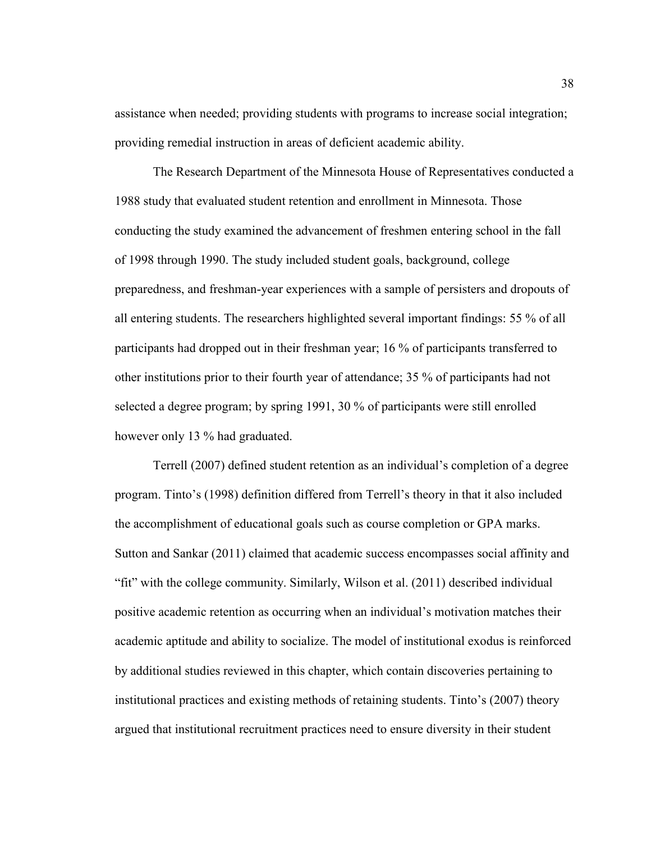assistance when needed; providing students with programs to increase social integration; providing remedial instruction in areas of deficient academic ability.

The Research Department of the Minnesota House of Representatives conducted a 1988 study that evaluated student retention and enrollment in Minnesota. Those conducting the study examined the advancement of freshmen entering school in the fall of 1998 through 1990. The study included student goals, background, college preparedness, and freshman-year experiences with a sample of persisters and dropouts of all entering students. The researchers highlighted several important findings: 55 % of all participants had dropped out in their freshman year; 16 % of participants transferred to other institutions prior to their fourth year of attendance; 35 % of participants had not selected a degree program; by spring 1991, 30 % of participants were still enrolled however only 13 % had graduated.

Terrell (2007) defined student retention as an individual's completion of a degree program. Tinto's (1998) definition differed from Terrell's theory in that it also included the accomplishment of educational goals such as course completion or GPA marks. Sutton and Sankar (2011) claimed that academic success encompasses social affinity and "fit" with the college community. Similarly, Wilson et al. (2011) described individual positive academic retention as occurring when an individual's motivation matches their academic aptitude and ability to socialize. The model of institutional exodus is reinforced by additional studies reviewed in this chapter, which contain discoveries pertaining to institutional practices and existing methods of retaining students. Tinto's (2007) theory argued that institutional recruitment practices need to ensure diversity in their student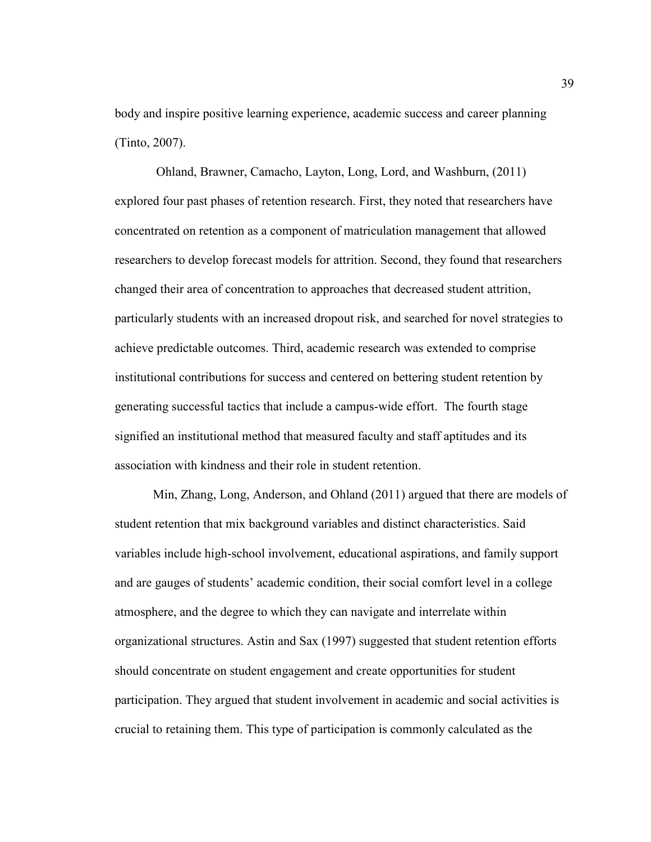body and inspire positive learning experience, academic success and career planning (Tinto, 2007).

 Ohland, Brawner, Camacho, Layton, Long, Lord, and Washburn, (2011) explored four past phases of retention research. First, they noted that researchers have concentrated on retention as a component of matriculation management that allowed researchers to develop forecast models for attrition. Second, they found that researchers changed their area of concentration to approaches that decreased student attrition, particularly students with an increased dropout risk, and searched for novel strategies to achieve predictable outcomes. Third, academic research was extended to comprise institutional contributions for success and centered on bettering student retention by generating successful tactics that include a campus-wide effort. The fourth stage signified an institutional method that measured faculty and staff aptitudes and its association with kindness and their role in student retention.

Min, Zhang, Long, Anderson, and Ohland (2011) argued that there are models of student retention that mix background variables and distinct characteristics. Said variables include high-school involvement, educational aspirations, and family support and are gauges of students' academic condition, their social comfort level in a college atmosphere, and the degree to which they can navigate and interrelate within organizational structures. Astin and Sax (1997) suggested that student retention efforts should concentrate on student engagement and create opportunities for student participation. They argued that student involvement in academic and social activities is crucial to retaining them. This type of participation is commonly calculated as the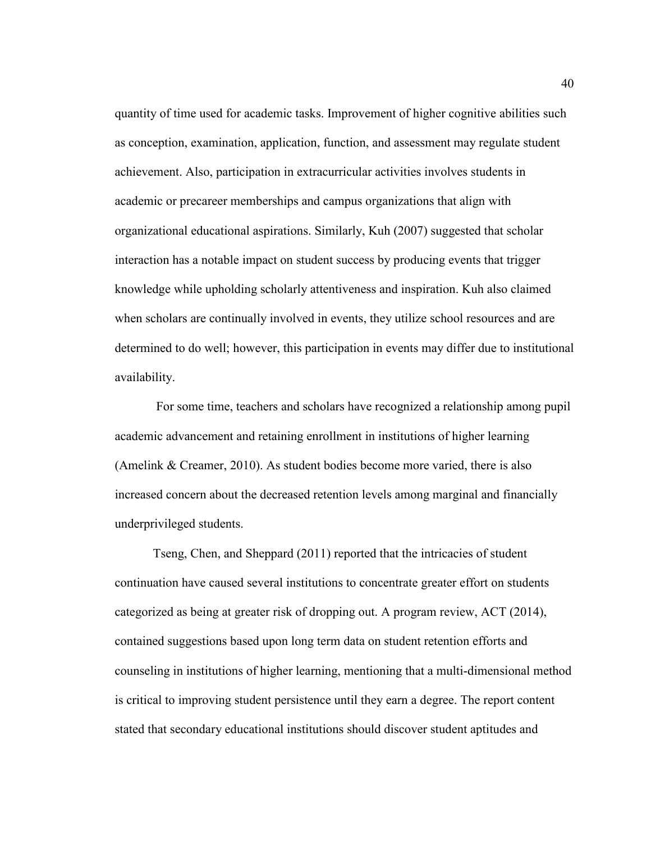quantity of time used for academic tasks. Improvement of higher cognitive abilities such as conception, examination, application, function, and assessment may regulate student achievement. Also, participation in extracurricular activities involves students in academic or precareer memberships and campus organizations that align with organizational educational aspirations. Similarly, Kuh (2007) suggested that scholar interaction has a notable impact on student success by producing events that trigger knowledge while upholding scholarly attentiveness and inspiration. Kuh also claimed when scholars are continually involved in events, they utilize school resources and are determined to do well; however, this participation in events may differ due to institutional availability.

 For some time, teachers and scholars have recognized a relationship among pupil academic advancement and retaining enrollment in institutions of higher learning (Amelink & Creamer, 2010). As student bodies become more varied, there is also increased concern about the decreased retention levels among marginal and financially underprivileged students.

Tseng, Chen, and Sheppard (2011) reported that the intricacies of student continuation have caused several institutions to concentrate greater effort on students categorized as being at greater risk of dropping out. A program review, ACT (2014), contained suggestions based upon long term data on student retention efforts and counseling in institutions of higher learning, mentioning that a multi-dimensional method is critical to improving student persistence until they earn a degree. The report content stated that secondary educational institutions should discover student aptitudes and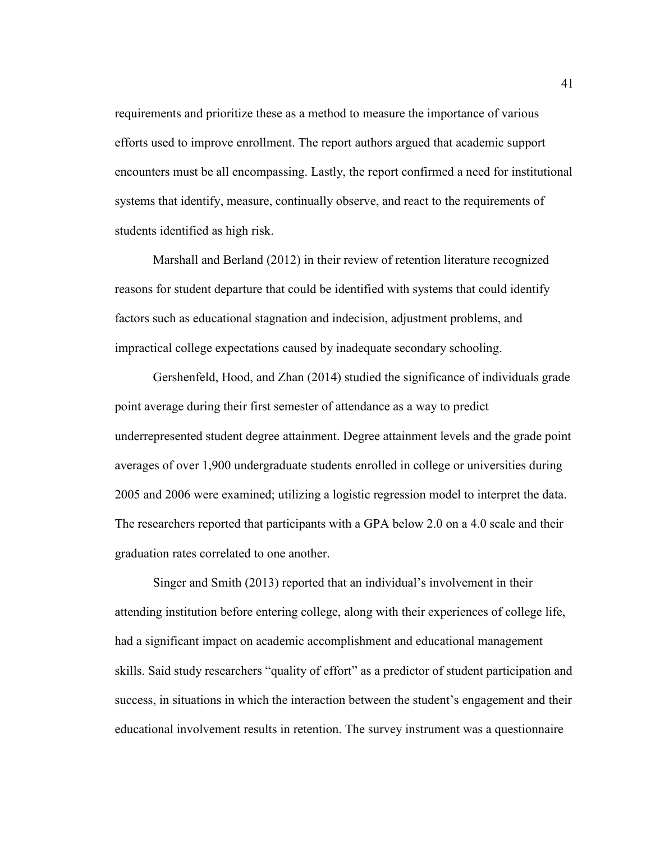requirements and prioritize these as a method to measure the importance of various efforts used to improve enrollment. The report authors argued that academic support encounters must be all encompassing. Lastly, the report confirmed a need for institutional systems that identify, measure, continually observe, and react to the requirements of students identified as high risk.

Marshall and Berland (2012) in their review of retention literature recognized reasons for student departure that could be identified with systems that could identify factors such as educational stagnation and indecision, adjustment problems, and impractical college expectations caused by inadequate secondary schooling.

Gershenfeld, Hood, and Zhan (2014) studied the significance of individuals grade point average during their first semester of attendance as a way to predict underrepresented student degree attainment. Degree attainment levels and the grade point averages of over 1,900 undergraduate students enrolled in college or universities during 2005 and 2006 were examined; utilizing a logistic regression model to interpret the data. The researchers reported that participants with a GPA below 2.0 on a 4.0 scale and their graduation rates correlated to one another.

Singer and Smith (2013) reported that an individual's involvement in their attending institution before entering college, along with their experiences of college life, had a significant impact on academic accomplishment and educational management skills. Said study researchers "quality of effort" as a predictor of student participation and success, in situations in which the interaction between the student's engagement and their educational involvement results in retention. The survey instrument was a questionnaire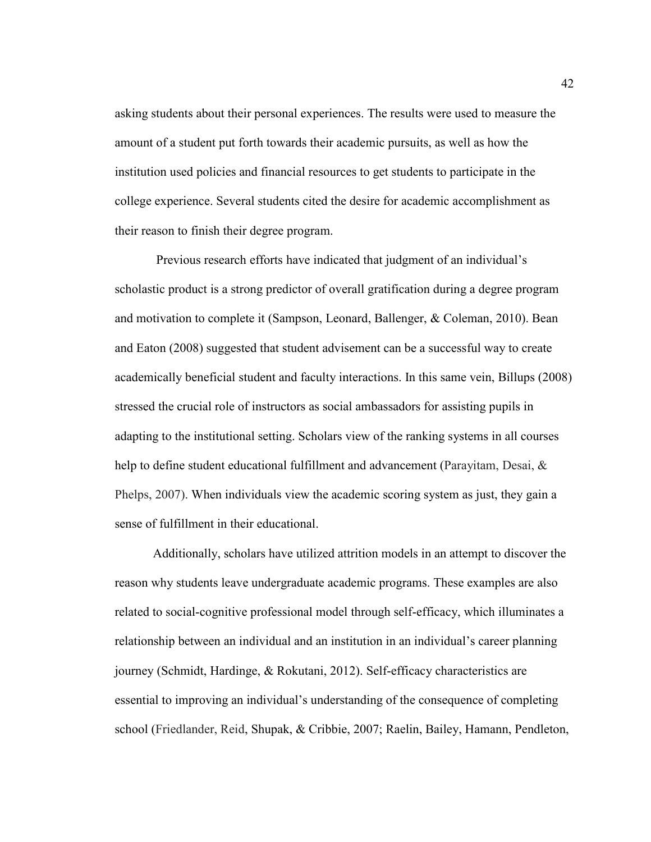asking students about their personal experiences. The results were used to measure the amount of a student put forth towards their academic pursuits, as well as how the institution used policies and financial resources to get students to participate in the college experience. Several students cited the desire for academic accomplishment as their reason to finish their degree program.

 Previous research efforts have indicated that judgment of an individual's scholastic product is a strong predictor of overall gratification during a degree program and motivation to complete it (Sampson, Leonard, Ballenger, & Coleman, 2010). Bean and Eaton (2008) suggested that student advisement can be a successful way to create academically beneficial student and faculty interactions. In this same vein, Billups (2008) stressed the crucial role of instructors as social ambassadors for assisting pupils in adapting to the institutional setting. Scholars view of the ranking systems in all courses help to define student educational fulfillment and advancement (Parayitam, Desai, & Phelps, 2007). When individuals view the academic scoring system as just, they gain a sense of fulfillment in their educational.

Additionally, scholars have utilized attrition models in an attempt to discover the reason why students leave undergraduate academic programs. These examples are also related to social-cognitive professional model through self-efficacy, which illuminates a relationship between an individual and an institution in an individual's career planning journey (Schmidt, Hardinge, & Rokutani, 2012). Self-efficacy characteristics are essential to improving an individual's understanding of the consequence of completing school (Friedlander, Reid, Shupak, & Cribbie, 2007; Raelin, Bailey, Hamann, Pendleton,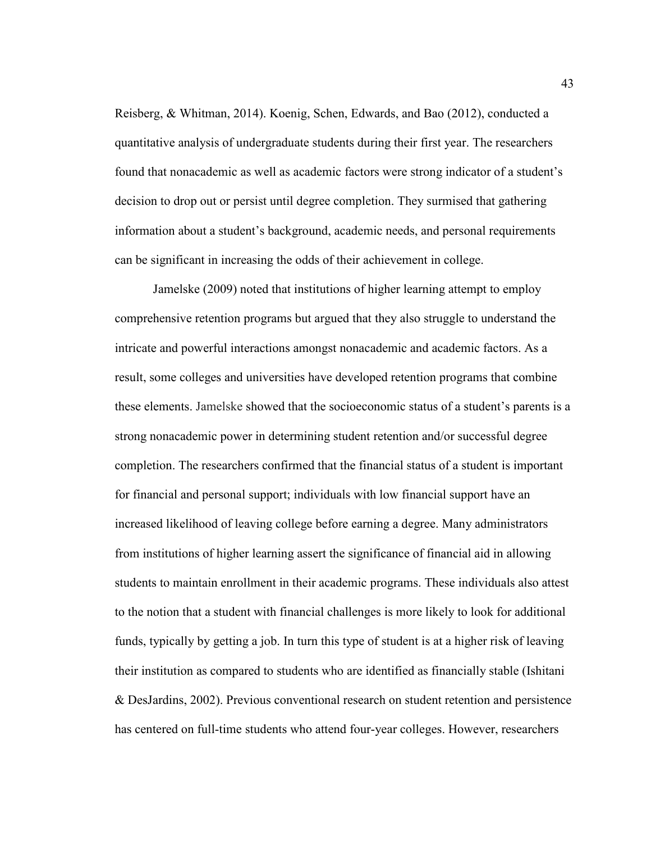Reisberg, & Whitman, 2014). Koenig, Schen, Edwards, and Bao (2012), conducted a quantitative analysis of undergraduate students during their first year. The researchers found that nonacademic as well as academic factors were strong indicator of a student's decision to drop out or persist until degree completion. They surmised that gathering information about a student's background, academic needs, and personal requirements can be significant in increasing the odds of their achievement in college.

Jamelske (2009) noted that institutions of higher learning attempt to employ comprehensive retention programs but argued that they also struggle to understand the intricate and powerful interactions amongst nonacademic and academic factors. As a result, some colleges and universities have developed retention programs that combine these elements. Jamelske showed that the socioeconomic status of a student's parents is a strong nonacademic power in determining student retention and/or successful degree completion. The researchers confirmed that the financial status of a student is important for financial and personal support; individuals with low financial support have an increased likelihood of leaving college before earning a degree. Many administrators from institutions of higher learning assert the significance of financial aid in allowing students to maintain enrollment in their academic programs. These individuals also attest to the notion that a student with financial challenges is more likely to look for additional funds, typically by getting a job. In turn this type of student is at a higher risk of leaving their institution as compared to students who are identified as financially stable (Ishitani & DesJardins, 2002). Previous conventional research on student retention and persistence has centered on full-time students who attend four-year colleges. However, researchers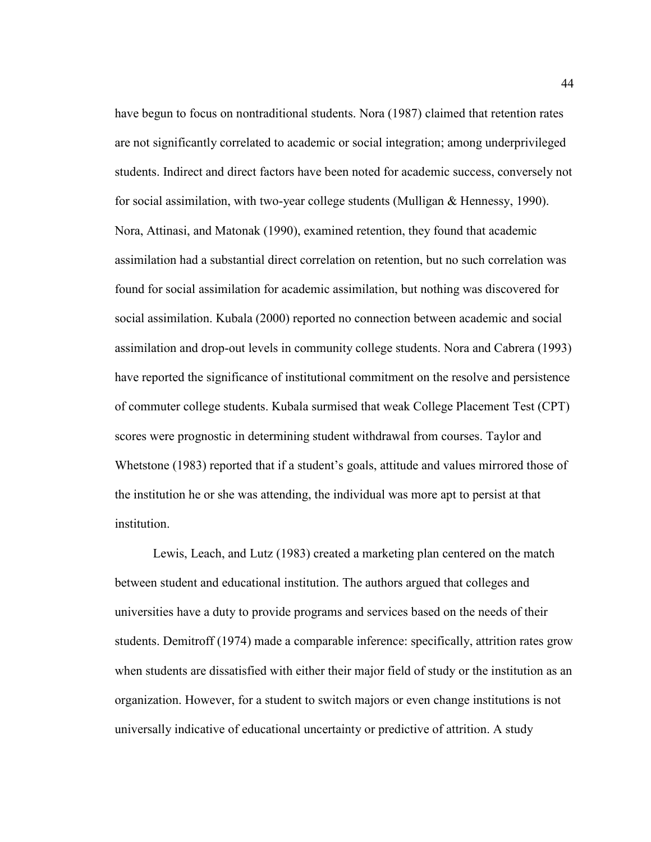have begun to focus on nontraditional students. Nora (1987) claimed that retention rates are not significantly correlated to academic or social integration; among underprivileged students. Indirect and direct factors have been noted for academic success, conversely not for social assimilation, with two-year college students (Mulligan & Hennessy, 1990). Nora, Attinasi, and Matonak (1990), examined retention, they found that academic assimilation had a substantial direct correlation on retention, but no such correlation was found for social assimilation for academic assimilation, but nothing was discovered for social assimilation. Kubala (2000) reported no connection between academic and social assimilation and drop-out levels in community college students. Nora and Cabrera (1993) have reported the significance of institutional commitment on the resolve and persistence of commuter college students. Kubala surmised that weak College Placement Test (CPT) scores were prognostic in determining student withdrawal from courses. Taylor and Whetstone (1983) reported that if a student's goals, attitude and values mirrored those of the institution he or she was attending, the individual was more apt to persist at that institution.

Lewis, Leach, and Lutz (1983) created a marketing plan centered on the match between student and educational institution. The authors argued that colleges and universities have a duty to provide programs and services based on the needs of their students. Demitroff (1974) made a comparable inference: specifically, attrition rates grow when students are dissatisfied with either their major field of study or the institution as an organization. However, for a student to switch majors or even change institutions is not universally indicative of educational uncertainty or predictive of attrition. A study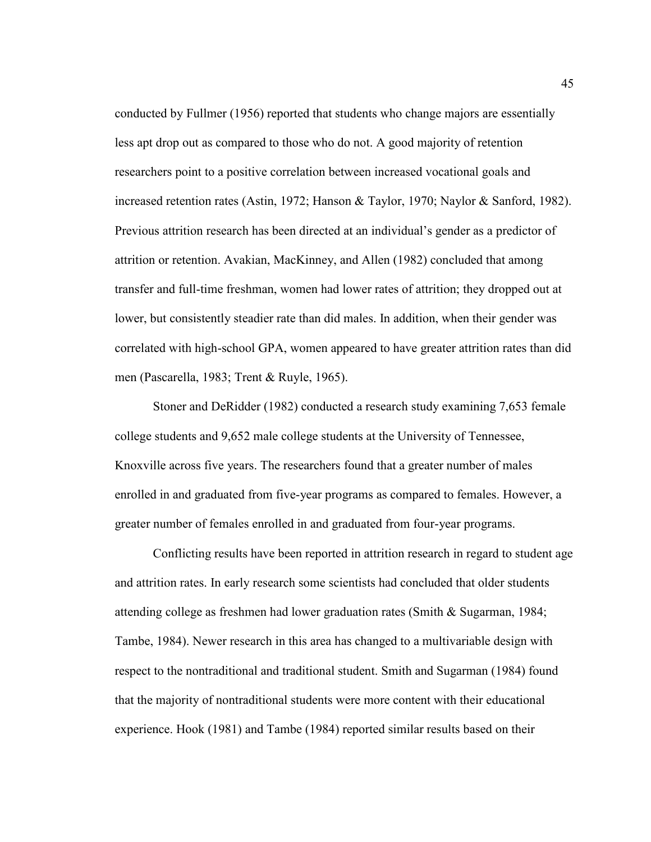conducted by Fullmer (1956) reported that students who change majors are essentially less apt drop out as compared to those who do not. A good majority of retention researchers point to a positive correlation between increased vocational goals and increased retention rates (Astin, 1972; Hanson & Taylor, 1970; Naylor & Sanford, 1982). Previous attrition research has been directed at an individual's gender as a predictor of attrition or retention. Avakian, MacKinney, and Allen (1982) concluded that among transfer and full-time freshman, women had lower rates of attrition; they dropped out at lower, but consistently steadier rate than did males. In addition, when their gender was correlated with high-school GPA, women appeared to have greater attrition rates than did men (Pascarella, 1983; Trent & Ruyle, 1965).

Stoner and DeRidder (1982) conducted a research study examining 7,653 female college students and 9,652 male college students at the University of Tennessee, Knoxville across five years. The researchers found that a greater number of males enrolled in and graduated from five-year programs as compared to females. However, a greater number of females enrolled in and graduated from four-year programs.

Conflicting results have been reported in attrition research in regard to student age and attrition rates. In early research some scientists had concluded that older students attending college as freshmen had lower graduation rates (Smith & Sugarman, 1984; Tambe, 1984). Newer research in this area has changed to a multivariable design with respect to the nontraditional and traditional student. Smith and Sugarman (1984) found that the majority of nontraditional students were more content with their educational experience. Hook (1981) and Tambe (1984) reported similar results based on their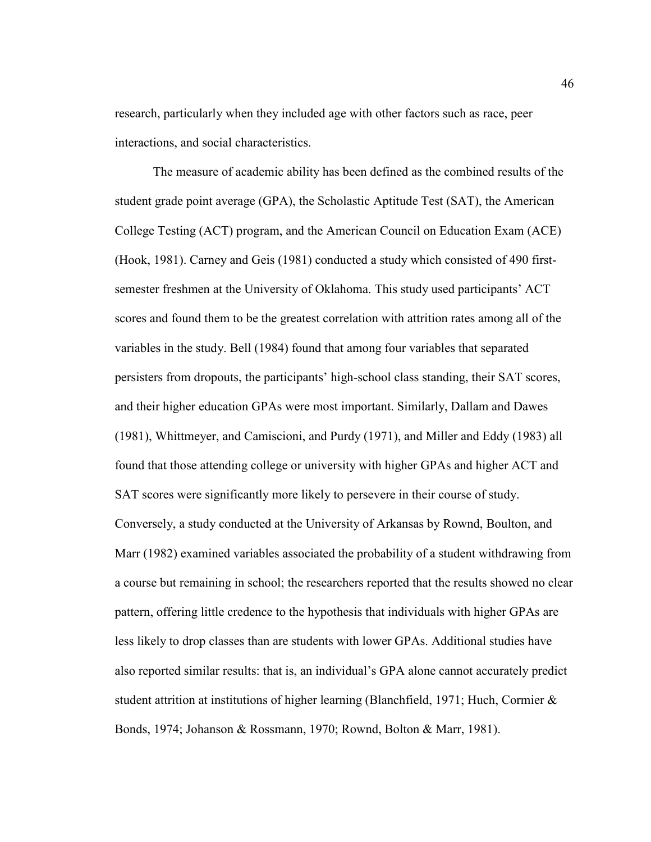research, particularly when they included age with other factors such as race, peer interactions, and social characteristics.

The measure of academic ability has been defined as the combined results of the student grade point average (GPA), the Scholastic Aptitude Test (SAT), the American College Testing (ACT) program, and the American Council on Education Exam (ACE) (Hook, 1981). Carney and Geis (1981) conducted a study which consisted of 490 firstsemester freshmen at the University of Oklahoma. This study used participants' ACT scores and found them to be the greatest correlation with attrition rates among all of the variables in the study. Bell (1984) found that among four variables that separated persisters from dropouts, the participants' high-school class standing, their SAT scores, and their higher education GPAs were most important. Similarly, Dallam and Dawes (1981), Whittmeyer, and Camiscioni, and Purdy (1971), and Miller and Eddy (1983) all found that those attending college or university with higher GPAs and higher ACT and SAT scores were significantly more likely to persevere in their course of study. Conversely, a study conducted at the University of Arkansas by Rownd, Boulton, and Marr (1982) examined variables associated the probability of a student withdrawing from a course but remaining in school; the researchers reported that the results showed no clear pattern, offering little credence to the hypothesis that individuals with higher GPAs are less likely to drop classes than are students with lower GPAs. Additional studies have also reported similar results: that is, an individual's GPA alone cannot accurately predict student attrition at institutions of higher learning (Blanchfield, 1971; Huch, Cormier  $\&$ Bonds, 1974; Johanson & Rossmann, 1970; Rownd, Bolton & Marr, 1981).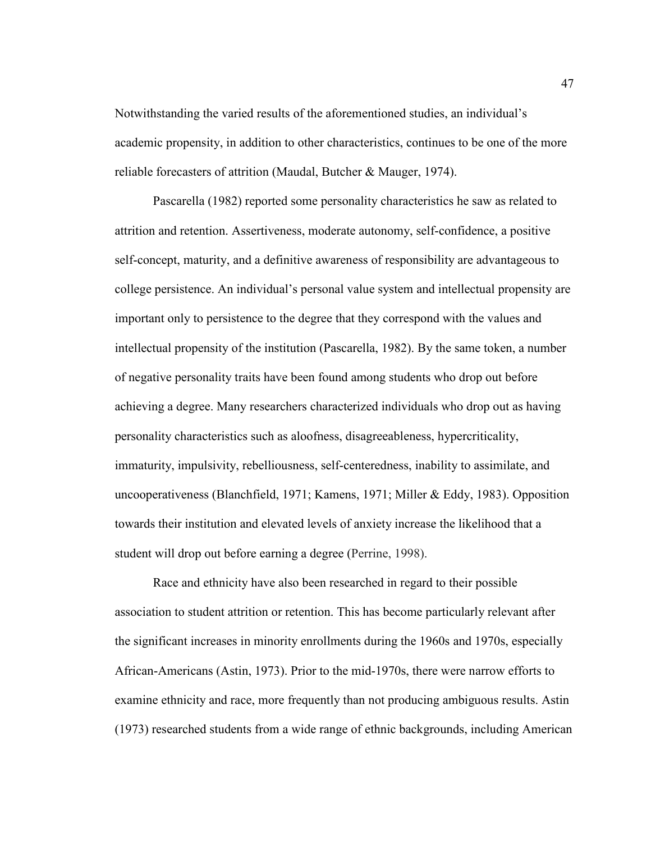Notwithstanding the varied results of the aforementioned studies, an individual's academic propensity, in addition to other characteristics, continues to be one of the more reliable forecasters of attrition (Maudal, Butcher & Mauger, 1974).

Pascarella (1982) reported some personality characteristics he saw as related to attrition and retention. Assertiveness, moderate autonomy, self-confidence, a positive self-concept, maturity, and a definitive awareness of responsibility are advantageous to college persistence. An individual's personal value system and intellectual propensity are important only to persistence to the degree that they correspond with the values and intellectual propensity of the institution (Pascarella, 1982). By the same token, a number of negative personality traits have been found among students who drop out before achieving a degree. Many researchers characterized individuals who drop out as having personality characteristics such as aloofness, disagreeableness, hypercriticality, immaturity, impulsivity, rebelliousness, self-centeredness, inability to assimilate, and uncooperativeness (Blanchfield, 1971; Kamens, 1971; Miller & Eddy, 1983). Opposition towards their institution and elevated levels of anxiety increase the likelihood that a student will drop out before earning a degree (Perrine, 1998).

Race and ethnicity have also been researched in regard to their possible association to student attrition or retention. This has become particularly relevant after the significant increases in minority enrollments during the 1960s and 1970s, especially African-Americans (Astin, 1973). Prior to the mid-1970s, there were narrow efforts to examine ethnicity and race, more frequently than not producing ambiguous results. Astin (1973) researched students from a wide range of ethnic backgrounds, including American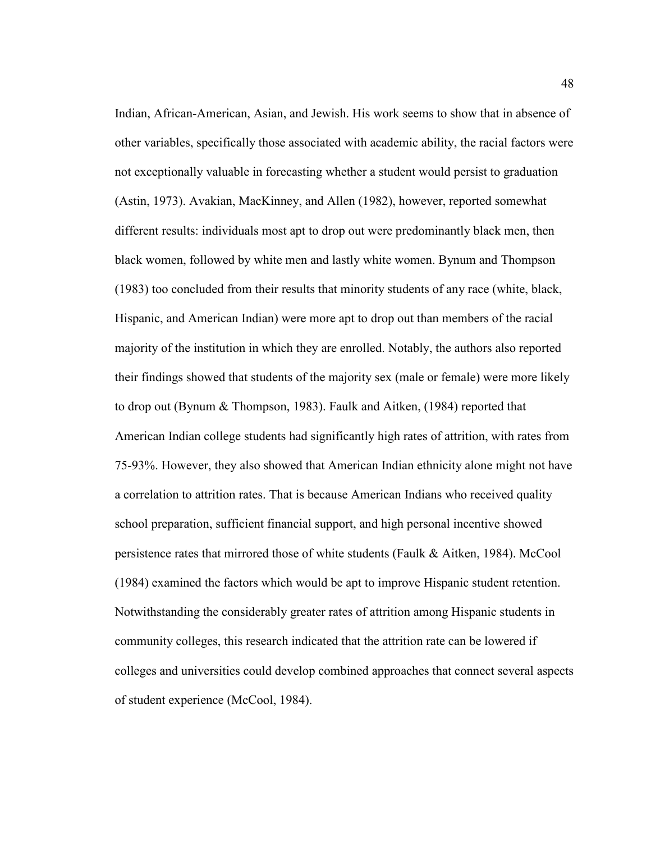Indian, African-American, Asian, and Jewish. His work seems to show that in absence of other variables, specifically those associated with academic ability, the racial factors were not exceptionally valuable in forecasting whether a student would persist to graduation (Astin, 1973). Avakian, MacKinney, and Allen (1982), however, reported somewhat different results: individuals most apt to drop out were predominantly black men, then black women, followed by white men and lastly white women. Bynum and Thompson (1983) too concluded from their results that minority students of any race (white, black, Hispanic, and American Indian) were more apt to drop out than members of the racial majority of the institution in which they are enrolled. Notably, the authors also reported their findings showed that students of the majority sex (male or female) were more likely to drop out (Bynum & Thompson, 1983). Faulk and Aitken, (1984) reported that American Indian college students had significantly high rates of attrition, with rates from 75-93%. However, they also showed that American Indian ethnicity alone might not have a correlation to attrition rates. That is because American Indians who received quality school preparation, sufficient financial support, and high personal incentive showed persistence rates that mirrored those of white students (Faulk & Aitken, 1984). McCool (1984) examined the factors which would be apt to improve Hispanic student retention. Notwithstanding the considerably greater rates of attrition among Hispanic students in community colleges, this research indicated that the attrition rate can be lowered if colleges and universities could develop combined approaches that connect several aspects of student experience (McCool, 1984).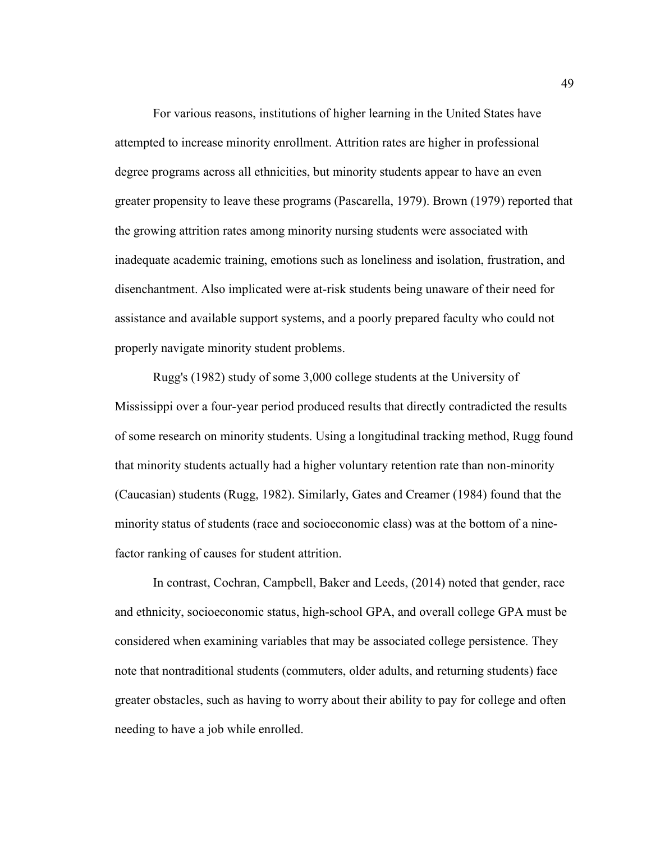For various reasons, institutions of higher learning in the United States have attempted to increase minority enrollment. Attrition rates are higher in professional degree programs across all ethnicities, but minority students appear to have an even greater propensity to leave these programs (Pascarella, 1979). Brown (1979) reported that the growing attrition rates among minority nursing students were associated with inadequate academic training, emotions such as loneliness and isolation, frustration, and disenchantment. Also implicated were at-risk students being unaware of their need for assistance and available support systems, and a poorly prepared faculty who could not properly navigate minority student problems.

Rugg's (1982) study of some 3,000 college students at the University of Mississippi over a four-year period produced results that directly contradicted the results of some research on minority students. Using a longitudinal tracking method, Rugg found that minority students actually had a higher voluntary retention rate than non-minority (Caucasian) students (Rugg, 1982). Similarly, Gates and Creamer (1984) found that the minority status of students (race and socioeconomic class) was at the bottom of a ninefactor ranking of causes for student attrition.

In contrast, Cochran, Campbell, Baker and Leeds, (2014) noted that gender, race and ethnicity, socioeconomic status, high-school GPA, and overall college GPA must be considered when examining variables that may be associated college persistence. They note that nontraditional students (commuters, older adults, and returning students) face greater obstacles, such as having to worry about their ability to pay for college and often needing to have a job while enrolled.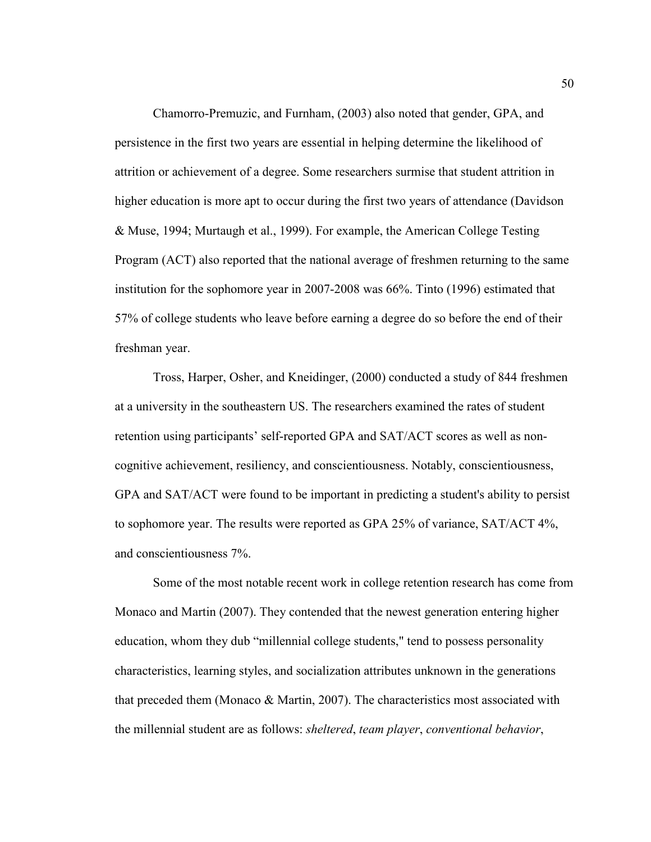Chamorro-Premuzic, and Furnham, (2003) also noted that gender, GPA, and persistence in the first two years are essential in helping determine the likelihood of attrition or achievement of a degree. Some researchers surmise that student attrition in higher education is more apt to occur during the first two years of attendance (Davidson & Muse, 1994; Murtaugh et al., 1999). For example, the American College Testing Program (ACT) also reported that the national average of freshmen returning to the same institution for the sophomore year in 2007-2008 was 66%. Tinto (1996) estimated that 57% of college students who leave before earning a degree do so before the end of their freshman year.

Tross, Harper, Osher, and Kneidinger, (2000) conducted a study of 844 freshmen at a university in the southeastern US. The researchers examined the rates of student retention using participants' self-reported GPA and SAT/ACT scores as well as noncognitive achievement, resiliency, and conscientiousness. Notably, conscientiousness, GPA and SAT/ACT were found to be important in predicting a student's ability to persist to sophomore year. The results were reported as GPA 25% of variance, SAT/ACT 4%, and conscientiousness 7%.

Some of the most notable recent work in college retention research has come from Monaco and Martin (2007). They contended that the newest generation entering higher education, whom they dub "millennial college students," tend to possess personality characteristics, learning styles, and socialization attributes unknown in the generations that preceded them (Monaco & Martin, 2007). The characteristics most associated with the millennial student are as follows: *sheltered*, *team player*, *conventional behavior*,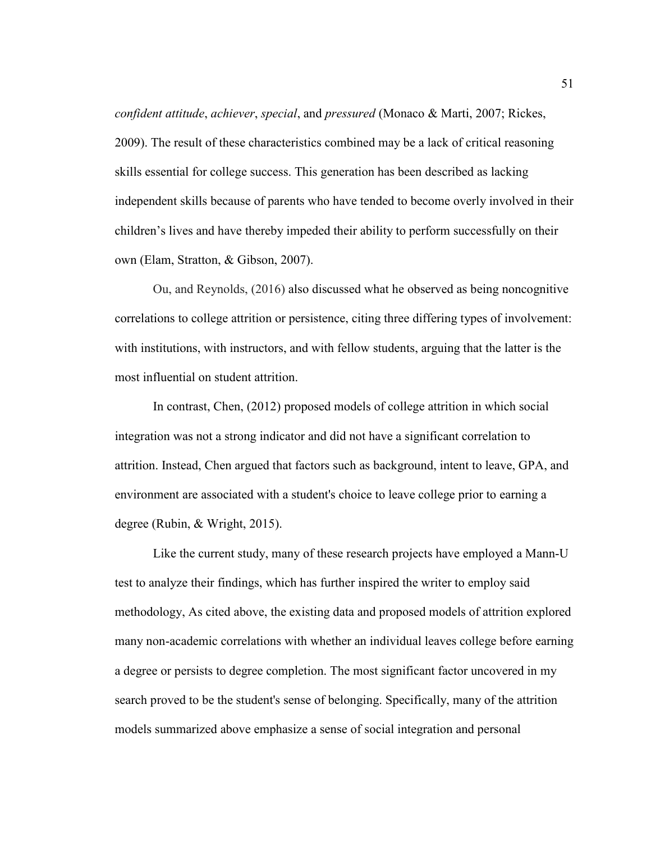*confident attitude*, *achiever*, *special*, and *pressured* (Monaco & Marti, 2007; Rickes, 2009). The result of these characteristics combined may be a lack of critical reasoning skills essential for college success. This generation has been described as lacking independent skills because of parents who have tended to become overly involved in their children's lives and have thereby impeded their ability to perform successfully on their own (Elam, Stratton, & Gibson, 2007).

Ou, and Reynolds, (2016) also discussed what he observed as being noncognitive correlations to college attrition or persistence, citing three differing types of involvement: with institutions, with instructors, and with fellow students, arguing that the latter is the most influential on student attrition.

In contrast, Chen, (2012) proposed models of college attrition in which social integration was not a strong indicator and did not have a significant correlation to attrition. Instead, Chen argued that factors such as background, intent to leave, GPA, and environment are associated with a student's choice to leave college prior to earning a degree (Rubin, & Wright, 2015).

Like the current study, many of these research projects have employed a Mann-U test to analyze their findings, which has further inspired the writer to employ said methodology, As cited above, the existing data and proposed models of attrition explored many non-academic correlations with whether an individual leaves college before earning a degree or persists to degree completion. The most significant factor uncovered in my search proved to be the student's sense of belonging. Specifically, many of the attrition models summarized above emphasize a sense of social integration and personal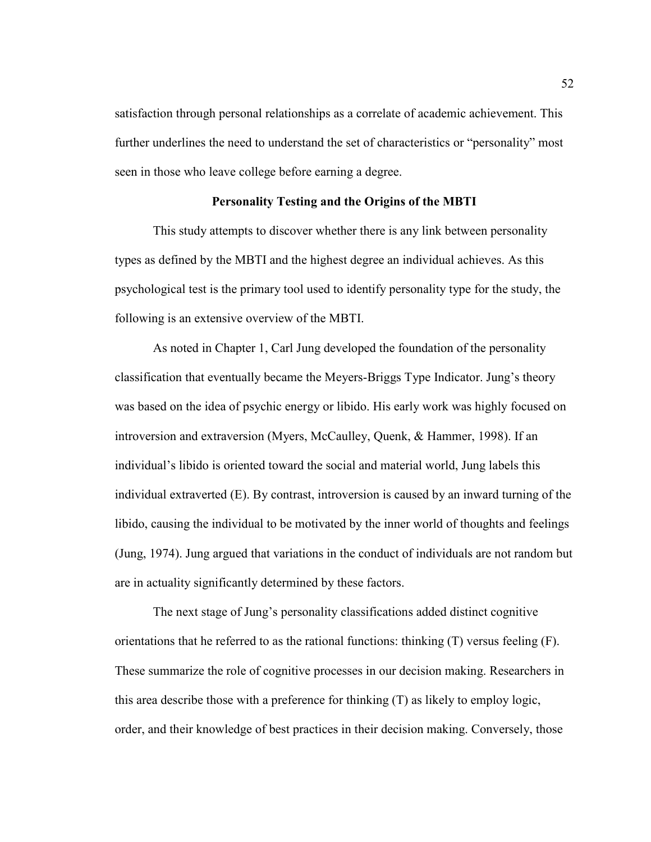satisfaction through personal relationships as a correlate of academic achievement. This further underlines the need to understand the set of characteristics or "personality" most seen in those who leave college before earning a degree.

## **Personality Testing and the Origins of the MBTI**

This study attempts to discover whether there is any link between personality types as defined by the MBTI and the highest degree an individual achieves. As this psychological test is the primary tool used to identify personality type for the study, the following is an extensive overview of the MBTI.

As noted in Chapter 1, Carl Jung developed the foundation of the personality classification that eventually became the Meyers-Briggs Type Indicator. Jung's theory was based on the idea of psychic energy or libido. His early work was highly focused on introversion and extraversion (Myers, McCaulley, Quenk, & Hammer, 1998). If an individual's libido is oriented toward the social and material world, Jung labels this individual extraverted (E). By contrast, introversion is caused by an inward turning of the libido, causing the individual to be motivated by the inner world of thoughts and feelings (Jung, 1974). Jung argued that variations in the conduct of individuals are not random but are in actuality significantly determined by these factors.

The next stage of Jung's personality classifications added distinct cognitive orientations that he referred to as the rational functions: thinking  $(T)$  versus feeling  $(F)$ . These summarize the role of cognitive processes in our decision making. Researchers in this area describe those with a preference for thinking (T) as likely to employ logic, order, and their knowledge of best practices in their decision making. Conversely, those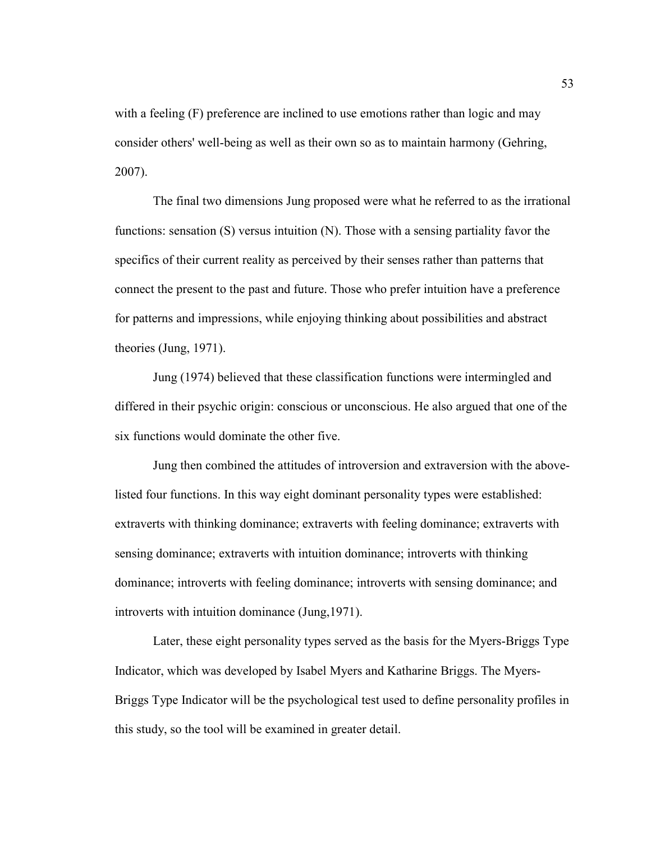with a feeling (F) preference are inclined to use emotions rather than logic and may consider others' well-being as well as their own so as to maintain harmony (Gehring, 2007).

The final two dimensions Jung proposed were what he referred to as the irrational functions: sensation (S) versus intuition (N). Those with a sensing partiality favor the specifics of their current reality as perceived by their senses rather than patterns that connect the present to the past and future. Those who prefer intuition have a preference for patterns and impressions, while enjoying thinking about possibilities and abstract theories (Jung, 1971).

Jung (1974) believed that these classification functions were intermingled and differed in their psychic origin: conscious or unconscious. He also argued that one of the six functions would dominate the other five.

Jung then combined the attitudes of introversion and extraversion with the abovelisted four functions. In this way eight dominant personality types were established: extraverts with thinking dominance; extraverts with feeling dominance; extraverts with sensing dominance; extraverts with intuition dominance; introverts with thinking dominance; introverts with feeling dominance; introverts with sensing dominance; and introverts with intuition dominance (Jung,1971).

Later, these eight personality types served as the basis for the Myers-Briggs Type Indicator, which was developed by Isabel Myers and Katharine Briggs. The Myers-Briggs Type Indicator will be the psychological test used to define personality profiles in this study, so the tool will be examined in greater detail.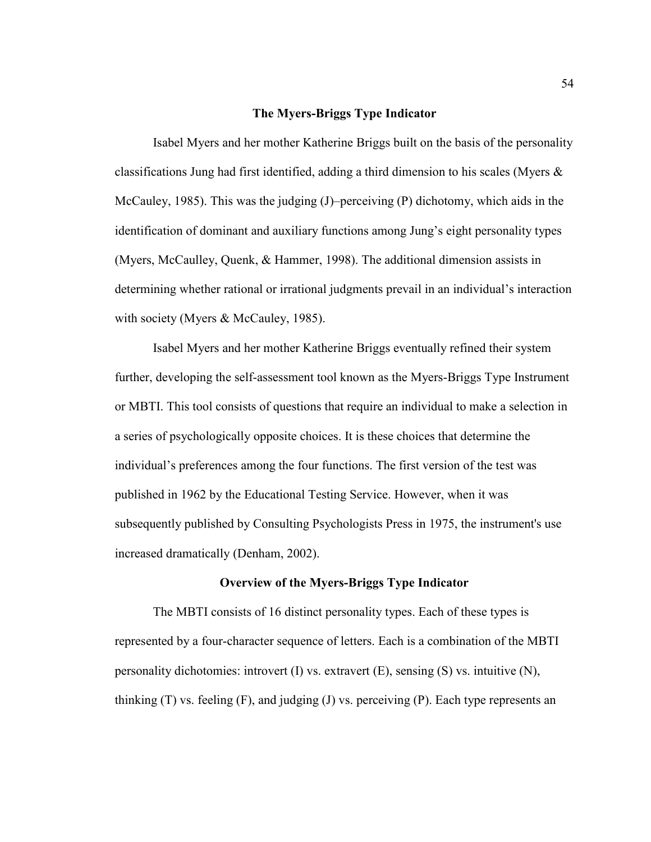#### **The Myers-Briggs Type Indicator**

Isabel Myers and her mother Katherine Briggs built on the basis of the personality classifications Jung had first identified, adding a third dimension to his scales (Myers & McCauley, 1985). This was the judging (J)–perceiving (P) dichotomy, which aids in the identification of dominant and auxiliary functions among Jung's eight personality types (Myers, McCaulley, Quenk, & Hammer, 1998). The additional dimension assists in determining whether rational or irrational judgments prevail in an individual's interaction with society (Myers & McCauley, 1985).

Isabel Myers and her mother Katherine Briggs eventually refined their system further, developing the self-assessment tool known as the Myers-Briggs Type Instrument or MBTI. This tool consists of questions that require an individual to make a selection in a series of psychologically opposite choices. It is these choices that determine the individual's preferences among the four functions. The first version of the test was published in 1962 by the Educational Testing Service. However, when it was subsequently published by Consulting Psychologists Press in 1975, the instrument's use increased dramatically (Denham, 2002).

#### **Overview of the Myers-Briggs Type Indicator**

The MBTI consists of 16 distinct personality types. Each of these types is represented by a four-character sequence of letters. Each is a combination of the MBTI personality dichotomies: introvert (I) vs. extravert (E), sensing (S) vs. intuitive (N), thinking  $(T)$  vs. feeling  $(F)$ , and judging  $(J)$  vs. perceiving  $(P)$ . Each type represents an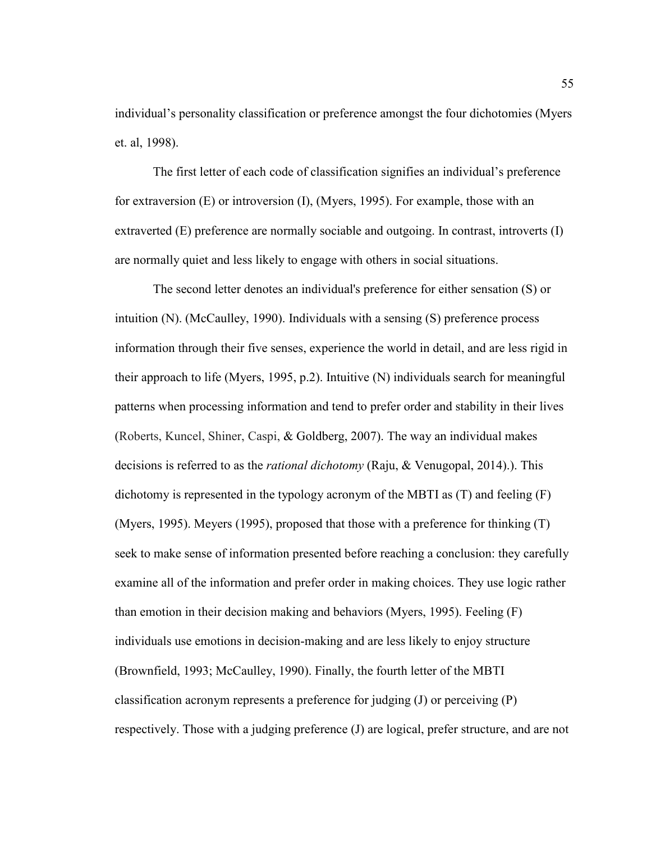individual's personality classification or preference amongst the four dichotomies (Myers et. al, 1998).

The first letter of each code of classification signifies an individual's preference for extraversion (E) or introversion (I), (Myers, 1995). For example, those with an extraverted (E) preference are normally sociable and outgoing. In contrast, introverts (I) are normally quiet and less likely to engage with others in social situations.

The second letter denotes an individual's preference for either sensation (S) or intuition (N). (McCaulley, 1990). Individuals with a sensing (S) preference process information through their five senses, experience the world in detail, and are less rigid in their approach to life (Myers, 1995, p.2). Intuitive (N) individuals search for meaningful patterns when processing information and tend to prefer order and stability in their lives (Roberts, Kuncel, Shiner, Caspi, & Goldberg, 2007). The way an individual makes decisions is referred to as the *rational dichotomy* (Raju, & Venugopal, 2014).). This dichotomy is represented in the typology acronym of the MBTI as  $(T)$  and feeling  $(F)$ (Myers, 1995). Meyers (1995), proposed that those with a preference for thinking (T) seek to make sense of information presented before reaching a conclusion: they carefully examine all of the information and prefer order in making choices. They use logic rather than emotion in their decision making and behaviors (Myers, 1995). Feeling (F) individuals use emotions in decision-making and are less likely to enjoy structure (Brownfield, 1993; McCaulley, 1990). Finally, the fourth letter of the MBTI classification acronym represents a preference for judging (J) or perceiving (P) respectively. Those with a judging preference (J) are logical, prefer structure, and are not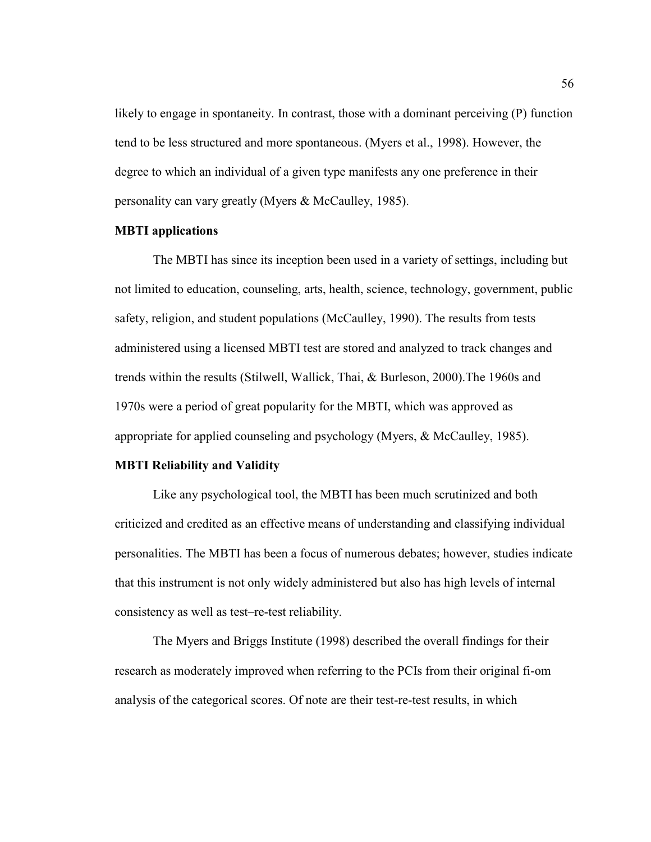likely to engage in spontaneity. In contrast, those with a dominant perceiving (P) function tend to be less structured and more spontaneous. (Myers et al., 1998). However, the degree to which an individual of a given type manifests any one preference in their personality can vary greatly (Myers & McCaulley, 1985).

### **MBTI applications**

The MBTI has since its inception been used in a variety of settings, including but not limited to education, counseling, arts, health, science, technology, government, public safety, religion, and student populations (McCaulley, 1990). The results from tests administered using a licensed MBTI test are stored and analyzed to track changes and trends within the results (Stilwell, Wallick, Thai, & Burleson, 2000).The 1960s and 1970s were a period of great popularity for the MBTI, which was approved as appropriate for applied counseling and psychology (Myers, & McCaulley, 1985).

### **MBTI Reliability and Validity**

Like any psychological tool, the MBTI has been much scrutinized and both criticized and credited as an effective means of understanding and classifying individual personalities. The MBTI has been a focus of numerous debates; however, studies indicate that this instrument is not only widely administered but also has high levels of internal consistency as well as test–re-test reliability.

The Myers and Briggs Institute (1998) described the overall findings for their research as moderately improved when referring to the PCIs from their original fi-om analysis of the categorical scores. Of note are their test-re-test results, in which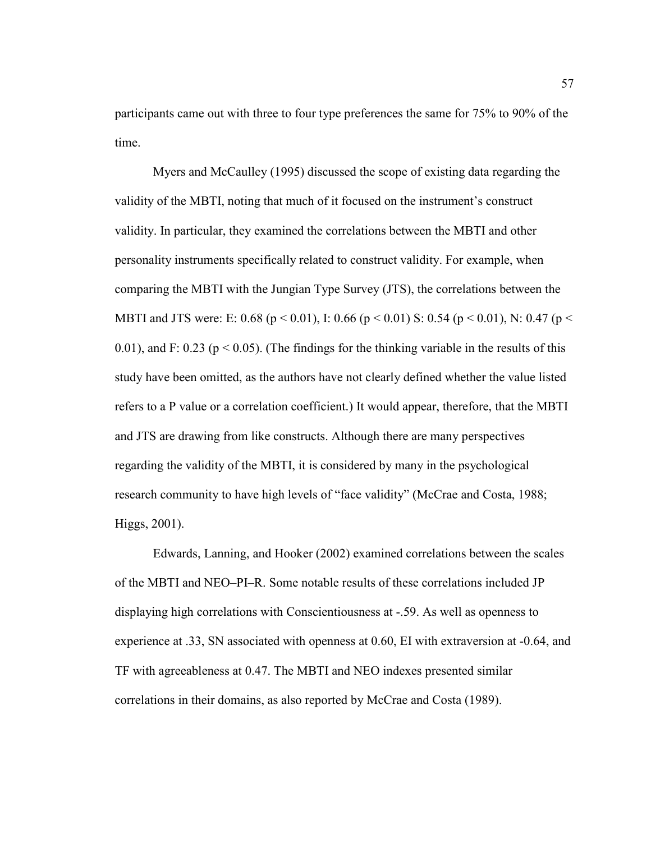participants came out with three to four type preferences the same for 75% to 90% of the time.

Myers and McCaulley (1995) discussed the scope of existing data regarding the validity of the MBTI, noting that much of it focused on the instrument's construct validity. In particular, they examined the correlations between the MBTI and other personality instruments specifically related to construct validity. For example, when comparing the MBTI with the Jungian Type Survey (JTS), the correlations between the MBTI and JTS were: E: 0.68 ( $p < 0.01$ ), I: 0.66 ( $p < 0.01$ ) S: 0.54 ( $p < 0.01$ ), N: 0.47 ( $p <$ 0.01), and F: 0.23 ( $p < 0.05$ ). (The findings for the thinking variable in the results of this study have been omitted, as the authors have not clearly defined whether the value listed refers to a P value or a correlation coefficient.) It would appear, therefore, that the MBTI and JTS are drawing from like constructs. Although there are many perspectives regarding the validity of the MBTI, it is considered by many in the psychological research community to have high levels of "face validity" (McCrae and Costa, 1988; Higgs, 2001).

Edwards, Lanning, and Hooker (2002) examined correlations between the scales of the MBTI and NEO–PI–R. Some notable results of these correlations included JP displaying high correlations with Conscientiousness at -.59. As well as openness to experience at .33, SN associated with openness at 0.60, EI with extraversion at -0.64, and TF with agreeableness at 0.47. The MBTI and NEO indexes presented similar correlations in their domains, as also reported by McCrae and Costa (1989).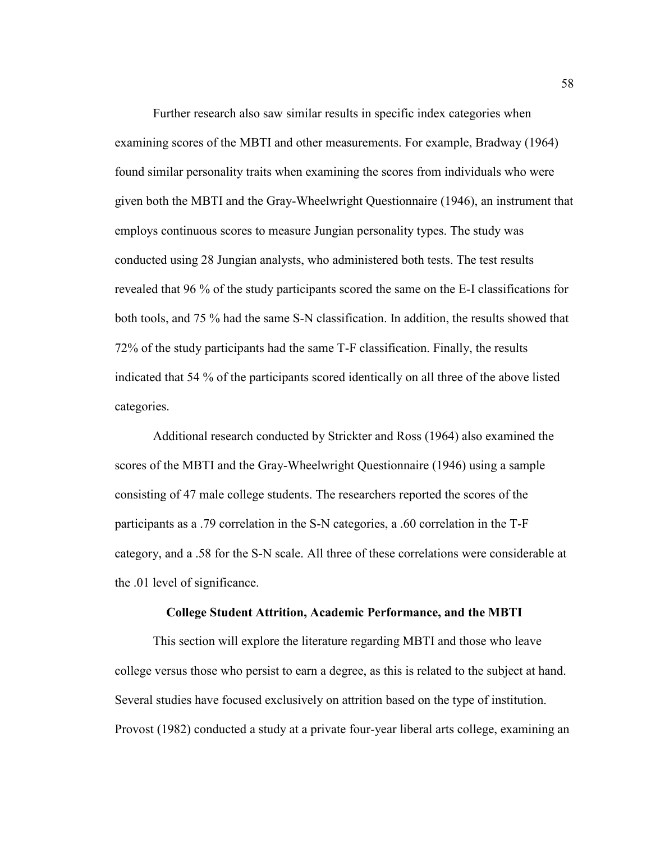Further research also saw similar results in specific index categories when examining scores of the MBTI and other measurements. For example, Bradway (1964) found similar personality traits when examining the scores from individuals who were given both the MBTI and the Gray-Wheelwright Questionnaire (1946), an instrument that employs continuous scores to measure Jungian personality types. The study was conducted using 28 Jungian analysts, who administered both tests. The test results revealed that 96 % of the study participants scored the same on the E-I classifications for both tools, and 75 % had the same S-N classification. In addition, the results showed that 72% of the study participants had the same T-F classification. Finally, the results indicated that 54 % of the participants scored identically on all three of the above listed categories.

Additional research conducted by Strickter and Ross (1964) also examined the scores of the MBTI and the Gray-Wheelwright Questionnaire (1946) using a sample consisting of 47 male college students. The researchers reported the scores of the participants as a .79 correlation in the S-N categories, a .60 correlation in the T-F category, and a .58 for the S-N scale. All three of these correlations were considerable at the .01 level of significance.

#### **College Student Attrition, Academic Performance, and the MBTI**

This section will explore the literature regarding MBTI and those who leave college versus those who persist to earn a degree, as this is related to the subject at hand. Several studies have focused exclusively on attrition based on the type of institution. Provost (1982) conducted a study at a private four-year liberal arts college, examining an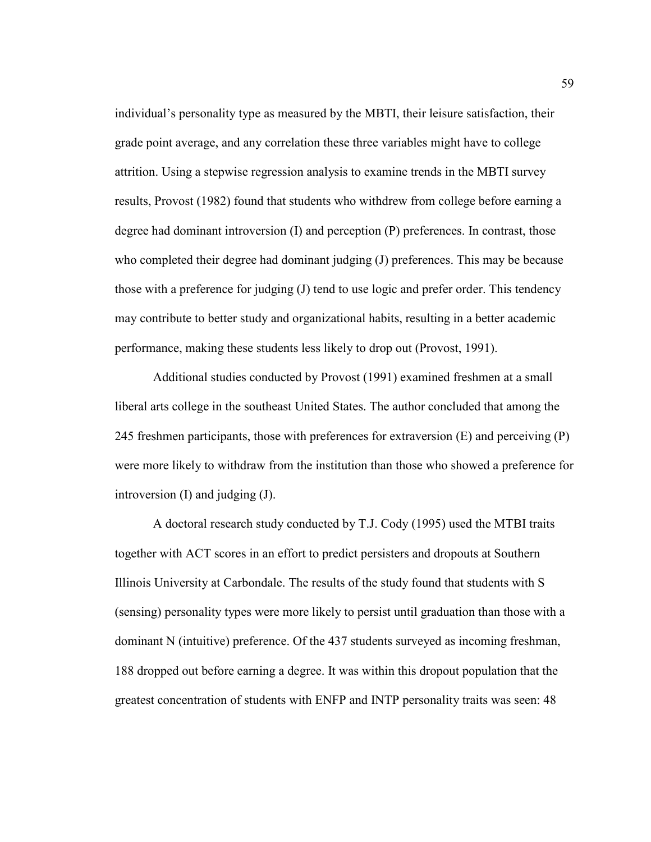individual's personality type as measured by the MBTI, their leisure satisfaction, their grade point average, and any correlation these three variables might have to college attrition. Using a stepwise regression analysis to examine trends in the MBTI survey results, Provost (1982) found that students who withdrew from college before earning a degree had dominant introversion (I) and perception (P) preferences. In contrast, those who completed their degree had dominant judging (J) preferences. This may be because those with a preference for judging (J) tend to use logic and prefer order. This tendency may contribute to better study and organizational habits, resulting in a better academic performance, making these students less likely to drop out (Provost, 1991).

Additional studies conducted by Provost (1991) examined freshmen at a small liberal arts college in the southeast United States. The author concluded that among the 245 freshmen participants, those with preferences for extraversion (E) and perceiving (P) were more likely to withdraw from the institution than those who showed a preference for introversion (I) and judging (J).

A doctoral research study conducted by T.J. Cody (1995) used the MTBI traits together with ACT scores in an effort to predict persisters and dropouts at Southern Illinois University at Carbondale. The results of the study found that students with S (sensing) personality types were more likely to persist until graduation than those with a dominant N (intuitive) preference. Of the 437 students surveyed as incoming freshman, 188 dropped out before earning a degree. It was within this dropout population that the greatest concentration of students with ENFP and INTP personality traits was seen: 48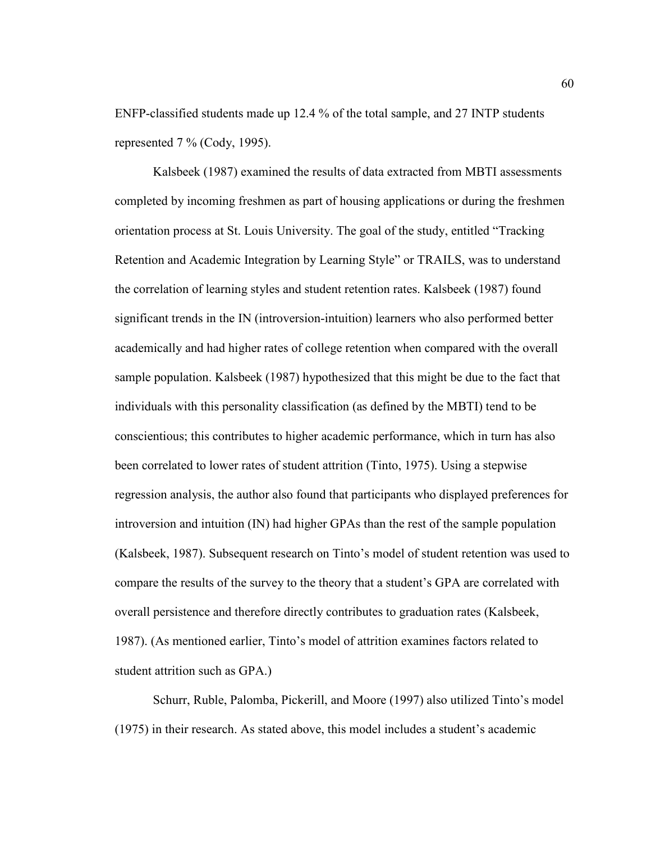ENFP-classified students made up 12.4 % of the total sample, and 27 INTP students represented 7 % (Cody, 1995).

Kalsbeek (1987) examined the results of data extracted from MBTI assessments completed by incoming freshmen as part of housing applications or during the freshmen orientation process at St. Louis University. The goal of the study, entitled "Tracking Retention and Academic Integration by Learning Style" or TRAILS, was to understand the correlation of learning styles and student retention rates. Kalsbeek (1987) found significant trends in the IN (introversion-intuition) learners who also performed better academically and had higher rates of college retention when compared with the overall sample population. Kalsbeek (1987) hypothesized that this might be due to the fact that individuals with this personality classification (as defined by the MBTI) tend to be conscientious; this contributes to higher academic performance, which in turn has also been correlated to lower rates of student attrition (Tinto, 1975). Using a stepwise regression analysis, the author also found that participants who displayed preferences for introversion and intuition (IN) had higher GPAs than the rest of the sample population (Kalsbeek, 1987). Subsequent research on Tinto's model of student retention was used to compare the results of the survey to the theory that a student's GPA are correlated with overall persistence and therefore directly contributes to graduation rates (Kalsbeek, 1987). (As mentioned earlier, Tinto's model of attrition examines factors related to student attrition such as GPA.)

Schurr, Ruble, Palomba, Pickerill, and Moore (1997) also utilized Tinto's model (1975) in their research. As stated above, this model includes a student's academic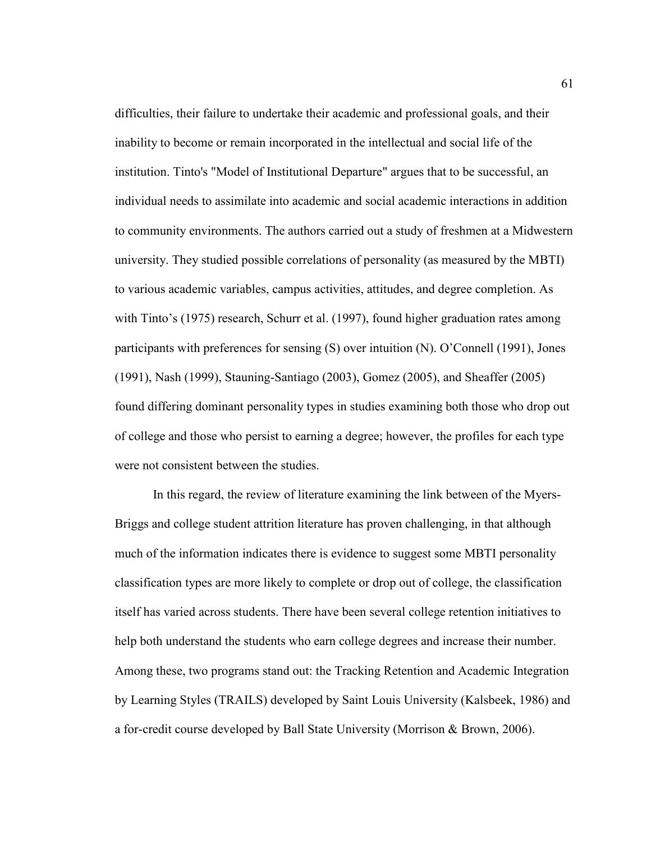difficulties, their failure to undertake their academic and professional goals, and their inability to become or remain incorporated in the intellectual and social life of the institution. Tinto's "Model of Institutional Departure" argues that to be successful, an individual needs to assimilate into academic and social academic interactions in addition to community environments. The authors carried out a study of freshmen at a Midwestern university. They studied possible correlations of personality (as measured by the MBTI) to various academic variables, campus activities, attitudes, and degree completion. As with Tinto's (1975) research, Schurr et al. (1997), found higher graduation rates among participants with preferences for sensing (S) over intuition (N). O'Connell (1991), Jones (1991), Nash (1999), Stauning-Santiago (2003), Gomez (2005), and Sheaffer (2005) found differing dominant personality types in studies examining both those who drop out of college and those who persist to earning a degree; however, the profiles for each type were not consistent between the studies.

In this regard, the review of literature examining the link between of the Myers-Briggs and college student attrition literature has proven challenging, in that although much of the information indicates there is evidence to suggest some MBTI personality classification types are more likely to complete or drop out of college, the classification itself has varied across students. There have been several college retention initiatives to help both understand the students who earn college degrees and increase their number. Among these, two programs stand out: the Tracking Retention and Academic Integration by Learning Styles (TRAILS) developed by Saint Louis University (Kalsbeek, 1986) and a for-credit course developed by Ball State University (Morrison & Brown, 2006).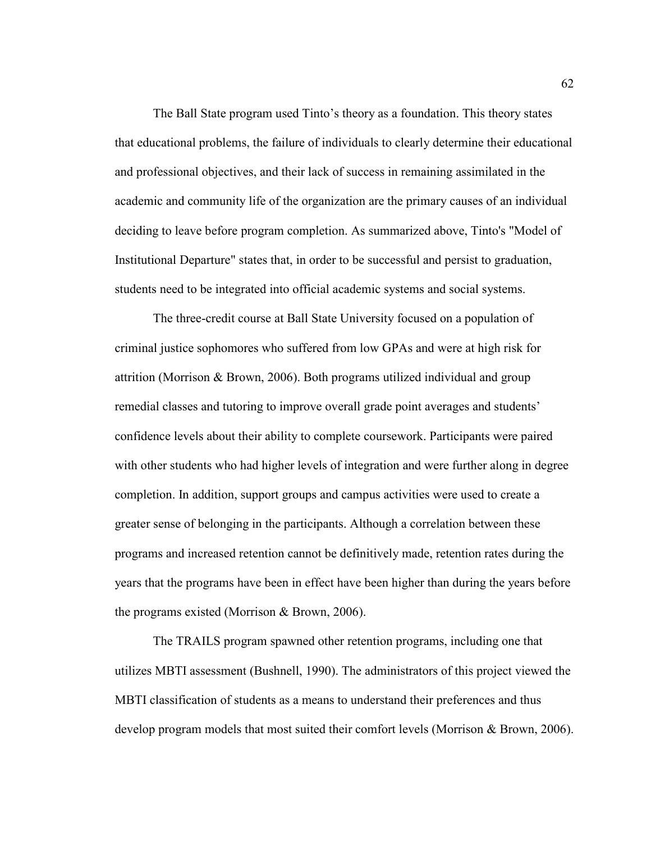The Ball State program used Tinto's theory as a foundation. This theory states that educational problems, the failure of individuals to clearly determine their educational and professional objectives, and their lack of success in remaining assimilated in the academic and community life of the organization are the primary causes of an individual deciding to leave before program completion. As summarized above, Tinto's "Model of Institutional Departure" states that, in order to be successful and persist to graduation, students need to be integrated into official academic systems and social systems.

The three-credit course at Ball State University focused on a population of criminal justice sophomores who suffered from low GPAs and were at high risk for attrition (Morrison & Brown, 2006). Both programs utilized individual and group remedial classes and tutoring to improve overall grade point averages and students' confidence levels about their ability to complete coursework. Participants were paired with other students who had higher levels of integration and were further along in degree completion. In addition, support groups and campus activities were used to create a greater sense of belonging in the participants. Although a correlation between these programs and increased retention cannot be definitively made, retention rates during the years that the programs have been in effect have been higher than during the years before the programs existed (Morrison & Brown, 2006).

The TRAILS program spawned other retention programs, including one that utilizes MBTI assessment (Bushnell, 1990). The administrators of this project viewed the MBTI classification of students as a means to understand their preferences and thus develop program models that most suited their comfort levels (Morrison & Brown, 2006).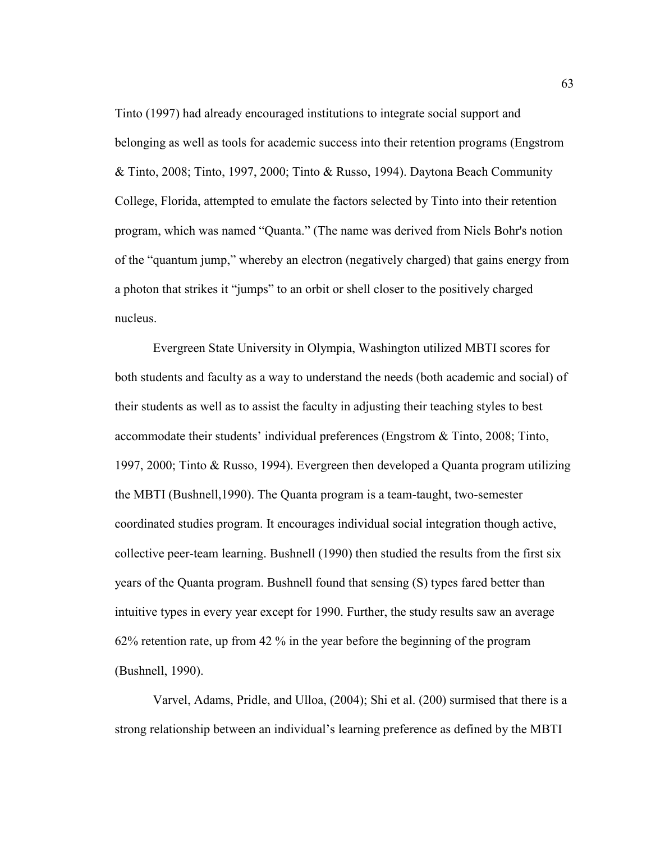Tinto (1997) had already encouraged institutions to integrate social support and belonging as well as tools for academic success into their retention programs (Engstrom & Tinto, 2008; Tinto, 1997, 2000; Tinto & Russo, 1994). Daytona Beach Community College, Florida, attempted to emulate the factors selected by Tinto into their retention program, which was named "Quanta." (The name was derived from Niels Bohr's notion of the "quantum jump," whereby an electron (negatively charged) that gains energy from a photon that strikes it "jumps" to an orbit or shell closer to the positively charged nucleus.

Evergreen State University in Olympia, Washington utilized MBTI scores for both students and faculty as a way to understand the needs (both academic and social) of their students as well as to assist the faculty in adjusting their teaching styles to best accommodate their students' individual preferences (Engstrom & Tinto, 2008; Tinto, 1997, 2000; Tinto & Russo, 1994). Evergreen then developed a Quanta program utilizing the MBTI (Bushnell,1990). The Quanta program is a team-taught, two-semester coordinated studies program. It encourages individual social integration though active, collective peer-team learning. Bushnell (1990) then studied the results from the first six years of the Quanta program. Bushnell found that sensing (S) types fared better than intuitive types in every year except for 1990. Further, the study results saw an average 62% retention rate, up from 42 % in the year before the beginning of the program (Bushnell, 1990).

Varvel, Adams, Pridle, and Ulloa, (2004); Shi et al. (200) surmised that there is a strong relationship between an individual's learning preference as defined by the MBTI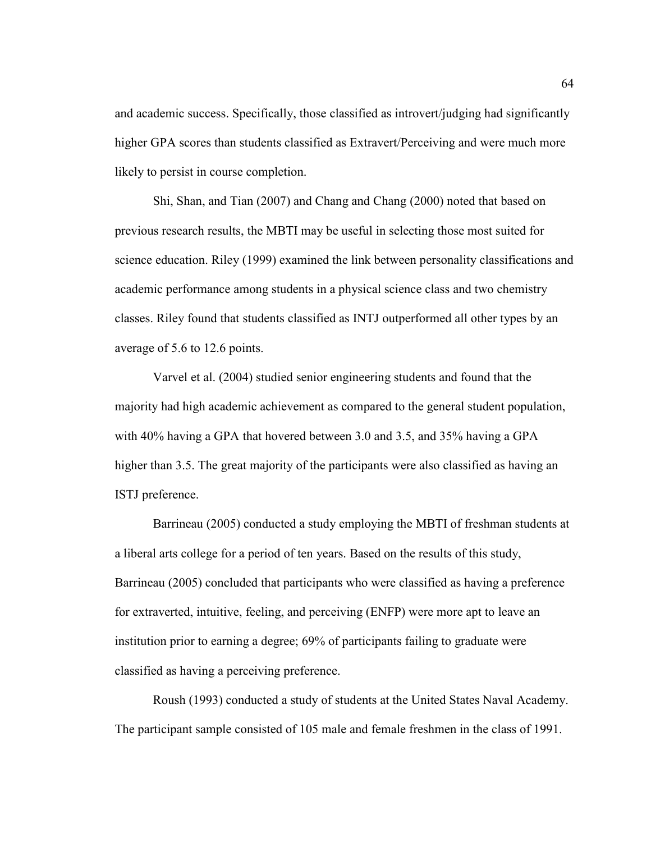and academic success. Specifically, those classified as introvert/judging had significantly higher GPA scores than students classified as Extravert/Perceiving and were much more likely to persist in course completion.

Shi, Shan, and Tian (2007) and Chang and Chang (2000) noted that based on previous research results, the MBTI may be useful in selecting those most suited for science education. Riley (1999) examined the link between personality classifications and academic performance among students in a physical science class and two chemistry classes. Riley found that students classified as INTJ outperformed all other types by an average of 5.6 to 12.6 points.

Varvel et al. (2004) studied senior engineering students and found that the majority had high academic achievement as compared to the general student population, with 40% having a GPA that hovered between 3.0 and 3.5, and 35% having a GPA higher than 3.5. The great majority of the participants were also classified as having an ISTJ preference.

Barrineau (2005) conducted a study employing the MBTI of freshman students at a liberal arts college for a period of ten years. Based on the results of this study, Barrineau (2005) concluded that participants who were classified as having a preference for extraverted, intuitive, feeling, and perceiving (ENFP) were more apt to leave an institution prior to earning a degree; 69% of participants failing to graduate were classified as having a perceiving preference.

Roush (1993) conducted a study of students at the United States Naval Academy. The participant sample consisted of 105 male and female freshmen in the class of 1991.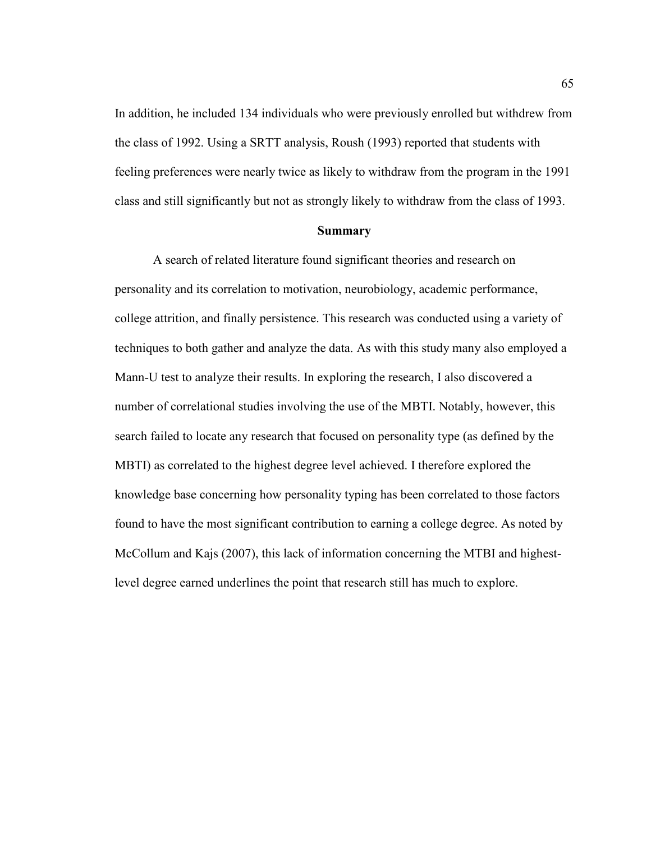In addition, he included 134 individuals who were previously enrolled but withdrew from the class of 1992. Using a SRTT analysis, Roush (1993) reported that students with feeling preferences were nearly twice as likely to withdraw from the program in the 1991 class and still significantly but not as strongly likely to withdraw from the class of 1993.

#### **Summary**

A search of related literature found significant theories and research on personality and its correlation to motivation, neurobiology, academic performance, college attrition, and finally persistence. This research was conducted using a variety of techniques to both gather and analyze the data. As with this study many also employed a Mann-U test to analyze their results. In exploring the research, I also discovered a number of correlational studies involving the use of the MBTI. Notably, however, this search failed to locate any research that focused on personality type (as defined by the MBTI) as correlated to the highest degree level achieved. I therefore explored the knowledge base concerning how personality typing has been correlated to those factors found to have the most significant contribution to earning a college degree. As noted by McCollum and Kajs (2007), this lack of information concerning the MTBI and highestlevel degree earned underlines the point that research still has much to explore.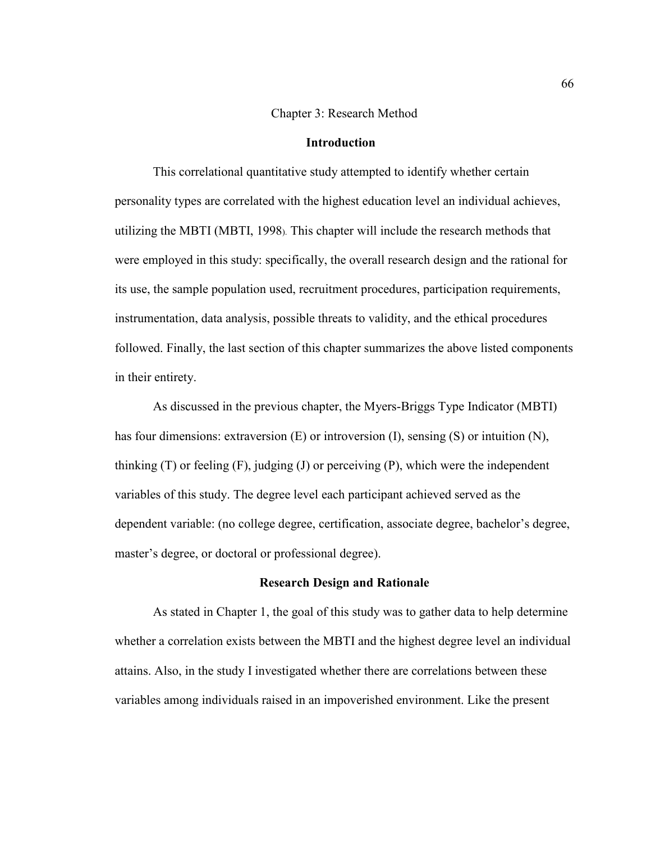#### Chapter 3: Research Method

#### **Introduction**

This correlational quantitative study attempted to identify whether certain personality types are correlated with the highest education level an individual achieves, utilizing the MBTI (MBTI, 1998). This chapter will include the research methods that were employed in this study: specifically, the overall research design and the rational for its use, the sample population used, recruitment procedures, participation requirements, instrumentation, data analysis, possible threats to validity, and the ethical procedures followed. Finally, the last section of this chapter summarizes the above listed components in their entirety.

As discussed in the previous chapter, the Myers-Briggs Type Indicator (MBTI) has four dimensions: extraversion (E) or introversion (I), sensing (S) or intuition (N), thinking  $(T)$  or feeling  $(F)$ , judging  $(J)$  or perceiving  $(P)$ , which were the independent variables of this study. The degree level each participant achieved served as the dependent variable: (no college degree, certification, associate degree, bachelor's degree, master's degree, or doctoral or professional degree).

#### **Research Design and Rationale**

As stated in Chapter 1, the goal of this study was to gather data to help determine whether a correlation exists between the MBTI and the highest degree level an individual attains. Also, in the study I investigated whether there are correlations between these variables among individuals raised in an impoverished environment. Like the present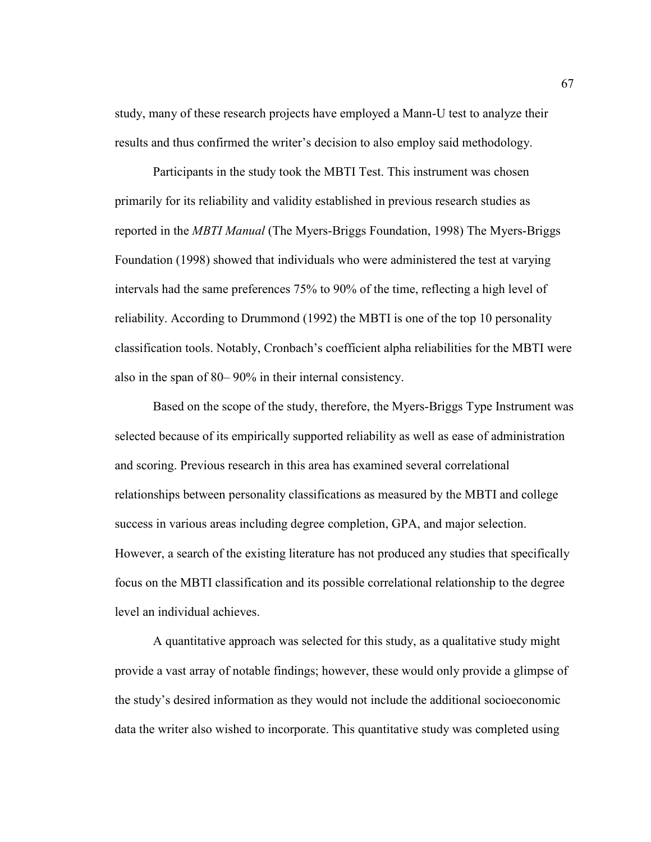study, many of these research projects have employed a Mann-U test to analyze their results and thus confirmed the writer's decision to also employ said methodology.

Participants in the study took the MBTI Test. This instrument was chosen primarily for its reliability and validity established in previous research studies as reported in the *MBTI Manual* (The Myers-Briggs Foundation, 1998) The Myers-Briggs Foundation (1998) showed that individuals who were administered the test at varying intervals had the same preferences 75% to 90% of the time, reflecting a high level of reliability. According to Drummond (1992) the MBTI is one of the top 10 personality classification tools. Notably, Cronbach's coefficient alpha reliabilities for the MBTI were also in the span of 80– 90% in their internal consistency.

Based on the scope of the study, therefore, the Myers-Briggs Type Instrument was selected because of its empirically supported reliability as well as ease of administration and scoring. Previous research in this area has examined several correlational relationships between personality classifications as measured by the MBTI and college success in various areas including degree completion, GPA, and major selection. However, a search of the existing literature has not produced any studies that specifically focus on the MBTI classification and its possible correlational relationship to the degree level an individual achieves.

A quantitative approach was selected for this study, as a qualitative study might provide a vast array of notable findings; however, these would only provide a glimpse of the study's desired information as they would not include the additional socioeconomic data the writer also wished to incorporate. This quantitative study was completed using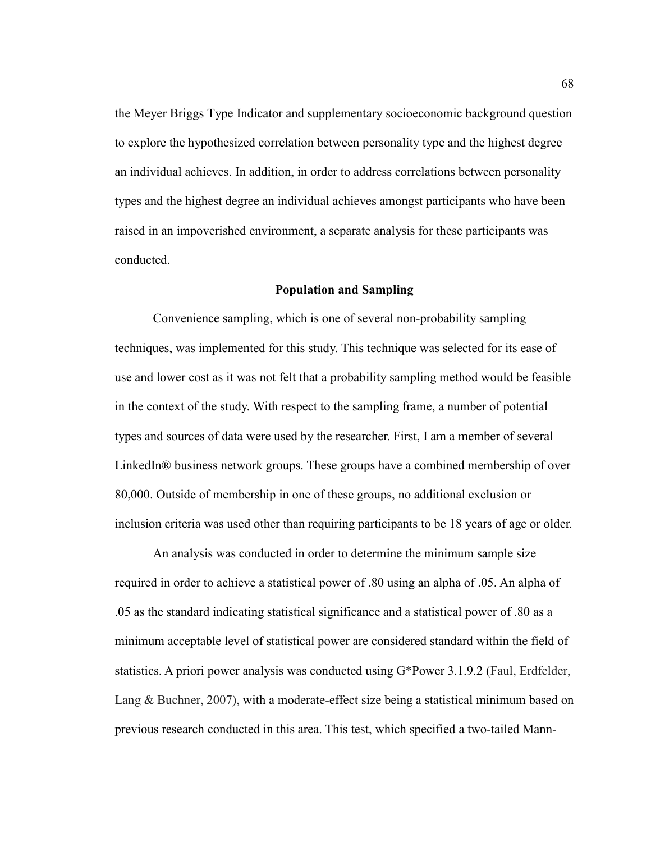the Meyer Briggs Type Indicator and supplementary socioeconomic background question to explore the hypothesized correlation between personality type and the highest degree an individual achieves. In addition, in order to address correlations between personality types and the highest degree an individual achieves amongst participants who have been raised in an impoverished environment, a separate analysis for these participants was conducted.

#### **Population and Sampling**

Convenience sampling, which is one of several non-probability sampling techniques, was implemented for this study. This technique was selected for its ease of use and lower cost as it was not felt that a probability sampling method would be feasible in the context of the study. With respect to the sampling frame, a number of potential types and sources of data were used by the researcher. First, I am a member of several LinkedIn® business network groups. These groups have a combined membership of over 80,000. Outside of membership in one of these groups, no additional exclusion or inclusion criteria was used other than requiring participants to be 18 years of age or older.

An analysis was conducted in order to determine the minimum sample size required in order to achieve a statistical power of .80 using an alpha of .05. An alpha of .05 as the standard indicating statistical significance and a statistical power of .80 as a minimum acceptable level of statistical power are considered standard within the field of statistics. A priori power analysis was conducted using G\*Power 3.1.9.2 (Faul, Erdfelder, Lang & Buchner, 2007), with a moderate-effect size being a statistical minimum based on previous research conducted in this area. This test, which specified a two-tailed Mann-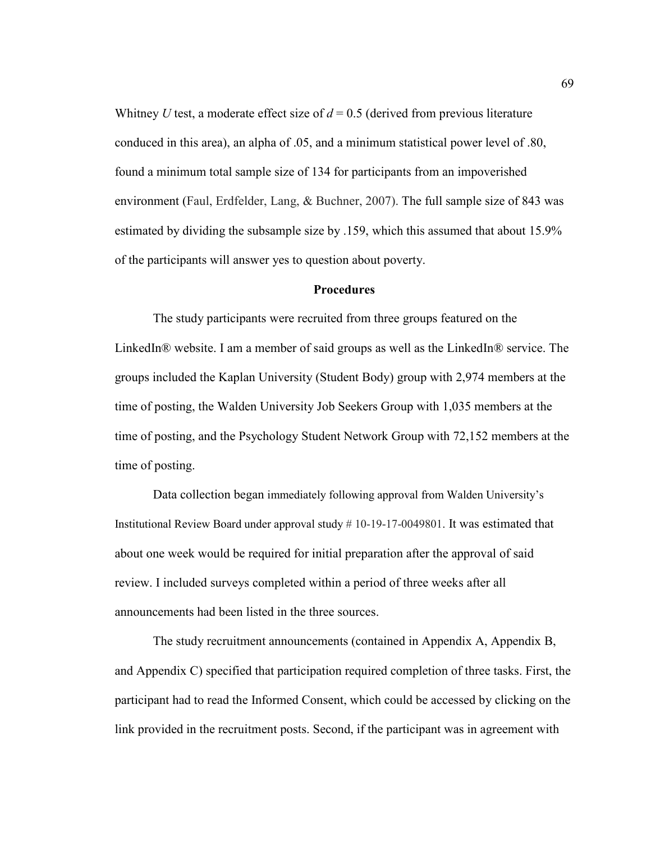Whitney *U* test, a moderate effect size of  $d = 0.5$  (derived from previous literature conduced in this area), an alpha of .05, and a minimum statistical power level of .80, found a minimum total sample size of 134 for participants from an impoverished environment (Faul, Erdfelder, Lang, & Buchner, 2007). The full sample size of 843 was estimated by dividing the subsample size by .159, which this assumed that about 15.9% of the participants will answer yes to question about poverty.

#### **Procedures**

The study participants were recruited from three groups featured on the LinkedIn® website. I am a member of said groups as well as the LinkedIn® service. The groups included the Kaplan University (Student Body) group with 2,974 members at the time of posting, the Walden University Job Seekers Group with 1,035 members at the time of posting, and the Psychology Student Network Group with 72,152 members at the time of posting.

Data collection began immediately following approval from Walden University's Institutional Review Board under approval study # 10-19-17-0049801. It was estimated that about one week would be required for initial preparation after the approval of said review. I included surveys completed within a period of three weeks after all announcements had been listed in the three sources.

The study recruitment announcements (contained in Appendix A, Appendix B, and Appendix C) specified that participation required completion of three tasks. First, the participant had to read the Informed Consent, which could be accessed by clicking on the link provided in the recruitment posts. Second, if the participant was in agreement with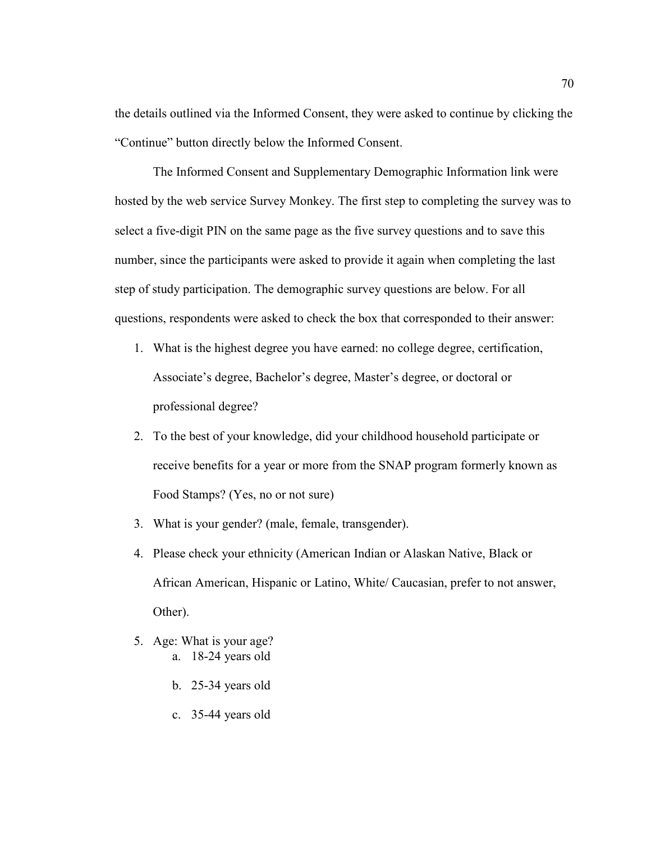the details outlined via the Informed Consent, they were asked to continue by clicking the "Continue" button directly below the Informed Consent.

The Informed Consent and Supplementary Demographic Information link were hosted by the web service Survey Monkey. The first step to completing the survey was to select a five-digit PIN on the same page as the five survey questions and to save this number, since the participants were asked to provide it again when completing the last step of study participation. The demographic survey questions are below. For all questions, respondents were asked to check the box that corresponded to their answer:

- 1. What is the highest degree you have earned: no college degree, certification, Associate's degree, Bachelor's degree, Master's degree, or doctoral or professional degree?
- 2. To the best of your knowledge, did your childhood household participate or receive benefits for a year or more from the SNAP program formerly known as Food Stamps? (Yes, no or not sure)
- 3. What is your gender? (male, female, transgender).
- 4. Please check your ethnicity (American Indian or Alaskan Native, Black or African American, Hispanic or Latino, White/ Caucasian, prefer to not answer, Other).
- 5. Age: What is your age? a. 18-24 years old
	- b. 25-34 years old
	- c. 35-44 years old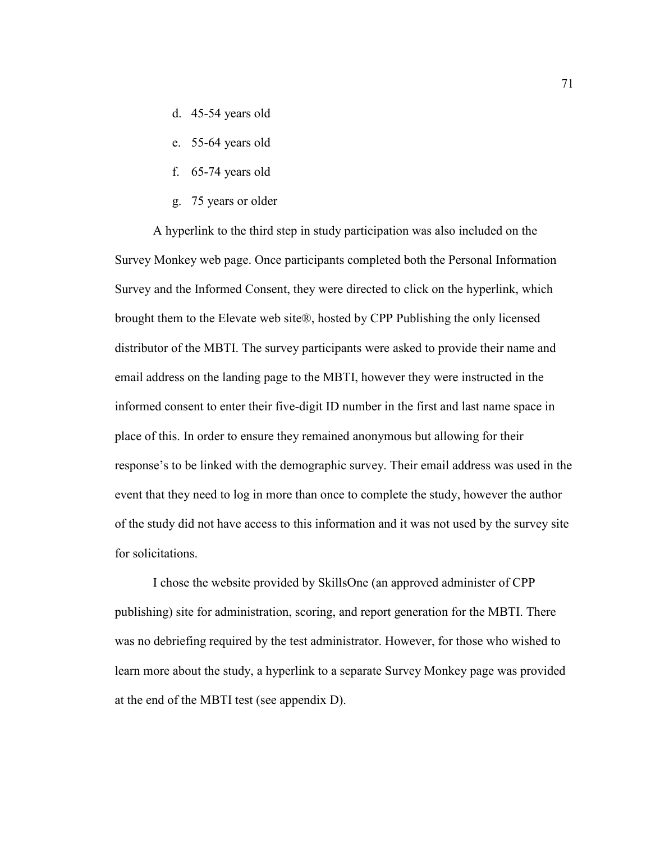- d. 45-54 years old
- e. 55-64 years old
- f. 65-74 years old
- g. 75 years or older

A hyperlink to the third step in study participation was also included on the Survey Monkey web page. Once participants completed both the Personal Information Survey and the Informed Consent, they were directed to click on the hyperlink, which brought them to the Elevate web site®, hosted by CPP Publishing the only licensed distributor of the MBTI. The survey participants were asked to provide their name and email address on the landing page to the MBTI, however they were instructed in the informed consent to enter their five-digit ID number in the first and last name space in place of this. In order to ensure they remained anonymous but allowing for their response's to be linked with the demographic survey. Their email address was used in the event that they need to log in more than once to complete the study, however the author of the study did not have access to this information and it was not used by the survey site for solicitations.

I chose the website provided by SkillsOne (an approved administer of CPP publishing) site for administration, scoring, and report generation for the MBTI. There was no debriefing required by the test administrator. However, for those who wished to learn more about the study, a hyperlink to a separate Survey Monkey page was provided at the end of the MBTI test (see appendix D).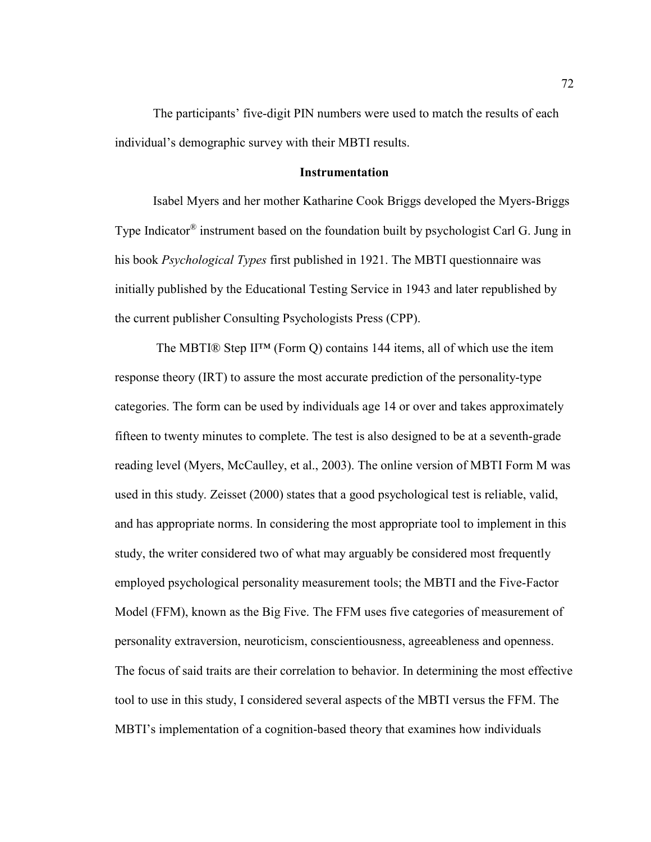The participants' five-digit PIN numbers were used to match the results of each individual's demographic survey with their MBTI results.

#### **Instrumentation**

Isabel Myers and her mother Katharine Cook Briggs developed the Myers-Briggs Type Indicator® instrument based on the foundation built by psychologist Carl G. Jung in his book *Psychological Types* first published in 1921. The MBTI questionnaire was initially published by the Educational Testing Service in 1943 and later republished by the current publisher Consulting Psychologists Press (CPP).

The MBTI® Step II<sup>™</sup> (Form Q) contains 144 items, all of which use the item response theory (IRT) to assure the most accurate prediction of the personality-type categories. The form can be used by individuals age 14 or over and takes approximately fifteen to twenty minutes to complete. The test is also designed to be at a seventh-grade reading level (Myers, McCaulley, et al., 2003). The online version of MBTI Form M was used in this study. Zeisset (2000) states that a good psychological test is reliable, valid, and has appropriate norms. In considering the most appropriate tool to implement in this study, the writer considered two of what may arguably be considered most frequently employed psychological personality measurement tools; the MBTI and the Five-Factor Model (FFM), known as the Big Five. The FFM uses five categories of measurement of personality extraversion, neuroticism, conscientiousness, agreeableness and openness. The focus of said traits are their correlation to behavior. In determining the most effective tool to use in this study, I considered several aspects of the MBTI versus the FFM. The MBTI's implementation of a cognition-based theory that examines how individuals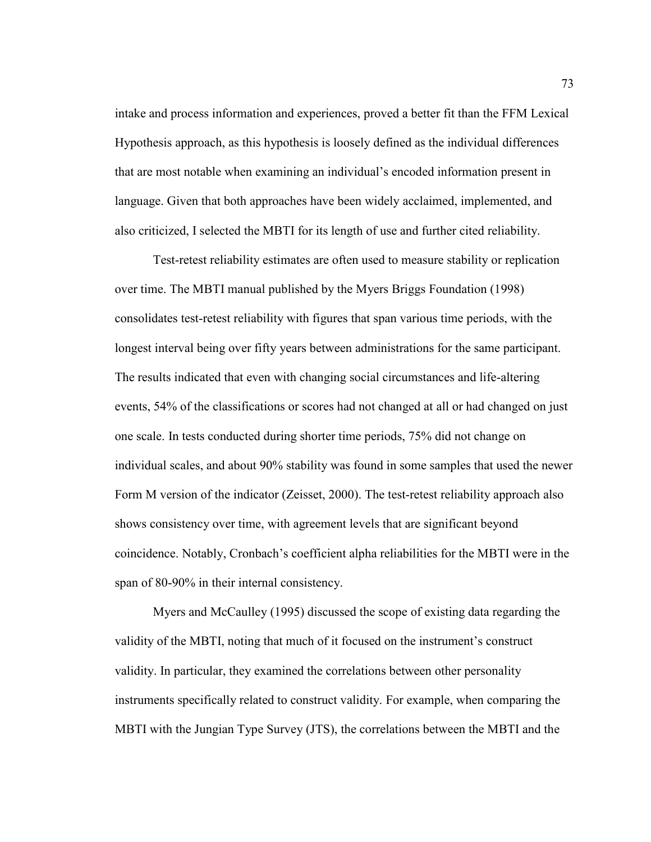intake and process information and experiences, proved a better fit than the FFM Lexical Hypothesis approach, as this hypothesis is loosely defined as the individual differences that are most notable when examining an individual's encoded information present in language. Given that both approaches have been widely acclaimed, implemented, and also criticized, I selected the MBTI for its length of use and further cited reliability.

Test-retest reliability estimates are often used to measure stability or replication over time. The MBTI manual published by the Myers Briggs Foundation (1998) consolidates test-retest reliability with figures that span various time periods, with the longest interval being over fifty years between administrations for the same participant. The results indicated that even with changing social circumstances and life-altering events, 54% of the classifications or scores had not changed at all or had changed on just one scale. In tests conducted during shorter time periods, 75% did not change on individual scales, and about 90% stability was found in some samples that used the newer Form M version of the indicator (Zeisset, 2000). The test-retest reliability approach also shows consistency over time, with agreement levels that are significant beyond coincidence. Notably, Cronbach's coefficient alpha reliabilities for the MBTI were in the span of 80-90% in their internal consistency.

Myers and McCaulley (1995) discussed the scope of existing data regarding the validity of the MBTI, noting that much of it focused on the instrument's construct validity. In particular, they examined the correlations between other personality instruments specifically related to construct validity. For example, when comparing the MBTI with the Jungian Type Survey (JTS), the correlations between the MBTI and the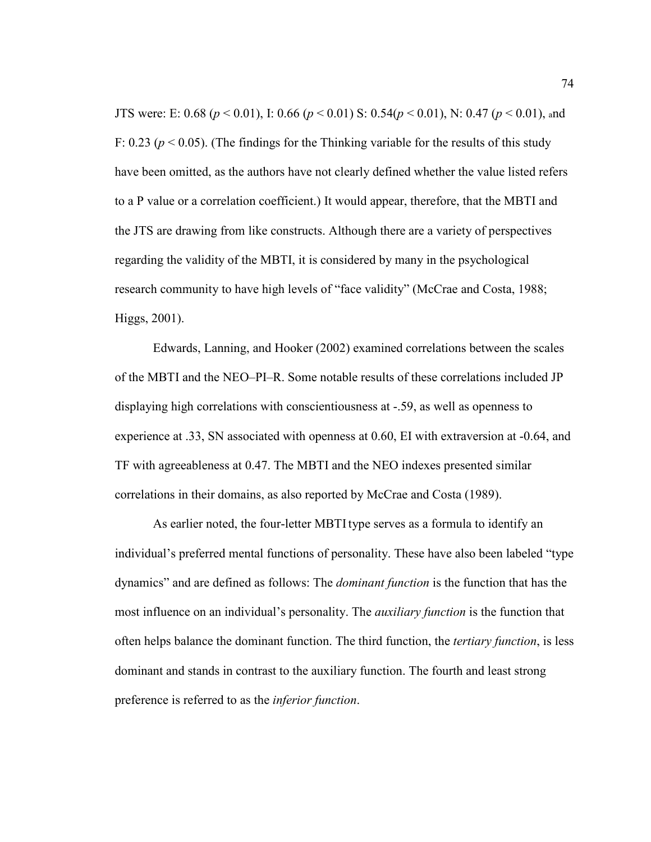JTS were: E: 0.68 (*p* < 0.01), I: 0.66 (*p* < 0.01) S: 0.54(*p* < 0.01), N: 0.47 (*p* < 0.01), and F: 0.23 ( $p < 0.05$ ). (The findings for the Thinking variable for the results of this study have been omitted, as the authors have not clearly defined whether the value listed refers to a P value or a correlation coefficient.) It would appear, therefore, that the MBTI and the JTS are drawing from like constructs. Although there are a variety of perspectives regarding the validity of the MBTI, it is considered by many in the psychological research community to have high levels of "face validity" (McCrae and Costa, 1988; Higgs, 2001).

Edwards, Lanning, and Hooker (2002) examined correlations between the scales of the MBTI and the NEO–PI–R. Some notable results of these correlations included JP displaying high correlations with conscientiousness at -.59, as well as openness to experience at .33, SN associated with openness at 0.60, EI with extraversion at -0.64, and TF with agreeableness at 0.47. The MBTI and the NEO indexes presented similar correlations in their domains, as also reported by McCrae and Costa (1989).

As earlier noted, the four-letter MBTItype serves as a formula to identify an individual's preferred mental functions of personality. These have also been labeled "type dynamics" and are defined as follows: The *dominant function* is the function that has the most influence on an individual's personality. The *auxiliary function* is the function that often helps balance the dominant function. The third function, the *tertiary function*, is less dominant and stands in contrast to the auxiliary function. The fourth and least strong preference is referred to as the *inferior function*.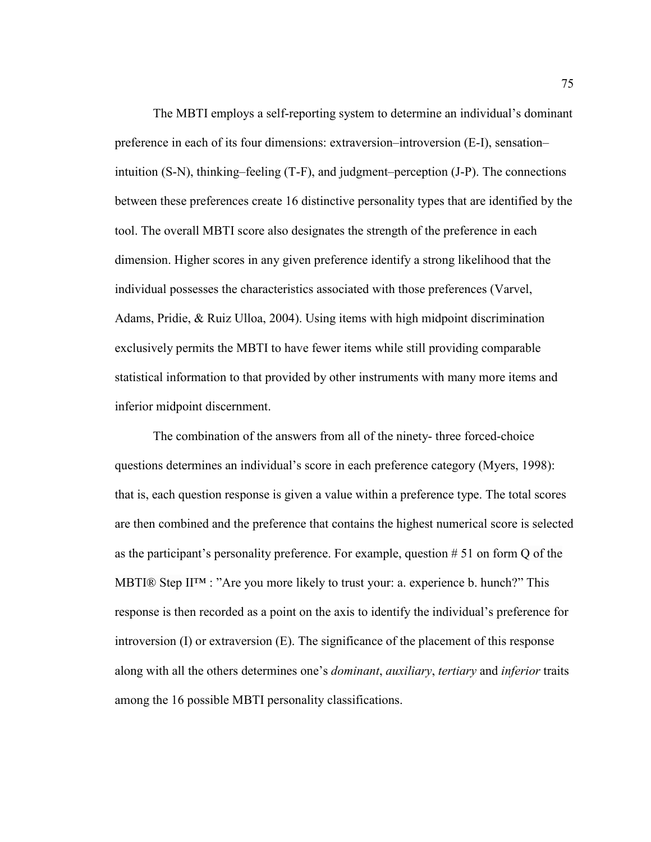The MBTI employs a self-reporting system to determine an individual's dominant preference in each of its four dimensions: extraversion–introversion (E-I), sensation– intuition (S-N), thinking–feeling (T-F), and judgment–perception (J-P). The connections between these preferences create 16 distinctive personality types that are identified by the tool. The overall MBTI score also designates the strength of the preference in each dimension. Higher scores in any given preference identify a strong likelihood that the individual possesses the characteristics associated with those preferences (Varvel, Adams, Pridie, & Ruiz Ulloa, 2004). Using items with high midpoint discrimination exclusively permits the MBTI to have fewer items while still providing comparable statistical information to that provided by other instruments with many more items and inferior midpoint discernment.

The combination of the answers from all of the ninety- three forced-choice questions determines an individual's score in each preference category (Myers, 1998): that is, each question response is given a value within a preference type. The total scores are then combined and the preference that contains the highest numerical score is selected as the participant's personality preference. For example, question # 51 on form Q of the MBTI® Step II<sup>TM</sup> : "Are you more likely to trust your: a. experience b. hunch?" This response is then recorded as a point on the axis to identify the individual's preference for introversion  $(I)$  or extraversion  $(E)$ . The significance of the placement of this response along with all the others determines one's *dominant*, *auxiliary*, *tertiary* and *inferior* traits among the 16 possible MBTI personality classifications.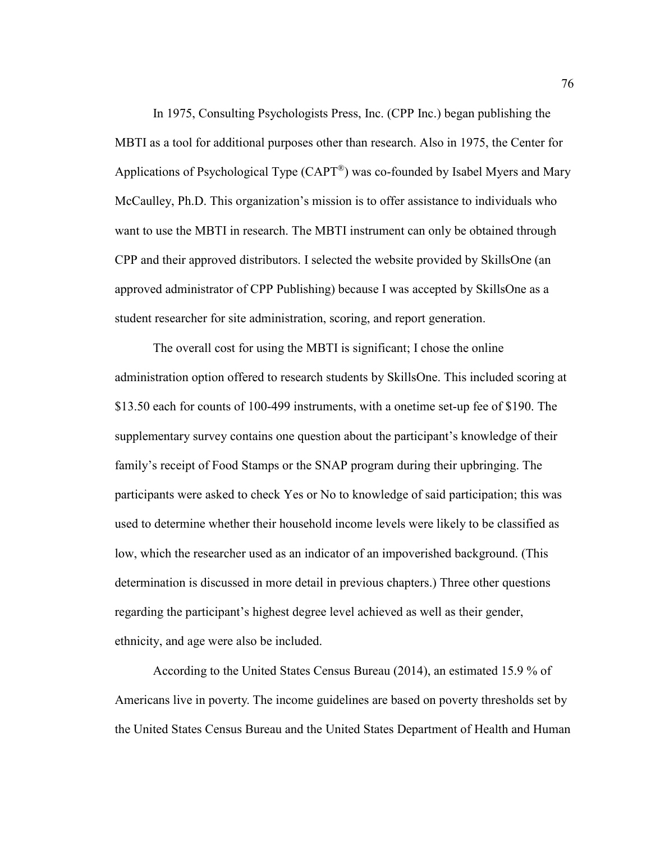In 1975, Consulting Psychologists Press, Inc. (CPP Inc.) began publishing the MBTI as a tool for additional purposes other than research. Also in 1975, the Center for Applications of Psychological Type  $(CAPT^{\mathcal{B}})$  was co-founded by Isabel Myers and Mary McCaulley, Ph.D. This organization's mission is to offer assistance to individuals who want to use the MBTI in research. The MBTI instrument can only be obtained through CPP and their approved distributors. I selected the website provided by SkillsOne (an approved administrator of CPP Publishing) because I was accepted by SkillsOne as a student researcher for site administration, scoring, and report generation.

The overall cost for using the MBTI is significant; I chose the online administration option offered to research students by SkillsOne. This included scoring at \$13.50 each for counts of 100-499 instruments, with a onetime set-up fee of \$190. The supplementary survey contains one question about the participant's knowledge of their family's receipt of Food Stamps or the SNAP program during their upbringing. The participants were asked to check Yes or No to knowledge of said participation; this was used to determine whether their household income levels were likely to be classified as low, which the researcher used as an indicator of an impoverished background. (This determination is discussed in more detail in previous chapters.) Three other questions regarding the participant's highest degree level achieved as well as their gender, ethnicity, and age were also be included.

According to the United States Census Bureau (2014), an estimated 15.9 % of Americans live in poverty. The income guidelines are based on poverty thresholds set by the United States Census Bureau and the United States Department of Health and Human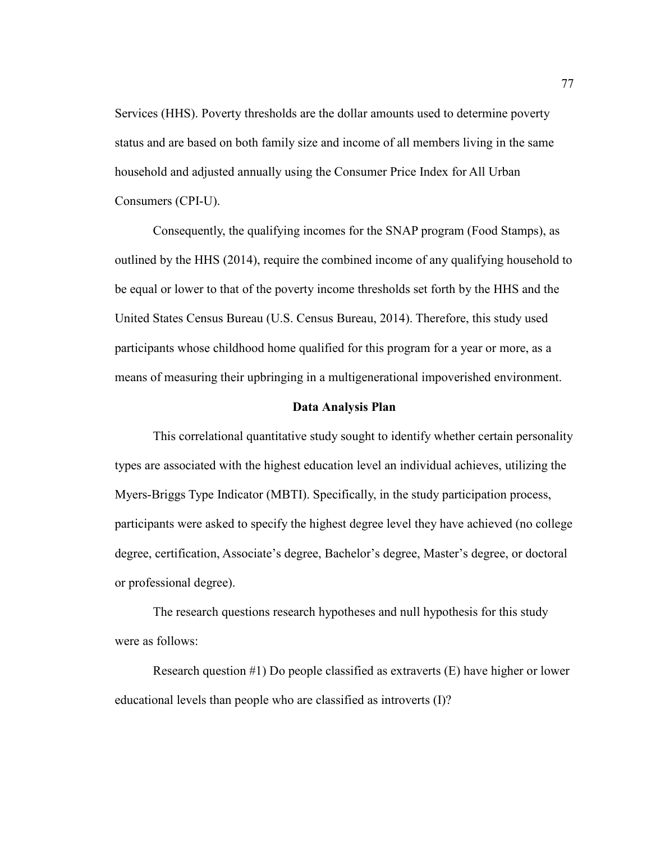Services (HHS). Poverty thresholds are the dollar amounts used to determine poverty status and are based on both family size and income of all members living in the same household and adjusted annually using the Consumer Price Index for All Urban Consumers (CPI-U).

Consequently, the qualifying incomes for the SNAP program (Food Stamps), as outlined by the HHS (2014), require the combined income of any qualifying household to be equal or lower to that of the poverty income thresholds set forth by the HHS and the United States Census Bureau (U.S. Census Bureau, 2014). Therefore, this study used participants whose childhood home qualified for this program for a year or more, as a means of measuring their upbringing in a multigenerational impoverished environment.

### **Data Analysis Plan**

This correlational quantitative study sought to identify whether certain personality types are associated with the highest education level an individual achieves, utilizing the Myers-Briggs Type Indicator (MBTI). Specifically, in the study participation process, participants were asked to specify the highest degree level they have achieved (no college degree, certification, Associate's degree, Bachelor's degree, Master's degree, or doctoral or professional degree).

The research questions research hypotheses and null hypothesis for this study were as follows:

Research question #1) Do people classified as extraverts (E) have higher or lower educational levels than people who are classified as introverts (I)?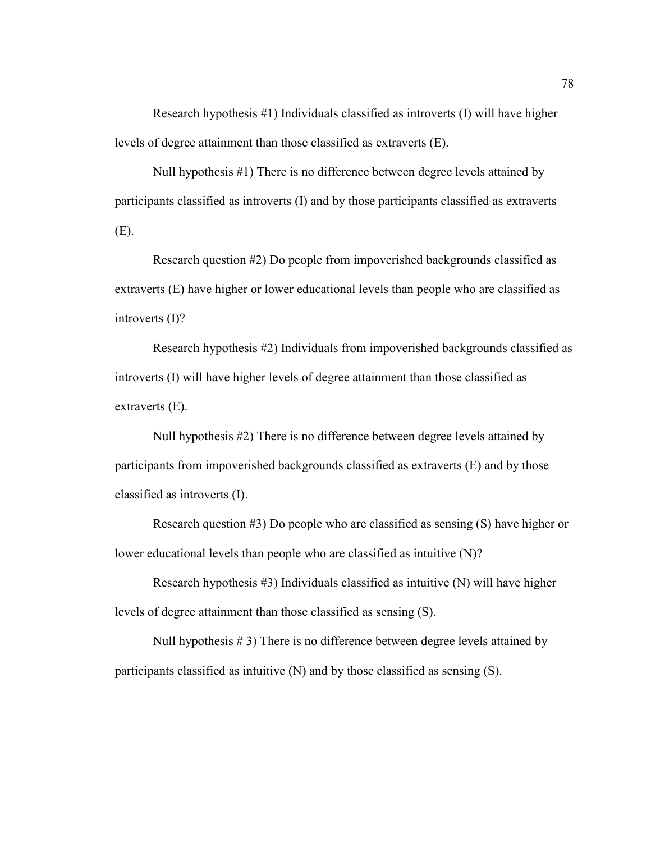Research hypothesis #1) Individuals classified as introverts (I) will have higher levels of degree attainment than those classified as extraverts (E).

Null hypothesis #1) There is no difference between degree levels attained by participants classified as introverts (I) and by those participants classified as extraverts (E).

Research question #2) Do people from impoverished backgrounds classified as extraverts (E) have higher or lower educational levels than people who are classified as introverts (I)?

Research hypothesis #2) Individuals from impoverished backgrounds classified as introverts (I) will have higher levels of degree attainment than those classified as extraverts (E).

Null hypothesis #2) There is no difference between degree levels attained by participants from impoverished backgrounds classified as extraverts (E) and by those classified as introverts (I).

Research question #3) Do people who are classified as sensing (S) have higher or lower educational levels than people who are classified as intuitive (N)?

Research hypothesis #3) Individuals classified as intuitive (N) will have higher levels of degree attainment than those classified as sensing (S).

Null hypothesis # 3) There is no difference between degree levels attained by participants classified as intuitive (N) and by those classified as sensing (S).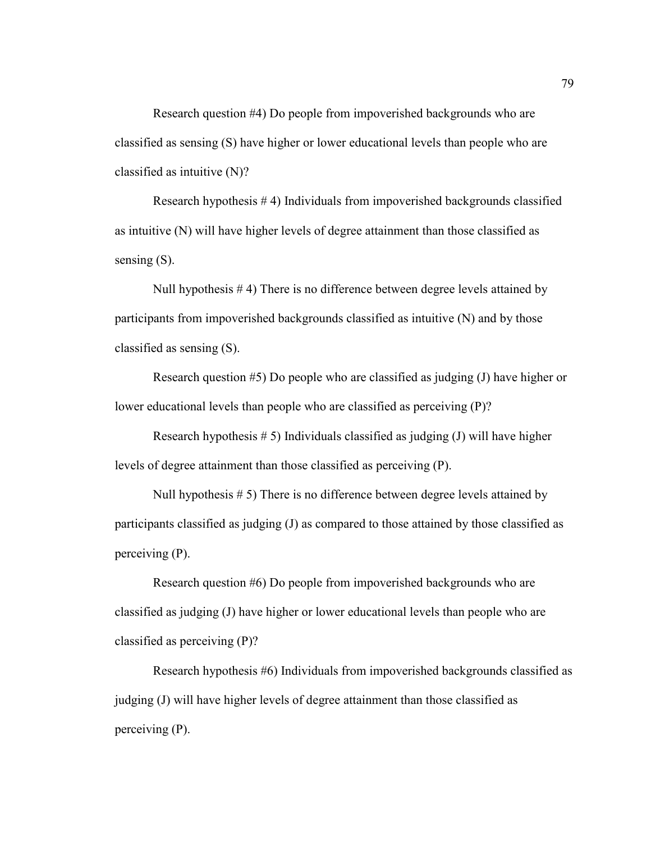Research question #4) Do people from impoverished backgrounds who are classified as sensing (S) have higher or lower educational levels than people who are classified as intuitive (N)?

Research hypothesis # 4) Individuals from impoverished backgrounds classified as intuitive (N) will have higher levels of degree attainment than those classified as sensing  $(S)$ .

Null hypothesis # 4) There is no difference between degree levels attained by participants from impoverished backgrounds classified as intuitive (N) and by those classified as sensing (S).

Research question #5) Do people who are classified as judging (J) have higher or lower educational levels than people who are classified as perceiving (P)?

Research hypothesis  $# 5$ ) Individuals classified as judging (J) will have higher levels of degree attainment than those classified as perceiving (P).

Null hypothesis # 5) There is no difference between degree levels attained by participants classified as judging (J) as compared to those attained by those classified as perceiving (P).

Research question #6) Do people from impoverished backgrounds who are classified as judging (J) have higher or lower educational levels than people who are classified as perceiving (P)?

Research hypothesis #6) Individuals from impoverished backgrounds classified as judging (J) will have higher levels of degree attainment than those classified as perceiving (P).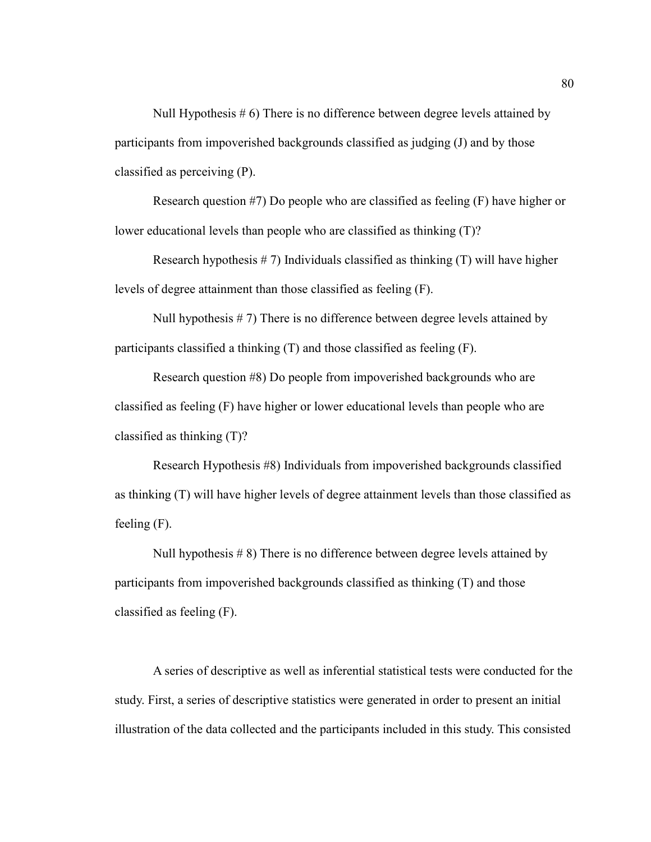Null Hypothesis # 6) There is no difference between degree levels attained by participants from impoverished backgrounds classified as judging (J) and by those classified as perceiving (P).

Research question #7) Do people who are classified as feeling (F) have higher or lower educational levels than people who are classified as thinking (T)?

Research hypothesis  $# 7$ ) Individuals classified as thinking  $(T)$  will have higher levels of degree attainment than those classified as feeling (F).

Null hypothesis  $# 7$ ) There is no difference between degree levels attained by participants classified a thinking (T) and those classified as feeling (F).

Research question #8) Do people from impoverished backgrounds who are classified as feeling (F) have higher or lower educational levels than people who are classified as thinking (T)?

Research Hypothesis #8) Individuals from impoverished backgrounds classified as thinking (T) will have higher levels of degree attainment levels than those classified as feeling (F).

Null hypothesis # 8) There is no difference between degree levels attained by participants from impoverished backgrounds classified as thinking (T) and those classified as feeling (F).

A series of descriptive as well as inferential statistical tests were conducted for the study. First, a series of descriptive statistics were generated in order to present an initial illustration of the data collected and the participants included in this study. This consisted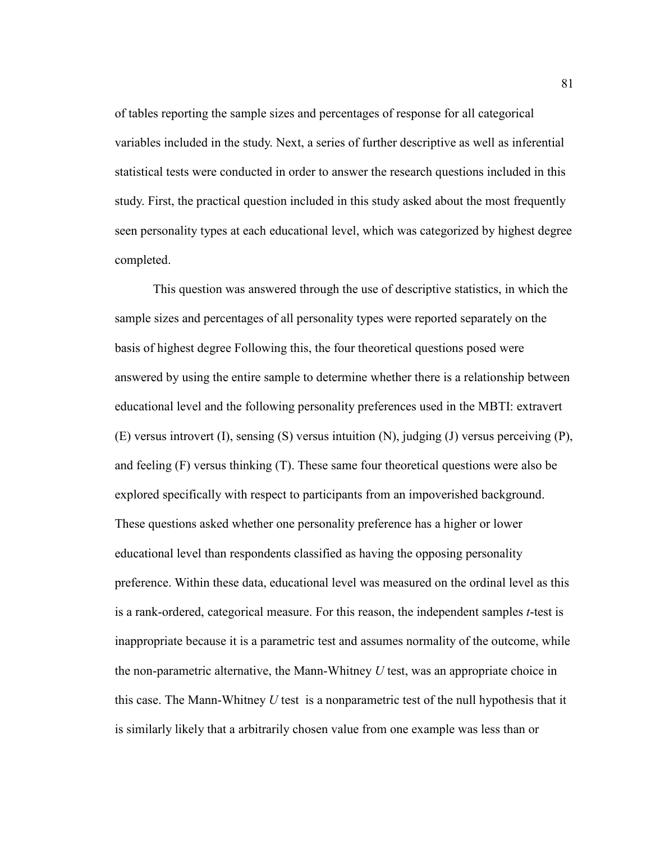of tables reporting the sample sizes and percentages of response for all categorical variables included in the study. Next, a series of further descriptive as well as inferential statistical tests were conducted in order to answer the research questions included in this study. First, the practical question included in this study asked about the most frequently seen personality types at each educational level, which was categorized by highest degree completed.

This question was answered through the use of descriptive statistics, in which the sample sizes and percentages of all personality types were reported separately on the basis of highest degree Following this, the four theoretical questions posed were answered by using the entire sample to determine whether there is a relationship between educational level and the following personality preferences used in the MBTI: extravert (E) versus introvert (I), sensing (S) versus intuition (N), judging (J) versus perceiving (P), and feeling (F) versus thinking (T). These same four theoretical questions were also be explored specifically with respect to participants from an impoverished background. These questions asked whether one personality preference has a higher or lower educational level than respondents classified as having the opposing personality preference. Within these data, educational level was measured on the ordinal level as this is a rank-ordered, categorical measure. For this reason, the independent samples *t*-test is inappropriate because it is a parametric test and assumes normality of the outcome, while the non-parametric alternative, the Mann-Whitney *U* test, was an appropriate choice in this case. The Mann-Whitney *U* test is a nonparametric test of the null hypothesis that it is similarly likely that a arbitrarily chosen value from one example was less than or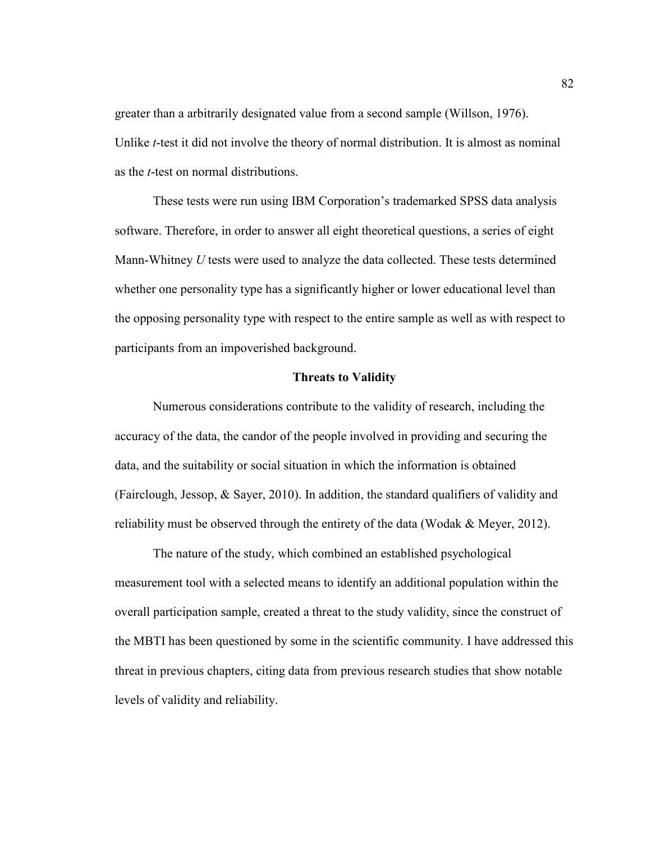greater than a arbitrarily designated value from a second sample (Willson, 1976). Unlike *t*-test it did not involve the theory of normal distribution. It is almost as nominal as the *t*-test on normal distributions.

These tests were run using IBM Corporation's trademarked SPSS data analysis software. Therefore, in order to answer all eight theoretical questions, a series of eight Mann-Whitney *U* tests were used to analyze the data collected. These tests determined whether one personality type has a significantly higher or lower educational level than the opposing personality type with respect to the entire sample as well as with respect to participants from an impoverished background.

#### **Threats to Validity**

Numerous considerations contribute to the validity of research, including the accuracy of the data, the candor of the people involved in providing and securing the data, and the suitability or social situation in which the information is obtained (Fairclough, Jessop, & Sayer, 2010). In addition, the standard qualifiers of validity and reliability must be observed through the entirety of the data (Wodak & Meyer, 2012).

The nature of the study, which combined an established psychological measurement tool with a selected means to identify an additional population within the overall participation sample, created a threat to the study validity, since the construct of the MBTI has been questioned by some in the scientific community. I have addressed this threat in previous chapters, citing data from previous research studies that show notable levels of validity and reliability.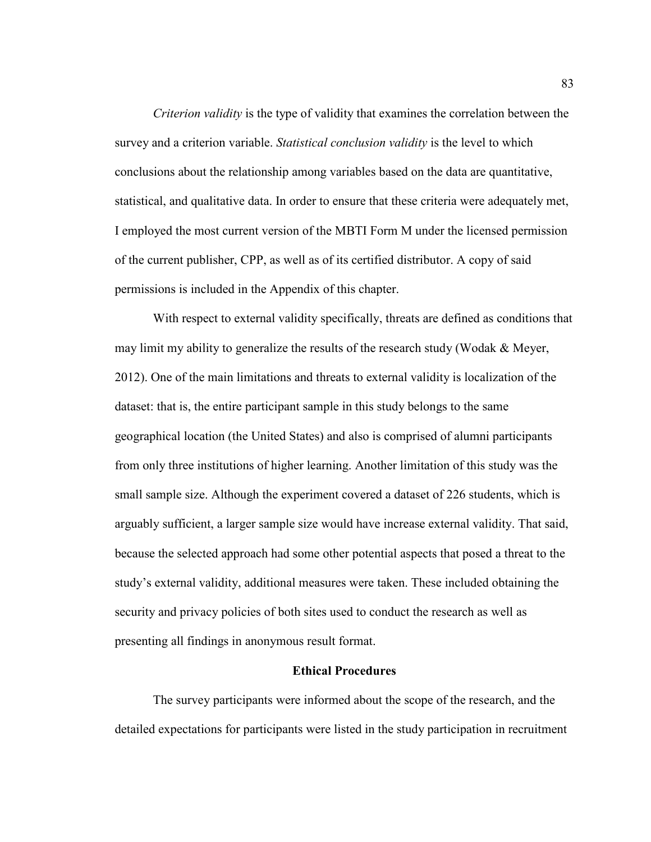*Criterion validity* is the type of validity that examines the correlation between the survey and a criterion variable. *Statistical conclusion validity* is the level to which conclusions about the relationship among variables based on the data are quantitative, statistical, and qualitative data. In order to ensure that these criteria were adequately met, I employed the most current version of the MBTI Form M under the licensed permission of the current publisher, CPP, as well as of its certified distributor. A copy of said permissions is included in the Appendix of this chapter.

With respect to external validity specifically, threats are defined as conditions that may limit my ability to generalize the results of the research study (Wodak  $\&$  Meyer, 2012). One of the main limitations and threats to external validity is localization of the dataset: that is, the entire participant sample in this study belongs to the same geographical location (the United States) and also is comprised of alumni participants from only three institutions of higher learning. Another limitation of this study was the small sample size. Although the experiment covered a dataset of 226 students, which is arguably sufficient, a larger sample size would have increase external validity. That said, because the selected approach had some other potential aspects that posed a threat to the study's external validity, additional measures were taken. These included obtaining the security and privacy policies of both sites used to conduct the research as well as presenting all findings in anonymous result format.

#### **Ethical Procedures**

The survey participants were informed about the scope of the research, and the detailed expectations for participants were listed in the study participation in recruitment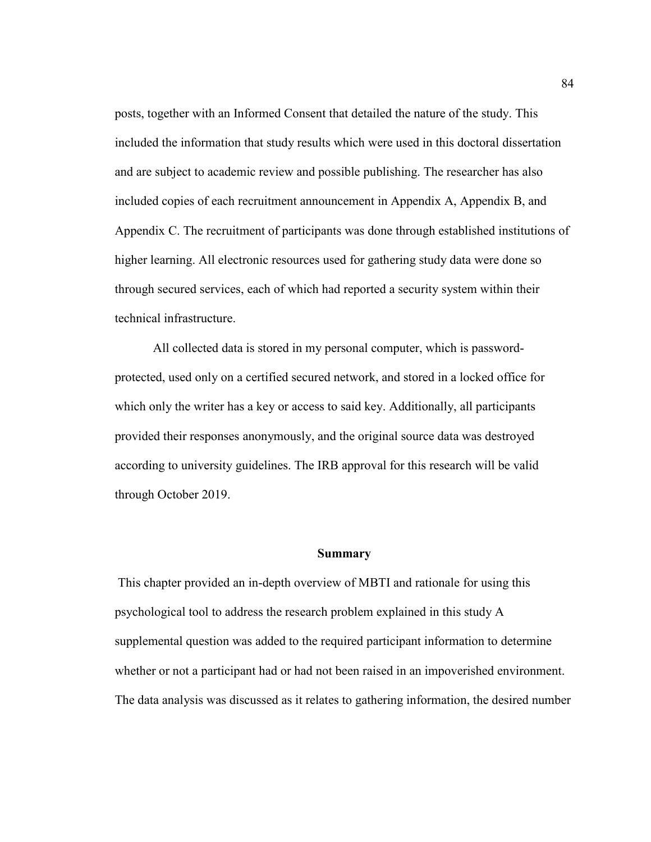posts, together with an Informed Consent that detailed the nature of the study. This included the information that study results which were used in this doctoral dissertation and are subject to academic review and possible publishing. The researcher has also included copies of each recruitment announcement in Appendix A, Appendix B, and Appendix C. The recruitment of participants was done through established institutions of higher learning. All electronic resources used for gathering study data were done so through secured services, each of which had reported a security system within their technical infrastructure.

All collected data is stored in my personal computer, which is passwordprotected, used only on a certified secured network, and stored in a locked office for which only the writer has a key or access to said key. Additionally, all participants provided their responses anonymously, and the original source data was destroyed according to university guidelines. The IRB approval for this research will be valid through October 2019.

#### **Summary**

 This chapter provided an in-depth overview of MBTI and rationale for using this psychological tool to address the research problem explained in this study A supplemental question was added to the required participant information to determine whether or not a participant had or had not been raised in an impoverished environment. The data analysis was discussed as it relates to gathering information, the desired number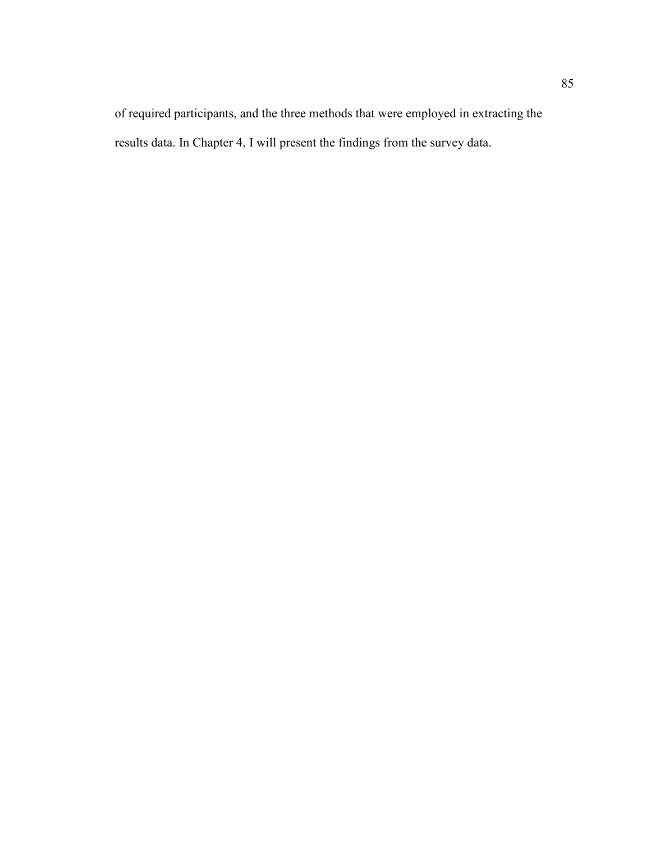of required participants, and the three methods that were employed in extracting the results data. In Chapter 4, I will present the findings from the survey data.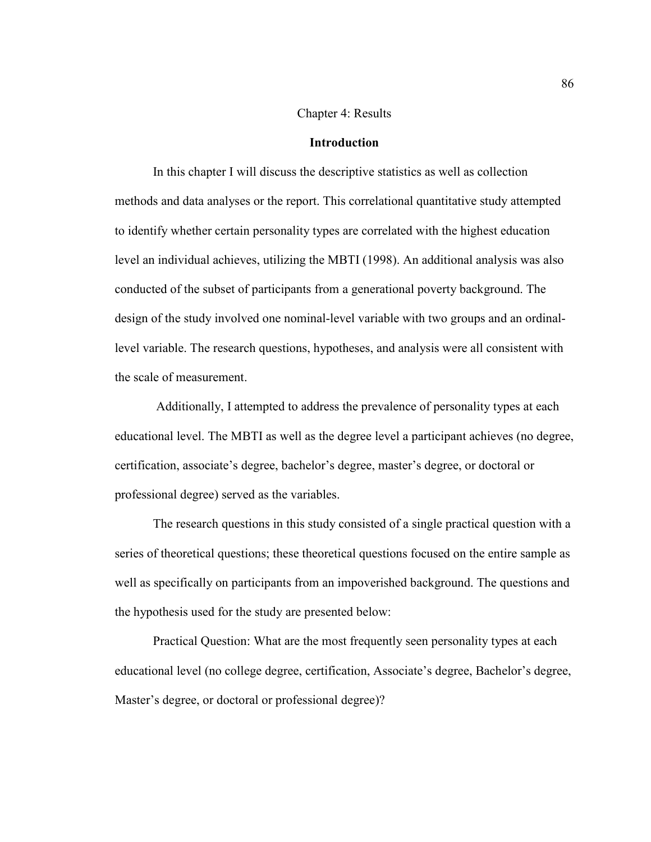#### Chapter 4: Results

#### **Introduction**

 In this chapter I will discuss the descriptive statistics as well as collection methods and data analyses or the report. This correlational quantitative study attempted to identify whether certain personality types are correlated with the highest education level an individual achieves, utilizing the MBTI (1998). An additional analysis was also conducted of the subset of participants from a generational poverty background. The design of the study involved one nominal-level variable with two groups and an ordinallevel variable. The research questions, hypotheses, and analysis were all consistent with the scale of measurement.

 Additionally, I attempted to address the prevalence of personality types at each educational level. The MBTI as well as the degree level a participant achieves (no degree, certification, associate's degree, bachelor's degree, master's degree, or doctoral or professional degree) served as the variables.

The research questions in this study consisted of a single practical question with a series of theoretical questions; these theoretical questions focused on the entire sample as well as specifically on participants from an impoverished background. The questions and the hypothesis used for the study are presented below:

Practical Question: What are the most frequently seen personality types at each educational level (no college degree, certification, Associate's degree, Bachelor's degree, Master's degree, or doctoral or professional degree)?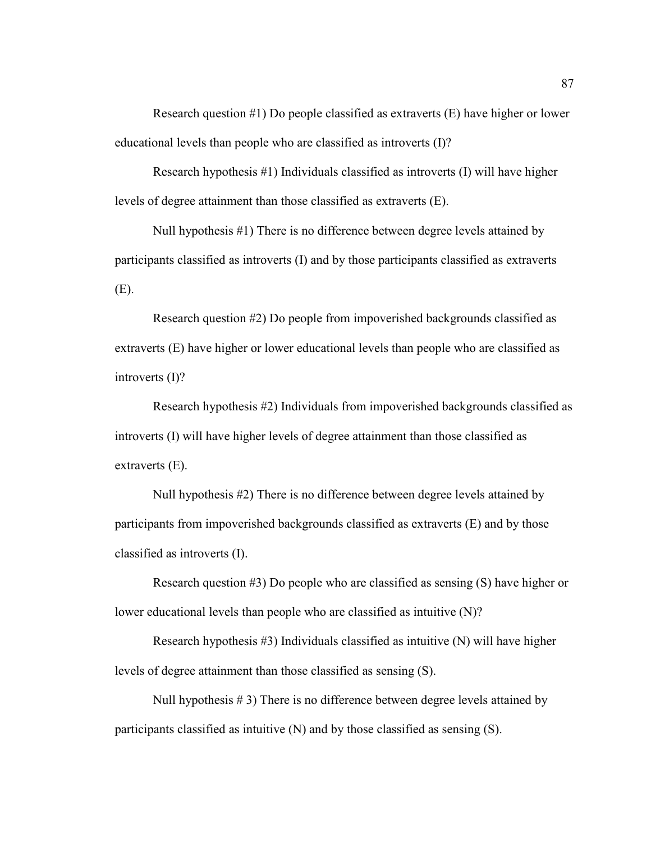Research question #1) Do people classified as extraverts (E) have higher or lower educational levels than people who are classified as introverts (I)?

Research hypothesis #1) Individuals classified as introverts (I) will have higher levels of degree attainment than those classified as extraverts (E).

Null hypothesis #1) There is no difference between degree levels attained by participants classified as introverts (I) and by those participants classified as extraverts (E).

Research question #2) Do people from impoverished backgrounds classified as extraverts (E) have higher or lower educational levels than people who are classified as introverts (I)?

Research hypothesis #2) Individuals from impoverished backgrounds classified as introverts (I) will have higher levels of degree attainment than those classified as extraverts (E).

Null hypothesis #2) There is no difference between degree levels attained by participants from impoverished backgrounds classified as extraverts (E) and by those classified as introverts (I).

Research question #3) Do people who are classified as sensing (S) have higher or lower educational levels than people who are classified as intuitive (N)?

Research hypothesis  $#3$ ) Individuals classified as intuitive  $(N)$  will have higher levels of degree attainment than those classified as sensing (S).

Null hypothesis # 3) There is no difference between degree levels attained by participants classified as intuitive (N) and by those classified as sensing (S).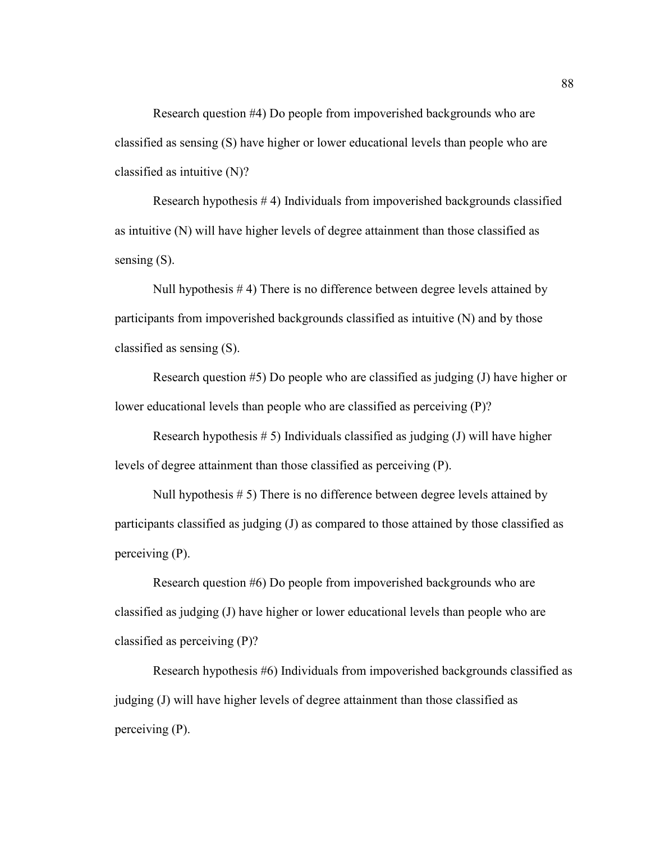Research question #4) Do people from impoverished backgrounds who are classified as sensing (S) have higher or lower educational levels than people who are classified as intuitive (N)?

Research hypothesis # 4) Individuals from impoverished backgrounds classified as intuitive (N) will have higher levels of degree attainment than those classified as sensing  $(S)$ .

Null hypothesis # 4) There is no difference between degree levels attained by participants from impoverished backgrounds classified as intuitive (N) and by those classified as sensing (S).

Research question #5) Do people who are classified as judging (J) have higher or lower educational levels than people who are classified as perceiving (P)?

Research hypothesis  $# 5$ ) Individuals classified as judging (J) will have higher levels of degree attainment than those classified as perceiving (P).

Null hypothesis # 5) There is no difference between degree levels attained by participants classified as judging (J) as compared to those attained by those classified as perceiving (P).

Research question #6) Do people from impoverished backgrounds who are classified as judging (J) have higher or lower educational levels than people who are classified as perceiving (P)?

Research hypothesis #6) Individuals from impoverished backgrounds classified as judging (J) will have higher levels of degree attainment than those classified as perceiving (P).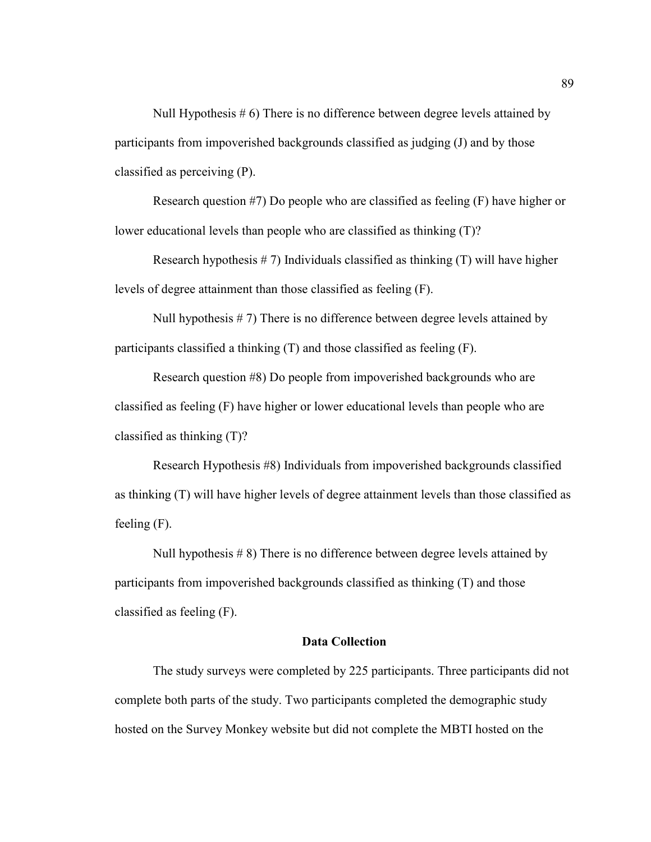Null Hypothesis # 6) There is no difference between degree levels attained by participants from impoverished backgrounds classified as judging (J) and by those classified as perceiving (P).

Research question #7) Do people who are classified as feeling (F) have higher or lower educational levels than people who are classified as thinking (T)?

Research hypothesis  $# 7$ ) Individuals classified as thinking  $(T)$  will have higher levels of degree attainment than those classified as feeling (F).

Null hypothesis  $# 7$ ) There is no difference between degree levels attained by participants classified a thinking (T) and those classified as feeling (F).

Research question #8) Do people from impoverished backgrounds who are classified as feeling (F) have higher or lower educational levels than people who are classified as thinking (T)?

Research Hypothesis #8) Individuals from impoverished backgrounds classified as thinking (T) will have higher levels of degree attainment levels than those classified as feeling (F).

Null hypothesis # 8) There is no difference between degree levels attained by participants from impoverished backgrounds classified as thinking (T) and those classified as feeling (F).

#### **Data Collection**

The study surveys were completed by 225 participants. Three participants did not complete both parts of the study. Two participants completed the demographic study hosted on the Survey Monkey website but did not complete the MBTI hosted on the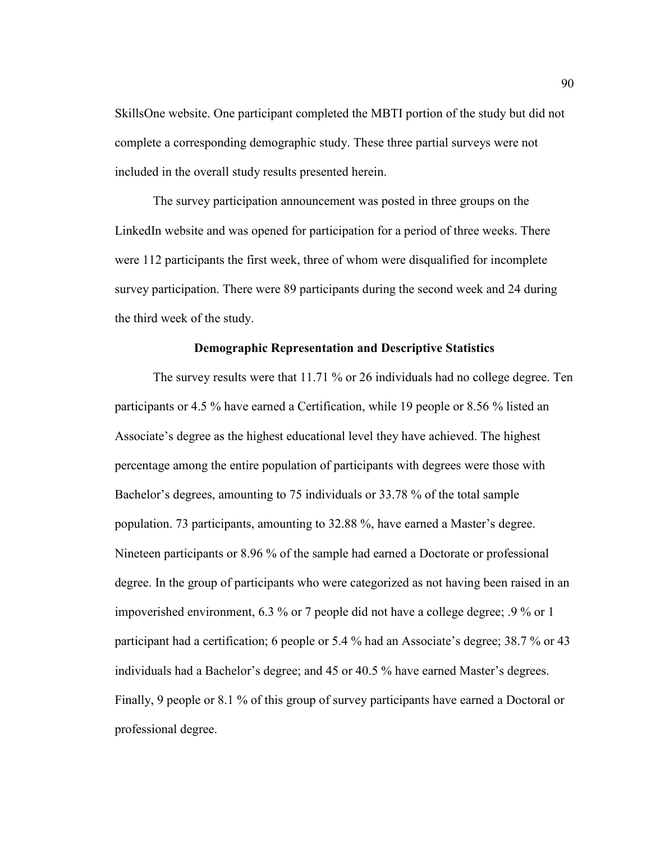SkillsOne website. One participant completed the MBTI portion of the study but did not complete a corresponding demographic study. These three partial surveys were not included in the overall study results presented herein.

The survey participation announcement was posted in three groups on the LinkedIn website and was opened for participation for a period of three weeks. There were 112 participants the first week, three of whom were disqualified for incomplete survey participation. There were 89 participants during the second week and 24 during the third week of the study.

#### **Demographic Representation and Descriptive Statistics**

The survey results were that 11.71 % or 26 individuals had no college degree. Ten participants or 4.5 % have earned a Certification, while 19 people or 8.56 % listed an Associate's degree as the highest educational level they have achieved. The highest percentage among the entire population of participants with degrees were those with Bachelor's degrees, amounting to 75 individuals or 33.78 % of the total sample population. 73 participants, amounting to 32.88 %, have earned a Master's degree. Nineteen participants or 8.96 % of the sample had earned a Doctorate or professional degree. In the group of participants who were categorized as not having been raised in an impoverished environment, 6.3 % or 7 people did not have a college degree; .9 % or 1 participant had a certification; 6 people or 5.4 % had an Associate's degree; 38.7 % or 43 individuals had a Bachelor's degree; and 45 or 40.5 % have earned Master's degrees. Finally, 9 people or 8.1 % of this group of survey participants have earned a Doctoral or professional degree.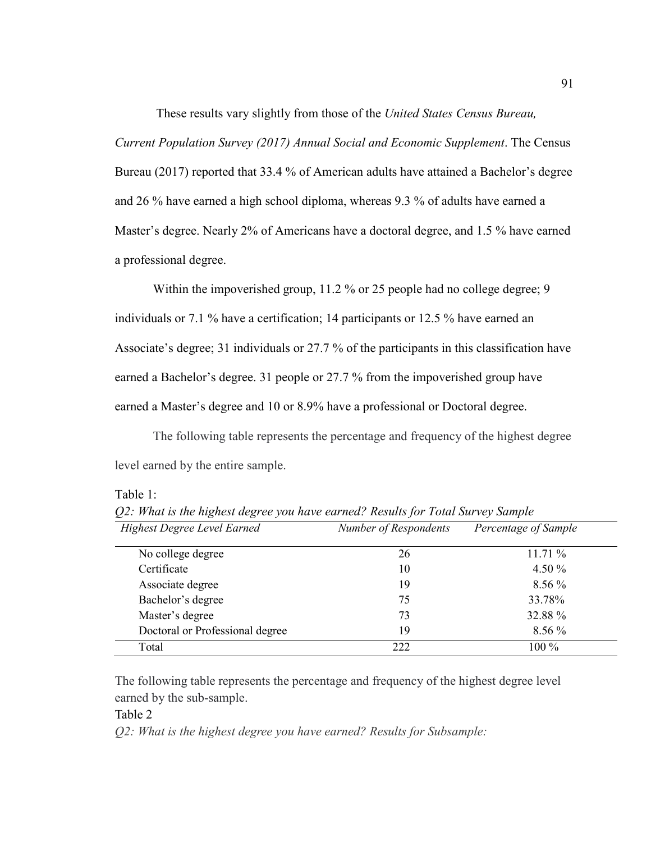These results vary slightly from those of the *United States Census Bureau,* 

*Current Population Survey (2017) Annual Social and Economic Supplement*. The Census Bureau (2017) reported that 33.4 % of American adults have attained a Bachelor's degree and 26 % have earned a high school diploma, whereas 9.3 % of adults have earned a Master's degree. Nearly 2% of Americans have a doctoral degree, and 1.5 % have earned a professional degree.

Within the impoverished group, 11.2 % or 25 people had no college degree; 9 individuals or 7.1 % have a certification; 14 participants or 12.5 % have earned an Associate's degree; 31 individuals or 27.7 % of the participants in this classification have earned a Bachelor's degree. 31 people or 27.7 % from the impoverished group have earned a Master's degree and 10 or 8.9% have a professional or Doctoral degree.

The following table represents the percentage and frequency of the highest degree level earned by the entire sample.

Table 1:

| <b>Highest Degree Level Earned</b> | Number of Respondents | Percentage of Sample |
|------------------------------------|-----------------------|----------------------|
| No college degree                  | 26                    | 11.71%               |
| Certificate                        | 10                    | 4.50 $%$             |
| Associate degree                   | 19                    | $8.56\%$             |
| Bachelor's degree                  | 75                    | 33.78%               |
| Master's degree                    | 73                    | 32.88 %              |
| Doctoral or Professional degree    | 19                    | 8.56 %               |
| Total                              | 222                   | $100\%$              |

*Q2: What is the highest degree you have earned? Results for Total Survey Sample* 

The following table represents the percentage and frequency of the highest degree level earned by the sub-sample.

Table 2

*Q2: What is the highest degree you have earned? Results for Subsample:*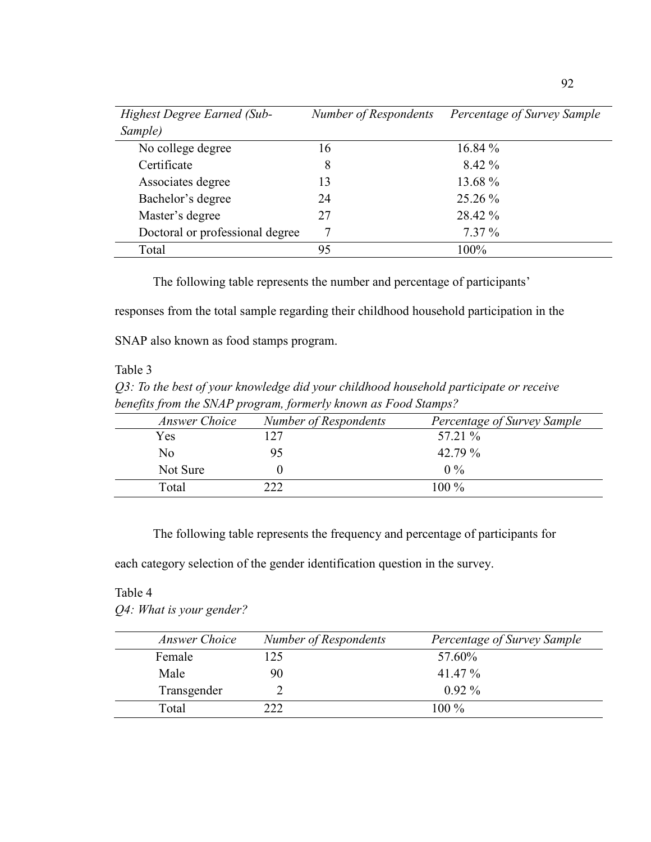| <b>Highest Degree Earned (Sub-</b> | Number of Respondents | Percentage of Survey Sample |
|------------------------------------|-----------------------|-----------------------------|
| Sample)                            |                       |                             |
| No college degree                  | 16                    | $16.84\%$                   |
| Certificate                        | 8                     | $8.42\%$                    |
| Associates degree                  | 13                    | 13.68 %                     |
| Bachelor's degree                  | 24                    | 25.26 %                     |
| Master's degree                    | 27                    | 28.42 %                     |
| Doctoral or professional degree    |                       | $7.37\%$                    |
| Total                              | 95                    | 100%                        |

The following table represents the number and percentage of participants'

responses from the total sample regarding their childhood household participation in the

SNAP also known as food stamps program.

## Table 3

*Q3: To the best of your knowledge did your childhood household participate or receive benefits from the SNAP program, formerly known as Food Stamps?* 

| Answer Choice | Number of Respondents | Percentage of Survey Sample |
|---------------|-----------------------|-----------------------------|
| Yes           | 27                    | 57.21 %                     |
| No            |                       | 42.79 %                     |
| Not Sure      |                       | $0\%$                       |
| Total         | າາາ                   | $100\%$                     |

The following table represents the frequency and percentage of participants for

each category selection of the gender identification question in the survey.

### Table 4

*Q4: What is your gender?*

| Answer Choice | Number of Respondents | Percentage of Survey Sample |
|---------------|-----------------------|-----------------------------|
| Female        | 25                    | 57.60%                      |
| Male          | 90                    | 41 47 %                     |
| Transgender   |                       | $0.92\%$                    |
| Total         |                       | $100\%$                     |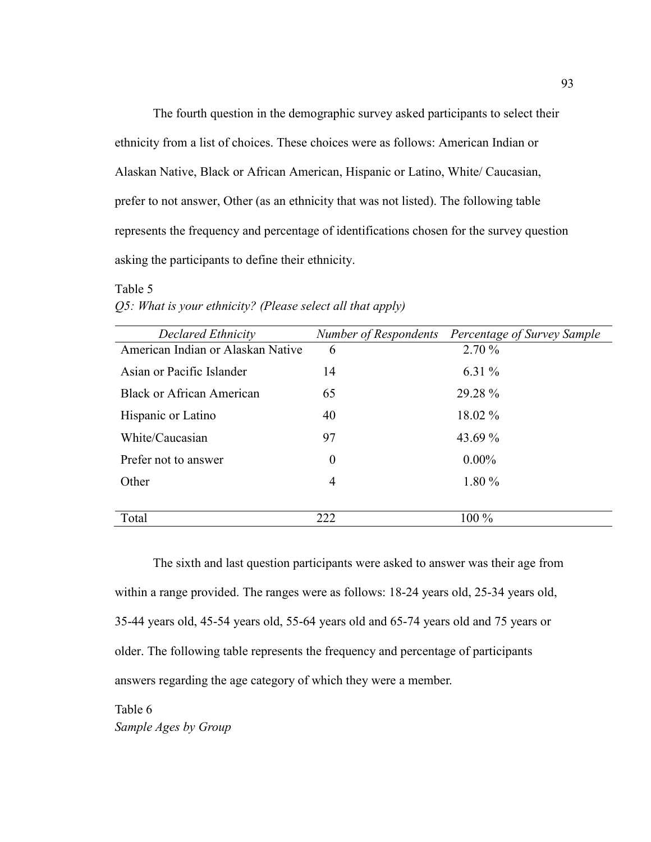The fourth question in the demographic survey asked participants to select their ethnicity from a list of choices. These choices were as follows: American Indian or Alaskan Native, Black or African American, Hispanic or Latino, White/ Caucasian, prefer to not answer, Other (as an ethnicity that was not listed). The following table represents the frequency and percentage of identifications chosen for the survey question asking the participants to define their ethnicity.

| Declared Ethnicity                |                  | Number of Respondents Percentage of Survey Sample |
|-----------------------------------|------------------|---------------------------------------------------|
| American Indian or Alaskan Native | 6                | 2.70%                                             |
| Asian or Pacific Islander         | 14               | 6.31 $%$                                          |
| <b>Black or African American</b>  | 65               | 29.28 %                                           |
| Hispanic or Latino                | 40               | 18.02 %                                           |
| White/Caucasian                   | 97               | 43.69 %                                           |
| Prefer not to answer              | $\boldsymbol{0}$ | $0.00\%$                                          |
| Other                             | $\overline{4}$   | 1.80 %                                            |
|                                   |                  |                                                   |
| Total                             | 222              | $100\%$                                           |

# Table 5 *Q5: What is your ethnicity? (Please select all that apply)*

The sixth and last question participants were asked to answer was their age from within a range provided. The ranges were as follows: 18-24 years old, 25-34 years old, 35-44 years old, 45-54 years old, 55-64 years old and 65-74 years old and 75 years or older. The following table represents the frequency and percentage of participants answers regarding the age category of which they were a member.

Table 6 *Sample Ages by Group*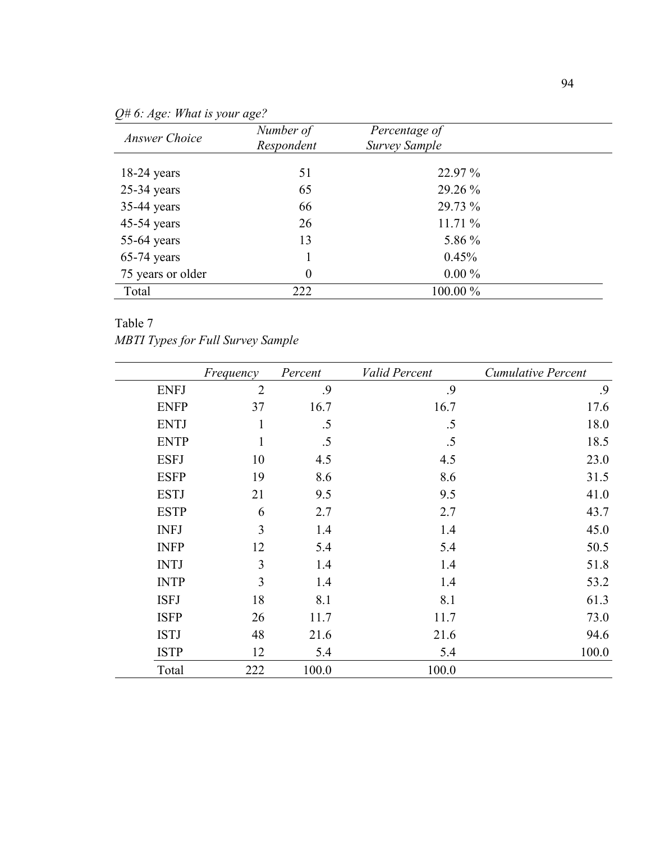| <b>Answer Choice</b> | Number of  | Percentage of        |  |
|----------------------|------------|----------------------|--|
|                      | Respondent | <b>Survey Sample</b> |  |
| $18-24$ years        | 51         | 22.97 %              |  |
| $25-34$ years        | 65         | 29.26 %              |  |
| 35-44 years          | 66         | 29.73 %              |  |
| $45-54$ years        | 26         | 11.71%               |  |
| 55-64 years          | 13         | 5.86 %               |  |
| $65-74$ years        |            | 0.45%                |  |
| 75 years or older    | $\theta$   | $0.00\%$             |  |
| Total                | 222        | 100.00 %             |  |

*Q# 6: Age: What is your age?* 

# Table 7

*MBTI Types for Full Survey Sample*

|             | Frequency      | Percent | Valid Percent | <b>Cumulative Percent</b> |
|-------------|----------------|---------|---------------|---------------------------|
| <b>ENFJ</b> | $\overline{2}$ | .9      | .9            | .9                        |
| <b>ENFP</b> | 37             | 16.7    | 16.7          | 17.6                      |
| <b>ENTJ</b> | $\mathbf{1}$   | .5      | .5            | 18.0                      |
| <b>ENTP</b> | $\mathbf{1}$   | .5      | .5            | 18.5                      |
| <b>ESFJ</b> | 10             | 4.5     | 4.5           | 23.0                      |
| <b>ESFP</b> | 19             | 8.6     | 8.6           | 31.5                      |
| <b>ESTJ</b> | 21             | 9.5     | 9.5           | 41.0                      |
| <b>ESTP</b> | 6              | 2.7     | 2.7           | 43.7                      |
| <b>INFJ</b> | $\overline{3}$ | 1.4     | 1.4           | 45.0                      |
| <b>INFP</b> | 12             | 5.4     | 5.4           | 50.5                      |
| <b>INTJ</b> | 3              | 1.4     | 1.4           | 51.8                      |
| <b>INTP</b> | 3              | 1.4     | 1.4           | 53.2                      |
| <b>ISFJ</b> | 18             | 8.1     | 8.1           | 61.3                      |
| <b>ISFP</b> | 26             | 11.7    | 11.7          | 73.0                      |
| <b>ISTJ</b> | 48             | 21.6    | 21.6          | 94.6                      |
| <b>ISTP</b> | 12             | 5.4     | 5.4           | 100.0                     |
| Total       | 222            | 100.0   | 100.0         |                           |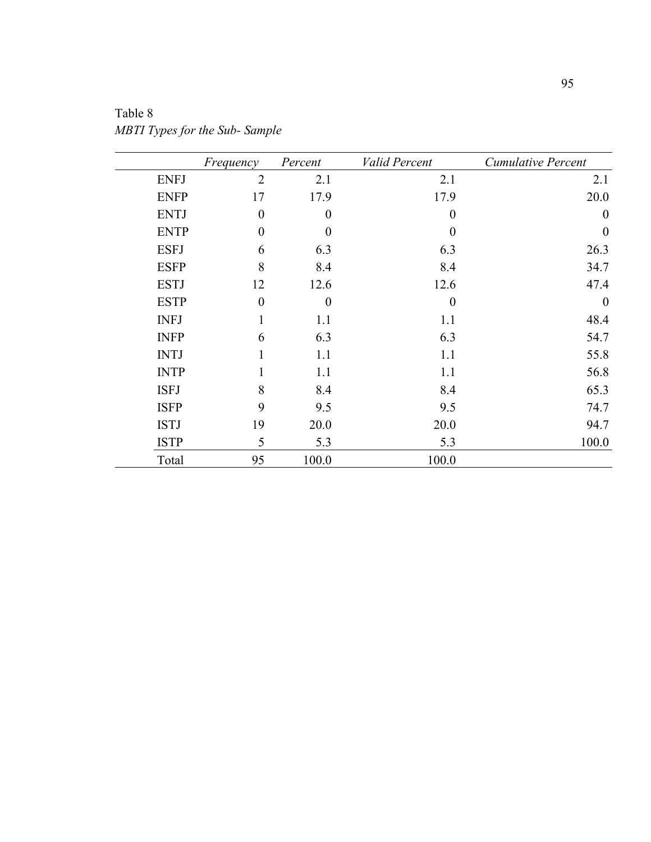|             | Frequency        | Percent          | Valid Percent    | Cumulative Percent |
|-------------|------------------|------------------|------------------|--------------------|
| <b>ENFJ</b> | $\overline{2}$   | 2.1              | 2.1              | 2.1                |
| <b>ENFP</b> | 17               | 17.9             | 17.9             | 20.0               |
| <b>ENTJ</b> | $\boldsymbol{0}$ | $\boldsymbol{0}$ | $\boldsymbol{0}$ | $\boldsymbol{0}$   |
| <b>ENTP</b> | $\boldsymbol{0}$ | $\boldsymbol{0}$ | $\theta$         | $\boldsymbol{0}$   |
| <b>ESFJ</b> | 6                | 6.3              | 6.3              | 26.3               |
| <b>ESFP</b> | 8                | 8.4              | 8.4              | 34.7               |
| <b>ESTJ</b> | 12               | 12.6             | 12.6             | 47.4               |
| <b>ESTP</b> | $\boldsymbol{0}$ | $\boldsymbol{0}$ | $\boldsymbol{0}$ | $\boldsymbol{0}$   |
| <b>INFJ</b> |                  | 1.1              | 1.1              | 48.4               |
| <b>INFP</b> | 6                | 6.3              | 6.3              | 54.7               |
| <b>INTJ</b> |                  | 1.1              | 1.1              | 55.8               |
| <b>INTP</b> |                  | 1.1              | 1.1              | 56.8               |
| <b>ISFJ</b> | 8                | 8.4              | 8.4              | 65.3               |
| <b>ISFP</b> | 9                | 9.5              | 9.5              | 74.7               |
| <b>ISTJ</b> | 19               | 20.0             | 20.0             | 94.7               |
| <b>ISTP</b> | 5                | 5.3              | 5.3              | 100.0              |
| Total       | 95               | 100.0            | 100.0            |                    |

Table 8 *MBTI Types for the Sub- Sample*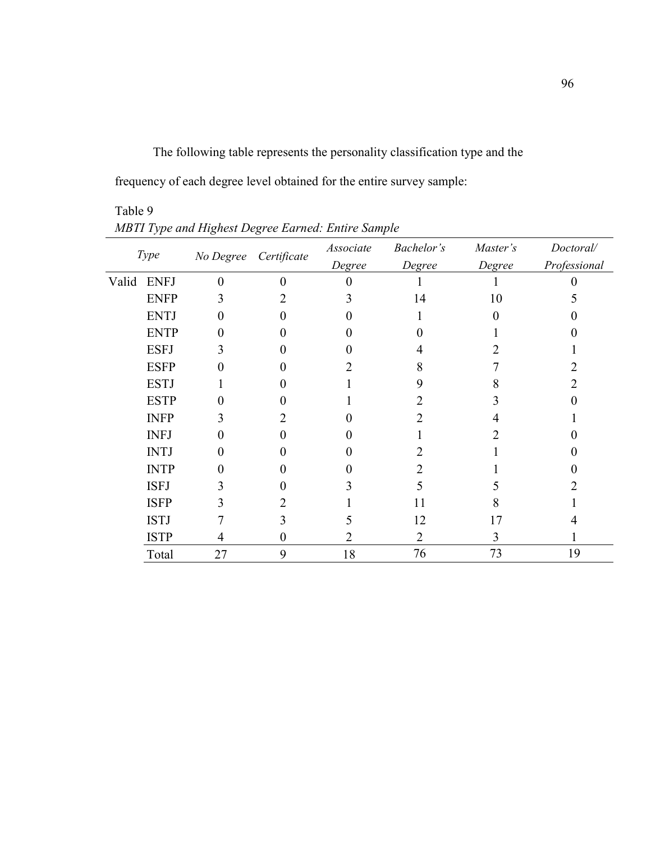The following table represents the personality classification type and the

frequency of each degree level obtained for the entire survey sample:

|       | Type        |    | No Degree Certificate | Associate<br>Degree | Bachelor's<br>Degree | Master's<br>Degree | Doctoral/<br>Professional |
|-------|-------------|----|-----------------------|---------------------|----------------------|--------------------|---------------------------|
|       |             |    |                       |                     |                      |                    |                           |
| Valid | <b>ENFJ</b> | 0  | 0                     |                     |                      |                    |                           |
|       | <b>ENFP</b> |    |                       |                     | 14                   | 10                 |                           |
|       | <b>ENTJ</b> |    |                       |                     |                      |                    |                           |
|       | <b>ENTP</b> |    |                       |                     |                      |                    |                           |
|       | <b>ESFJ</b> |    |                       |                     |                      |                    |                           |
|       | <b>ESFP</b> |    |                       |                     |                      |                    |                           |
|       | <b>ESTJ</b> |    |                       |                     | 9                    | 8                  |                           |
|       | <b>ESTP</b> |    |                       |                     |                      |                    |                           |
|       | <b>INFP</b> | 3  |                       |                     |                      |                    |                           |
|       | <b>INFJ</b> |    |                       |                     |                      |                    |                           |
|       | <b>INTJ</b> |    |                       |                     |                      |                    |                           |
|       | <b>INTP</b> |    |                       |                     |                      |                    |                           |
|       | <b>ISFJ</b> | 1  |                       |                     |                      |                    |                           |
|       | <b>ISFP</b> |    |                       |                     | 11                   |                    |                           |
|       | <b>ISTJ</b> |    |                       |                     | 12                   | 17                 |                           |
|       | <b>ISTP</b> | 4  | 0                     |                     | 2                    | 3                  |                           |
|       | Total       | 27 | 9                     | 18                  | 76                   | 73                 | 19                        |

Table 9 *MBTI Type and Highest Degree Earned: Entire Sample*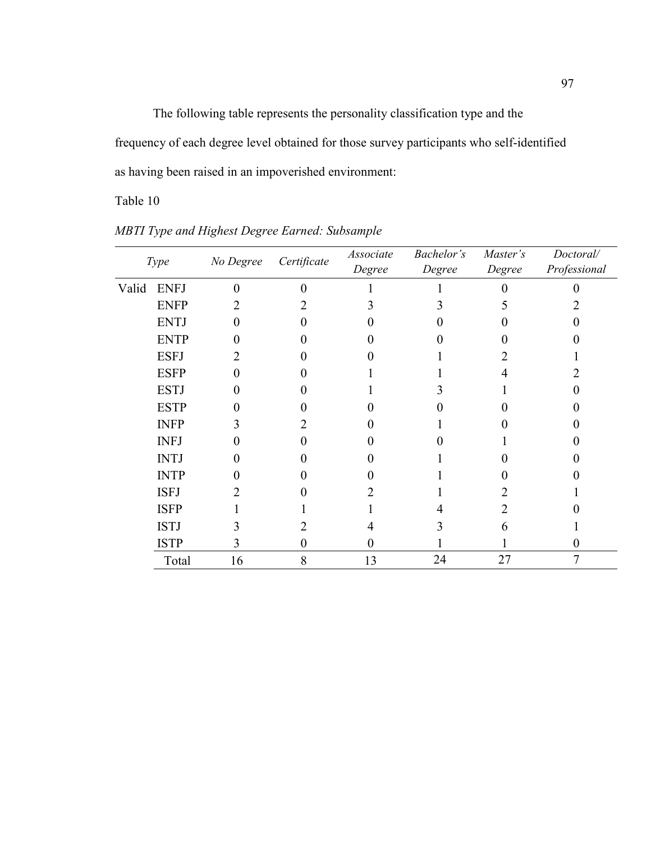The following table represents the personality classification type and the frequency of each degree level obtained for those survey participants who self-identified as having been raised in an impoverished environment:

Table 10

*MBTI Type and Highest Degree Earned: Subsample*

|       | Type        | No Degree | Certificate | Associate | Bachelor's | Master's | Doctoral/    |
|-------|-------------|-----------|-------------|-----------|------------|----------|--------------|
|       |             |           |             | $Degree$  | $Degree$   | $Degree$ | Professional |
| Valid | <b>ENFJ</b> |           |             |           |            |          |              |
|       | <b>ENFP</b> |           |             |           |            |          |              |
|       | <b>ENTJ</b> |           |             |           |            |          |              |
|       | <b>ENTP</b> |           |             |           |            |          |              |
|       | <b>ESFJ</b> |           |             |           |            |          |              |
|       | <b>ESFP</b> |           |             |           |            |          |              |
|       | <b>ESTJ</b> |           |             |           |            |          |              |
|       | <b>ESTP</b> |           |             |           |            |          |              |
|       | <b>INFP</b> |           |             |           |            |          |              |
|       | <b>INFJ</b> |           |             |           |            |          |              |
|       | <b>INTJ</b> |           |             |           |            |          |              |
|       | <b>INTP</b> |           |             |           |            |          |              |
|       | <b>ISFJ</b> |           |             |           |            |          |              |
|       | <b>ISFP</b> |           |             |           |            |          |              |
|       | <b>ISTJ</b> |           |             |           |            |          |              |
|       | <b>ISTP</b> |           |             |           |            |          |              |
|       | Total       | 16        | 8           | 13        | 24         | 27       |              |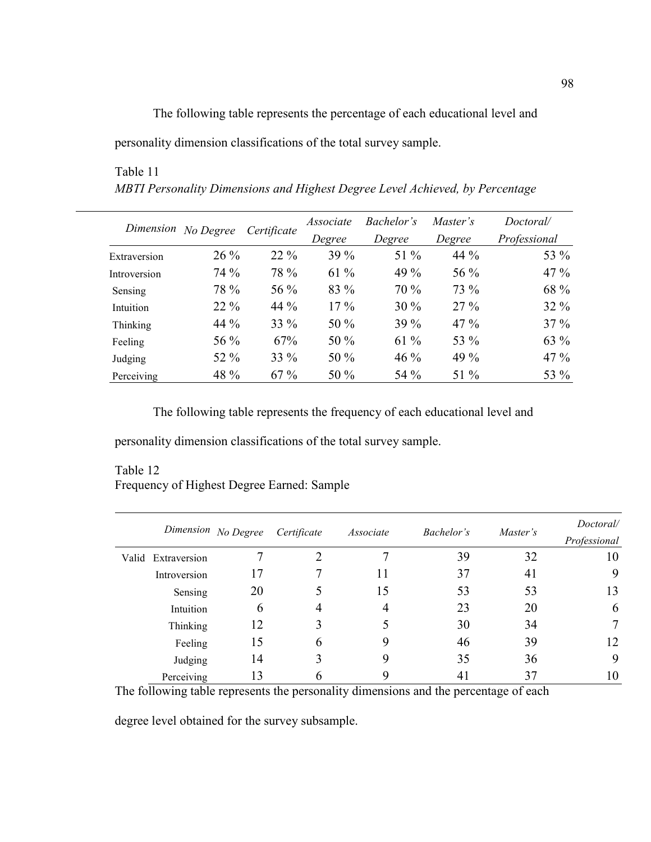The following table represents the percentage of each educational level and

personality dimension classifications of the total survey sample.

# Table 11 *MBTI Personality Dimensions and Highest Degree Level Achieved, by Percentage*

|              | Dimension No Degree |             | Associate | Bachelor's | Master's | Doctoral/    |
|--------------|---------------------|-------------|-----------|------------|----------|--------------|
|              |                     | Certificate | Degree    | Degree     | Degree   | Professional |
| Extraversion | $26\%$              | $22\%$      | $39\%$    | 51 %       | 44 $%$   | 53 %         |
| Introversion | 74 %                | 78 %        | $61\%$    | 49 %       | 56 %     | $47\%$       |
| Sensing      | 78 %                | 56 %        | 83 %      | 70 %       | 73 %     | 68 %         |
| Intuition    | $22\%$              | 44 %        | $17\%$    | $30\%$     | $27\%$   | $32\%$       |
| Thinking     | 44 %                | 33 %        | $50\%$    | $39\%$     | $47\%$   | $37\%$       |
| Feeling      | 56 %                | 67%         | 50 $%$    | $61\%$     | 53 %     | $63\%$       |
| Judging      | 52 %                | 33 %        | 50 $%$    | $46\%$     | 49 %     | $47\%$       |
| Perceiving   | 48 %                | 67%         | 50 %      | 54 %       | 51 %     | 53 %         |

The following table represents the frequency of each educational level and

personality dimension classifications of the total survey sample.

## Table 12 Frequency of Highest Degree Earned: Sample

|                    | Dimension No Degree | Certificate | Associate | Bachelor's | Master's | Doctoral/<br>Professional |
|--------------------|---------------------|-------------|-----------|------------|----------|---------------------------|
| Valid Extraversion |                     |             |           | 39         | 32       | 10                        |
| Introversion       |                     |             |           | 37         | 41       | 9                         |
| Sensing            | 20                  |             | 15        | 53         | 53       | 13                        |
| Intuition          | 6                   | 4           | 4         | 23         | 20       | 6                         |
| Thinking           | 12                  |             |           | 30         | 34       | 7                         |
| Feeling            | 15                  | 6           |           | 46         | 39       | 12                        |
| Judging            | 14                  |             | 9         | 35         | 36       | 9                         |
| Perceiving         | 13                  | n           | Q,        |            | 37       | 10                        |

The following table represents the personality dimensions and the percentage of each

degree level obtained for the survey subsample.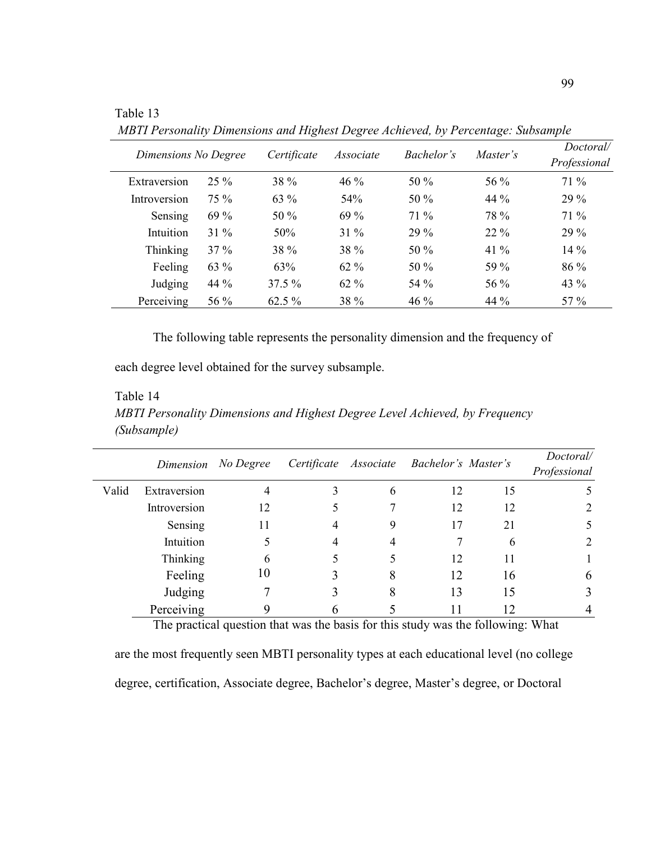Table 13

 *MBTI Personality Dimensions and Highest Degree Achieved, by Percentage: Subsample* 

| Dimensions No Degree |        | Certificate | Associate       | <i>Bachelor's</i> | Master's | Doctoral/<br>Professional |  |
|----------------------|--------|-------------|-----------------|-------------------|----------|---------------------------|--|
| Extraversion         | $25\%$ | 38 %        | $46\%$          | 50 %              | 56 %     | 71 %                      |  |
| Introversion         | 75 %   | $63\%$      | 54 <sup>%</sup> | 50 %              | $44\%$   | $29\%$                    |  |
| Sensing              | 69 %   | $50\%$      | 69 %            | 71 %              | 78 %     | 71 %                      |  |
| Intuition            | $31\%$ | 50%         | $31\%$          | 29 %              | $22\%$   | 29 %                      |  |
| <b>Thinking</b>      | $37\%$ | 38 %        | 38 %            | 50 %              | 41 $\%$  | 14 %                      |  |
| Feeling              | 63 %   | 63%         | $62\%$          | 50 %              | 59 %     | 86 %                      |  |
| Judging              | 44 %   | $37.5 \%$   | $62\%$          | 54 %              | 56 %     | 43 %                      |  |
| Perceiving           | 56 %   | $62.5\%$    | 38 %            | 46 %              | 44 %     | 57 %                      |  |
|                      |        |             |                 |                   |          |                           |  |

The following table represents the personality dimension and the frequency of

each degree level obtained for the survey subsample.

#### Table 14

*MBTI Personality Dimensions and Highest Degree Level Achieved, by Frequency (Subsample)* 

|       |              | Dimension No Degree |   | Certificate Associate Bachelor's Master's |    | Doctoral/                   |
|-------|--------------|---------------------|---|-------------------------------------------|----|-----------------------------|
|       |              |                     |   |                                           |    | Professional                |
| Valid | Extraversion |                     | 6 | 12                                        | 15 |                             |
|       | Introversion | 12                  |   | 12                                        | 12 | $\mathcal{D}_{\mathcal{L}}$ |
|       | Sensing      | 11                  | 9 | 17                                        | 21 |                             |
|       | Intuition    |                     | 4 |                                           | 6  |                             |
|       | Thinking     |                     |   | 12                                        | 11 |                             |
|       | Feeling      | 10                  | 8 | 12                                        | 16 | 6                           |
|       | Judging      |                     | 8 | 13                                        | 15 |                             |
|       | Perceiving   |                     |   |                                           | 12 |                             |

The practical question that was the basis for this study was the following: What

are the most frequently seen MBTI personality types at each educational level (no college degree, certification, Associate degree, Bachelor's degree, Master's degree, or Doctoral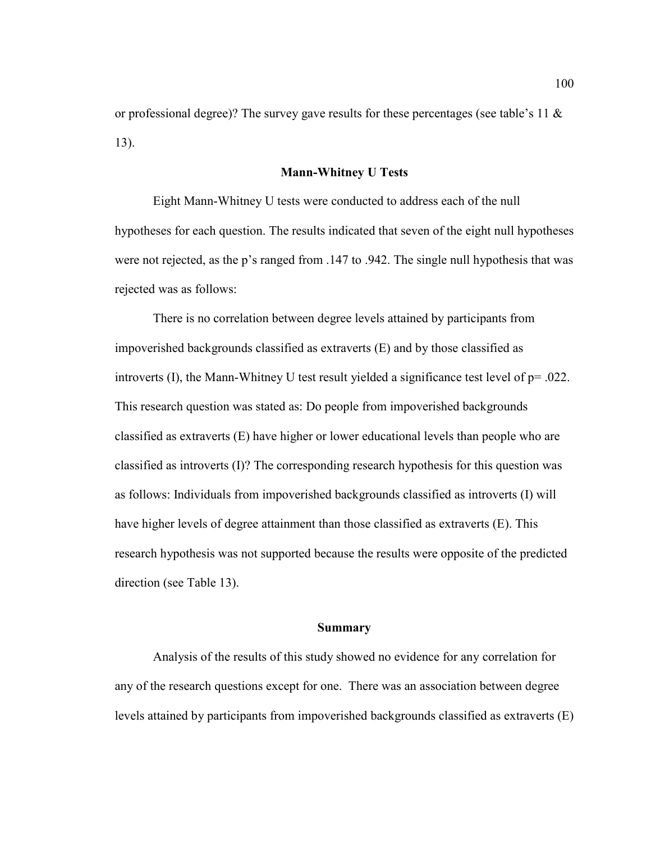or professional degree)? The survey gave results for these percentages (see table's 11  $\&$ 13).

## **Mann-Whitney U Tests**

Eight Mann-Whitney U tests were conducted to address each of the null hypotheses for each question. The results indicated that seven of the eight null hypotheses were not rejected, as the p's ranged from .147 to .942. The single null hypothesis that was rejected was as follows:

There is no correlation between degree levels attained by participants from impoverished backgrounds classified as extraverts (E) and by those classified as introverts (I), the Mann-Whitney U test result yielded a significance test level of p= .022. This research question was stated as: Do people from impoverished backgrounds classified as extraverts (E) have higher or lower educational levels than people who are classified as introverts  $(I)$ ? The corresponding research hypothesis for this question was as follows: Individuals from impoverished backgrounds classified as introverts (I) will have higher levels of degree attainment than those classified as extraverts (E). This research hypothesis was not supported because the results were opposite of the predicted direction (see Table 13).

## **Summary**

Analysis of the results of this study showed no evidence for any correlation for any of the research questions except for one. There was an association between degree levels attained by participants from impoverished backgrounds classified as extraverts (E)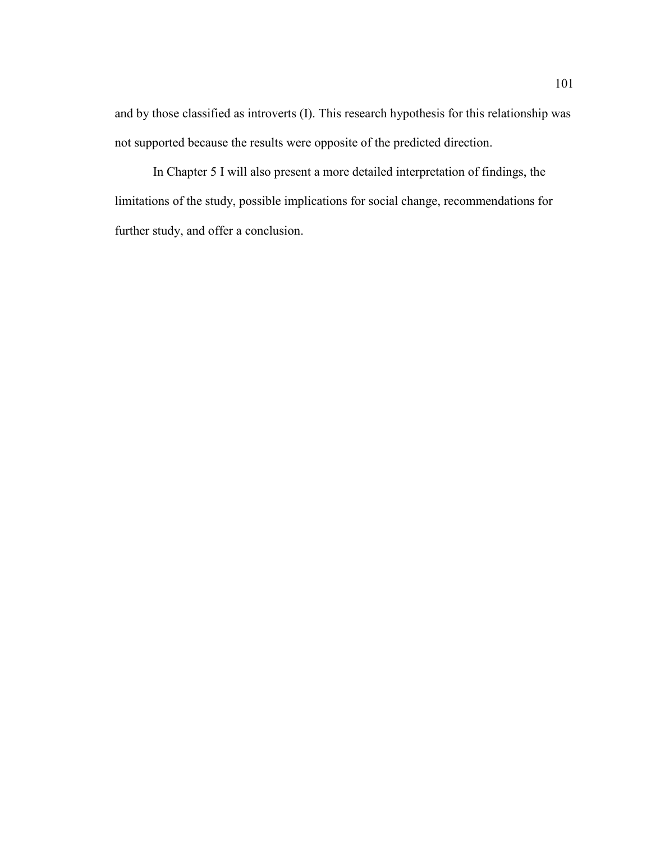and by those classified as introverts (I). This research hypothesis for this relationship was not supported because the results were opposite of the predicted direction.

In Chapter 5 I will also present a more detailed interpretation of findings, the limitations of the study, possible implications for social change, recommendations for further study, and offer a conclusion.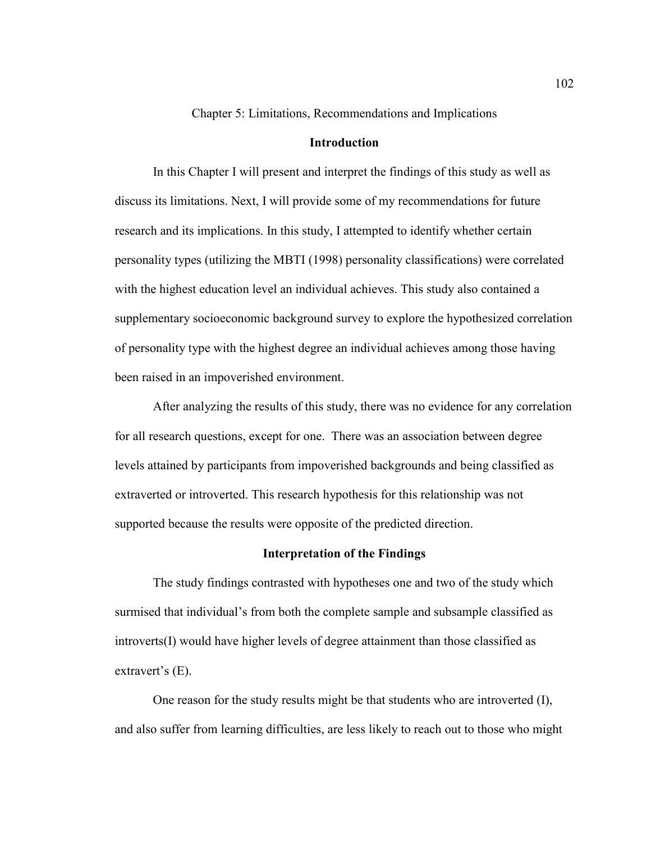Chapter 5: Limitations, Recommendations and Implications

# **Introduction**

In this Chapter I will present and interpret the findings of this study as well as discuss its limitations. Next, I will provide some of my recommendations for future research and its implications. In this study, I attempted to identify whether certain personality types (utilizing the MBTI (1998) personality classifications) were correlated with the highest education level an individual achieves. This study also contained a supplementary socioeconomic background survey to explore the hypothesized correlation of personality type with the highest degree an individual achieves among those having been raised in an impoverished environment.

After analyzing the results of this study, there was no evidence for any correlation for all research questions, except for one. There was an association between degree levels attained by participants from impoverished backgrounds and being classified as extraverted or introverted. This research hypothesis for this relationship was not supported because the results were opposite of the predicted direction.

## **Interpretation of the Findings**

The study findings contrasted with hypotheses one and two of the study which surmised that individual's from both the complete sample and subsample classified as introverts(I) would have higher levels of degree attainment than those classified as extravert's (E).

One reason for the study results might be that students who are introverted (I), and also suffer from learning difficulties, are less likely to reach out to those who might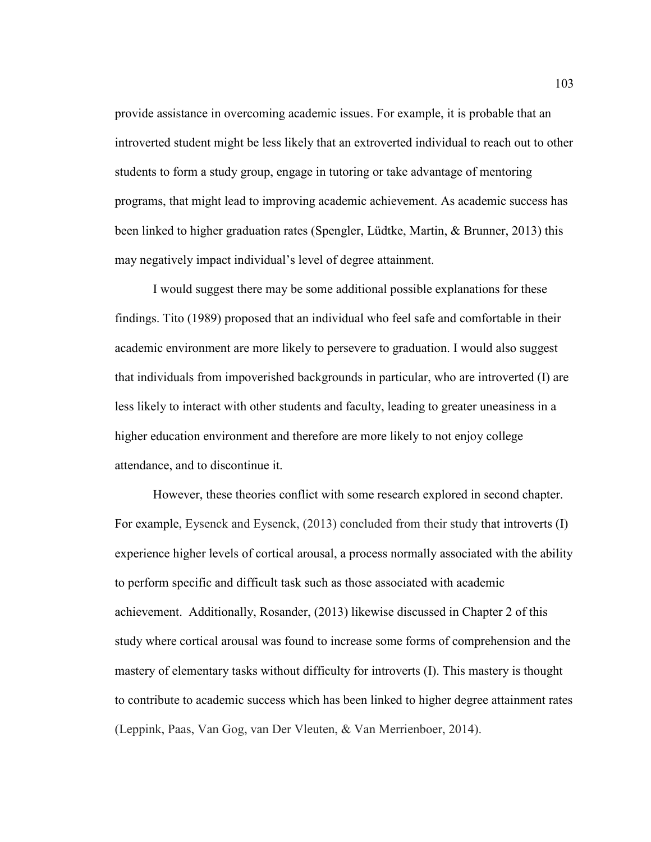provide assistance in overcoming academic issues. For example, it is probable that an introverted student might be less likely that an extroverted individual to reach out to other students to form a study group, engage in tutoring or take advantage of mentoring programs, that might lead to improving academic achievement. As academic success has been linked to higher graduation rates (Spengler, Lüdtke, Martin, & Brunner, 2013) this may negatively impact individual's level of degree attainment.

I would suggest there may be some additional possible explanations for these findings. Tito (1989) proposed that an individual who feel safe and comfortable in their academic environment are more likely to persevere to graduation. I would also suggest that individuals from impoverished backgrounds in particular, who are introverted (I) are less likely to interact with other students and faculty, leading to greater uneasiness in a higher education environment and therefore are more likely to not enjoy college attendance, and to discontinue it.

However, these theories conflict with some research explored in second chapter. For example, Eysenck and Eysenck, (2013) concluded from their study that introverts (I) experience higher levels of cortical arousal, a process normally associated with the ability to perform specific and difficult task such as those associated with academic achievement. Additionally, Rosander, (2013) likewise discussed in Chapter 2 of this study where cortical arousal was found to increase some forms of comprehension and the mastery of elementary tasks without difficulty for introverts (I). This mastery is thought to contribute to academic success which has been linked to higher degree attainment rates (Leppink, Paas, Van Gog, van Der Vleuten, & Van Merrienboer, 2014).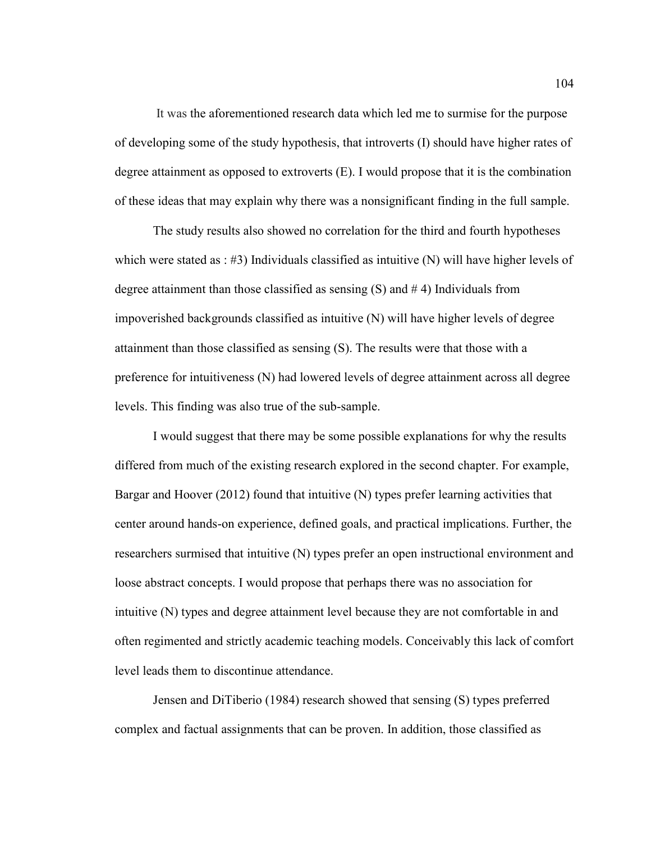It was the aforementioned research data which led me to surmise for the purpose of developing some of the study hypothesis, that introverts (I) should have higher rates of degree attainment as opposed to extroverts (E). I would propose that it is the combination of these ideas that may explain why there was a nonsignificant finding in the full sample.

The study results also showed no correlation for the third and fourth hypotheses which were stated as :  $\#3$ ) Individuals classified as intuitive (N) will have higher levels of degree attainment than those classified as sensing  $(S)$  and  $# 4$ ) Individuals from impoverished backgrounds classified as intuitive (N) will have higher levels of degree attainment than those classified as sensing (S). The results were that those with a preference for intuitiveness (N) had lowered levels of degree attainment across all degree levels. This finding was also true of the sub-sample.

I would suggest that there may be some possible explanations for why the results differed from much of the existing research explored in the second chapter. For example, Bargar and Hoover (2012) found that intuitive (N) types prefer learning activities that center around hands-on experience, defined goals, and practical implications. Further, the researchers surmised that intuitive (N) types prefer an open instructional environment and loose abstract concepts. I would propose that perhaps there was no association for intuitive (N) types and degree attainment level because they are not comfortable in and often regimented and strictly academic teaching models. Conceivably this lack of comfort level leads them to discontinue attendance.

Jensen and DiTiberio (1984) research showed that sensing (S) types preferred complex and factual assignments that can be proven. In addition, those classified as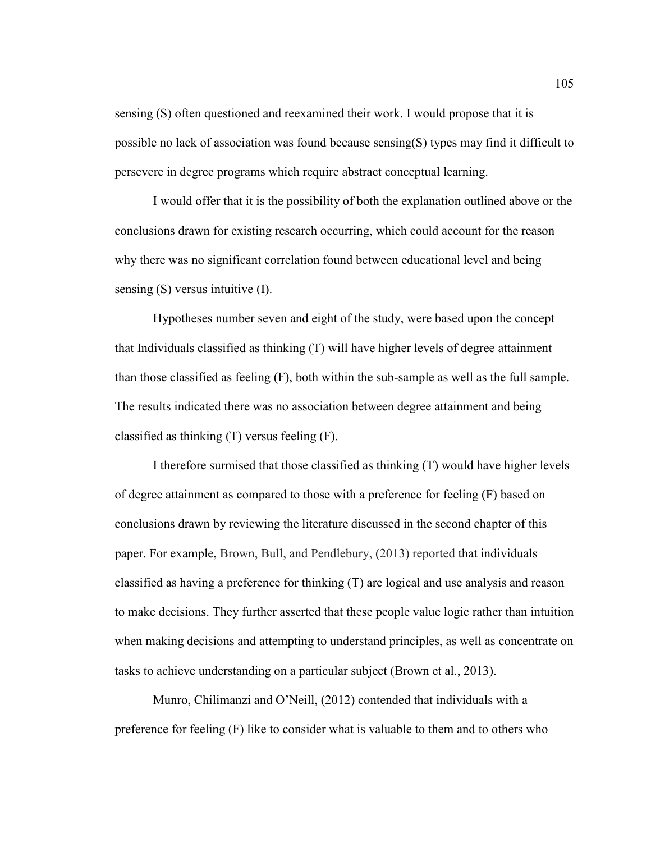sensing (S) often questioned and reexamined their work. I would propose that it is possible no lack of association was found because sensing(S) types may find it difficult to persevere in degree programs which require abstract conceptual learning.

I would offer that it is the possibility of both the explanation outlined above or the conclusions drawn for existing research occurring, which could account for the reason why there was no significant correlation found between educational level and being sensing (S) versus intuitive (I).

Hypotheses number seven and eight of the study, were based upon the concept that Individuals classified as thinking (T) will have higher levels of degree attainment than those classified as feeling (F), both within the sub-sample as well as the full sample. The results indicated there was no association between degree attainment and being classified as thinking (T) versus feeling (F).

I therefore surmised that those classified as thinking (T) would have higher levels of degree attainment as compared to those with a preference for feeling (F) based on conclusions drawn by reviewing the literature discussed in the second chapter of this paper. For example, Brown, Bull, and Pendlebury, (2013) reported that individuals classified as having a preference for thinking (T) are logical and use analysis and reason to make decisions. They further asserted that these people value logic rather than intuition when making decisions and attempting to understand principles, as well as concentrate on tasks to achieve understanding on a particular subject (Brown et al., 2013).

Munro, Chilimanzi and O'Neill, (2012) contended that individuals with a preference for feeling (F) like to consider what is valuable to them and to others who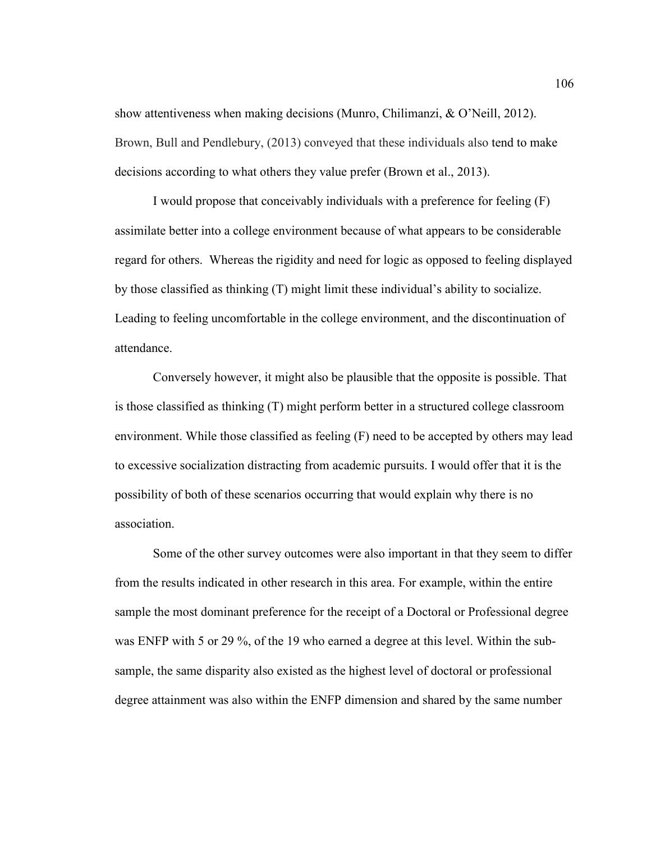show attentiveness when making decisions (Munro, Chilimanzi, & O'Neill, 2012). Brown, Bull and Pendlebury, (2013) conveyed that these individuals also tend to make decisions according to what others they value prefer (Brown et al., 2013).

I would propose that conceivably individuals with a preference for feeling (F) assimilate better into a college environment because of what appears to be considerable regard for others. Whereas the rigidity and need for logic as opposed to feeling displayed by those classified as thinking (T) might limit these individual's ability to socialize. Leading to feeling uncomfortable in the college environment, and the discontinuation of attendance.

Conversely however, it might also be plausible that the opposite is possible. That is those classified as thinking (T) might perform better in a structured college classroom environment. While those classified as feeling (F) need to be accepted by others may lead to excessive socialization distracting from academic pursuits. I would offer that it is the possibility of both of these scenarios occurring that would explain why there is no association.

Some of the other survey outcomes were also important in that they seem to differ from the results indicated in other research in this area. For example, within the entire sample the most dominant preference for the receipt of a Doctoral or Professional degree was ENFP with 5 or 29 %, of the 19 who earned a degree at this level. Within the subsample, the same disparity also existed as the highest level of doctoral or professional degree attainment was also within the ENFP dimension and shared by the same number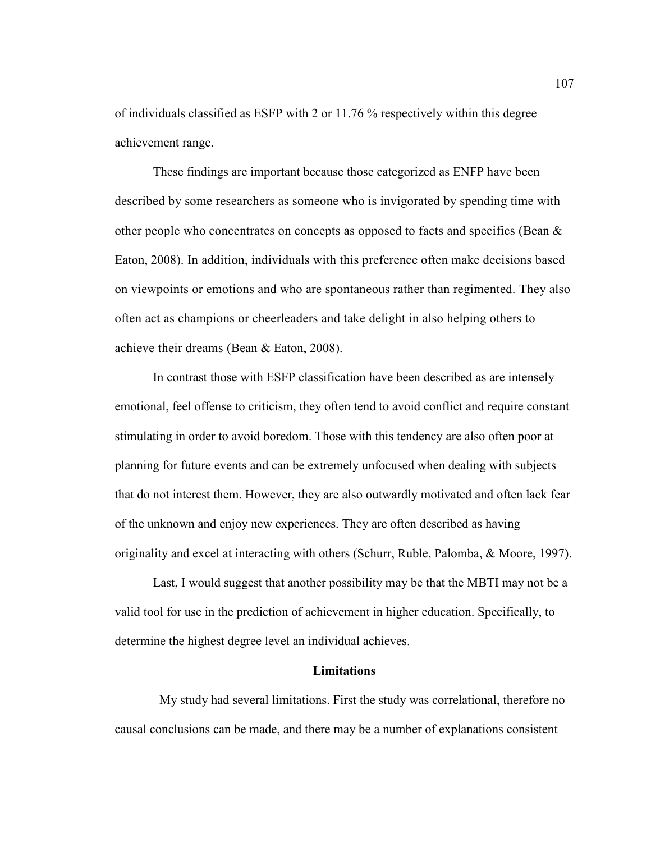of individuals classified as ESFP with 2 or 11.76 % respectively within this degree achievement range.

These findings are important because those categorized as ENFP have been described by some researchers as someone who is invigorated by spending time with other people who concentrates on concepts as opposed to facts and specifics (Bean  $\&$ Eaton, 2008). In addition, individuals with this preference often make decisions based on viewpoints or emotions and who are spontaneous rather than regimented. They also often act as champions or cheerleaders and take delight in also helping others to achieve their dreams (Bean & Eaton, 2008).

In contrast those with ESFP classification have been described as are intensely emotional, feel offense to criticism, they often tend to avoid conflict and require constant stimulating in order to avoid boredom. Those with this tendency are also often poor at planning for future events and can be extremely unfocused when dealing with subjects that do not interest them. However, they are also outwardly motivated and often lack fear of the unknown and enjoy new experiences. They are often described as having originality and excel at interacting with others (Schurr, Ruble, Palomba, & Moore, 1997).

Last, I would suggest that another possibility may be that the MBTI may not be a valid tool for use in the prediction of achievement in higher education. Specifically, to determine the highest degree level an individual achieves.

#### **Limitations**

 My study had several limitations. First the study was correlational, therefore no causal conclusions can be made, and there may be a number of explanations consistent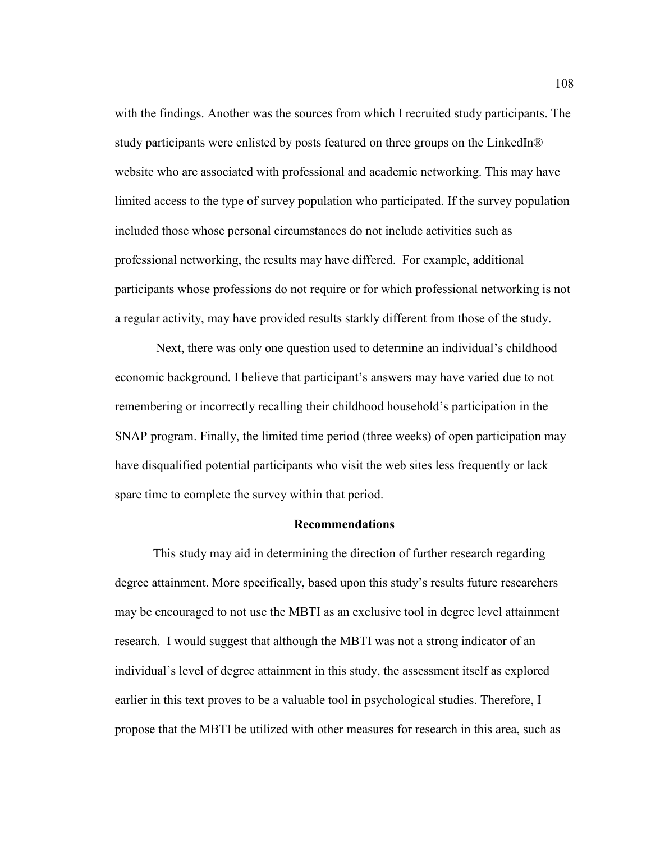with the findings. Another was the sources from which I recruited study participants. The study participants were enlisted by posts featured on three groups on the LinkedIn® website who are associated with professional and academic networking. This may have limited access to the type of survey population who participated. If the survey population included those whose personal circumstances do not include activities such as professional networking, the results may have differed. For example, additional participants whose professions do not require or for which professional networking is not a regular activity, may have provided results starkly different from those of the study.

 Next, there was only one question used to determine an individual's childhood economic background. I believe that participant's answers may have varied due to not remembering or incorrectly recalling their childhood household's participation in the SNAP program. Finally, the limited time period (three weeks) of open participation may have disqualified potential participants who visit the web sites less frequently or lack spare time to complete the survey within that period.

## **Recommendations**

This study may aid in determining the direction of further research regarding degree attainment. More specifically, based upon this study's results future researchers may be encouraged to not use the MBTI as an exclusive tool in degree level attainment research. I would suggest that although the MBTI was not a strong indicator of an individual's level of degree attainment in this study, the assessment itself as explored earlier in this text proves to be a valuable tool in psychological studies. Therefore, I propose that the MBTI be utilized with other measures for research in this area, such as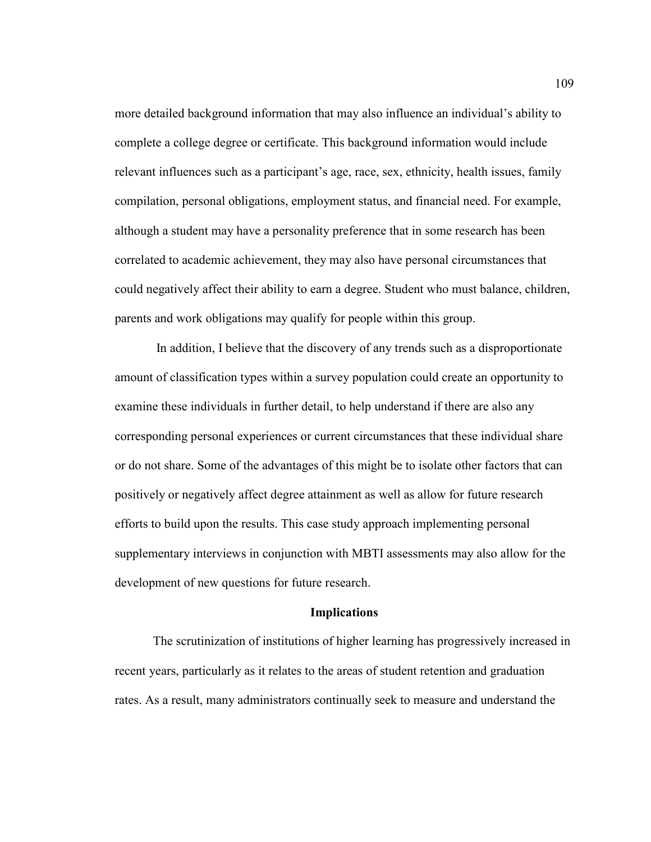more detailed background information that may also influence an individual's ability to complete a college degree or certificate. This background information would include relevant influences such as a participant's age, race, sex, ethnicity, health issues, family compilation, personal obligations, employment status, and financial need. For example, although a student may have a personality preference that in some research has been correlated to academic achievement, they may also have personal circumstances that could negatively affect their ability to earn a degree. Student who must balance, children, parents and work obligations may qualify for people within this group.

 In addition, I believe that the discovery of any trends such as a disproportionate amount of classification types within a survey population could create an opportunity to examine these individuals in further detail, to help understand if there are also any corresponding personal experiences or current circumstances that these individual share or do not share. Some of the advantages of this might be to isolate other factors that can positively or negatively affect degree attainment as well as allow for future research efforts to build upon the results. This case study approach implementing personal supplementary interviews in conjunction with MBTI assessments may also allow for the development of new questions for future research.

#### **Implications**

The scrutinization of institutions of higher learning has progressively increased in recent years, particularly as it relates to the areas of student retention and graduation rates. As a result, many administrators continually seek to measure and understand the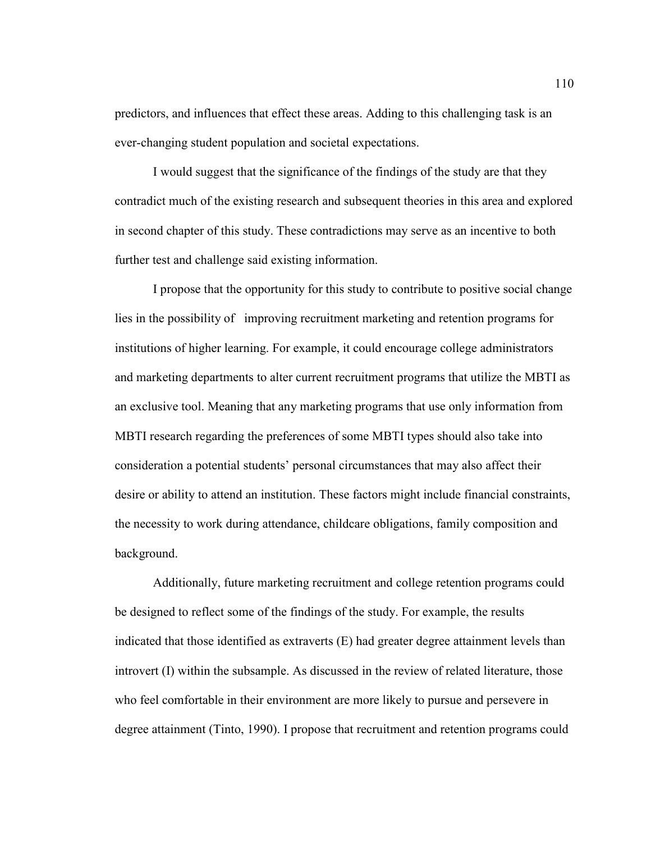predictors, and influences that effect these areas. Adding to this challenging task is an ever-changing student population and societal expectations.

I would suggest that the significance of the findings of the study are that they contradict much of the existing research and subsequent theories in this area and explored in second chapter of this study. These contradictions may serve as an incentive to both further test and challenge said existing information.

I propose that the opportunity for this study to contribute to positive social change lies in the possibility of improving recruitment marketing and retention programs for institutions of higher learning. For example, it could encourage college administrators and marketing departments to alter current recruitment programs that utilize the MBTI as an exclusive tool. Meaning that any marketing programs that use only information from MBTI research regarding the preferences of some MBTI types should also take into consideration a potential students' personal circumstances that may also affect their desire or ability to attend an institution. These factors might include financial constraints, the necessity to work during attendance, childcare obligations, family composition and background.

Additionally, future marketing recruitment and college retention programs could be designed to reflect some of the findings of the study. For example, the results indicated that those identified as extraverts (E) had greater degree attainment levels than introvert (I) within the subsample. As discussed in the review of related literature, those who feel comfortable in their environment are more likely to pursue and persevere in degree attainment (Tinto, 1990). I propose that recruitment and retention programs could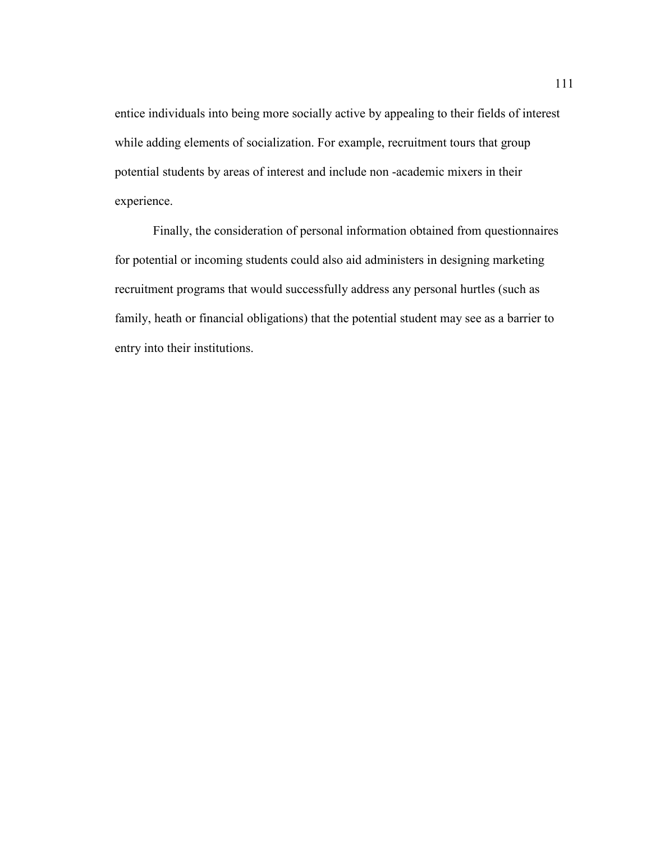entice individuals into being more socially active by appealing to their fields of interest while adding elements of socialization. For example, recruitment tours that group potential students by areas of interest and include non -academic mixers in their experience.

Finally, the consideration of personal information obtained from questionnaires for potential or incoming students could also aid administers in designing marketing recruitment programs that would successfully address any personal hurtles (such as family, heath or financial obligations) that the potential student may see as a barrier to entry into their institutions.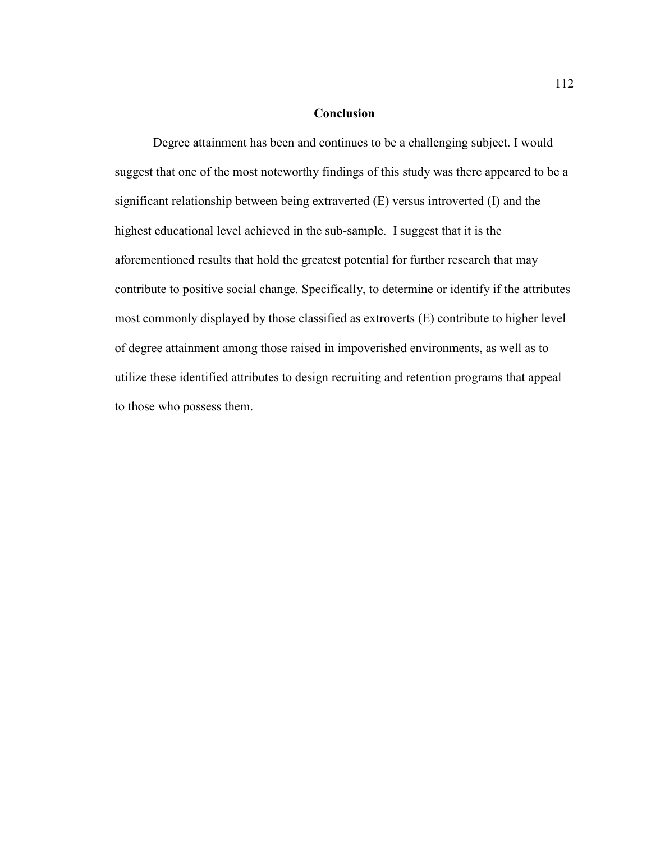# **Conclusion**

Degree attainment has been and continues to be a challenging subject. I would suggest that one of the most noteworthy findings of this study was there appeared to be a significant relationship between being extraverted (E) versus introverted (I) and the highest educational level achieved in the sub-sample. I suggest that it is the aforementioned results that hold the greatest potential for further research that may contribute to positive social change. Specifically, to determine or identify if the attributes most commonly displayed by those classified as extroverts (E) contribute to higher level of degree attainment among those raised in impoverished environments, as well as to utilize these identified attributes to design recruiting and retention programs that appeal to those who possess them.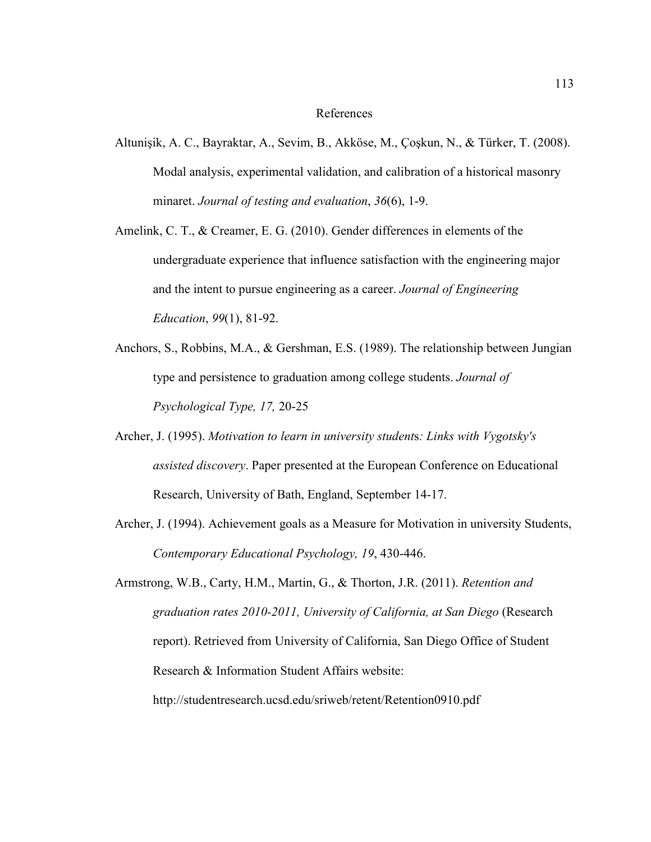### References

- Altunişik, A. C., Bayraktar, A., Sevim, B., Akköse, M., Çoşkun, N., & Türker, T. (2008). Modal analysis, experimental validation, and calibration of a historical masonry minaret. *Journal of testing and evaluation*, *36*(6), 1-9.
- Amelink, C. T., & Creamer, E. G. (2010). Gender differences in elements of the undergraduate experience that influence satisfaction with the engineering major and the intent to pursue engineering as a career. *Journal of Engineering Education*, *99*(1), 81-92.
- Anchors, S., Robbins, M.A., & Gershman, E.S. (1989). The relationship between Jungian type and persistence to graduation among college students. *Journal of Psychological Type, 17,* 20-25
- Archer, J. (1995). *Motivation to learn in university student*s*: Links with Vygotsky's assisted discovery*. Paper presented at the European Conference on Educational Research, University of Bath, England, September 14-17.
- Archer, J. (1994). Achievement goals as a Measure for Motivation in university Students, *Contemporary Educational Psychology, 19*, 430-446.

Armstrong, W.B., Carty, H.M., Martin, G., & Thorton, J.R. (2011). *Retention and graduation rates 2010-2011, University of California, at San Diego* (Research report). Retrieved from University of California, San Diego Office of Student Research & Information Student Affairs website: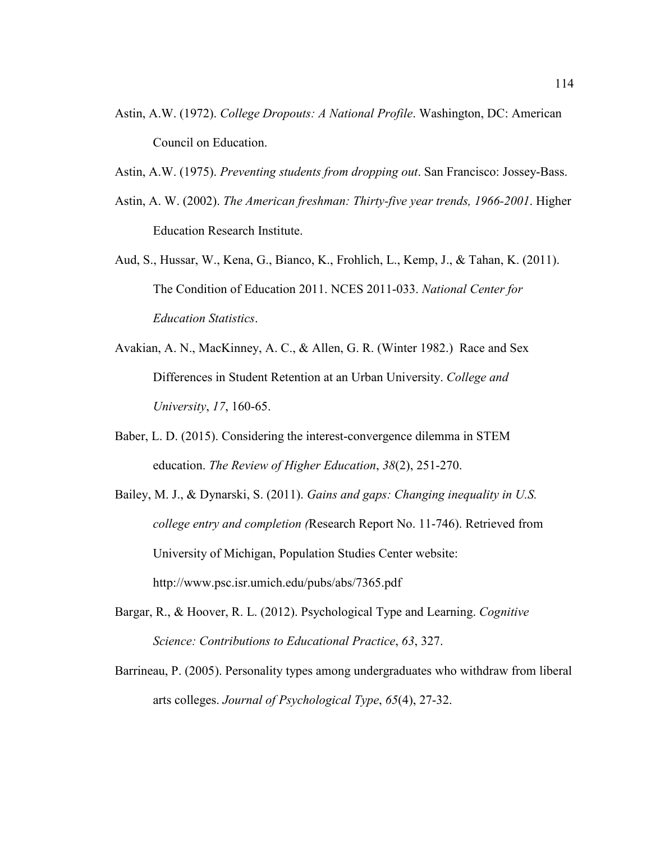- Astin, A.W. (1972). *College Dropouts: A National Profile*. Washington, DC: American Council on Education.
- Astin, A.W. (1975). *Preventing students from dropping out*. San Francisco: Jossey-Bass.
- Astin, A. W. (2002). *The American freshman: Thirty-five year trends, 1966-2001*. Higher Education Research Institute.
- Aud, S., Hussar, W., Kena, G., Bianco, K., Frohlich, L., Kemp, J., & Tahan, K. (2011). The Condition of Education 2011. NCES 2011-033. *National Center for Education Statistics*.
- Avakian, A. N., MacKinney, A. C., & Allen, G. R. (Winter 1982.) Race and Sex Differences in Student Retention at an Urban University. *College and University*, *17*, 160-65.
- Baber, L. D. (2015). Considering the interest-convergence dilemma in STEM education. *The Review of Higher Education*, *38*(2), 251-270.
- Bailey, M. J., & Dynarski, S. (2011). *Gains and gaps: Changing inequality in U.S. college entry and completion (*Research Report No. 11-746). Retrieved from University of Michigan, Population Studies Center website: http://www.psc.isr.umich.edu/pubs/abs/7365.pdf
- Bargar, R., & Hoover, R. L. (2012). Psychological Type and Learning. *Cognitive Science: Contributions to Educational Practice*, *63*, 327.
- Barrineau, P. (2005). Personality types among undergraduates who withdraw from liberal arts colleges. *Journal of Psychological Type*, *65*(4), 27-32.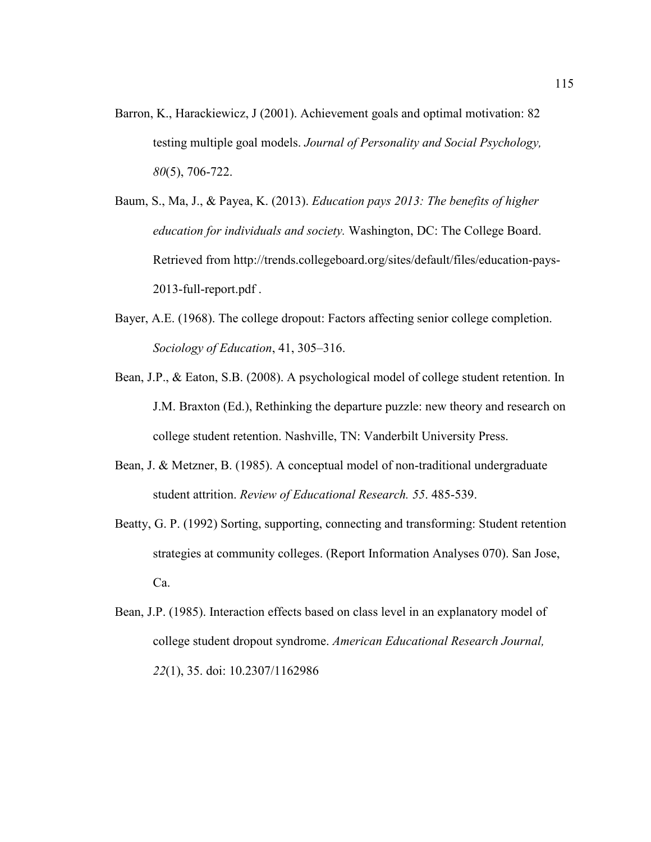- Barron, K., Harackiewicz, J (2001). Achievement goals and optimal motivation: 82 testing multiple goal models. *Journal of Personality and Social Psychology, 80*(5), 706-722.
- Baum, S., Ma, J., & Payea, K. (2013). *Education pays 2013: The benefits of higher education for individuals and society.* Washington, DC: The College Board. Retrieved from http://trends.collegeboard.org/sites/default/files/education-pays-2013-full-report.pdf .
- Bayer, A.E. (1968). The college dropout: Factors affecting senior college completion. *Sociology of Education*, 41, 305–316.
- Bean, J.P., & Eaton, S.B. (2008). A psychological model of college student retention. In J.M. Braxton (Ed.), Rethinking the departure puzzle: new theory and research on college student retention. Nashville, TN: Vanderbilt University Press.
- Bean, J. & Metzner, B. (1985). A conceptual model of non-traditional undergraduate student attrition. *Review of Educational Research. 55*. 485-539.
- Beatty, G. P. (1992) Sorting, supporting, connecting and transforming: Student retention strategies at community colleges. (Report Information Analyses 070). San Jose, Ca.
- Bean, J.P. (1985). Interaction effects based on class level in an explanatory model of college student dropout syndrome. *American Educational Research Journal, 22*(1), 35. doi: 10.2307/1162986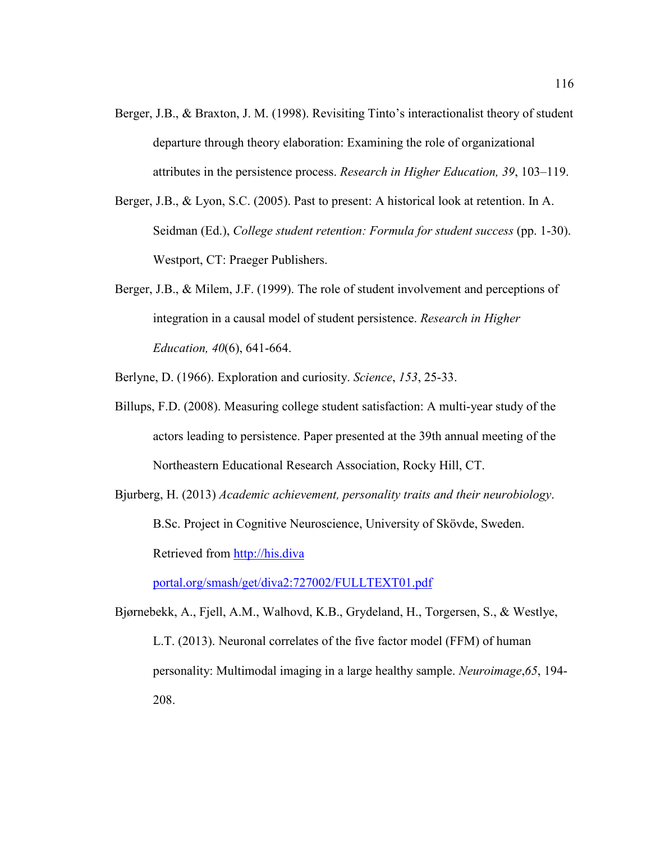- Berger, J.B., & Braxton, J. M. (1998). Revisiting Tinto's interactionalist theory of student departure through theory elaboration: Examining the role of organizational attributes in the persistence process. *Research in Higher Education, 39*, 103–119.
- Berger, J.B., & Lyon, S.C. (2005). Past to present: A historical look at retention. In A. Seidman (Ed.), *College student retention: Formula for student success* (pp. 1-30). Westport, CT: Praeger Publishers.
- Berger, J.B., & Milem, J.F. (1999). The role of student involvement and perceptions of integration in a causal model of student persistence. *Research in Higher Education, 40*(6), 641-664.

Berlyne, D. (1966). Exploration and curiosity. *Science*, *153*, 25-33.

- Billups, F.D. (2008). Measuring college student satisfaction: A multi-year study of the actors leading to persistence. Paper presented at the 39th annual meeting of the Northeastern Educational Research Association, Rocky Hill, CT.
- Bjurberg, H. (2013) *Academic achievement, personality traits and their neurobiology*. B.Sc. Project in Cognitive Neuroscience, University of Skövde, Sweden. Retrieved from http://his.diva

portal.org/smash/get/diva2:727002/FULLTEXT01.pdf

Bjørnebekk, A., Fjell, A.M., Walhovd, K.B., Grydeland, H., Torgersen, S., & Westlye, L.T. (2013). Neuronal correlates of the five factor model (FFM) of human personality: Multimodal imaging in a large healthy sample. *Neuroimage*,*65*, 194- 208.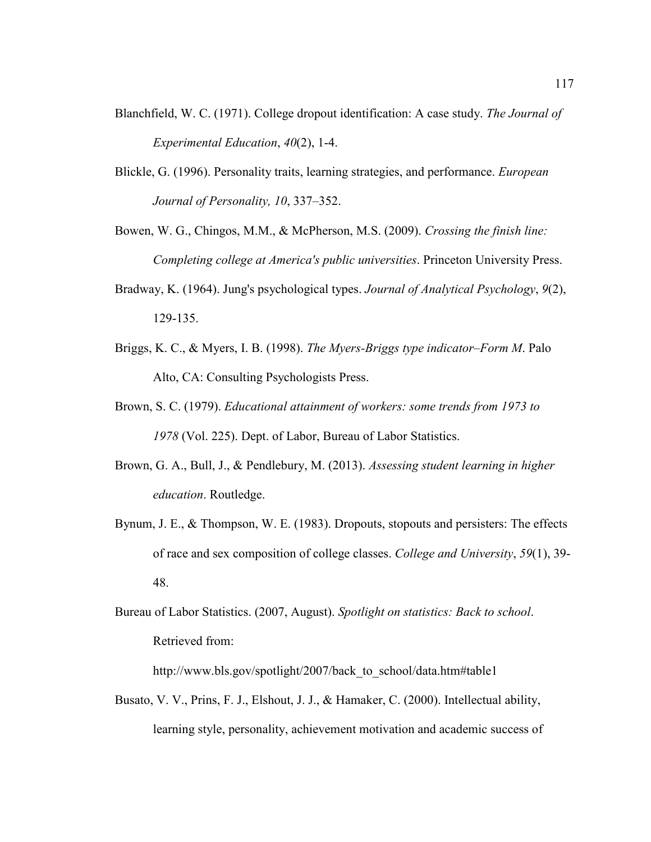- Blanchfield, W. C. (1971). College dropout identification: A case study. *The Journal of Experimental Education*, *40*(2), 1-4.
- Blickle, G. (1996). Personality traits, learning strategies, and performance. *European Journal of Personality, 10*, 337–352.
- Bowen, W. G., Chingos, M.M., & McPherson, M.S. (2009). *Crossing the finish line: Completing college at America's public universities*. Princeton University Press.
- Bradway, K. (1964). Jung's psychological types. *Journal of Analytical Psychology*, *9*(2), 129-135.
- Briggs, K. C., & Myers, I. B. (1998). *The Myers-Briggs type indicator–Form M*. Palo Alto, CA: Consulting Psychologists Press.
- Brown, S. C. (1979). *Educational attainment of workers: some trends from 1973 to 1978* (Vol. 225). Dept. of Labor, Bureau of Labor Statistics.
- Brown, G. A., Bull, J., & Pendlebury, M. (2013). *Assessing student learning in higher education*. Routledge.
- Bynum, J. E., & Thompson, W. E. (1983). Dropouts, stopouts and persisters: The effects of race and sex composition of college classes. *College and University*, *59*(1), 39- 48.
- Bureau of Labor Statistics. (2007, August). *Spotlight on statistics: Back to school*. Retrieved from:

http://www.bls.gov/spotlight/2007/back\_to\_school/data.htm#table1

Busato, V. V., Prins, F. J., Elshout, J. J., & Hamaker, C. (2000). Intellectual ability, learning style, personality, achievement motivation and academic success of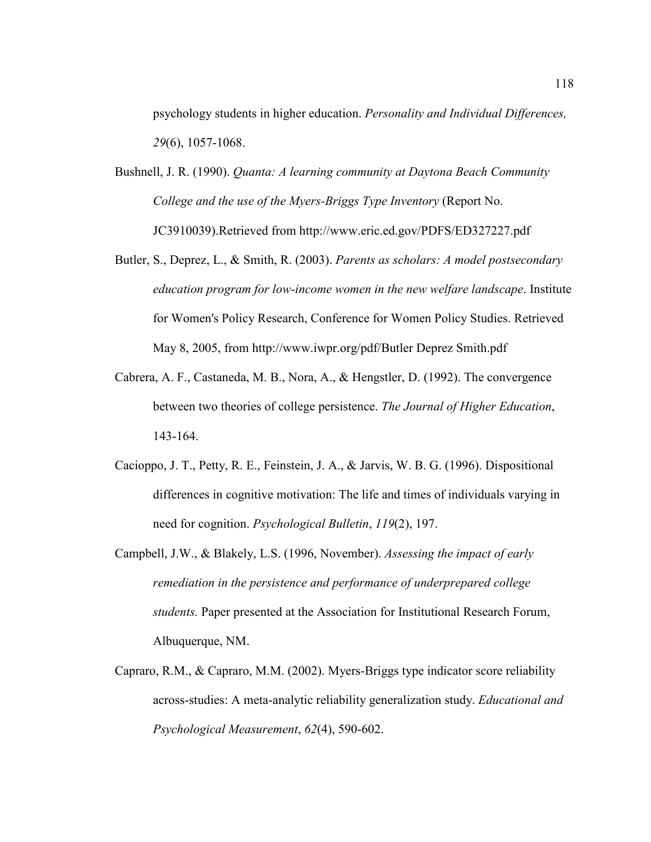psychology students in higher education. *Personality and Individual Differences, 29*(6), 1057-1068.

- Bushnell, J. R. (1990). *Quanta: A learning community at Daytona Beach Community College and the use of the Myers-Briggs Type Inventory* (Report No. JC3910039).Retrieved from http://www.eric.ed.gov/PDFS/ED327227.pdf
- Butler, S., Deprez, L., & Smith, R. (2003). *Parents as scholars: A model postsecondary education program for low-income women in the new welfare landscape*. Institute for Women's Policy Research, Conference for Women Policy Studies. Retrieved May 8, 2005, from http://www.iwpr.org/pdf/Butler Deprez Smith.pdf
- Cabrera, A. F., Castaneda, M. B., Nora, A., & Hengstler, D. (1992). The convergence between two theories of college persistence. *The Journal of Higher Education*, 143-164.
- Cacioppo, J. T., Petty, R. E., Feinstein, J. A., & Jarvis, W. B. G. (1996). Dispositional differences in cognitive motivation: The life and times of individuals varying in need for cognition. *Psychological Bulletin*, *119*(2), 197.
- Campbell, J.W., & Blakely, L.S. (1996, November). *Assessing the impact of early remediation in the persistence and performance of underprepared college students.* Paper presented at the Association for Institutional Research Forum, Albuquerque, NM.
- Capraro, R.M., & Capraro, M.M. (2002). Myers-Briggs type indicator score reliability across-studies: A meta-analytic reliability generalization study. *Educational and Psychological Measurement*, *62*(4), 590-602.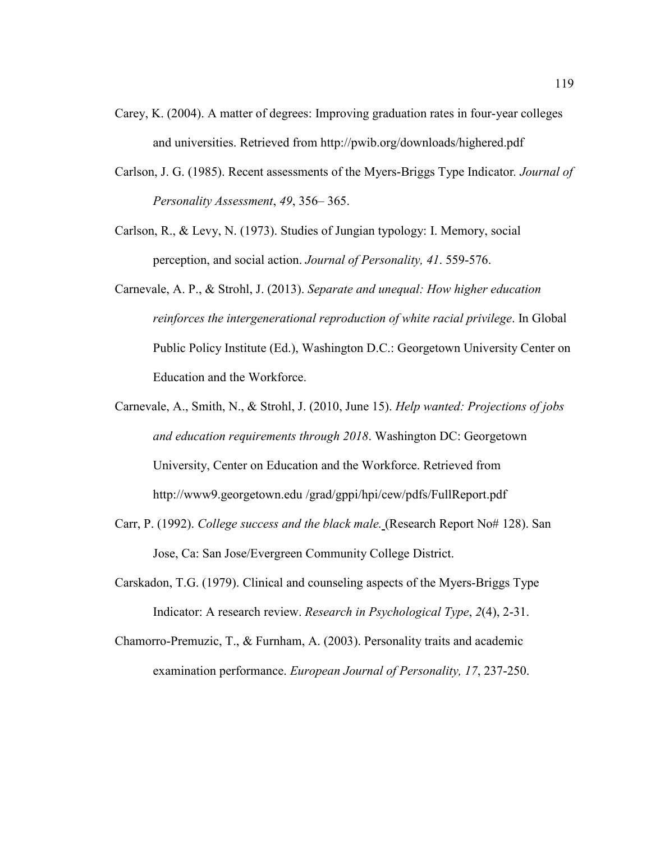- Carey, K. (2004). A matter of degrees: Improving graduation rates in four-year colleges and universities. Retrieved from http://pwib.org/downloads/highered.pdf
- Carlson, J. G. (1985). Recent assessments of the Myers-Briggs Type Indicator*. Journal of Personality Assessment*, *49*, 356– 365.
- Carlson, R., & Levy, N. (1973). Studies of Jungian typology: I. Memory, social perception, and social action. *Journal of Personality, 41*. 559-576.
- Carnevale, A. P., & Strohl, J. (2013). *Separate and unequal: How higher education reinforces the intergenerational reproduction of white racial privilege*. In Global Public Policy Institute (Ed.), Washington D.C.: Georgetown University Center on Education and the Workforce.
- Carnevale, A., Smith, N., & Strohl, J. (2010, June 15). *Help wanted: Projections of jobs and education requirements through 2018*. Washington DC: Georgetown University, Center on Education and the Workforce. Retrieved from http://www9.georgetown.edu /grad/gppi/hpi/cew/pdfs/FullReport.pdf
- Carr, P. (1992). *College success and the black male.* (Research Report No# 128). San Jose, Ca: San Jose/Evergreen Community College District.
- Carskadon, T.G. (1979). Clinical and counseling aspects of the Myers-Briggs Type Indicator: A research review. *Research in Psychological Type*, *2*(4), 2-31.
- Chamorro-Premuzic, T., & Furnham, A. (2003). Personality traits and academic examination performance. *European Journal of Personality, 17*, 237-250.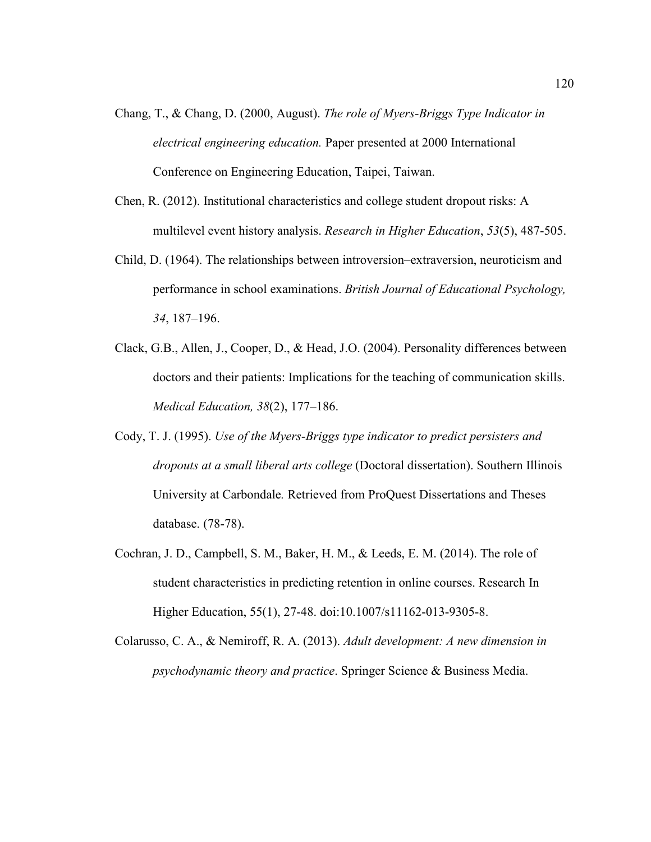- Chang, T., & Chang, D. (2000, August). *The role of Myers-Briggs Type Indicator in electrical engineering education.* Paper presented at 2000 International Conference on Engineering Education, Taipei, Taiwan.
- Chen, R. (2012). Institutional characteristics and college student dropout risks: A multilevel event history analysis. *Research in Higher Education*, *53*(5), 487-505.
- Child, D. (1964). The relationships between introversion–extraversion, neuroticism and performance in school examinations. *British Journal of Educational Psychology, 34*, 187–196.
- Clack, G.B., Allen, J., Cooper, D., & Head, J.O. (2004). Personality differences between doctors and their patients: Implications for the teaching of communication skills. *Medical Education, 38*(2), 177–186.
- Cody, T. J. (1995). *Use of the Myers-Briggs type indicator to predict persisters and dropouts at a small liberal arts college* (Doctoral dissertation). Southern Illinois University at Carbondale*.* Retrieved from ProQuest Dissertations and Theses database. (78-78).
- Cochran, J. D., Campbell, S. M., Baker, H. M., & Leeds, E. M. (2014). The role of student characteristics in predicting retention in online courses. Research In Higher Education, 55(1), 27-48. doi:10.1007/s11162-013-9305-8.
- Colarusso, C. A., & Nemiroff, R. A. (2013). *Adult development: A new dimension in psychodynamic theory and practice*. Springer Science & Business Media.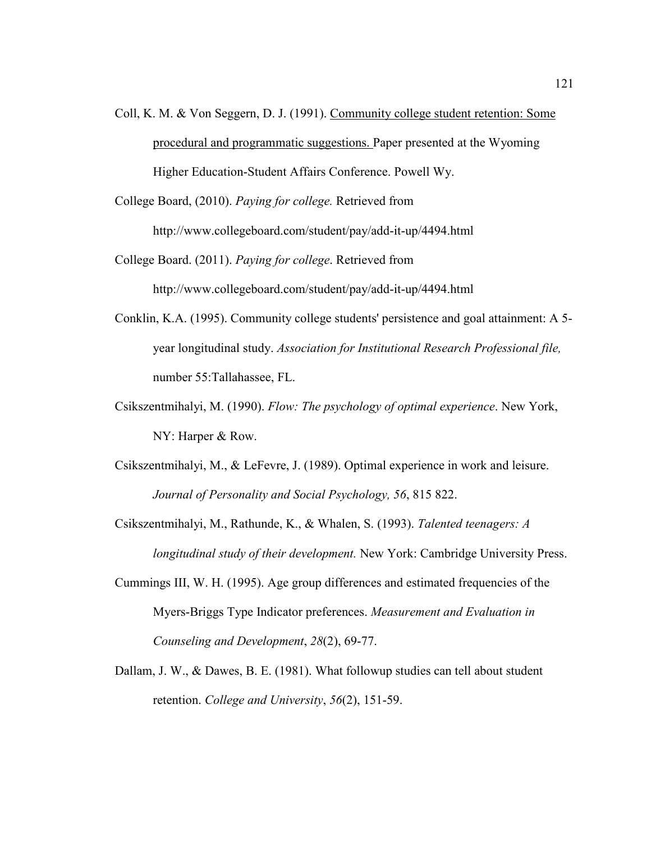Coll, K. M. & Von Seggern, D. J. (1991). Community college student retention: Some procedural and programmatic suggestions. Paper presented at the Wyoming Higher Education-Student Affairs Conference. Powell Wy.

College Board, (2010). *Paying for college.* Retrieved from http://www.collegeboard.com/student/pay/add-it-up/4494.html

College Board. (2011). *Paying for college*. Retrieved from http://www.collegeboard.com/student/pay/add-it-up/4494.html

- Conklin, K.A. (1995). Community college students' persistence and goal attainment: A 5 year longitudinal study. *Association for Institutional Research Professional file,*  number 55:Tallahassee, FL.
- Csikszentmihalyi, M. (1990). *Flow: The psychology of optimal experience*. New York, NY: Harper & Row.
- Csikszentmihalyi, M., & LeFevre, J. (1989). Optimal experience in work and leisure. *Journal of Personality and Social Psychology, 56*, 815 822.

Csikszentmihalyi, M., Rathunde, K., & Whalen, S. (1993). *Talented teenagers: A longitudinal study of their development.* New York: Cambridge University Press.

- Cummings III, W. H. (1995). Age group differences and estimated frequencies of the Myers-Briggs Type Indicator preferences. *Measurement and Evaluation in Counseling and Development*, *28*(2), 69-77.
- Dallam, J. W., & Dawes, B. E. (1981). What followup studies can tell about student retention. *College and University*, *56*(2), 151-59.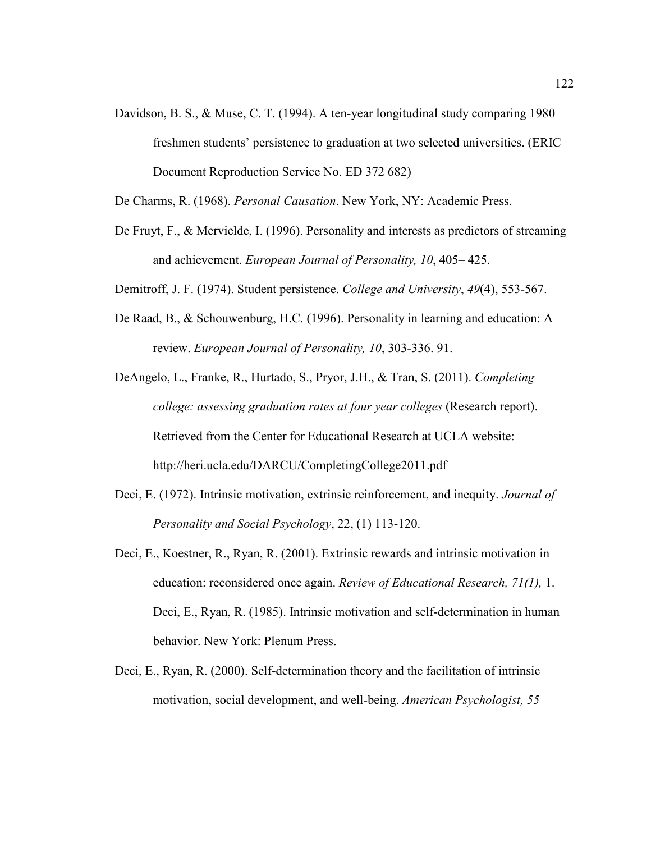- Davidson, B. S., & Muse, C. T. (1994). A ten-year longitudinal study comparing 1980 freshmen students' persistence to graduation at two selected universities. (ERIC Document Reproduction Service No. ED 372 682)
- De Charms, R. (1968). *Personal Causation*. New York, NY: Academic Press.
- De Fruyt, F., & Mervielde, I. (1996). Personality and interests as predictors of streaming and achievement. *European Journal of Personality, 10*, 405– 425.
- Demitroff, J. F. (1974). Student persistence. *College and University*, *49*(4), 553-567.
- De Raad, B., & Schouwenburg, H.C. (1996). Personality in learning and education: A review. *European Journal of Personality, 10*, 303-336. 91.

DeAngelo, L., Franke, R., Hurtado, S., Pryor, J.H., & Tran, S. (2011). *Completing college: assessing graduation rates at four year colleges* (Research report). Retrieved from the Center for Educational Research at UCLA website: http://heri.ucla.edu/DARCU/CompletingCollege2011.pdf

- Deci, E. (1972). Intrinsic motivation, extrinsic reinforcement, and inequity. *Journal of Personality and Social Psychology*, 22, (1) 113-120.
- Deci, E., Koestner, R., Ryan, R. (2001). Extrinsic rewards and intrinsic motivation in education: reconsidered once again. *Review of Educational Research, 71(1),* 1. Deci, E., Ryan, R. (1985). Intrinsic motivation and self-determination in human behavior. New York: Plenum Press.
- Deci, E., Ryan, R. (2000). Self-determination theory and the facilitation of intrinsic motivation, social development, and well-being. *American Psychologist, 55*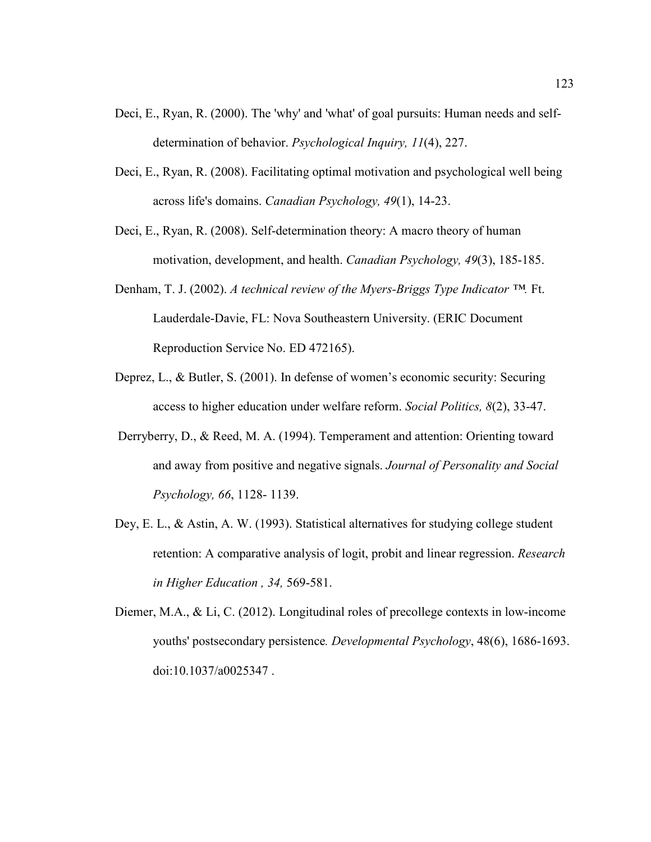- Deci, E., Ryan, R. (2000). The 'why' and 'what' of goal pursuits: Human needs and selfdetermination of behavior. *Psychological Inquiry, 11*(4), 227.
- Deci, E., Ryan, R. (2008). Facilitating optimal motivation and psychological well being across life's domains. *Canadian Psychology, 49*(1), 14-23.
- Deci, E., Ryan, R. (2008). Self-determination theory: A macro theory of human motivation, development, and health. *Canadian Psychology, 49*(3), 185-185.
- Denham, T. J. (2002). *A technical review of the Myers-Briggs Type Indicator ™.* Ft. Lauderdale-Davie, FL: Nova Southeastern University. (ERIC Document Reproduction Service No. ED 472165).
- Deprez, L., & Butler, S. (2001). In defense of women's economic security: Securing access to higher education under welfare reform. *Social Politics, 8*(2), 33-47.
- Derryberry, D., & Reed, M. A. (1994). Temperament and attention: Orienting toward and away from positive and negative signals. *Journal of Personality and Social Psychology, 66*, 1128- 1139.
- Dey, E. L., & Astin, A. W. (1993). Statistical alternatives for studying college student retention: A comparative analysis of logit, probit and linear regression. *Research in Higher Education , 34,* 569-581.
- Diemer, M.A., & Li, C. (2012). Longitudinal roles of precollege contexts in low-income youths' postsecondary persistence*. Developmental Psychology*, 48(6), 1686-1693. doi:10.1037/a0025347 .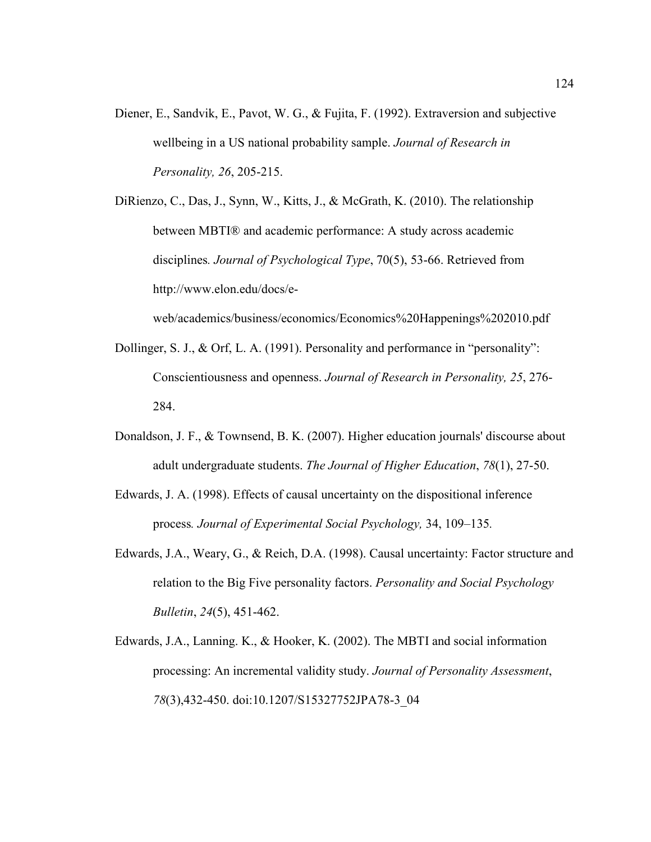- Diener, E., Sandvik, E., Pavot, W. G., & Fujita, F. (1992). Extraversion and subjective wellbeing in a US national probability sample. *Journal of Research in Personality, 26*, 205-215.
- DiRienzo, C., Das, J., Synn, W., Kitts, J., & McGrath, K. (2010). The relationship between MBTI® and academic performance: A study across academic disciplines*. Journal of Psychological Type*, 70(5), 53-66. Retrieved from http://www.elon.edu/docs/e-

web/academics/business/economics/Economics%20Happenings%202010.pdf

- Dollinger, S. J., & Orf, L. A. (1991). Personality and performance in "personality": Conscientiousness and openness. *Journal of Research in Personality, 25*, 276- 284.
- Donaldson, J. F., & Townsend, B. K. (2007). Higher education journals' discourse about adult undergraduate students. *The Journal of Higher Education*, *78*(1), 27-50.
- Edwards, J. A. (1998). Effects of causal uncertainty on the dispositional inference process*. Journal of Experimental Social Psychology,* 34, 109–135*.*
- Edwards, J.A., Weary, G., & Reich, D.A. (1998). Causal uncertainty: Factor structure and relation to the Big Five personality factors. *Personality and Social Psychology Bulletin*, *24*(5), 451-462.
- Edwards, J.A., Lanning. K., & Hooker, K. (2002). The MBTI and social information processing: An incremental validity study. *Journal of Personality Assessment*, *78*(3),432-450. doi:10.1207/S15327752JPA78-3\_04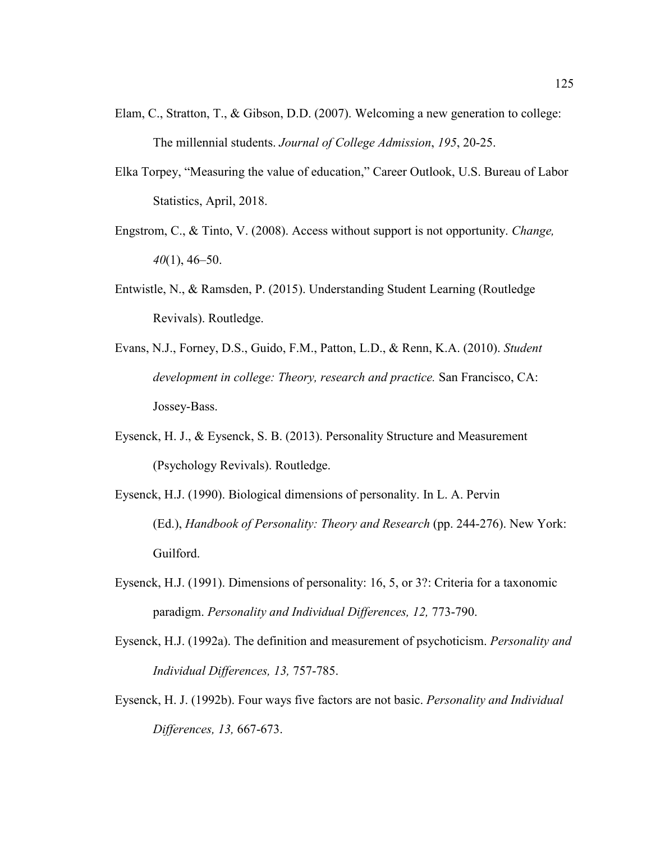- Elam, C., Stratton, T., & Gibson, D.D. (2007). Welcoming a new generation to college: The millennial students. *Journal of College Admission*, *195*, 20-25.
- Elka Torpey, "Measuring the value of education," Career Outlook, U.S. Bureau of Labor Statistics, April, 2018.
- Engstrom, C., & Tinto, V. (2008). Access without support is not opportunity. *Change, 40*(1), 46–50.
- Entwistle, N., & Ramsden, P. (2015). Understanding Student Learning (Routledge Revivals). Routledge.
- Evans, N.J., Forney, D.S., Guido, F.M., Patton, L.D., & Renn, K.A. (2010). *Student development in college: Theory, research and practice.* San Francisco, CA: Jossey-Bass.
- Eysenck, H. J., & Eysenck, S. B. (2013). Personality Structure and Measurement (Psychology Revivals). Routledge.
- Eysenck, H.J. (1990). Biological dimensions of personality. In L. A. Pervin (Ed.), *Handbook of Personality: Theory and Research* (pp. 244-276). New York: Guilford.
- Eysenck, H.J. (1991). Dimensions of personality: 16, 5, or 3?: Criteria for a taxonomic paradigm. *Personality and Individual Differences, 12,* 773-790.
- Eysenck, H.J. (1992a). The definition and measurement of psychoticism. *Personality and Individual Differences, 13,* 757-785.
- Eysenck, H. J. (1992b). Four ways five factors are not basic. *Personality and Individual Differences, 13,* 667-673.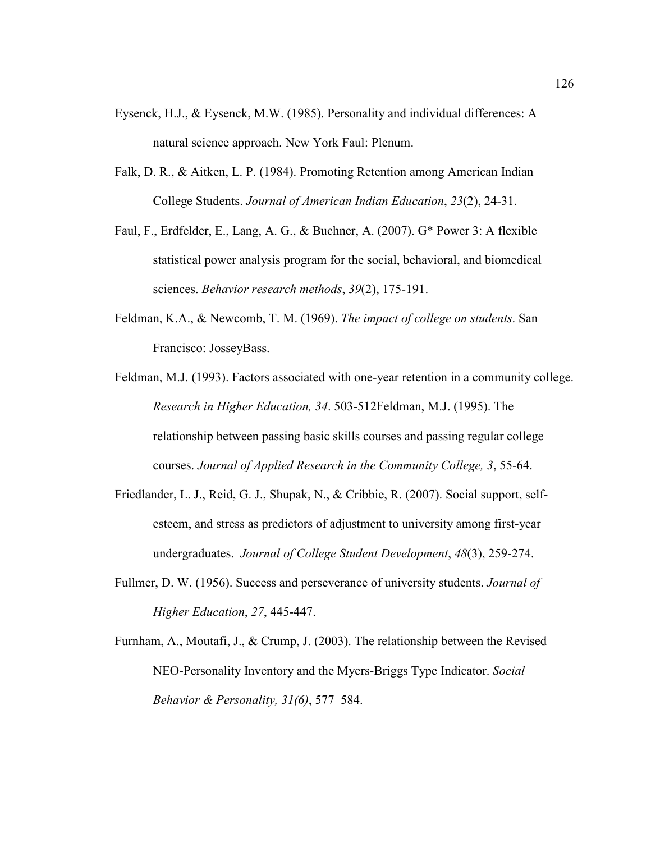- Eysenck, H.J., & Eysenck, M.W. (1985). Personality and individual differences: A natural science approach. New York Faul: Plenum.
- Falk, D. R., & Aitken, L. P. (1984). Promoting Retention among American Indian College Students. *Journal of American Indian Education*, *23*(2), 24-31.
- Faul, F., Erdfelder, E., Lang, A. G., & Buchner, A. (2007). G\* Power 3: A flexible statistical power analysis program for the social, behavioral, and biomedical sciences. *Behavior research methods*, *39*(2), 175-191.
- Feldman, K.A., & Newcomb, T. M. (1969). *The impact of college on students*. San Francisco: JosseyBass.
- Feldman, M.J. (1993). Factors associated with one-year retention in a community college. *Research in Higher Education, 34*. 503-512Feldman, M.J. (1995). The relationship between passing basic skills courses and passing regular college courses. *Journal of Applied Research in the Community College, 3*, 55-64.
- Friedlander, L. J., Reid, G. J., Shupak, N., & Cribbie, R. (2007). Social support, selfesteem, and stress as predictors of adjustment to university among first-year undergraduates. *Journal of College Student Development*, *48*(3), 259-274.
- Fullmer, D. W. (1956). Success and perseverance of university students. *Journal of Higher Education*, *27*, 445-447.
- Furnham, A., Moutafi, J., & Crump, J. (2003). The relationship between the Revised NEO-Personality Inventory and the Myers-Briggs Type Indicator. *Social Behavior & Personality, 31(6)*, 577–584.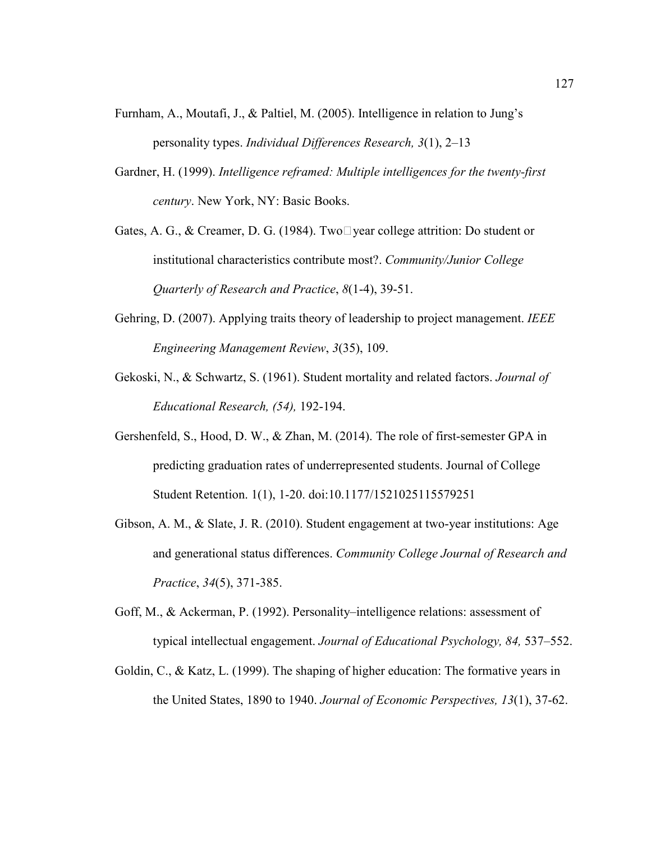- Furnham, A., Moutafi, J., & Paltiel, M. (2005). Intelligence in relation to Jung's personality types. *Individual Differences Research, 3*(1), 2–13
- Gardner, H. (1999). *Intelligence reframed: Multiple intelligences for the twenty-first century*. New York, NY: Basic Books.
- Gates, A. G., & Creamer, D. G. (1984). Two $\square$  year college attrition: Do student or institutional characteristics contribute most?. *Community/Junior College Quarterly of Research and Practice*, *8*(1-4), 39-51.
- Gehring, D. (2007). Applying traits theory of leadership to project management. *IEEE Engineering Management Review*, *3*(35), 109.
- Gekoski, N., & Schwartz, S. (1961). Student mortality and related factors. *Journal of Educational Research, (54),* 192-194.
- Gershenfeld, S., Hood, D. W., & Zhan, M. (2014). The role of first-semester GPA in predicting graduation rates of underrepresented students. Journal of College Student Retention. 1(1), 1-20. doi:10.1177/1521025115579251
- Gibson, A. M., & Slate, J. R. (2010). Student engagement at two-year institutions: Age and generational status differences. *Community College Journal of Research and Practice*, *34*(5), 371-385.
- Goff, M., & Ackerman, P. (1992). Personality–intelligence relations: assessment of typical intellectual engagement. *Journal of Educational Psychology, 84,* 537–552.
- Goldin, C., & Katz, L. (1999). The shaping of higher education: The formative years in the United States, 1890 to 1940. *Journal of Economic Perspectives, 13*(1), 37-62.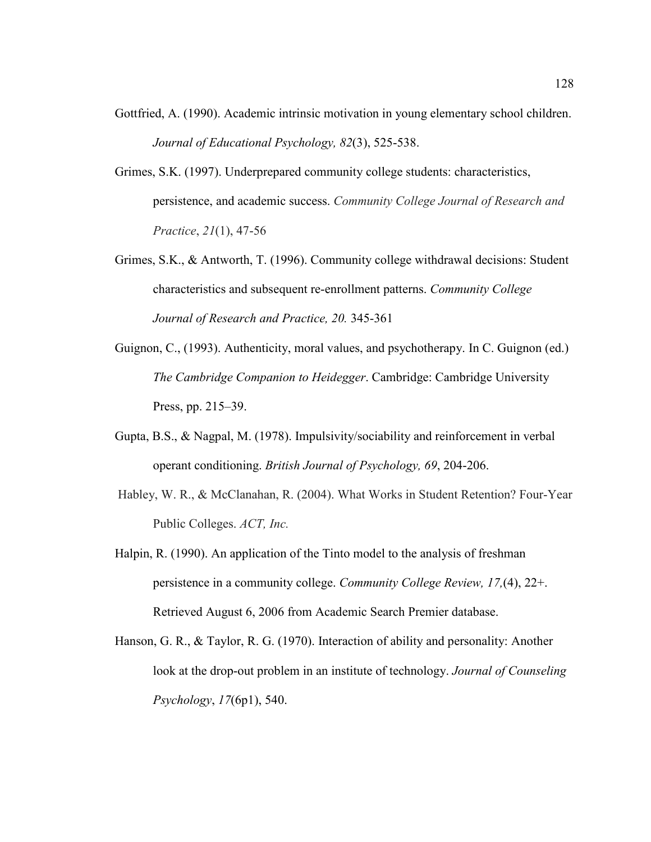- Gottfried, A. (1990). Academic intrinsic motivation in young elementary school children. *Journal of Educational Psychology, 82*(3), 525-538.
- Grimes, S.K. (1997). Underprepared community college students: characteristics, persistence, and academic success. *Community College Journal of Research and Practice*, *21*(1), 47-56
- Grimes, S.K., & Antworth, T. (1996). Community college withdrawal decisions: Student characteristics and subsequent re-enrollment patterns. *Community College Journal of Research and Practice, 20.* 345-361
- Guignon, C., (1993). Authenticity, moral values, and psychotherapy. In C. Guignon (ed.) *The Cambridge Companion to Heidegger*. Cambridge: Cambridge University Press, pp. 215–39.
- Gupta, B.S., & Nagpal, M. (1978). Impulsivity/sociability and reinforcement in verbal operant conditioning. *British Journal of Psychology, 69*, 204-206.
- Habley, W. R., & McClanahan, R. (2004). What Works in Student Retention? Four-Year Public Colleges. *ACT, Inc.*
- Halpin, R. (1990). An application of the Tinto model to the analysis of freshman persistence in a community college. *Community College Review, 17,*(4), 22+. Retrieved August 6, 2006 from Academic Search Premier database.
- Hanson, G. R., & Taylor, R. G. (1970). Interaction of ability and personality: Another look at the drop-out problem in an institute of technology. *Journal of Counseling Psychology*, *17*(6p1), 540.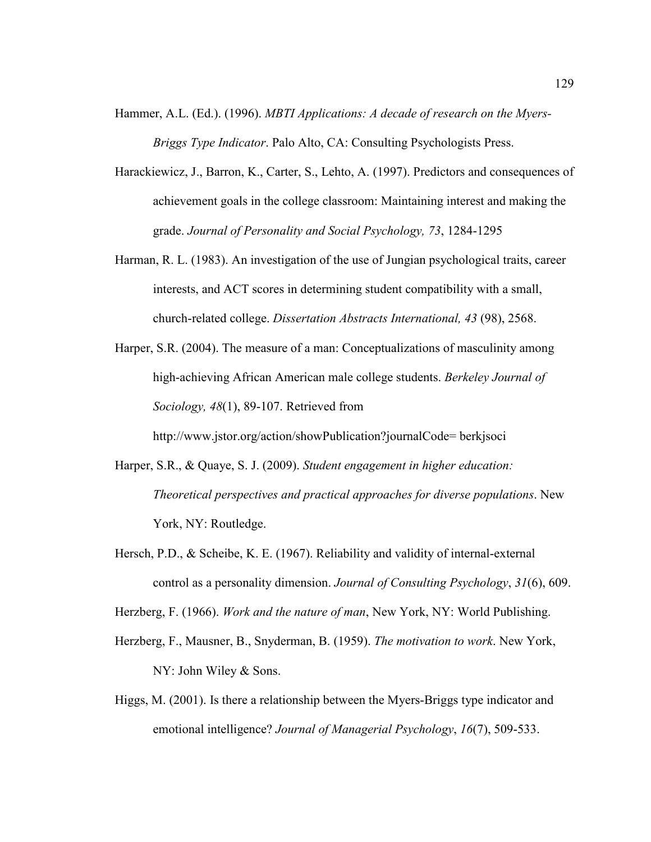- Hammer, A.L. (Ed.). (1996). *MBTI Applications: A decade of research on the Myers-Briggs Type Indicator*. Palo Alto, CA: Consulting Psychologists Press.
- Harackiewicz, J., Barron, K., Carter, S., Lehto, A. (1997). Predictors and consequences of achievement goals in the college classroom: Maintaining interest and making the grade. *Journal of Personality and Social Psychology, 73*, 1284-1295
- Harman, R. L. (1983). An investigation of the use of Jungian psychological traits, career interests, and ACT scores in determining student compatibility with a small, church-related college. *Dissertation Abstracts International, 43* (98), 2568.
- Harper, S.R. (2004). The measure of a man: Conceptualizations of masculinity among high-achieving African American male college students. *Berkeley Journal of Sociology, 48*(1), 89-107. Retrieved from

http://www.jstor.org/action/showPublication?journalCode= berkjsoci

- Harper, S.R., & Quaye, S. J. (2009). *Student engagement in higher education: Theoretical perspectives and practical approaches for diverse populations*. New York, NY: Routledge.
- Hersch, P.D., & Scheibe, K. E. (1967). Reliability and validity of internal-external control as a personality dimension. *Journal of Consulting Psychology*, *31*(6), 609.

Herzberg, F. (1966). *Work and the nature of man*, New York, NY: World Publishing.

- Herzberg, F., Mausner, B., Snyderman, B. (1959). *The motivation to work*. New York, NY: John Wiley & Sons.
- Higgs, M. (2001). Is there a relationship between the Myers-Briggs type indicator and emotional intelligence? *Journal of Managerial Psychology*, *16*(7), 509-533.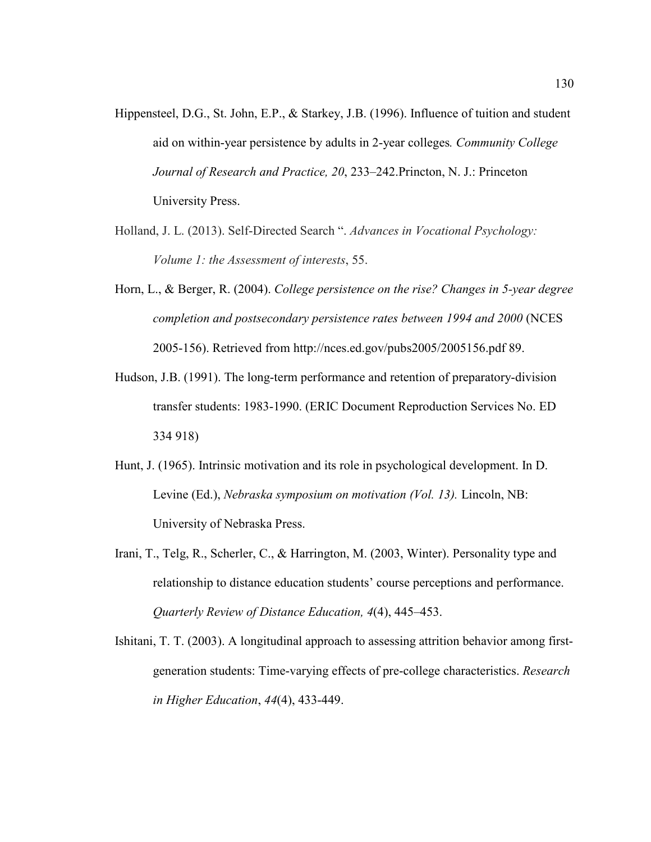- Hippensteel, D.G., St. John, E.P., & Starkey, J.B. (1996). Influence of tuition and student aid on within-year persistence by adults in 2-year colleges*. Community College Journal of Research and Practice, 20*, 233–242.Princton, N. J.: Princeton University Press.
- Holland, J. L. (2013). Self-Directed Search ". *Advances in Vocational Psychology: Volume 1: the Assessment of interests*, 55.
- Horn, L., & Berger, R. (2004). *College persistence on the rise? Changes in 5-year degree completion and postsecondary persistence rates between 1994 and 2000* (NCES 2005-156). Retrieved from http://nces.ed.gov/pubs2005/2005156.pdf 89.
- Hudson, J.B. (1991). The long-term performance and retention of preparatory-division transfer students: 1983-1990. (ERIC Document Reproduction Services No. ED 334 918)
- Hunt, J. (1965). Intrinsic motivation and its role in psychological development. In D. Levine (Ed.), *Nebraska symposium on motivation (Vol. 13).* Lincoln, NB: University of Nebraska Press.
- Irani, T., Telg, R., Scherler, C., & Harrington, M. (2003, Winter). Personality type and relationship to distance education students' course perceptions and performance. *Quarterly Review of Distance Education, 4*(4), 445–453.
- Ishitani, T. T. (2003). A longitudinal approach to assessing attrition behavior among firstgeneration students: Time-varying effects of pre-college characteristics. *Research in Higher Education*, *44*(4), 433-449.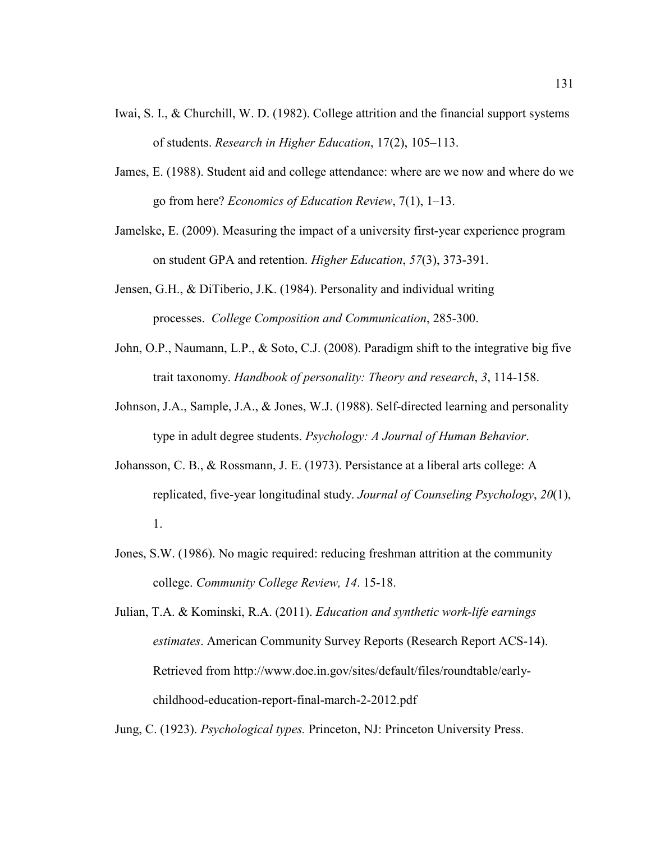- Iwai, S. I., & Churchill, W. D. (1982). College attrition and the financial support systems of students. *Research in Higher Education*, 17(2), 105–113.
- James, E. (1988). Student aid and college attendance: where are we now and where do we go from here? *Economics of Education Review*, 7(1), 1–13.
- Jamelske, E. (2009). Measuring the impact of a university first-year experience program on student GPA and retention. *Higher Education*, *57*(3), 373-391.
- Jensen, G.H., & DiTiberio, J.K. (1984). Personality and individual writing processes. *College Composition and Communication*, 285-300.
- John, O.P., Naumann, L.P., & Soto, C.J. (2008). Paradigm shift to the integrative big five trait taxonomy. *Handbook of personality: Theory and research*, *3*, 114-158.
- Johnson, J.A., Sample, J.A., & Jones, W.J. (1988). Self-directed learning and personality type in adult degree students. *Psychology: A Journal of Human Behavior*.
- Johansson, C. B., & Rossmann, J. E. (1973). Persistance at a liberal arts college: A replicated, five-year longitudinal study. *Journal of Counseling Psychology*, *20*(1), 1.
- Jones, S.W. (1986). No magic required: reducing freshman attrition at the community college. *Community College Review, 14*. 15-18.
- Julian, T.A. & Kominski, R.A. (2011). *Education and synthetic work-life earnings estimates*. American Community Survey Reports (Research Report ACS-14). Retrieved from http://www.doe.in.gov/sites/default/files/roundtable/earlychildhood-education-report-final-march-2-2012.pdf

Jung, C. (1923). *Psychological types.* Princeton, NJ: Princeton University Press.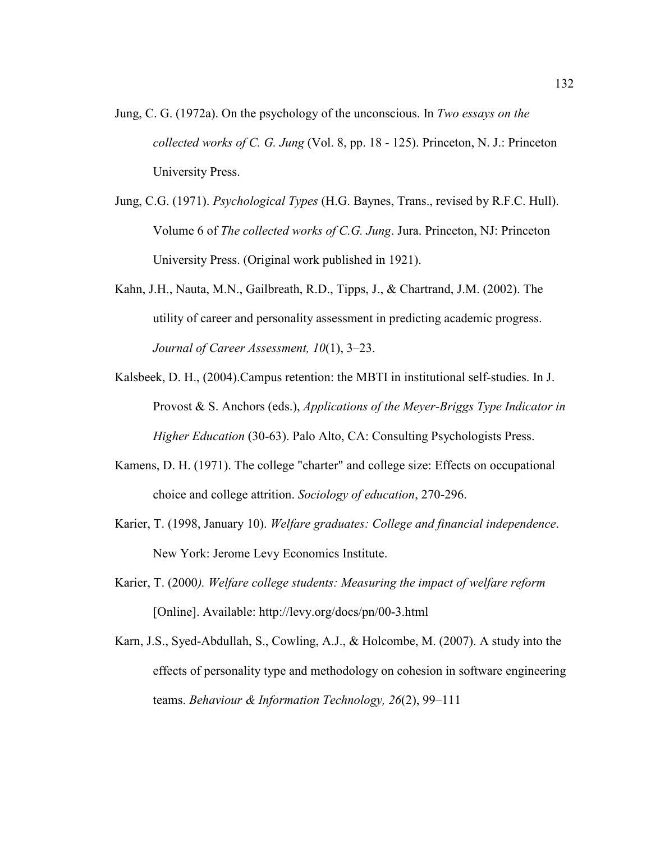- Jung, C. G. (1972a). On the psychology of the unconscious. In *Two essays on the collected works of C. G. Jung* (Vol. 8, pp. 18 - 125). Princeton, N. J.: Princeton University Press.
- Jung, C.G. (1971). *Psychological Types* (H.G. Baynes, Trans., revised by R.F.C. Hull). Volume 6 of *The collected works of C.G. Jung*. Jura. Princeton, NJ: Princeton University Press. (Original work published in 1921).
- Kahn, J.H., Nauta, M.N., Gailbreath, R.D., Tipps, J., & Chartrand, J.M. (2002). The utility of career and personality assessment in predicting academic progress. *Journal of Career Assessment, 10*(1), 3–23.
- Kalsbeek, D. H., (2004).Campus retention: the MBTI in institutional self-studies. In J. Provost & S. Anchors (eds.), *Applications of the Meyer-Briggs Type Indicator in Higher Education* (30-63). Palo Alto, CA: Consulting Psychologists Press.
- Kamens, D. H. (1971). The college "charter" and college size: Effects on occupational choice and college attrition. *Sociology of education*, 270-296.
- Karier, T. (1998, January 10). *Welfare graduates: College and financial independence*. New York: Jerome Levy Economics Institute.
- Karier, T. (2000*). Welfare college students: Measuring the impact of welfare reform* [Online]. Available: http://levy.org/docs/pn/00-3.html
- Karn, J.S., Syed-Abdullah, S., Cowling, A.J., & Holcombe, M. (2007). A study into the effects of personality type and methodology on cohesion in software engineering teams. *Behaviour & Information Technology, 26*(2), 99–111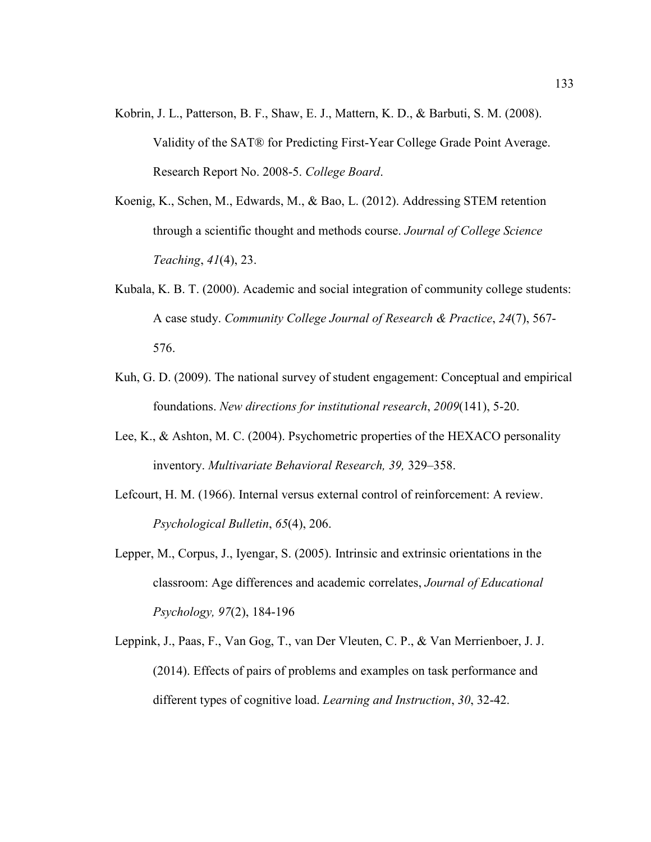- Kobrin, J. L., Patterson, B. F., Shaw, E. J., Mattern, K. D., & Barbuti, S. M. (2008). Validity of the SAT® for Predicting First-Year College Grade Point Average. Research Report No. 2008-5. *College Board*.
- Koenig, K., Schen, M., Edwards, M., & Bao, L. (2012). Addressing STEM retention through a scientific thought and methods course. *Journal of College Science Teaching*, *41*(4), 23.
- Kubala, K. B. T. (2000). Academic and social integration of community college students: A case study. *Community College Journal of Research & Practice*, *24*(7), 567- 576.
- Kuh, G. D. (2009). The national survey of student engagement: Conceptual and empirical foundations. *New directions for institutional research*, *2009*(141), 5-20.
- Lee, K., & Ashton, M. C. (2004). Psychometric properties of the HEXACO personality inventory. *Multivariate Behavioral Research, 39,* 329–358.
- Lefcourt, H. M. (1966). Internal versus external control of reinforcement: A review. *Psychological Bulletin*, *65*(4), 206.
- Lepper, M., Corpus, J., Iyengar, S. (2005). Intrinsic and extrinsic orientations in the classroom: Age differences and academic correlates, *Journal of Educational Psychology, 97*(2), 184-196
- Leppink, J., Paas, F., Van Gog, T., van Der Vleuten, C. P., & Van Merrienboer, J. J. (2014). Effects of pairs of problems and examples on task performance and different types of cognitive load. *Learning and Instruction*, *30*, 32-42.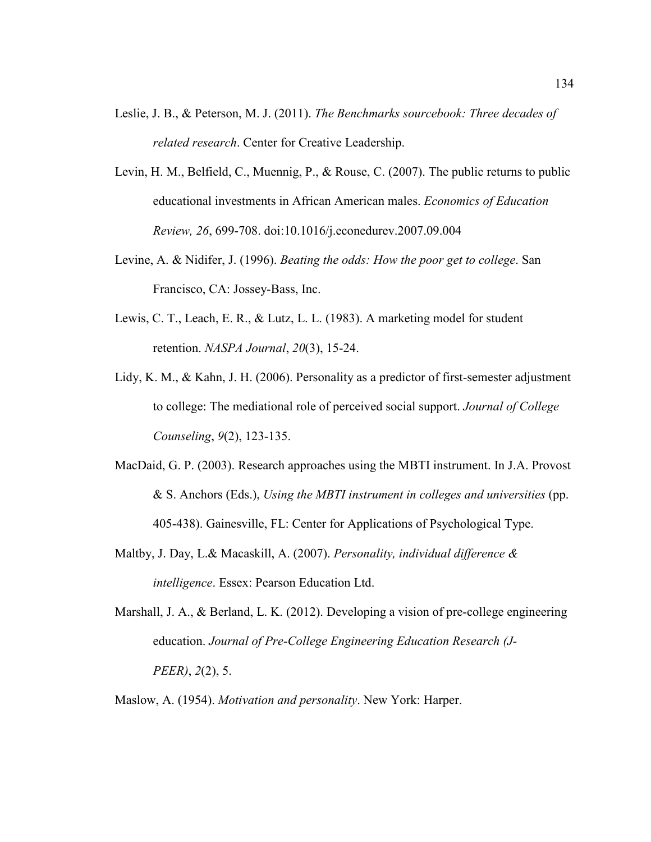- Leslie, J. B., & Peterson, M. J. (2011). *The Benchmarks sourcebook: Three decades of related research*. Center for Creative Leadership.
- Levin, H. M., Belfield, C., Muennig, P., & Rouse, C. (2007). The public returns to public educational investments in African American males. *Economics of Education Review, 26*, 699-708. doi:10.1016/j.econedurev.2007.09.004
- Levine, A. & Nidifer, J. (1996). *Beating the odds: How the poor get to college*. San Francisco, CA: Jossey-Bass, Inc.
- Lewis, C. T., Leach, E. R., & Lutz, L. L. (1983). A marketing model for student retention. *NASPA Journal*, *20*(3), 15-24.
- Lidy, K. M., & Kahn, J. H. (2006). Personality as a predictor of first-semester adjustment to college: The mediational role of perceived social support. *Journal of College Counseling*, *9*(2), 123-135.
- MacDaid, G. P. (2003). Research approaches using the MBTI instrument. In J.A. Provost & S. Anchors (Eds.), *Using the MBTI instrument in colleges and universities* (pp. 405-438). Gainesville, FL: Center for Applications of Psychological Type.
- Maltby, J. Day, L.& Macaskill, A. (2007). *Personality, individual difference & intelligence*. Essex: Pearson Education Ltd.
- Marshall, J. A., & Berland, L. K. (2012). Developing a vision of pre-college engineering education. *Journal of Pre-College Engineering Education Research (J-PEER)*, *2*(2), 5.
- Maslow, A. (1954). *Motivation and personality*. New York: Harper.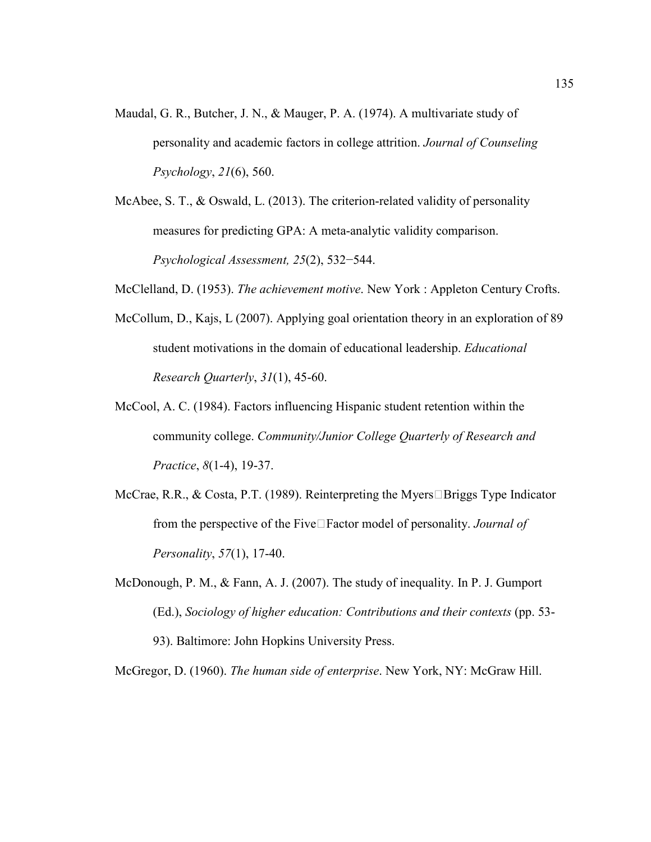- Maudal, G. R., Butcher, J. N., & Mauger, P. A. (1974). A multivariate study of personality and academic factors in college attrition. *Journal of Counseling Psychology*, *21*(6), 560.
- McAbee, S. T., & Oswald, L. (2013). The criterion-related validity of personality measures for predicting GPA: A meta-analytic validity comparison. *Psychological Assessment, 25*(2), 532−544.

McClelland, D. (1953). *The achievement motive*. New York : Appleton Century Crofts.

- McCollum, D., Kajs, L (2007). Applying goal orientation theory in an exploration of 89 student motivations in the domain of educational leadership. *Educational Research Quarterly*, *31*(1), 45-60.
- McCool, A. C. (1984). Factors influencing Hispanic student retention within the community college. *Community/Junior College Quarterly of Research and Practice*, *8*(1-4), 19-37.
- McCrae, R.R., & Costa, P.T. (1989). Reinterpreting the Myers $\Box$ Briggs Type Indicator from the perspective of the Five□Factor model of personality. *Journal of Personality*, *57*(1), 17-40.
- McDonough, P. M., & Fann, A. J. (2007). The study of inequality. In P. J. Gumport (Ed.), *Sociology of higher education: Contributions and their contexts* (pp. 53- 93). Baltimore: John Hopkins University Press.

McGregor, D. (1960). *The human side of enterprise*. New York, NY: McGraw Hill.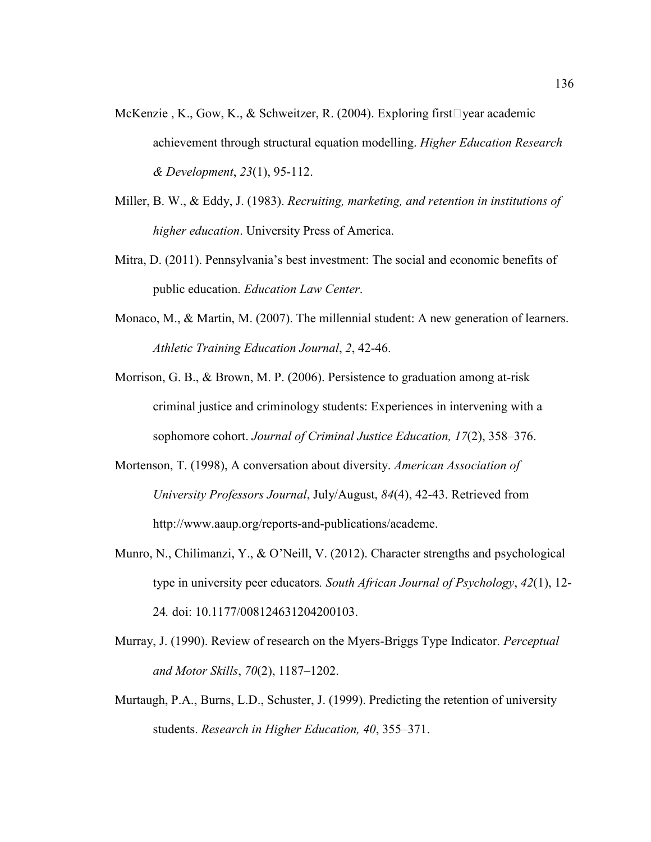- McKenzie, K., Gow, K., & Schweitzer, R. (2004). Exploring first vear academic achievement through structural equation modelling. *Higher Education Research & Development*, *23*(1), 95-112.
- Miller, B. W., & Eddy, J. (1983). *Recruiting, marketing, and retention in institutions of higher education*. University Press of America.
- Mitra, D. (2011). Pennsylvania's best investment: The social and economic benefits of public education. *Education Law Center*.
- Monaco, M., & Martin, M. (2007). The millennial student: A new generation of learners. *Athletic Training Education Journal*, *2*, 42-46.
- Morrison, G. B., & Brown, M. P. (2006). Persistence to graduation among at-risk criminal justice and criminology students: Experiences in intervening with a sophomore cohort. *Journal of Criminal Justice Education, 17*(2), 358–376.
- Mortenson, T. (1998), A conversation about diversity. *American Association of University Professors Journal*, July/August, *84*(4), 42-43. Retrieved from http://www.aaup.org/reports-and-publications/academe.
- Munro, N., Chilimanzi, Y., & O'Neill, V. (2012). Character strengths and psychological type in university peer educators*. South African Journal of Psychology*, *42*(1), 12- 24*.* doi: 10.1177/008124631204200103.
- Murray, J. (1990). Review of research on the Myers-Briggs Type Indicator. *Perceptual and Motor Skills*, *70*(2), 1187–1202.
- Murtaugh, P.A., Burns, L.D., Schuster, J. (1999). Predicting the retention of university students. *Research in Higher Education, 40*, 355–371.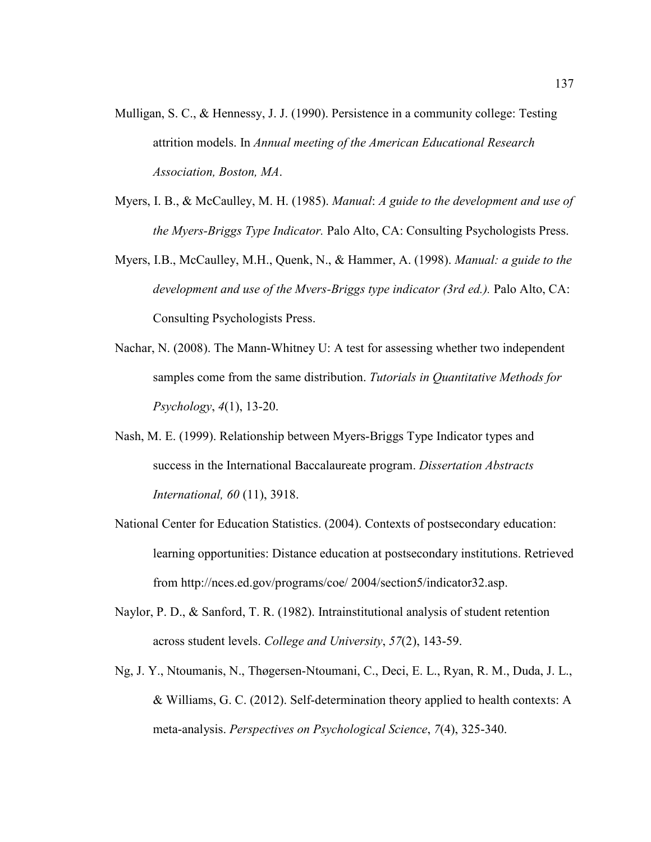- Mulligan, S. C., & Hennessy, J. J. (1990). Persistence in a community college: Testing attrition models. In *Annual meeting of the American Educational Research Association, Boston, MA*.
- Myers, I. B., & McCaulley, M. H. (1985). *Manual*: *A guide to the development and use of the Myers-Briggs Type Indicator.* Palo Alto, CA: Consulting Psychologists Press.
- Myers, I.B., McCaulley, M.H., Quenk, N., & Hammer, A. (1998). *Manual: a guide to the development and use of the Mvers-Briggs type indicator (3rd ed.).* Palo Alto, CA: Consulting Psychologists Press.
- Nachar, N. (2008). The Mann-Whitney U: A test for assessing whether two independent samples come from the same distribution. *Tutorials in Quantitative Methods for Psychology*, *4*(1), 13-20.
- Nash, M. E. (1999). Relationship between Myers-Briggs Type Indicator types and success in the International Baccalaureate program. *Dissertation Abstracts International, 60* (11), 3918.
- National Center for Education Statistics. (2004). Contexts of postsecondary education: learning opportunities: Distance education at postsecondary institutions. Retrieved from http://nces.ed.gov/programs/coe/ 2004/section5/indicator32.asp.
- Naylor, P. D., & Sanford, T. R. (1982). Intrainstitutional analysis of student retention across student levels. *College and University*, *57*(2), 143-59.
- Ng, J. Y., Ntoumanis, N., Thøgersen-Ntoumani, C., Deci, E. L., Ryan, R. M., Duda, J. L., & Williams, G. C. (2012). Self-determination theory applied to health contexts: A meta-analysis. *Perspectives on Psychological Science*, *7*(4), 325-340.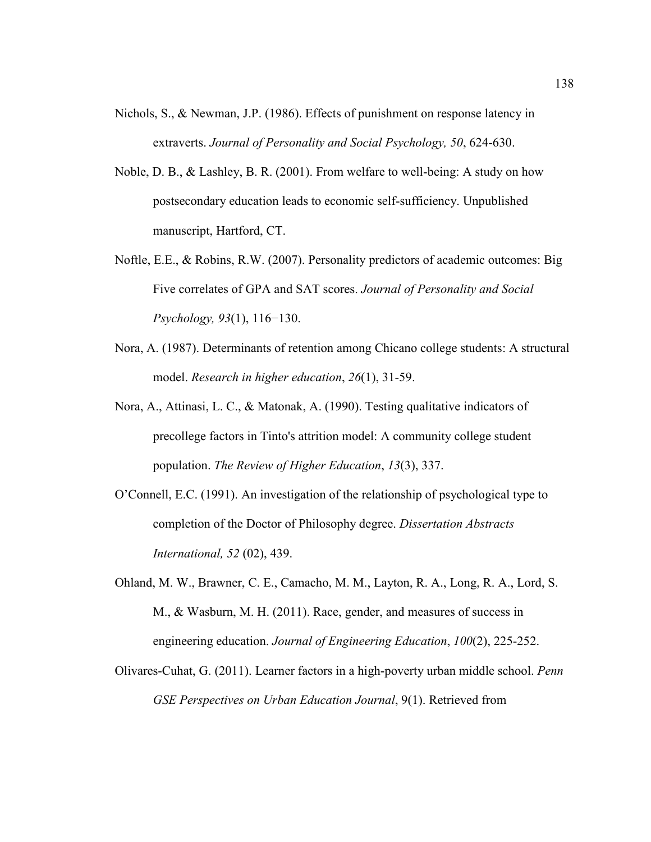- Nichols, S., & Newman, J.P. (1986). Effects of punishment on response latency in extraverts. *Journal of Personality and Social Psychology, 50*, 624-630.
- Noble, D. B., & Lashley, B. R. (2001). From welfare to well-being: A study on how postsecondary education leads to economic self-sufficiency. Unpublished manuscript, Hartford, CT.
- Noftle, E.E., & Robins, R.W. (2007). Personality predictors of academic outcomes: Big Five correlates of GPA and SAT scores. *Journal of Personality and Social Psychology, 93*(1), 116−130.
- Nora, A. (1987). Determinants of retention among Chicano college students: A structural model. *Research in higher education*, *26*(1), 31-59.
- Nora, A., Attinasi, L. C., & Matonak, A. (1990). Testing qualitative indicators of precollege factors in Tinto's attrition model: A community college student population. *The Review of Higher Education*, *13*(3), 337.
- O'Connell, E.C. (1991). An investigation of the relationship of psychological type to completion of the Doctor of Philosophy degree. *Dissertation Abstracts International, 52* (02), 439.
- Ohland, M. W., Brawner, C. E., Camacho, M. M., Layton, R. A., Long, R. A., Lord, S. M., & Wasburn, M. H. (2011). Race, gender, and measures of success in engineering education. *Journal of Engineering Education*, *100*(2), 225-252.
- Olivares-Cuhat, G. (2011). Learner factors in a high-poverty urban middle school. *Penn GSE Perspectives on Urban Education Journal*, 9(1). Retrieved from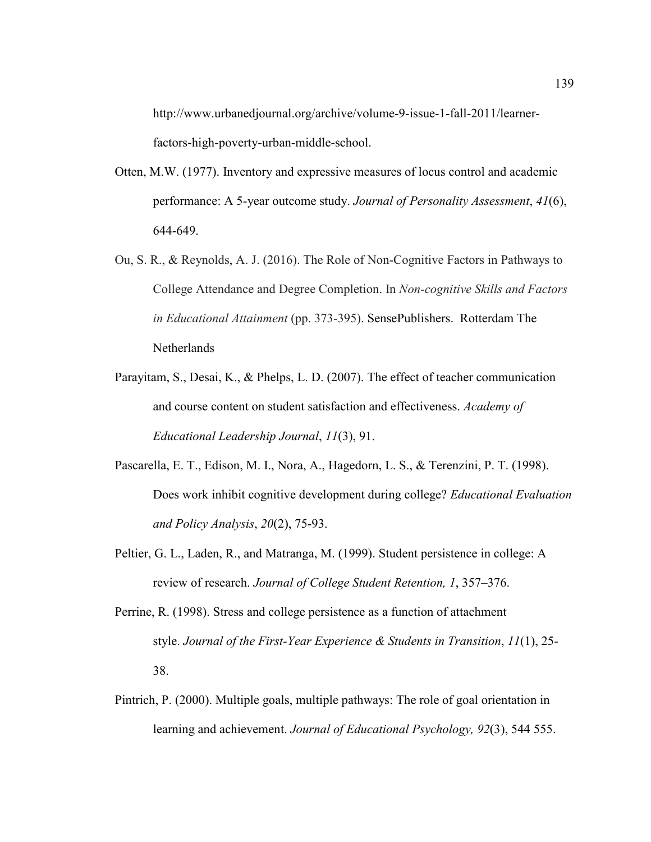http://www.urbanedjournal.org/archive/volume-9-issue-1-fall-2011/learnerfactors-high-poverty-urban-middle-school.

- Otten, M.W. (1977). Inventory and expressive measures of locus control and academic performance: A 5-year outcome study. *Journal of Personality Assessment*, *41*(6), 644-649.
- Ou, S. R., & Reynolds, A. J. (2016). The Role of Non-Cognitive Factors in Pathways to College Attendance and Degree Completion. In *Non-cognitive Skills and Factors in Educational Attainment* (pp. 373-395). SensePublishers. Rotterdam The Netherlands
- Parayitam, S., Desai, K., & Phelps, L. D. (2007). The effect of teacher communication and course content on student satisfaction and effectiveness. *Academy of Educational Leadership Journal*, *11*(3), 91.
- Pascarella, E. T., Edison, M. I., Nora, A., Hagedorn, L. S., & Terenzini, P. T. (1998). Does work inhibit cognitive development during college? *Educational Evaluation and Policy Analysis*, *20*(2), 75-93.
- Peltier, G. L., Laden, R., and Matranga, M. (1999). Student persistence in college: A review of research. *Journal of College Student Retention, 1*, 357–376.
- Perrine, R. (1998). Stress and college persistence as a function of attachment style. *Journal of the First-Year Experience & Students in Transition*, *11*(1), 25- 38.
- Pintrich, P. (2000). Multiple goals, multiple pathways: The role of goal orientation in learning and achievement. *Journal of Educational Psychology, 92*(3), 544 555.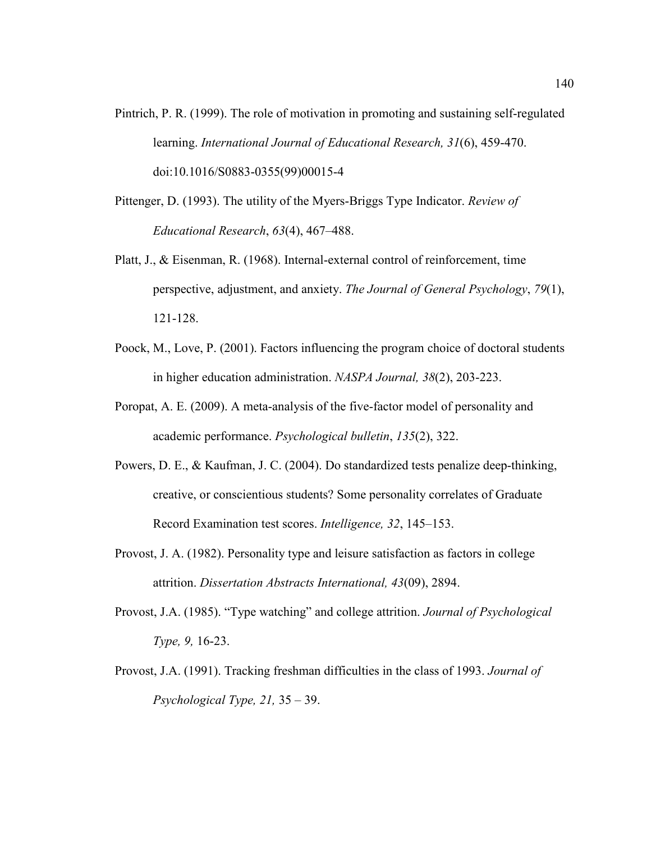- Pintrich, P. R. (1999). The role of motivation in promoting and sustaining self-regulated learning. *International Journal of Educational Research, 31*(6), 459-470. doi:10.1016/S0883-0355(99)00015-4
- Pittenger, D. (1993). The utility of the Myers-Briggs Type Indicator. *Review of Educational Research*, *63*(4), 467–488.
- Platt, J., & Eisenman, R. (1968). Internal-external control of reinforcement, time perspective, adjustment, and anxiety. *The Journal of General Psychology*, *79*(1), 121-128.
- Poock, M., Love, P. (2001). Factors influencing the program choice of doctoral students in higher education administration. *NASPA Journal, 38*(2), 203-223.
- Poropat, A. E. (2009). A meta-analysis of the five-factor model of personality and academic performance. *Psychological bulletin*, *135*(2), 322.
- Powers, D. E., & Kaufman, J. C. (2004). Do standardized tests penalize deep-thinking, creative, or conscientious students? Some personality correlates of Graduate Record Examination test scores. *Intelligence, 32*, 145–153.
- Provost, J. A. (1982). Personality type and leisure satisfaction as factors in college attrition. *Dissertation Abstracts International, 43*(09), 2894.
- Provost, J.A. (1985). "Type watching" and college attrition. *Journal of Psychological Type, 9,* 16-23.
- Provost, J.A. (1991). Tracking freshman difficulties in the class of 1993. *Journal of Psychological Type, 21,* 35 – 39.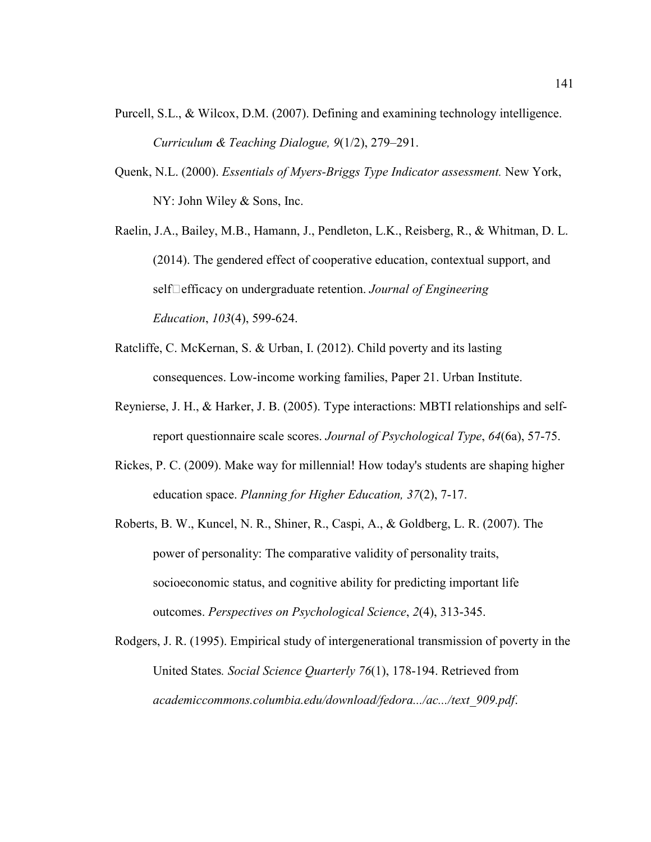- Purcell, S.L., & Wilcox, D.M. (2007). Defining and examining technology intelligence. *Curriculum & Teaching Dialogue, 9*(1/2), 279–291.
- Quenk, N.L. (2000). *Essentials of Myers-Briggs Type Indicator assessment.* New York, NY: John Wiley & Sons, Inc.
- Raelin, J.A., Bailey, M.B., Hamann, J., Pendleton, L.K., Reisberg, R., & Whitman, D. L. (2014). The gendered effect of cooperative education, contextual support, and self□efficacy on undergraduate retention. *Journal of Engineering Education*, *103*(4), 599-624.
- Ratcliffe, C. McKernan, S. & Urban, I. (2012). Child poverty and its lasting consequences. Low-income working families, Paper 21. Urban Institute.
- Reynierse, J. H., & Harker, J. B. (2005). Type interactions: MBTI relationships and selfreport questionnaire scale scores. *Journal of Psychological Type*, *64*(6a), 57-75.
- Rickes, P. C. (2009). Make way for millennial! How today's students are shaping higher education space. *Planning for Higher Education, 37*(2), 7-17.
- Roberts, B. W., Kuncel, N. R., Shiner, R., Caspi, A., & Goldberg, L. R. (2007). The power of personality: The comparative validity of personality traits, socioeconomic status, and cognitive ability for predicting important life outcomes. *Perspectives on Psychological Science*, *2*(4), 313-345.
- Rodgers, J. R. (1995). Empirical study of intergenerational transmission of poverty in the United States*. Social Science Quarterly 76*(1), 178-194. Retrieved from *academiccommons.columbia.edu/download/fedora.../ac.../text\_909.pdf*.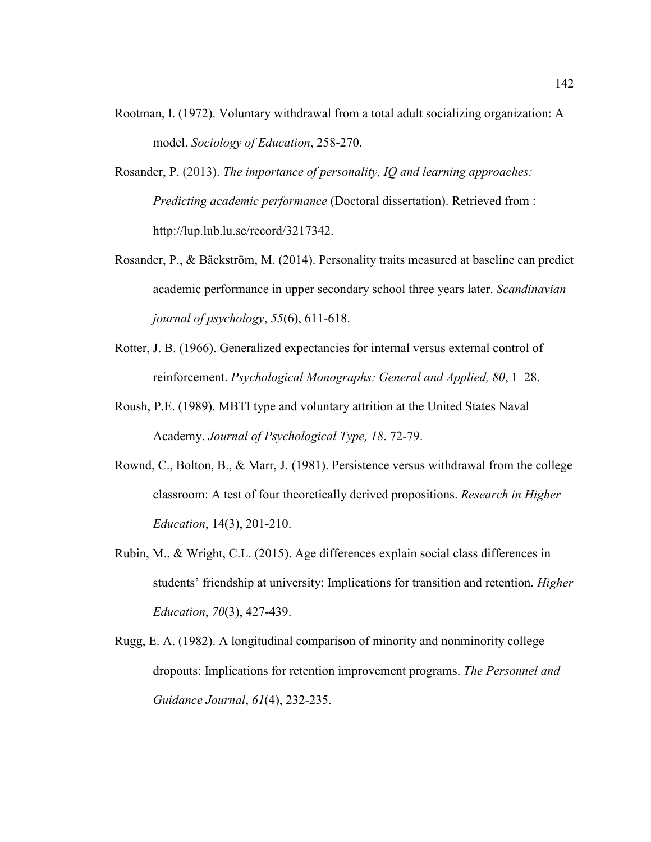- Rootman, I. (1972). Voluntary withdrawal from a total adult socializing organization: A model. *Sociology of Education*, 258-270.
- Rosander, P. (2013). *The importance of personality, IQ and learning approaches: Predicting academic performance* (Doctoral dissertation). Retrieved from : http://lup.lub.lu.se/record/3217342.
- Rosander, P., & Bäckström, M. (2014). Personality traits measured at baseline can predict academic performance in upper secondary school three years later. *Scandinavian journal of psychology*, *55*(6), 611-618.
- Rotter, J. B. (1966). Generalized expectancies for internal versus external control of reinforcement. *Psychological Monographs: General and Applied, 80*, 1–28.
- Roush, P.E. (1989). MBTI type and voluntary attrition at the United States Naval Academy. *Journal of Psychological Type, 18*. 72-79.
- Rownd, C., Bolton, B., & Marr, J. (1981). Persistence versus withdrawal from the college classroom: A test of four theoretically derived propositions. *Research in Higher Education*, 14(3), 201-210.
- Rubin, M., & Wright, C.L. (2015). Age differences explain social class differences in students' friendship at university: Implications for transition and retention. *Higher Education*, *70*(3), 427-439.
- Rugg, E. A. (1982). A longitudinal comparison of minority and nonminority college dropouts: Implications for retention improvement programs. *The Personnel and Guidance Journal*, *61*(4), 232-235.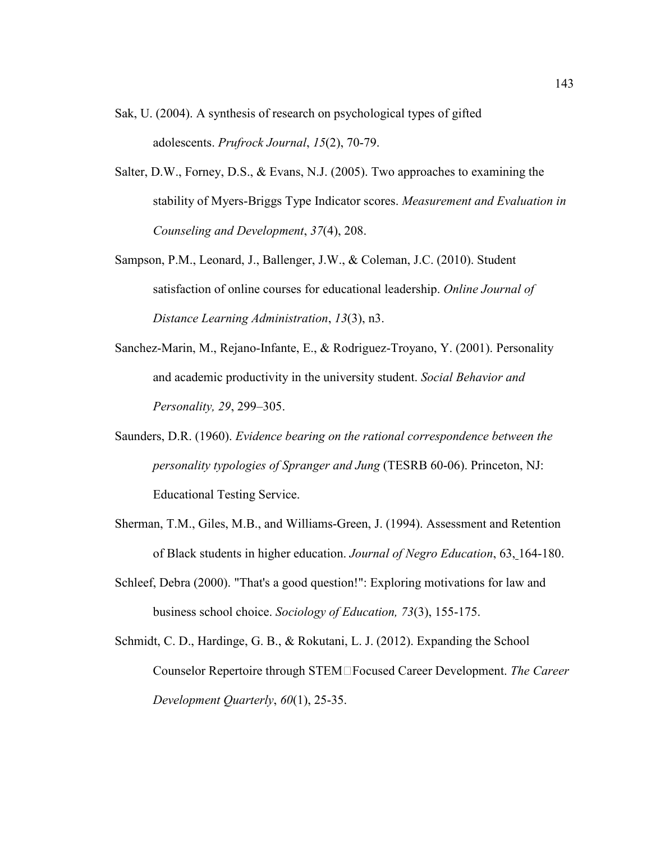Sak, U. (2004). A synthesis of research on psychological types of gifted adolescents. *Prufrock Journal*, *15*(2), 70-79.

- Salter, D.W., Forney, D.S., & Evans, N.J. (2005). Two approaches to examining the stability of Myers-Briggs Type Indicator scores. *Measurement and Evaluation in Counseling and Development*, *37*(4), 208.
- Sampson, P.M., Leonard, J., Ballenger, J.W., & Coleman, J.C. (2010). Student satisfaction of online courses for educational leadership. *Online Journal of Distance Learning Administration*, *13*(3), n3.
- Sanchez-Marin, M., Rejano-Infante, E., & Rodriguez-Troyano, Y. (2001). Personality and academic productivity in the university student. *Social Behavior and Personality, 29*, 299–305.
- Saunders, D.R. (1960). *Evidence bearing on the rational correspondence between the personality typologies of Spranger and Jung* (TESRB 60-06). Princeton, NJ: Educational Testing Service.
- Sherman, T.M., Giles, M.B., and Williams-Green, J. (1994). Assessment and Retention of Black students in higher education. *Journal of Negro Education*, 63, 164-180.
- Schleef, Debra (2000). "That's a good question!": Exploring motivations for law and business school choice. *Sociology of Education, 73*(3), 155-175.
- Schmidt, C. D., Hardinge, G. B., & Rokutani, L. J. (2012). Expanding the School Counselor Repertoire through STEM‐Focused Career Development. *The Career Development Quarterly*, *60*(1), 25-35.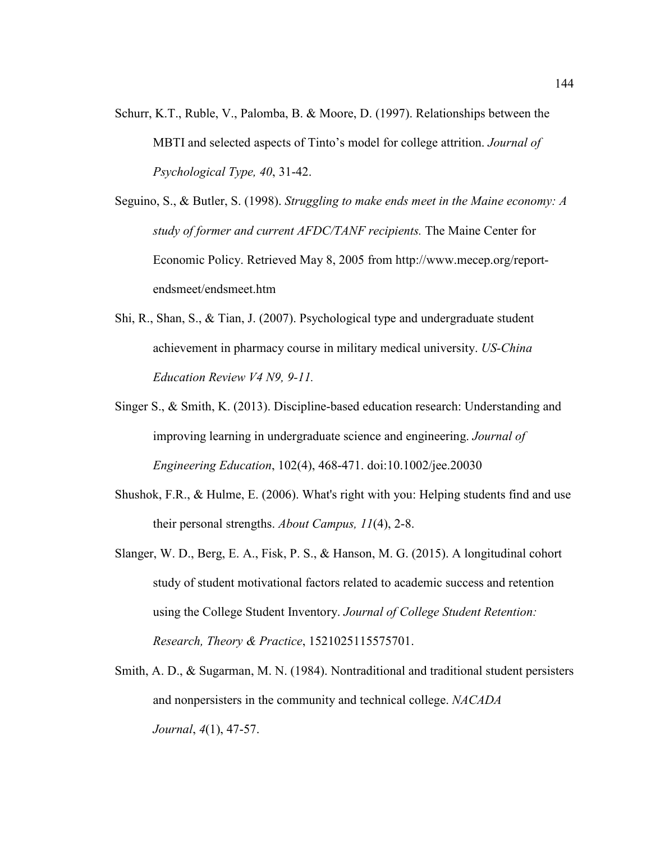- Schurr, K.T., Ruble, V., Palomba, B. & Moore, D. (1997). Relationships between the MBTI and selected aspects of Tinto's model for college attrition. *Journal of Psychological Type, 40*, 31-42.
- Seguino, S., & Butler, S. (1998). *Struggling to make ends meet in the Maine economy: A study of former and current AFDC/TANF recipients.* The Maine Center for Economic Policy. Retrieved May 8, 2005 from http://www.mecep.org/reportendsmeet/endsmeet.htm
- Shi, R., Shan, S., & Tian, J. (2007). Psychological type and undergraduate student achievement in pharmacy course in military medical university. *US-China Education Review V4 N9, 9-11.*
- Singer S., & Smith, K. (2013). Discipline-based education research: Understanding and improving learning in undergraduate science and engineering. *Journal of Engineering Education*, 102(4), 468-471. doi:10.1002/jee.20030
- Shushok, F.R., & Hulme, E. (2006). What's right with you: Helping students find and use their personal strengths. *About Campus, 11*(4), 2-8.
- Slanger, W. D., Berg, E. A., Fisk, P. S., & Hanson, M. G. (2015). A longitudinal cohort study of student motivational factors related to academic success and retention using the College Student Inventory. *Journal of College Student Retention: Research, Theory & Practice*, 1521025115575701.
- Smith, A. D., & Sugarman, M. N. (1984). Nontraditional and traditional student persisters and nonpersisters in the community and technical college. *NACADA Journal*, *4*(1), 47-57.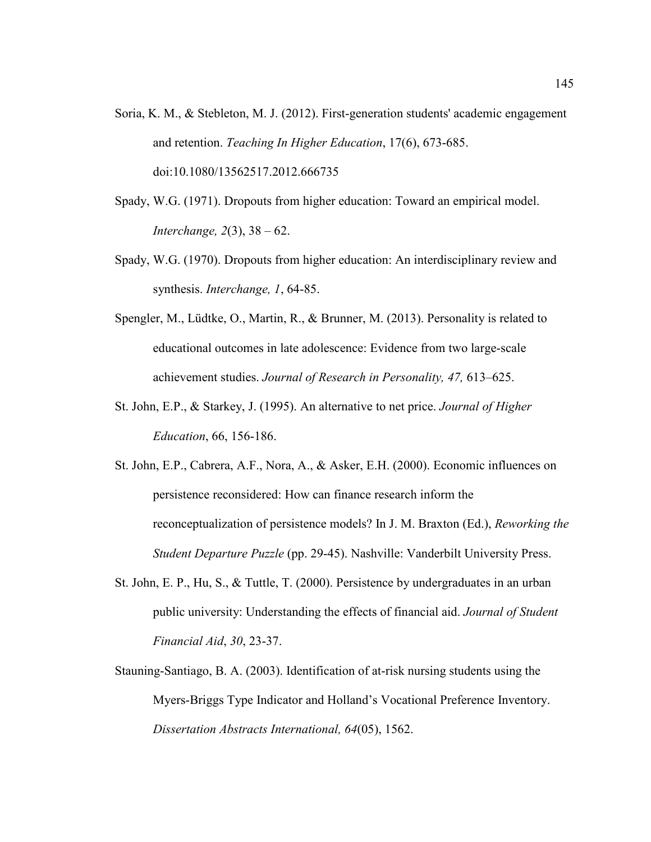- Soria, K. M., & Stebleton, M. J. (2012). First-generation students' academic engagement and retention. *Teaching In Higher Education*, 17(6), 673-685. doi:10.1080/13562517.2012.666735
- Spady, W.G. (1971). Dropouts from higher education: Toward an empirical model. *Interchange, 2*(3), 38 – 62.
- Spady, W.G. (1970). Dropouts from higher education: An interdisciplinary review and synthesis. *Interchange, 1*, 64-85.
- Spengler, M., Lüdtke, O., Martin, R., & Brunner, M. (2013). Personality is related to educational outcomes in late adolescence: Evidence from two large-scale achievement studies. *Journal of Research in Personality, 47,* 613–625.
- St. John, E.P., & Starkey, J. (1995). An alternative to net price. *Journal of Higher Education*, 66, 156-186.
- St. John, E.P., Cabrera, A.F., Nora, A., & Asker, E.H. (2000). Economic influences on persistence reconsidered: How can finance research inform the reconceptualization of persistence models? In J. M. Braxton (Ed.), *Reworking the Student Departure Puzzle* (pp. 29-45). Nashville: Vanderbilt University Press.
- St. John, E. P., Hu, S., & Tuttle, T. (2000). Persistence by undergraduates in an urban public university: Understanding the effects of financial aid. *Journal of Student Financial Aid*, *30*, 23-37.
- Stauning-Santiago, B. A. (2003). Identification of at-risk nursing students using the Myers-Briggs Type Indicator and Holland's Vocational Preference Inventory. *Dissertation Abstracts International, 64*(05), 1562.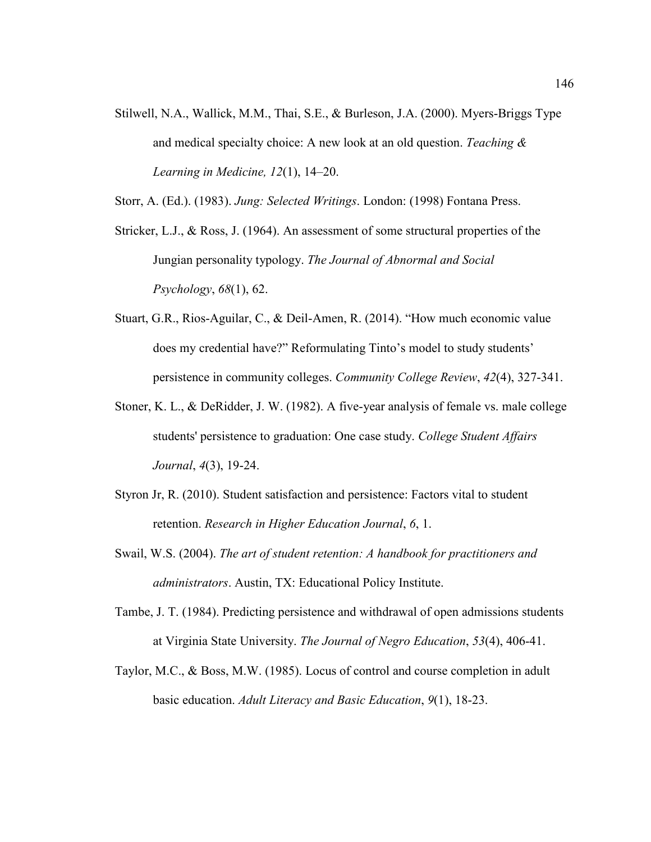Stilwell, N.A., Wallick, M.M., Thai, S.E., & Burleson, J.A. (2000). Myers-Briggs Type and medical specialty choice: A new look at an old question. *Teaching & Learning in Medicine, 12*(1), 14–20.

Storr, A. (Ed.). (1983). *Jung: Selected Writings*. London: (1998) Fontana Press.

- Stricker, L.J., & Ross, J. (1964). An assessment of some structural properties of the Jungian personality typology. *The Journal of Abnormal and Social Psychology*, *68*(1), 62.
- Stuart, G.R., Rios-Aguilar, C., & Deil-Amen, R. (2014). "How much economic value does my credential have?" Reformulating Tinto's model to study students' persistence in community colleges. *Community College Review*, *42*(4), 327-341.
- Stoner, K. L., & DeRidder, J. W. (1982). A five-year analysis of female vs. male college students' persistence to graduation: One case study. *College Student Affairs Journal*, *4*(3), 19-24.
- Styron Jr, R. (2010). Student satisfaction and persistence: Factors vital to student retention. *Research in Higher Education Journal*, *6*, 1.
- Swail, W.S. (2004). *The art of student retention: A handbook for practitioners and administrators*. Austin, TX: Educational Policy Institute.
- Tambe, J. T. (1984). Predicting persistence and withdrawal of open admissions students at Virginia State University. *The Journal of Negro Education*, *53*(4), 406-41.
- Taylor, M.C., & Boss, M.W. (1985). Locus of control and course completion in adult basic education. *Adult Literacy and Basic Education*, *9*(1), 18-23.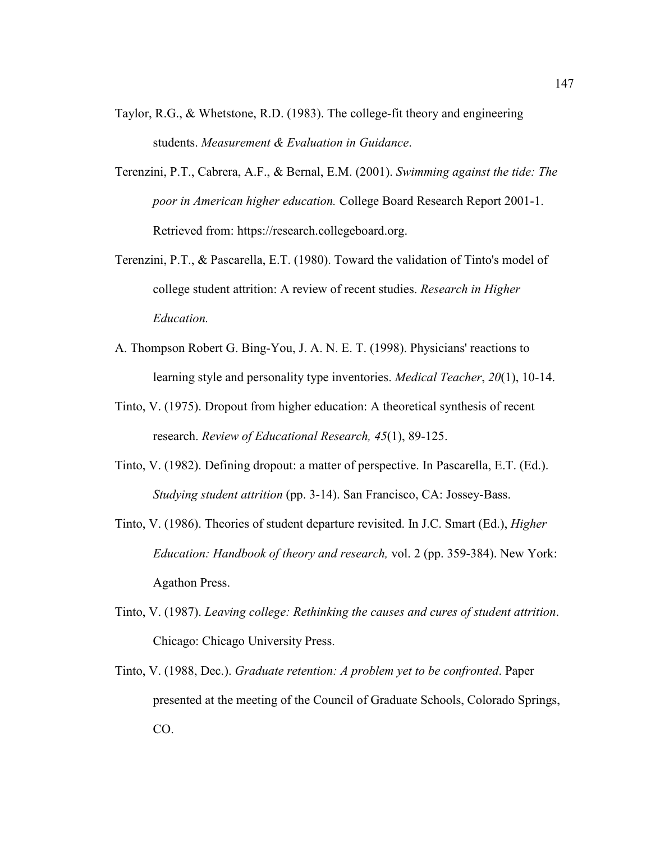- Taylor, R.G., & Whetstone, R.D. (1983). The college-fit theory and engineering students. *Measurement & Evaluation in Guidance*.
- Terenzini, P.T., Cabrera, A.F., & Bernal, E.M. (2001). *Swimming against the tide: The poor in American higher education.* College Board Research Report 2001-1. Retrieved from: https://research.collegeboard.org.
- Terenzini, P.T., & Pascarella, E.T. (1980). Toward the validation of Tinto's model of college student attrition: A review of recent studies. *Research in Higher Education.*
- A. Thompson Robert G. Bing-You, J. A. N. E. T. (1998). Physicians' reactions to learning style and personality type inventories. *Medical Teacher*, *20*(1), 10-14.
- Tinto, V. (1975). Dropout from higher education: A theoretical synthesis of recent research. *Review of Educational Research, 45*(1), 89-125.
- Tinto, V. (1982). Defining dropout: a matter of perspective. In Pascarella, E.T. (Ed.). *Studying student attrition* (pp. 3-14). San Francisco, CA: Jossey-Bass.
- Tinto, V. (1986). Theories of student departure revisited. In J.C. Smart (Ed.), *Higher Education: Handbook of theory and research,* vol. 2 (pp. 359-384). New York: Agathon Press.
- Tinto, V. (1987). *Leaving college: Rethinking the causes and cures of student attrition*. Chicago: Chicago University Press.
- Tinto, V. (1988, Dec.). *Graduate retention: A problem yet to be confronted*. Paper presented at the meeting of the Council of Graduate Schools, Colorado Springs, CO.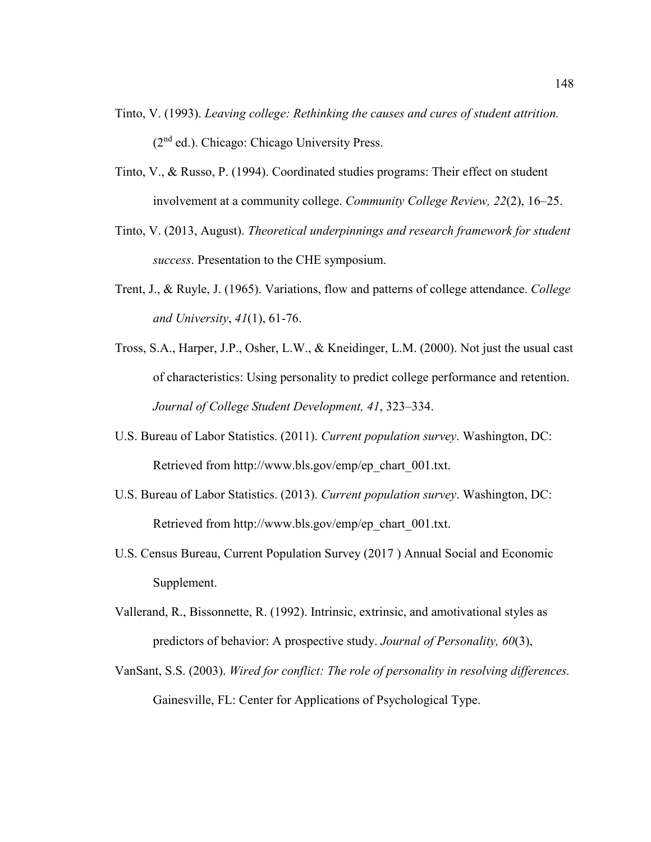- Tinto, V. (1993). *Leaving college: Rethinking the causes and cures of student attrition.* (2nd ed.). Chicago: Chicago University Press.
- Tinto, V., & Russo, P. (1994). Coordinated studies programs: Their effect on student involvement at a community college. *Community College Review, 22*(2), 16–25.
- Tinto, V. (2013, August). *Theoretical underpinnings and research framework for student success*. Presentation to the CHE symposium.
- Trent, J., & Ruyle, J. (1965). Variations, flow and patterns of college attendance. *College and University*, *41*(1), 61-76.
- Tross, S.A., Harper, J.P., Osher, L.W., & Kneidinger, L.M. (2000). Not just the usual cast of characteristics: Using personality to predict college performance and retention. *Journal of College Student Development, 41*, 323–334.
- U.S. Bureau of Labor Statistics. (2011). *Current population survey*. Washington, DC: Retrieved from http://www.bls.gov/emp/ep\_chart\_001.txt.
- U.S. Bureau of Labor Statistics. (2013). *Current population survey*. Washington, DC: Retrieved from http://www.bls.gov/emp/ep\_chart\_001.txt.
- U.S. Census Bureau, Current Population Survey (2017 ) Annual Social and Economic Supplement.
- Vallerand, R., Bissonnette, R. (1992). Intrinsic, extrinsic, and amotivational styles as predictors of behavior: A prospective study. *Journal of Personality, 60*(3),
- VanSant, S.S. (2003). *Wired for conflict: The role of personality in resolving differences.*  Gainesville, FL: Center for Applications of Psychological Type.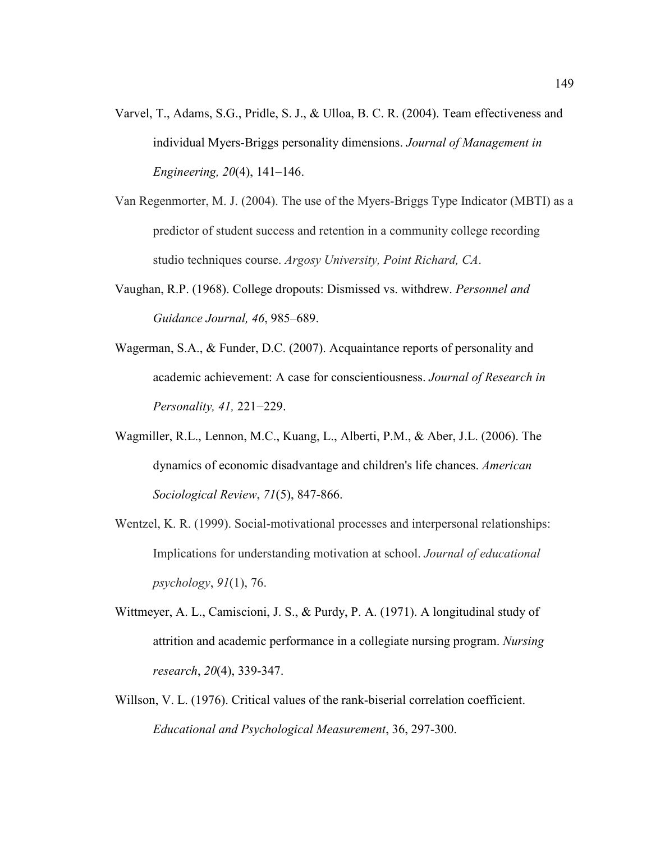- Varvel, T., Adams, S.G., Pridle, S. J., & Ulloa, B. C. R. (2004). Team effectiveness and individual Myers-Briggs personality dimensions. *Journal of Management in Engineering, 20*(4), 141–146.
- Van Regenmorter, M. J. (2004). The use of the Myers-Briggs Type Indicator (MBTI) as a predictor of student success and retention in a community college recording studio techniques course. *Argosy University, Point Richard, CA*.
- Vaughan, R.P. (1968). College dropouts: Dismissed vs. withdrew. *Personnel and Guidance Journal, 46*, 985–689.
- Wagerman, S.A., & Funder, D.C. (2007). Acquaintance reports of personality and academic achievement: A case for conscientiousness. *Journal of Research in Personality, 41,* 221−229.
- Wagmiller, R.L., Lennon, M.C., Kuang, L., Alberti, P.M., & Aber, J.L. (2006). The dynamics of economic disadvantage and children's life chances. *American Sociological Review*, *71*(5), 847-866.
- Wentzel, K. R. (1999). Social-motivational processes and interpersonal relationships: Implications for understanding motivation at school. *Journal of educational psychology*, *91*(1), 76.
- Wittmeyer, A. L., Camiscioni, J. S., & Purdy, P. A. (1971). A longitudinal study of attrition and academic performance in a collegiate nursing program. *Nursing research*, *20*(4), 339-347.
- Willson, V. L. (1976). Critical values of the rank-biserial correlation coefficient. *Educational and Psychological Measurement*, 36, 297-300.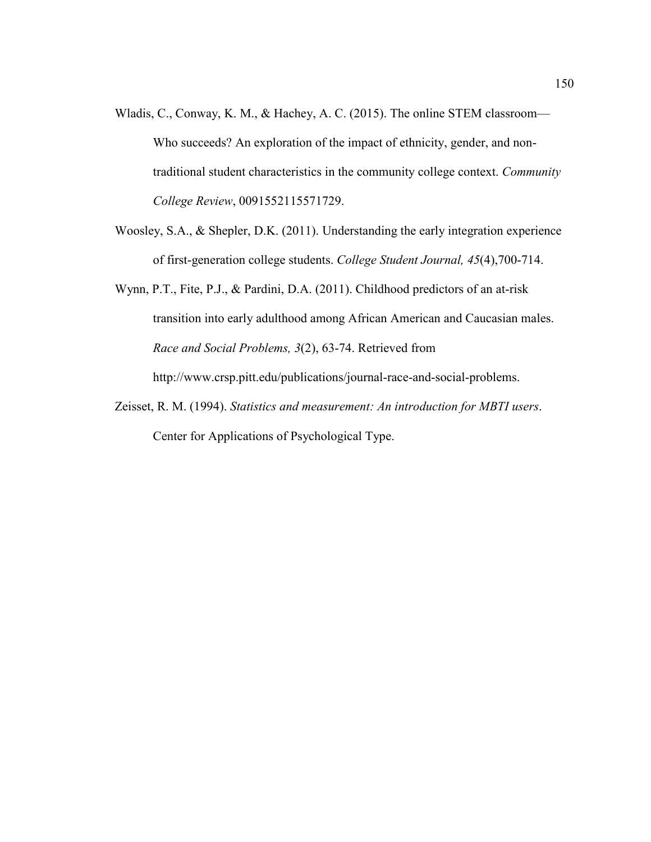- Wladis, C., Conway, K. M., & Hachey, A. C. (2015). The online STEM classroom— Who succeeds? An exploration of the impact of ethnicity, gender, and nontraditional student characteristics in the community college context. *Community College Review*, 0091552115571729.
- Woosley, S.A., & Shepler, D.K. (2011). Understanding the early integration experience of first-generation college students. *College Student Journal, 45*(4),700-714.
- Wynn, P.T., Fite, P.J., & Pardini, D.A. (2011). Childhood predictors of an at-risk transition into early adulthood among African American and Caucasian males. *Race and Social Problems, 3*(2), 63-74. Retrieved from http://www.crsp.pitt.edu/publications/journal-race-and-social-problems.
- Zeisset, R. M. (1994). *Statistics and measurement: An introduction for MBTI users*. Center for Applications of Psychological Type.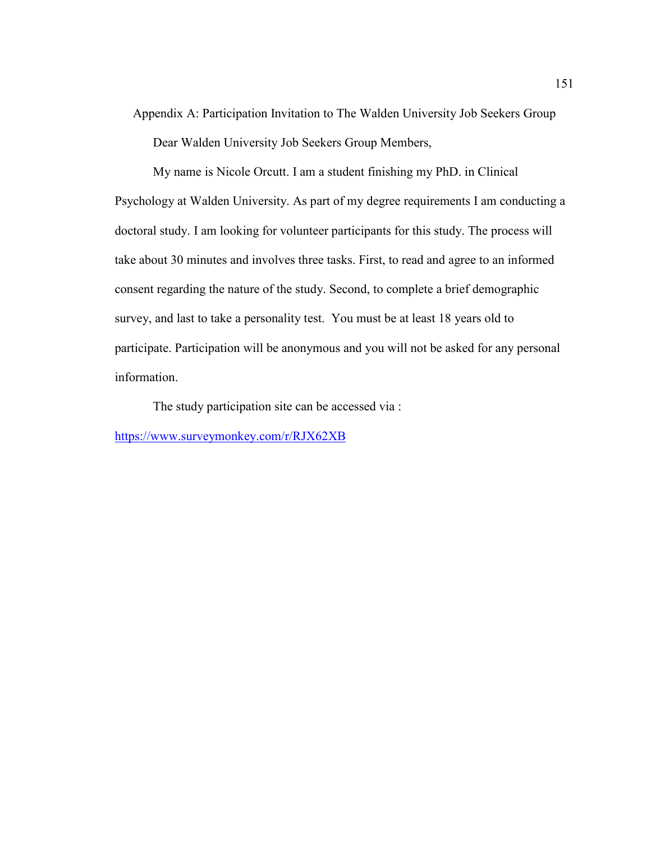Appendix A: Participation Invitation to The Walden University Job Seekers Group Dear Walden University Job Seekers Group Members,

My name is Nicole Orcutt. I am a student finishing my PhD. in Clinical Psychology at Walden University. As part of my degree requirements I am conducting a doctoral study. I am looking for volunteer participants for this study. The process will take about 30 minutes and involves three tasks. First, to read and agree to an informed consent regarding the nature of the study. Second, to complete a brief demographic survey, and last to take a personality test. You must be at least 18 years old to participate. Participation will be anonymous and you will not be asked for any personal information.

The study participation site can be accessed via :

https://www.surveymonkey.com/r/RJX62XB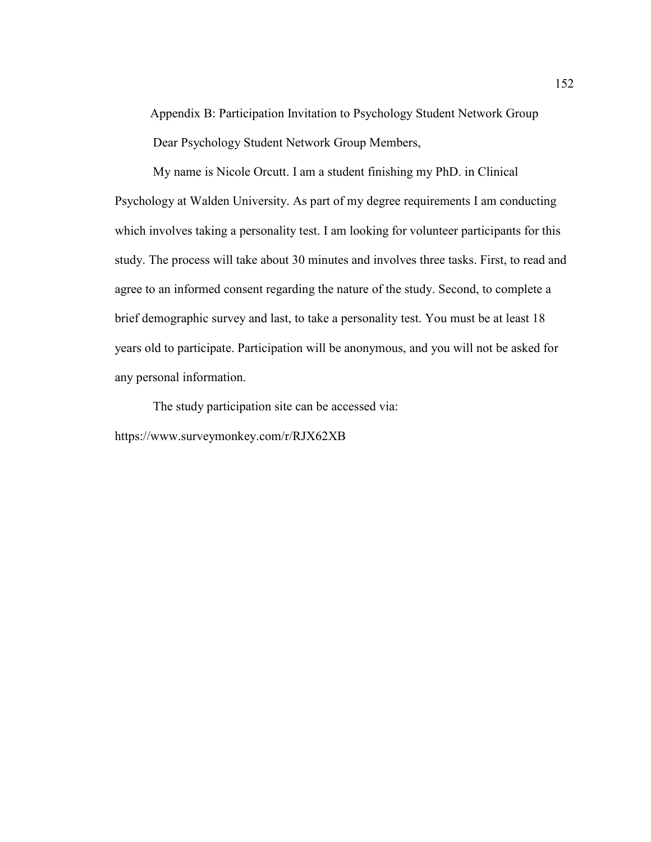Appendix B: Participation Invitation to Psychology Student Network Group Dear Psychology Student Network Group Members,

My name is Nicole Orcutt. I am a student finishing my PhD. in Clinical Psychology at Walden University. As part of my degree requirements I am conducting which involves taking a personality test. I am looking for volunteer participants for this study. The process will take about 30 minutes and involves three tasks. First, to read and agree to an informed consent regarding the nature of the study. Second, to complete a brief demographic survey and last, to take a personality test. You must be at least 18 years old to participate. Participation will be anonymous, and you will not be asked for any personal information.

The study participation site can be accessed via: https://www.surveymonkey.com/r/RJX62XB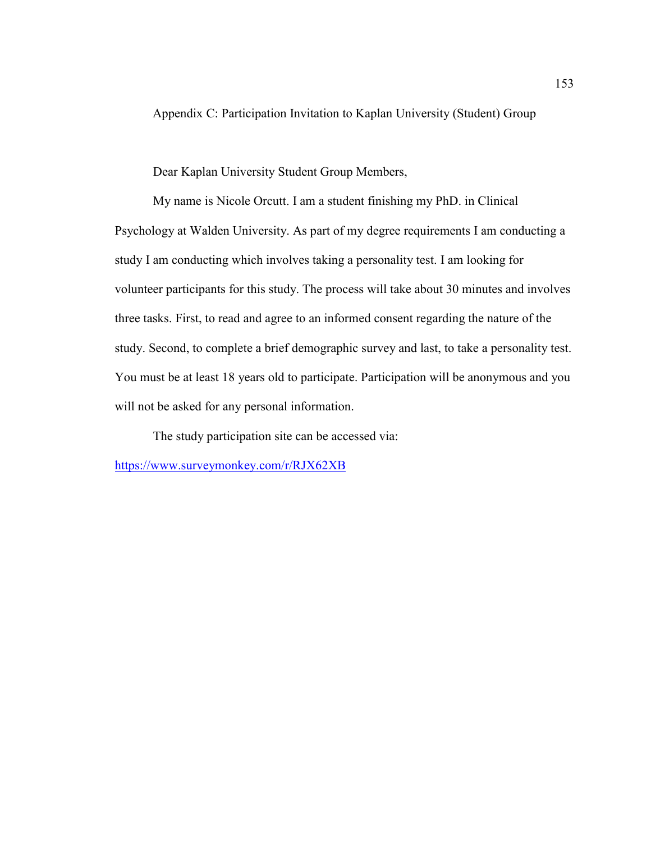Appendix C: Participation Invitation to Kaplan University (Student) Group

Dear Kaplan University Student Group Members,

My name is Nicole Orcutt. I am a student finishing my PhD. in Clinical Psychology at Walden University. As part of my degree requirements I am conducting a study I am conducting which involves taking a personality test. I am looking for volunteer participants for this study. The process will take about 30 minutes and involves three tasks. First, to read and agree to an informed consent regarding the nature of the study. Second, to complete a brief demographic survey and last, to take a personality test. You must be at least 18 years old to participate. Participation will be anonymous and you will not be asked for any personal information.

The study participation site can be accessed via:

https://www.surveymonkey.com/r/RJX62XB